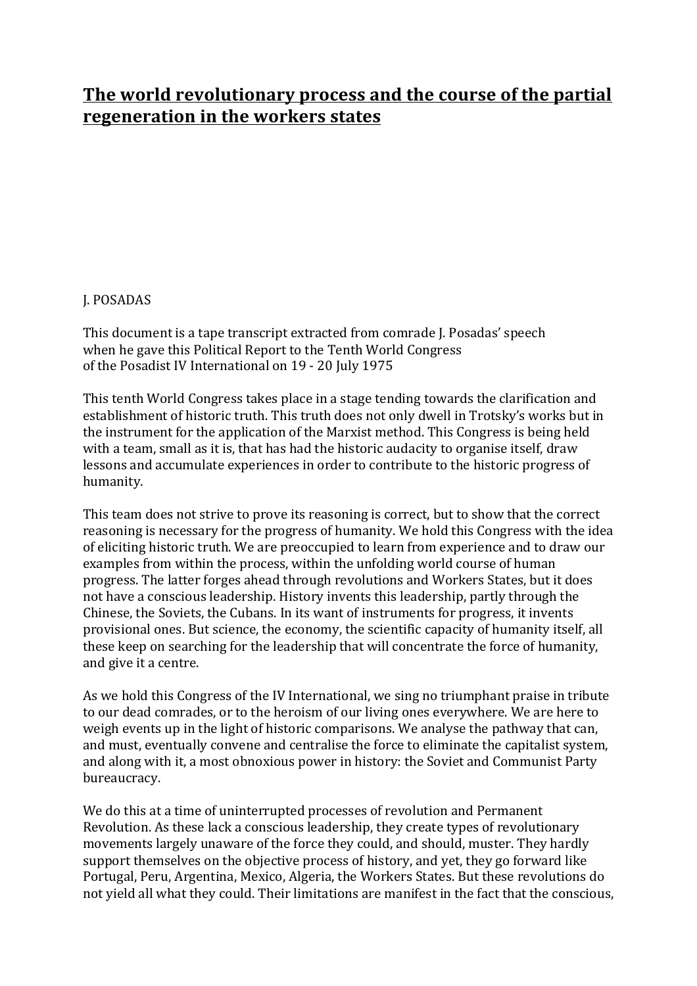# **The world revolutionary process and the course of the partial regeneration in the workers states**

# **J. POSADAS**

This document is a tape transcript extracted from comrade J. Posadas' speech when he gave this Political Report to the Tenth World Congress of the Posadist IV International on 19 - 20 July 1975

This tenth World Congress takes place in a stage tending towards the clarification and establishment of historic truth. This truth does not only dwell in Trotsky's works but in the instrument for the application of the Marxist method. This Congress is being held with a team, small as it is, that has had the historic audacity to organise itself, draw lessons and accumulate experiences in order to contribute to the historic progress of humanity.

This team does not strive to prove its reasoning is correct, but to show that the correct reasoning is necessary for the progress of humanity. We hold this Congress with the idea of eliciting historic truth. We are preoccupied to learn from experience and to draw our examples from within the process, within the unfolding world course of human progress. The latter forges ahead through revolutions and Workers States, but it does not have a conscious leadership. History invents this leadership, partly through the Chinese, the Soviets, the Cubans. In its want of instruments for progress, it invents provisional ones. But science, the economy, the scientific capacity of humanity itself, all these keep on searching for the leadership that will concentrate the force of humanity, and give it a centre.

As we hold this Congress of the IV International, we sing no triumphant praise in tribute to our dead comrades, or to the heroism of our living ones everywhere. We are here to weigh events up in the light of historic comparisons. We analyse the pathway that can, and must, eventually convene and centralise the force to eliminate the capitalist system, and along with it, a most obnoxious power in history: the Soviet and Communist Party bureaucracy.

We do this at a time of uninterrupted processes of revolution and Permanent Revolution. As these lack a conscious leadership, they create types of revolutionary movements largely unaware of the force they could, and should, muster. They hardly support themselves on the objective process of history, and yet, they go forward like Portugal, Peru, Argentina, Mexico, Algeria, the Workers States. But these revolutions do not yield all what they could. Their limitations are manifest in the fact that the conscious,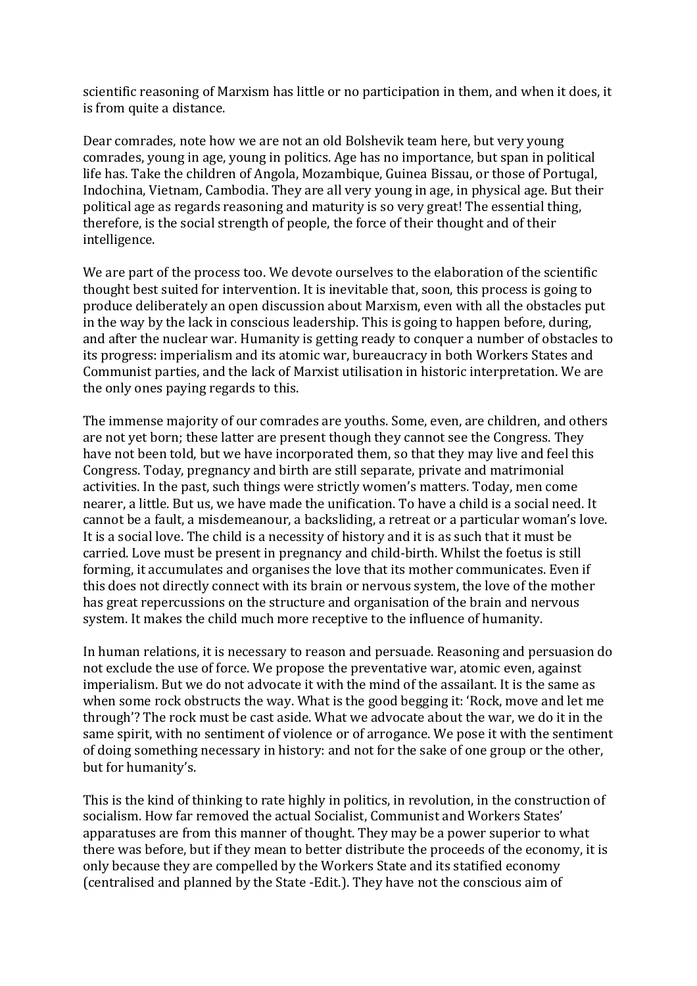scientific reasoning of Marxism has little or no participation in them, and when it does, it is from quite a distance.

Dear comrades, note how we are not an old Bolshevik team here, but very young comrades, young in age, young in politics. Age has no importance, but span in political life has. Take the children of Angola, Mozambique, Guinea Bissau, or those of Portugal, Indochina, Vietnam, Cambodia. They are all very young in age, in physical age. But their political age as regards reasoning and maturity is so very great! The essential thing, therefore, is the social strength of people, the force of their thought and of their intelligence.

We are part of the process too. We devote ourselves to the elaboration of the scientific thought best suited for intervention. It is inevitable that, soon, this process is going to produce deliberately an open discussion about Marxism, even with all the obstacles put in the way by the lack in conscious leadership. This is going to happen before, during, and after the nuclear war. Humanity is getting ready to conquer a number of obstacles to its progress: imperialism and its atomic war, bureaucracy in both Workers States and Communist parties, and the lack of Marxist utilisation in historic interpretation. We are the only ones paying regards to this.

The immense majority of our comrades are youths. Some, even, are children, and others are not yet born; these latter are present though they cannot see the Congress. They have not been told, but we have incorporated them, so that they may live and feel this Congress. Today, pregnancy and birth are still separate, private and matrimonial activities. In the past, such things were strictly women's matters. Today, men come nearer, a little. But us, we have made the unification. To have a child is a social need. It cannot be a fault, a misdemeanour, a backsliding, a retreat or a particular woman's love. It is a social love. The child is a necessity of history and it is as such that it must be carried. Love must be present in pregnancy and child-birth. Whilst the foetus is still forming, it accumulates and organises the love that its mother communicates. Even if this does not directly connect with its brain or nervous system, the love of the mother has great repercussions on the structure and organisation of the brain and nervous system. It makes the child much more receptive to the influence of humanity.

In human relations, it is necessary to reason and persuade. Reasoning and persuasion do not exclude the use of force. We propose the preventative war, atomic even, against imperialism. But we do not advocate it with the mind of the assailant. It is the same as when some rock obstructs the way. What is the good begging it: 'Rock, move and let me through'? The rock must be cast aside. What we advocate about the war, we do it in the same spirit, with no sentiment of violence or of arrogance. We pose it with the sentiment of doing something necessary in history: and not for the sake of one group or the other, but for humanity's.

This is the kind of thinking to rate highly in politics, in revolution, in the construction of socialism. How far removed the actual Socialist, Communist and Workers States' apparatuses are from this manner of thought. They may be a power superior to what there was before, but if they mean to better distribute the proceeds of the economy, it is only because they are compelled by the Workers State and its statified economy (centralised and planned by the State -Edit.). They have not the conscious aim of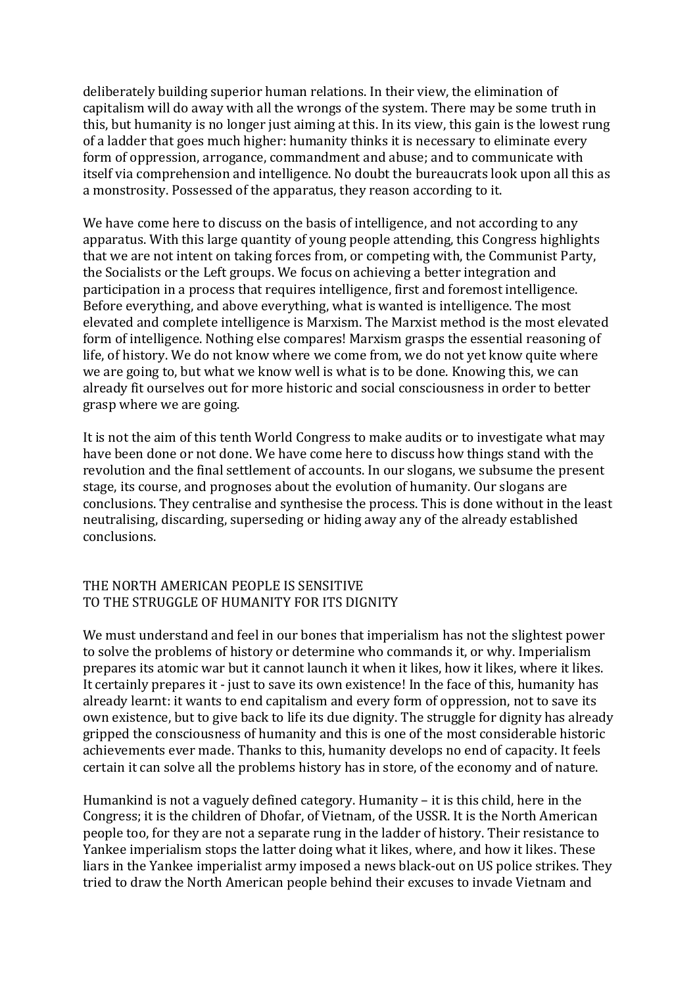deliberately building superior human relations. In their view, the elimination of capitalism will do away with all the wrongs of the system. There may be some truth in this, but humanity is no longer just aiming at this. In its view, this gain is the lowest rung of a ladder that goes much higher: humanity thinks it is necessary to eliminate every form of oppression, arrogance, commandment and abuse; and to communicate with itself via comprehension and intelligence. No doubt the bureaucrats look upon all this as a monstrosity. Possessed of the apparatus, they reason according to it.

We have come here to discuss on the basis of intelligence, and not according to any apparatus. With this large quantity of young people attending, this Congress highlights that we are not intent on taking forces from, or competing with, the Communist Party, the Socialists or the Left groups. We focus on achieving a better integration and participation in a process that requires intelligence, first and foremost intelligence. Before everything, and above everything, what is wanted is intelligence. The most elevated and complete intelligence is Marxism. The Marxist method is the most elevated form of intelligence. Nothing else compares! Marxism grasps the essential reasoning of life, of history. We do not know where we come from, we do not yet know quite where we are going to, but what we know well is what is to be done. Knowing this, we can already fit ourselves out for more historic and social consciousness in order to better grasp where we are going.

It is not the aim of this tenth World Congress to make audits or to investigate what may have been done or not done. We have come here to discuss how things stand with the revolution and the final settlement of accounts. In our slogans, we subsume the present stage, its course, and prognoses about the evolution of humanity. Our slogans are conclusions. They centralise and synthesise the process. This is done without in the least neutralising, discarding, superseding or hiding away any of the already established conclusions.

#### THE NORTH AMERICAN PEOPLE IS SENSITIVE TO THE STRUGGLE OF HUMANITY FOR ITS DIGNITY

We must understand and feel in our bones that imperialism has not the slightest power to solve the problems of history or determine who commands it, or why. Imperialism prepares its atomic war but it cannot launch it when it likes, how it likes, where it likes. It certainly prepares it - just to save its own existence! In the face of this, humanity has already learnt: it wants to end capitalism and every form of oppression, not to save its own existence, but to give back to life its due dignity. The struggle for dignity has already gripped the consciousness of humanity and this is one of the most considerable historic achievements ever made. Thanks to this, humanity develops no end of capacity. It feels certain it can solve all the problems history has in store, of the economy and of nature.

Humankind is not a vaguely defined category. Humanity  $-$  it is this child, here in the Congress; it is the children of Dhofar, of Vietnam, of the USSR. It is the North American people too, for they are not a separate rung in the ladder of history. Their resistance to Yankee imperialism stops the latter doing what it likes, where, and how it likes. These liars in the Yankee imperialist army imposed a news black-out on US police strikes. They tried to draw the North American people behind their excuses to invade Vietnam and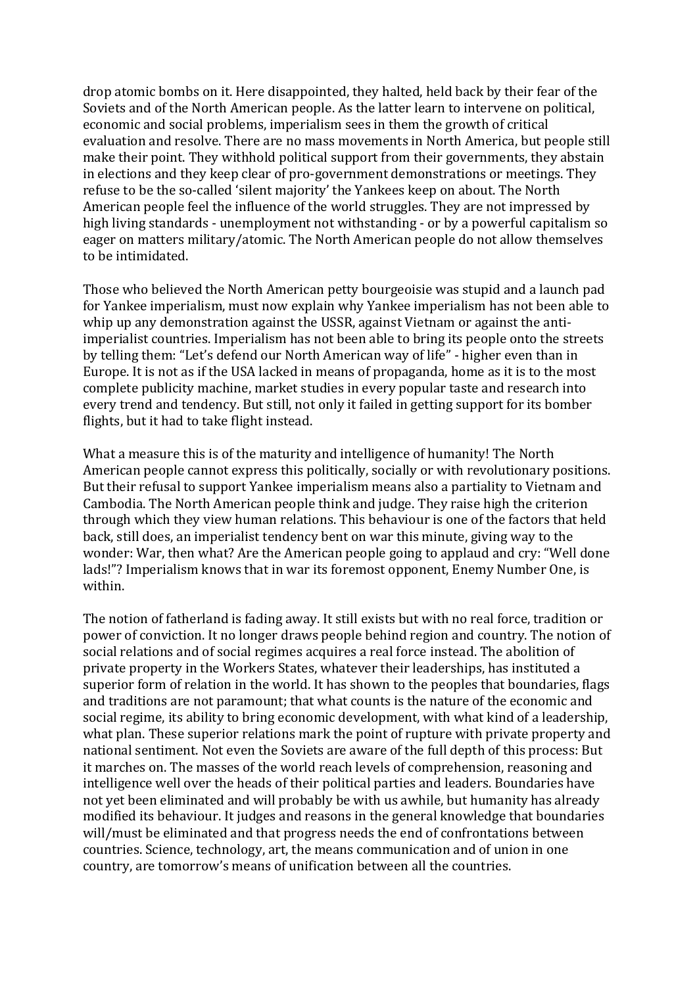drop atomic bombs on it. Here disappointed, they halted, held back by their fear of the Soviets and of the North American people. As the latter learn to intervene on political. economic and social problems, imperialism sees in them the growth of critical evaluation and resolve. There are no mass movements in North America, but people still make their point. They withhold political support from their governments, they abstain in elections and they keep clear of pro-government demonstrations or meetings. They refuse to be the so-called 'silent majority' the Yankees keep on about. The North American people feel the influence of the world struggles. They are not impressed by high living standards - unemployment not withstanding - or by a powerful capitalism so eager on matters military/atomic. The North American people do not allow themselves to be intimidated.

Those who believed the North American petty bourgeoisie was stupid and a launch pad for Yankee imperialism, must now explain why Yankee imperialism has not been able to whip up any demonstration against the USSR, against Vietnam or against the antiimperialist countries. Imperialism has not been able to bring its people onto the streets by telling them: "Let's defend our North American way of life" - higher even than in Europe. It is not as if the USA lacked in means of propaganda, home as it is to the most complete publicity machine, market studies in every popular taste and research into every trend and tendency. But still, not only it failed in getting support for its bomber flights, but it had to take flight instead.

What a measure this is of the maturity and intelligence of humanity! The North American people cannot express this politically, socially or with revolutionary positions. But their refusal to support Yankee imperialism means also a partiality to Vietnam and Cambodia. The North American people think and judge. They raise high the criterion through which they view human relations. This behaviour is one of the factors that held back, still does, an imperialist tendency bent on war this minute, giving way to the wonder: War, then what? Are the American people going to applaud and cry: "Well done lads!"? Imperialism knows that in war its foremost opponent, Enemy Number One, is within.

The notion of fatherland is fading away. It still exists but with no real force, tradition or power of conviction. It no longer draws people behind region and country. The notion of social relations and of social regimes acquires a real force instead. The abolition of private property in the Workers States, whatever their leaderships, has instituted a superior form of relation in the world. It has shown to the peoples that boundaries, flags and traditions are not paramount; that what counts is the nature of the economic and social regime, its ability to bring economic development, with what kind of a leadership, what plan. These superior relations mark the point of rupture with private property and national sentiment. Not even the Soviets are aware of the full depth of this process: But it marches on. The masses of the world reach levels of comprehension, reasoning and intelligence well over the heads of their political parties and leaders. Boundaries have not yet been eliminated and will probably be with us awhile, but humanity has already modified its behaviour. It judges and reasons in the general knowledge that boundaries will/must be eliminated and that progress needs the end of confrontations between countries. Science, technology, art, the means communication and of union in one country, are tomorrow's means of unification between all the countries.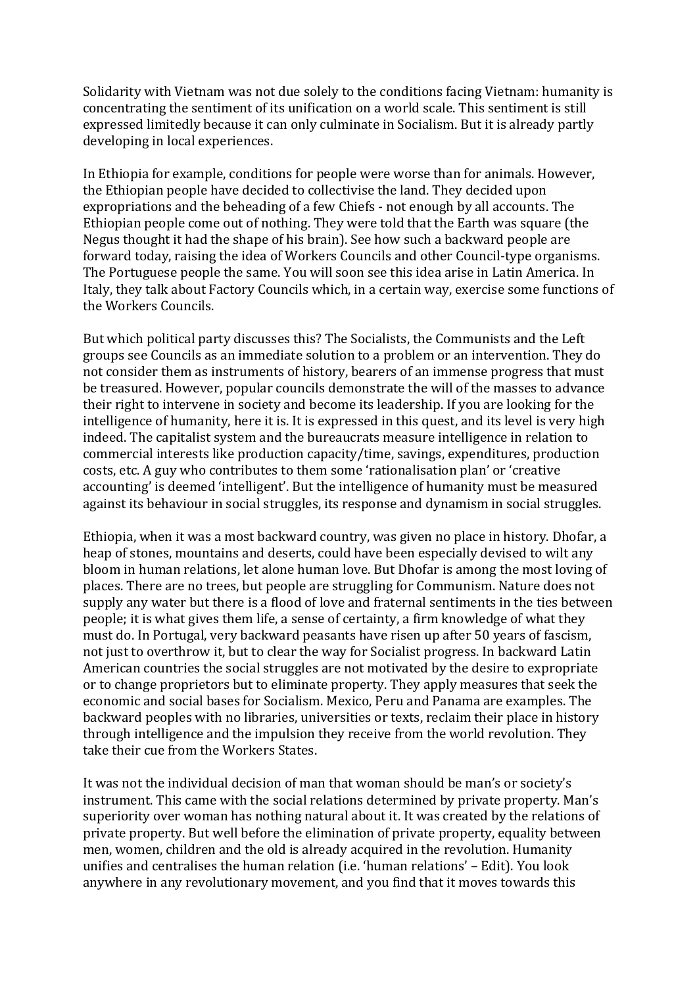Solidarity with Vietnam was not due solely to the conditions facing Vietnam: humanity is concentrating the sentiment of its unification on a world scale. This sentiment is still expressed limitedly because it can only culminate in Socialism. But it is already partly developing in local experiences.

In Ethiopia for example, conditions for people were worse than for animals. However, the Ethiopian people have decided to collectivise the land. They decided upon expropriations and the beheading of a few Chiefs - not enough by all accounts. The Ethiopian people come out of nothing. They were told that the Earth was square (the Negus thought it had the shape of his brain). See how such a backward people are forward today, raising the idea of Workers Councils and other Council-type organisms. The Portuguese people the same. You will soon see this idea arise in Latin America. In Italy, they talk about Factory Councils which, in a certain way, exercise some functions of the Workers Councils.

But which political party discusses this? The Socialists, the Communists and the Left groups see Councils as an immediate solution to a problem or an intervention. They do not consider them as instruments of history, bearers of an immense progress that must be treasured. However, popular councils demonstrate the will of the masses to advance their right to intervene in society and become its leadership. If you are looking for the intelligence of humanity, here it is. It is expressed in this quest, and its level is very high indeed. The capitalist system and the bureaucrats measure intelligence in relation to commercial interests like production capacity/time, savings, expenditures, production costs, etc. A guy who contributes to them some 'rationalisation plan' or 'creative accounting' is deemed 'intelligent'. But the intelligence of humanity must be measured against its behaviour in social struggles, its response and dynamism in social struggles.

Ethiopia, when it was a most backward country, was given no place in history. Dhofar, a heap of stones, mountains and deserts, could have been especially devised to wilt any bloom in human relations, let alone human love. But Dhofar is among the most loving of places. There are no trees, but people are struggling for Communism. Nature does not supply any water but there is a flood of love and fraternal sentiments in the ties between people; it is what gives them life, a sense of certainty, a firm knowledge of what they must do. In Portugal, very backward peasants have risen up after 50 years of fascism, not just to overthrow it, but to clear the way for Socialist progress. In backward Latin American countries the social struggles are not motivated by the desire to expropriate or to change proprietors but to eliminate property. They apply measures that seek the economic and social bases for Socialism. Mexico, Peru and Panama are examples. The backward peoples with no libraries, universities or texts, reclaim their place in history through intelligence and the impulsion they receive from the world revolution. They take their cue from the Workers States.

It was not the individual decision of man that woman should be man's or society's instrument. This came with the social relations determined by private property. Man's superiority over woman has nothing natural about it. It was created by the relations of private property. But well before the elimination of private property, equality between men, women, children and the old is already acquired in the revolution. Humanity unifies and centralises the human relation  $(i.e.$  'human relations' – Edit). You look anywhere in any revolutionary movement, and you find that it moves towards this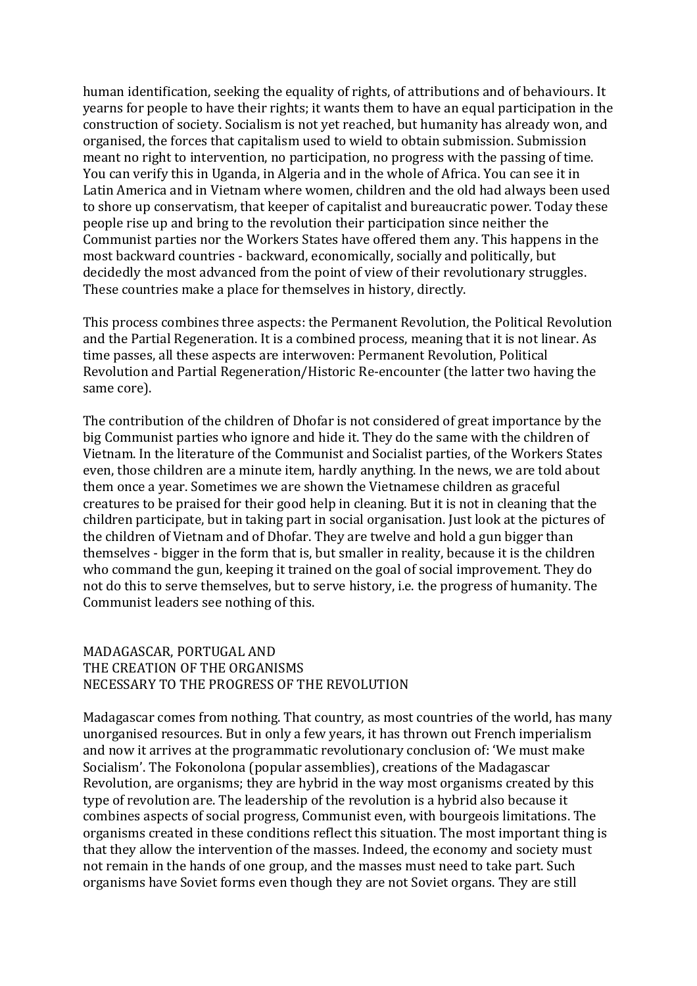human identification, seeking the equality of rights, of attributions and of behaviours. It yearns for people to have their rights; it wants them to have an equal participation in the construction of society. Socialism is not yet reached, but humanity has already won, and organised, the forces that capitalism used to wield to obtain submission. Submission meant no right to intervention, no participation, no progress with the passing of time. You can verify this in Uganda, in Algeria and in the whole of Africa. You can see it in Latin America and in Vietnam where women, children and the old had always been used to shore up conservatism, that keeper of capitalist and bureaucratic power. Today these people rise up and bring to the revolution their participation since neither the Communist parties nor the Workers States have offered them any. This happens in the most backward countries - backward, economically, socially and politically, but decidedly the most advanced from the point of view of their revolutionary struggles. These countries make a place for themselves in history, directly.

This process combines three aspects: the Permanent Revolution, the Political Revolution and the Partial Regeneration. It is a combined process, meaning that it is not linear. As time passes, all these aspects are interwoven: Permanent Revolution, Political Revolution and Partial Regeneration/Historic Re-encounter (the latter two having the same core).

The contribution of the children of Dhofar is not considered of great importance by the big Communist parties who ignore and hide it. They do the same with the children of Vietnam. In the literature of the Communist and Socialist parties, of the Workers States even, those children are a minute item, hardly anything. In the news, we are told about them once a year. Sometimes we are shown the Vietnamese children as graceful creatures to be praised for their good help in cleaning. But it is not in cleaning that the children participate, but in taking part in social organisation. Just look at the pictures of the children of Vietnam and of Dhofar. They are twelve and hold a gun bigger than themselves - bigger in the form that is, but smaller in reality, because it is the children who command the gun, keeping it trained on the goal of social improvement. They do not do this to serve themselves, but to serve history, i.e. the progress of humanity. The Communist leaders see nothing of this.

#### MADAGASCAR, PORTUGAL AND THE CREATION OF THE ORGANISMS NECESSARY TO THE PROGRESS OF THE REVOLUTION

Madagascar comes from nothing. That country, as most countries of the world, has many unorganised resources. But in only a few years, it has thrown out French imperialism and now it arrives at the programmatic revolutionary conclusion of: 'We must make Socialism'. The Fokonolona (popular assemblies), creations of the Madagascar Revolution, are organisms; they are hybrid in the way most organisms created by this type of revolution are. The leadership of the revolution is a hybrid also because it combines aspects of social progress, Communist even, with bourgeois limitations. The organisms created in these conditions reflect this situation. The most important thing is that they allow the intervention of the masses. Indeed, the economy and society must not remain in the hands of one group, and the masses must need to take part. Such organisms have Soviet forms even though they are not Soviet organs. They are still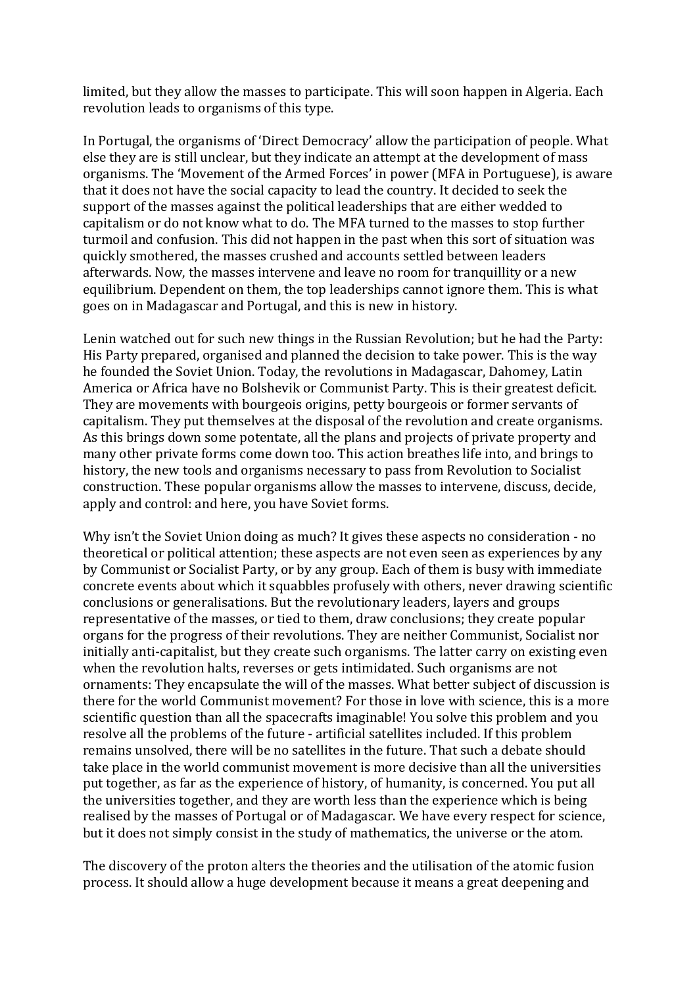limited, but they allow the masses to participate. This will soon happen in Algeria. Each revolution leads to organisms of this type.

In Portugal, the organisms of 'Direct Democracy' allow the participation of people. What else they are is still unclear, but they indicate an attempt at the development of mass organisms. The 'Movement of the Armed Forces' in power (MFA in Portuguese), is aware that it does not have the social capacity to lead the country. It decided to seek the support of the masses against the political leaderships that are either wedded to capitalism or do not know what to do. The MFA turned to the masses to stop further turmoil and confusion. This did not happen in the past when this sort of situation was quickly smothered, the masses crushed and accounts settled between leaders afterwards. Now, the masses intervene and leave no room for tranquillity or a new equilibrium. Dependent on them, the top leaderships cannot ignore them. This is what goes on in Madagascar and Portugal, and this is new in history.

Lenin watched out for such new things in the Russian Revolution; but he had the Party: His Party prepared, organised and planned the decision to take power. This is the way he founded the Soviet Union. Today, the revolutions in Madagascar, Dahomey, Latin America or Africa have no Bolshevik or Communist Party. This is their greatest deficit. They are movements with bourgeois origins, petty bourgeois or former servants of capitalism. They put themselves at the disposal of the revolution and create organisms. As this brings down some potentate, all the plans and projects of private property and many other private forms come down too. This action breathes life into, and brings to history, the new tools and organisms necessary to pass from Revolution to Socialist construction. These popular organisms allow the masses to intervene, discuss, decide, apply and control: and here, you have Soviet forms.

Why isn't the Soviet Union doing as much? It gives these aspects no consideration - no theoretical or political attention; these aspects are not even seen as experiences by any by Communist or Socialist Party, or by any group. Each of them is busy with immediate concrete events about which it squabbles profusely with others, never drawing scientific conclusions or generalisations. But the revolutionary leaders, layers and groups representative of the masses, or tied to them, draw conclusions; they create popular organs for the progress of their revolutions. They are neither Communist, Socialist nor initially anti-capitalist, but they create such organisms. The latter carry on existing even when the revolution halts, reverses or gets intimidated. Such organisms are not ornaments: They encapsulate the will of the masses. What better subject of discussion is there for the world Communist movement? For those in love with science, this is a more scientific question than all the spacecrafts imaginable! You solve this problem and you resolve all the problems of the future - artificial satellites included. If this problem remains unsolved, there will be no satellites in the future. That such a debate should take place in the world communist movement is more decisive than all the universities put together, as far as the experience of history, of humanity, is concerned. You put all the universities together, and they are worth less than the experience which is being realised by the masses of Portugal or of Madagascar. We have every respect for science, but it does not simply consist in the study of mathematics, the universe or the atom.

The discovery of the proton alters the theories and the utilisation of the atomic fusion process. It should allow a huge development because it means a great deepening and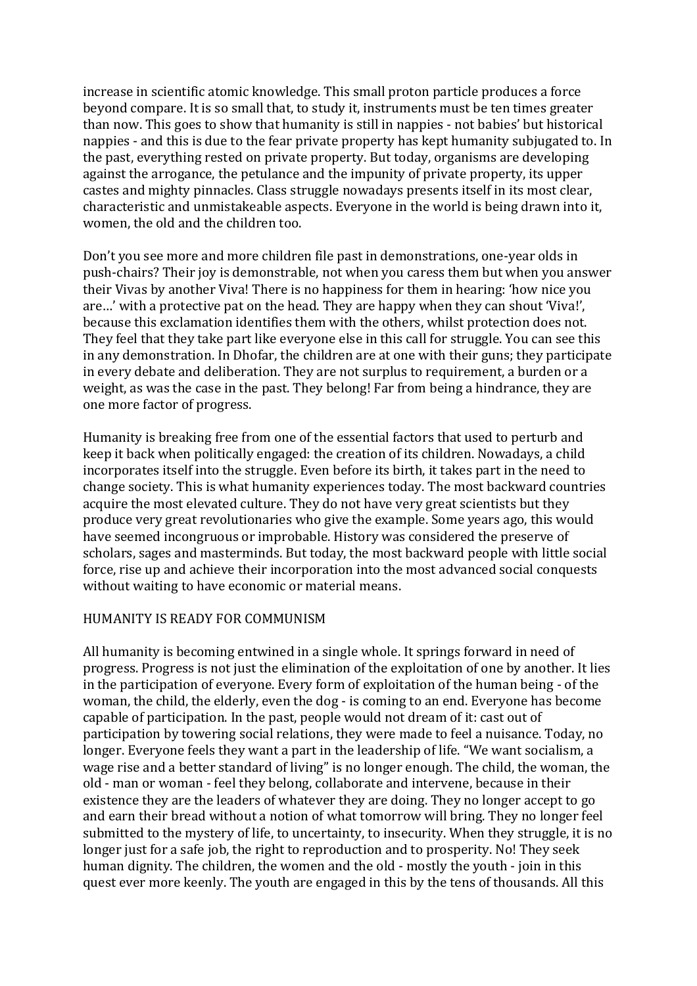increase in scientific atomic knowledge. This small proton particle produces a force beyond compare. It is so small that, to study it, instruments must be ten times greater than now. This goes to show that humanity is still in nappies - not babies' but historical nappies - and this is due to the fear private property has kept humanity subjugated to. In the past, everything rested on private property. But today, organisms are developing against the arrogance, the petulance and the impunity of private property, its upper castes and mighty pinnacles. Class struggle nowadays presents itself in its most clear, characteristic and unmistakeable aspects. Everyone in the world is being drawn into it, women, the old and the children too.

Don't you see more and more children file past in demonstrations, one-year olds in push-chairs? Their joy is demonstrable, not when you caress them but when you answer their Vivas by another Viva! There is no happiness for them in hearing: 'how nice you are...' with a protective pat on the head. They are happy when they can shout 'Viva!', because this exclamation identifies them with the others, whilst protection does not. They feel that they take part like everyone else in this call for struggle. You can see this in any demonstration. In Dhofar, the children are at one with their guns; they participate in every debate and deliberation. They are not surplus to requirement, a burden or a weight, as was the case in the past. They belong! Far from being a hindrance, they are one more factor of progress.

Humanity is breaking free from one of the essential factors that used to perturb and keep it back when politically engaged: the creation of its children. Nowadays, a child incorporates itself into the struggle. Even before its birth, it takes part in the need to change society. This is what humanity experiences today. The most backward countries acquire the most elevated culture. They do not have very great scientists but they produce very great revolutionaries who give the example. Some vears ago, this would have seemed incongruous or improbable. History was considered the preserve of scholars, sages and masterminds. But today, the most backward people with little social force, rise up and achieve their incorporation into the most advanced social conquests without waiting to have economic or material means.

# HUMANITY IS READY FOR COMMUNISM

All humanity is becoming entwined in a single whole. It springs forward in need of progress. Progress is not just the elimination of the exploitation of one by another. It lies in the participation of everyone. Every form of exploitation of the human being - of the woman, the child, the elderly, even the dog - is coming to an end. Everyone has become capable of participation. In the past, people would not dream of it: cast out of participation by towering social relations, they were made to feel a nuisance. Today, no longer. Everyone feels they want a part in the leadership of life. "We want socialism, a wage rise and a better standard of living" is no longer enough. The child, the woman, the old - man or woman - feel they belong, collaborate and intervene, because in their existence they are the leaders of whatever they are doing. They no longer accept to go and earn their bread without a notion of what tomorrow will bring. They no longer feel submitted to the mystery of life, to uncertainty, to insecurity. When they struggle, it is no longer just for a safe job, the right to reproduction and to prosperity. No! They seek human dignity. The children, the women and the old - mostly the youth - join in this quest ever more keenly. The youth are engaged in this by the tens of thousands. All this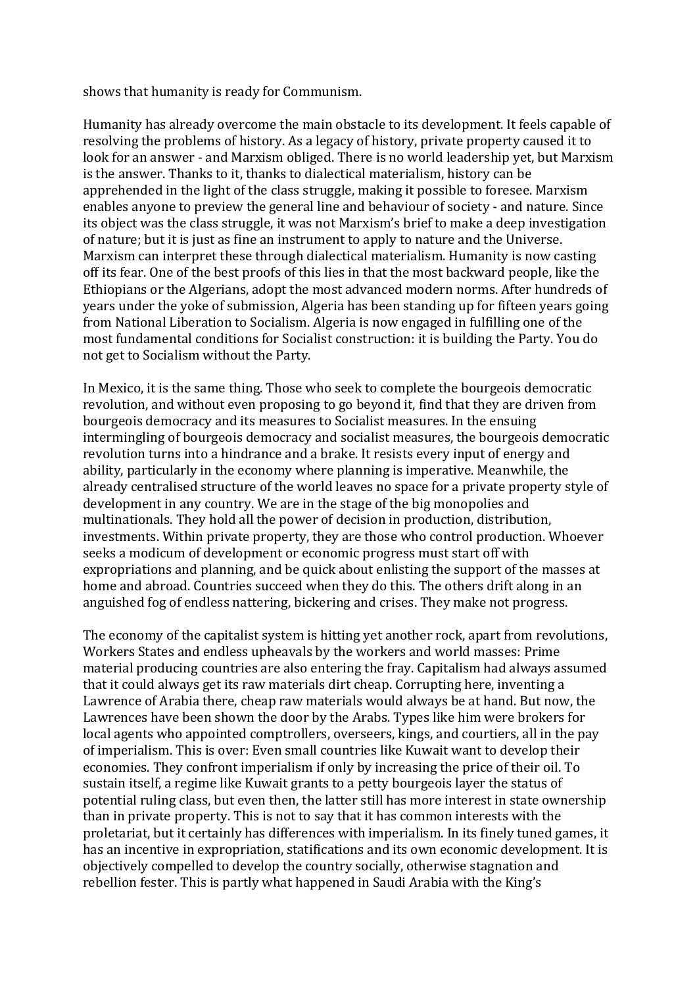shows that humanity is ready for Communism.

Humanity has already overcome the main obstacle to its development. It feels capable of resolving the problems of history. As a legacy of history, private property caused it to look for an answer - and Marxism obliged. There is no world leadership yet, but Marxism is the answer. Thanks to it, thanks to dialectical materialism, history can be apprehended in the light of the class struggle, making it possible to foresee. Marxism enables anyone to preview the general line and behaviour of society - and nature. Since its object was the class struggle, it was not Marxism's brief to make a deep investigation of nature; but it is just as fine an instrument to apply to nature and the Universe. Marxism can interpret these through dialectical materialism. Humanity is now casting off its fear. One of the best proofs of this lies in that the most backward people, like the Ethiopians or the Algerians, adopt the most advanced modern norms. After hundreds of years under the voke of submission. Algeria has been standing up for fifteen years going from National Liberation to Socialism. Algeria is now engaged in fulfilling one of the most fundamental conditions for Socialist construction: it is building the Party. You do not get to Socialism without the Party.

In Mexico, it is the same thing. Those who seek to complete the bourgeois democratic revolution, and without even proposing to go beyond it, find that they are driven from bourgeois democracy and its measures to Socialist measures. In the ensuing intermingling of bourgeois democracy and socialist measures, the bourgeois democratic revolution turns into a hindrance and a brake. It resists every input of energy and ability, particularly in the economy where planning is imperative. Meanwhile, the already centralised structure of the world leaves no space for a private property style of development in any country. We are in the stage of the big monopolies and multinationals. They hold all the power of decision in production, distribution, investments. Within private property, they are those who control production. Whoever seeks a modicum of development or economic progress must start off with expropriations and planning, and be quick about enlisting the support of the masses at home and abroad. Countries succeed when they do this. The others drift along in an anguished fog of endless nattering, bickering and crises. They make not progress.

The economy of the capitalist system is hitting yet another rock, apart from revolutions, Workers States and endless upheavals by the workers and world masses: Prime material producing countries are also entering the fray. Capitalism had always assumed that it could always get its raw materials dirt cheap. Corrupting here, inventing a Lawrence of Arabia there, cheap raw materials would always be at hand. But now, the Lawrences have been shown the door by the Arabs. Types like him were brokers for local agents who appointed comptrollers, overseers, kings, and courtiers, all in the pay of imperialism. This is over: Even small countries like Kuwait want to develop their economies. They confront imperialism if only by increasing the price of their oil. To sustain itself, a regime like Kuwait grants to a petty bourgeois layer the status of potential ruling class, but even then, the latter still has more interest in state ownership than in private property. This is not to say that it has common interests with the proletariat, but it certainly has differences with imperialism. In its finely tuned games, it has an incentive in expropriation, statifications and its own economic development. It is objectively compelled to develop the country socially, otherwise stagnation and rebellion fester. This is partly what happened in Saudi Arabia with the King's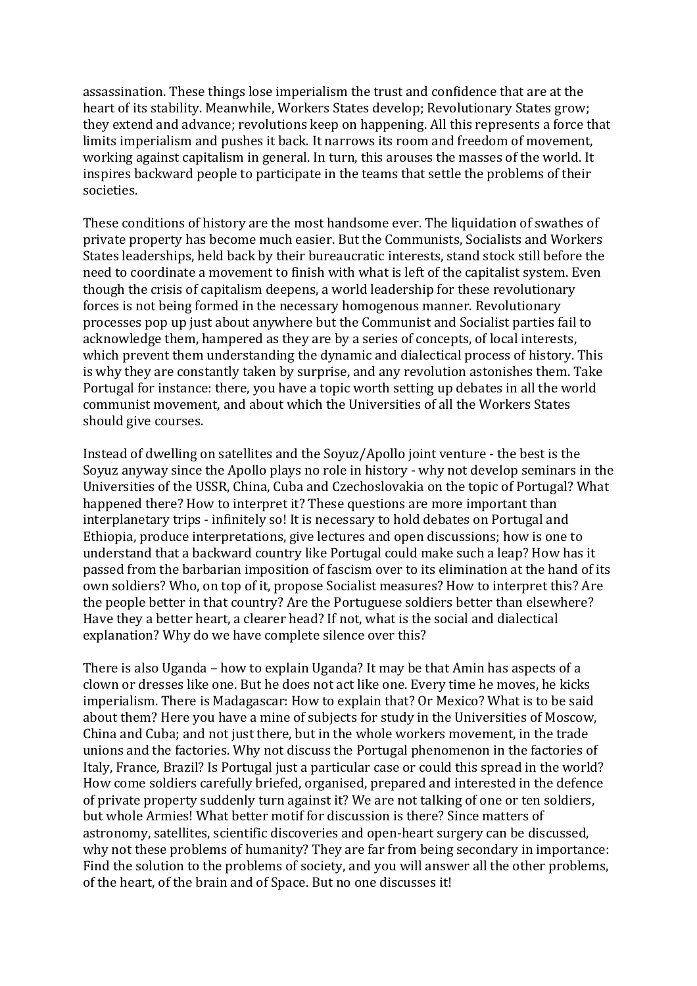assassination. These things lose imperialism the trust and confidence that are at the heart of its stability. Meanwhile, Workers States develop: Revolutionary States grow: they extend and advance; revolutions keep on happening. All this represents a force that limits imperialism and pushes it back. It narrows its room and freedom of movement, working against capitalism in general. In turn, this arouses the masses of the world. It inspires backward people to participate in the teams that settle the problems of their societies.

These conditions of history are the most handsome ever. The liquidation of swathes of private property has become much easier. But the Communists, Socialists and Workers States leaderships, held back by their bureaucratic interests, stand stock still before the need to coordinate a movement to finish with what is left of the capitalist system. Even though the crisis of capitalism deepens, a world leadership for these revolutionary forces is not being formed in the necessary homogenous manner. Revolutionary processes pop up just about anywhere but the Communist and Socialist parties fail to acknowledge them, hampered as they are by a series of concepts, of local interests, which prevent them understanding the dynamic and dialectical process of history. This is why they are constantly taken by surprise, and any revolution astonishes them. Take Portugal for instance: there, you have a topic worth setting up debates in all the world communist movement, and about which the Universities of all the Workers States should give courses.

Instead of dwelling on satellites and the Soyuz/Apollo joint venture - the best is the Soyuz anyway since the Apollo plays no role in history - why not develop seminars in the Universities of the USSR, China, Cuba and Czechoslovakia on the topic of Portugal? What happened there? How to interpret it? These questions are more important than interplanetary trips - infinitely so! It is necessary to hold debates on Portugal and Ethiopia, produce interpretations, give lectures and open discussions; how is one to understand that a backward country like Portugal could make such a leap? How has it passed from the barbarian imposition of fascism over to its elimination at the hand of its own soldiers? Who, on top of it, propose Socialist measures? How to interpret this? Are the people better in that country? Are the Portuguese soldiers better than elsewhere? Have they a better heart, a clearer head? If not, what is the social and dialectical explanation? Why do we have complete silence over this?

There is also Uganda – how to explain Uganda? It may be that Amin has aspects of a clown or dresses like one. But he does not act like one. Every time he moves, he kicks imperialism. There is Madagascar: How to explain that? Or Mexico? What is to be said about them? Here you have a mine of subjects for study in the Universities of Moscow, China and Cuba; and not just there, but in the whole workers movement, in the trade unions and the factories. Why not discuss the Portugal phenomenon in the factories of Italy, France, Brazil? Is Portugal just a particular case or could this spread in the world? How come soldiers carefully briefed, organised, prepared and interested in the defence of private property suddenly turn against it? We are not talking of one or ten soldiers, but whole Armies! What better motif for discussion is there? Since matters of astronomy, satellites, scientific discoveries and open-heart surgery can be discussed, why not these problems of humanity? They are far from being secondary in importance: Find the solution to the problems of society, and you will answer all the other problems, of the heart, of the brain and of Space. But no one discusses it!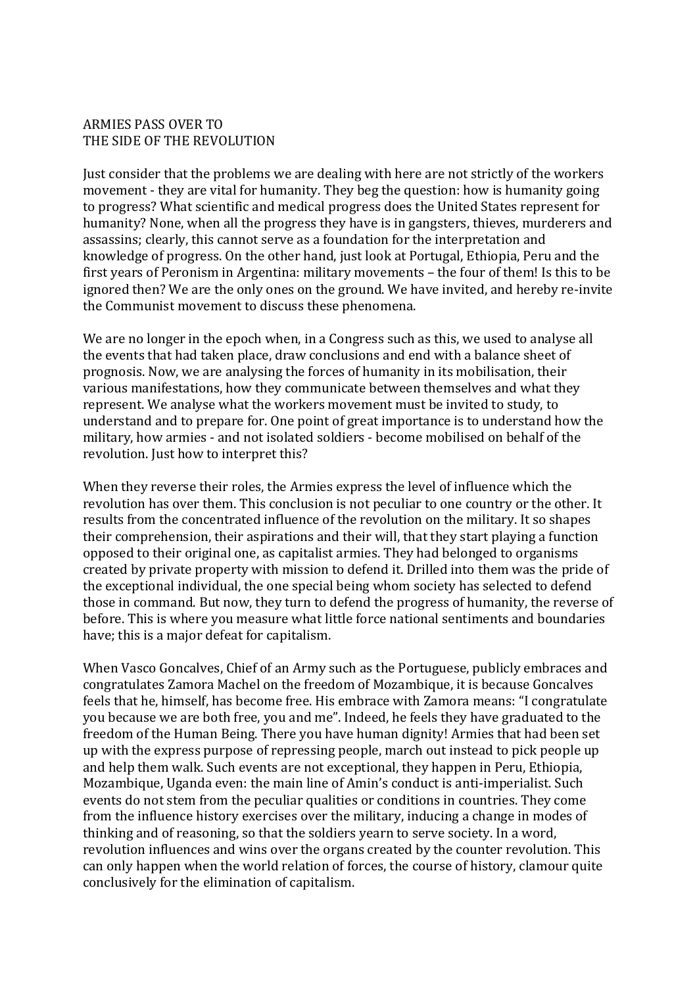#### ARMIES PASS OVER TO THE SIDE OF THE REVOLUTION

Just consider that the problems we are dealing with here are not strictly of the workers movement - they are vital for humanity. They beg the question: how is humanity going to progress? What scientific and medical progress does the United States represent for humanity? None, when all the progress they have is in gangsters, thieves, murderers and assassins; clearly, this cannot serve as a foundation for the interpretation and knowledge of progress. On the other hand, just look at Portugal, Ethiopia, Peru and the first vears of Peronism in Argentina: military movements – the four of them! Is this to be ignored then? We are the only ones on the ground. We have invited, and hereby re-invite the Communist movement to discuss these phenomena.

We are no longer in the epoch when, in a Congress such as this, we used to analyse all the events that had taken place, draw conclusions and end with a balance sheet of prognosis. Now, we are analysing the forces of humanity in its mobilisation, their various manifestations, how they communicate between themselves and what they represent. We analyse what the workers movement must be invited to study, to understand and to prepare for. One point of great importance is to understand how the military, how armies - and not isolated soldiers - become mobilised on behalf of the revolution. Just how to interpret this?

When they reverse their roles, the Armies express the level of influence which the revolution has over them. This conclusion is not peculiar to one country or the other. It results from the concentrated influence of the revolution on the military. It so shapes their comprehension, their aspirations and their will, that they start playing a function opposed to their original one, as capitalist armies. They had belonged to organisms created by private property with mission to defend it. Drilled into them was the pride of the exceptional individual, the one special being whom society has selected to defend those in command. But now, they turn to defend the progress of humanity, the reverse of before. This is where you measure what little force national sentiments and boundaries have; this is a major defeat for capitalism.

When Vasco Goncalves, Chief of an Army such as the Portuguese, publicly embraces and congratulates Zamora Machel on the freedom of Mozambique, it is because Goncalves feels that he, himself, has become free. His embrace with Zamora means: "I congratulate you because we are both free, you and me". Indeed, he feels they have graduated to the freedom of the Human Being. There you have human dignity! Armies that had been set up with the express purpose of repressing people, march out instead to pick people up and help them walk. Such events are not exceptional, they happen in Peru, Ethiopia, Mozambique, Uganda even: the main line of Amin's conduct is anti-imperialist. Such events do not stem from the peculiar qualities or conditions in countries. They come from the influence history exercises over the military, inducing a change in modes of thinking and of reasoning, so that the soldiers yearn to serve society. In a word, revolution influences and wins over the organs created by the counter revolution. This can only happen when the world relation of forces, the course of history, clamour quite conclusively for the elimination of capitalism.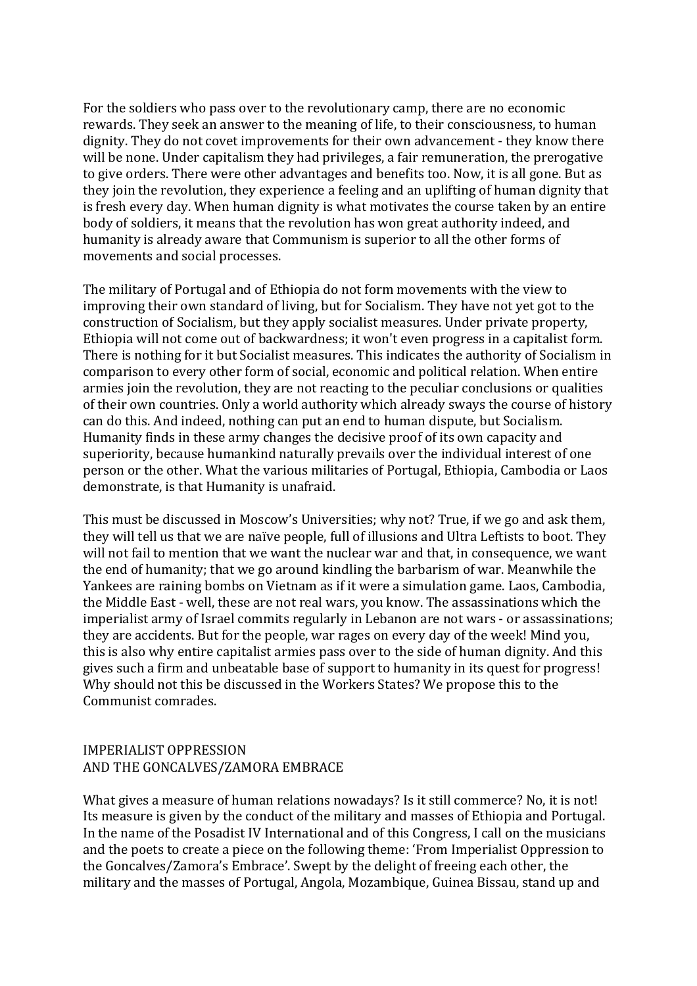For the soldiers who pass over to the revolutionary camp, there are no economic rewards. They seek an answer to the meaning of life, to their consciousness, to human dignity. They do not covet improvements for their own advancement - they know there will be none. Under capitalism they had privileges, a fair remuneration, the prerogative to give orders. There were other advantages and benefits too. Now, it is all gone. But as they join the revolution, they experience a feeling and an uplifting of human dignity that is fresh every day. When human dignity is what motivates the course taken by an entire body of soldiers, it means that the revolution has won great authority indeed, and humanity is already aware that Communism is superior to all the other forms of movements and social processes.

The military of Portugal and of Ethiopia do not form movements with the view to improving their own standard of living, but for Socialism. They have not yet got to the construction of Socialism, but they apply socialist measures. Under private property, Ethiopia will not come out of backwardness; it won't even progress in a capitalist form. There is nothing for it but Socialist measures. This indicates the authority of Socialism in comparison to every other form of social, economic and political relation. When entire armies join the revolution, they are not reacting to the peculiar conclusions or qualities of their own countries. Only a world authority which already sways the course of history can do this. And indeed, nothing can put an end to human dispute, but Socialism. Humanity finds in these army changes the decisive proof of its own capacity and superiority, because humankind naturally prevails over the individual interest of one person or the other. What the various militaries of Portugal, Ethiopia, Cambodia or Laos demonstrate, is that Humanity is unafraid.

This must be discussed in Moscow's Universities; why not? True, if we go and ask them, they will tell us that we are naïve people, full of illusions and Ultra Leftists to boot. They will not fail to mention that we want the nuclear war and that, in consequence, we want the end of humanity; that we go around kindling the barbarism of war. Meanwhile the Yankees are raining bombs on Vietnam as if it were a simulation game. Laos, Cambodia, the Middle East - well, these are not real wars, you know. The assassinations which the imperialist army of Israel commits regularly in Lebanon are not wars - or assassinations; they are accidents. But for the people, war rages on every day of the week! Mind you, this is also why entire capitalist armies pass over to the side of human dignity. And this gives such a firm and unbeatable base of support to humanity in its quest for progress! Why should not this be discussed in the Workers States? We propose this to the Communist comrades.

# IMPERIALIST OPPRESSION AND THE GONCALVES/ZAMORA EMBRACE

What gives a measure of human relations nowadays? Is it still commerce? No, it is not! Its measure is given by the conduct of the military and masses of Ethiopia and Portugal. In the name of the Posadist IV International and of this Congress, I call on the musicians and the poets to create a piece on the following theme: 'From Imperialist Oppression to the Goncalves/Zamora's Embrace'. Swept by the delight of freeing each other, the military and the masses of Portugal, Angola, Mozambique, Guinea Bissau, stand up and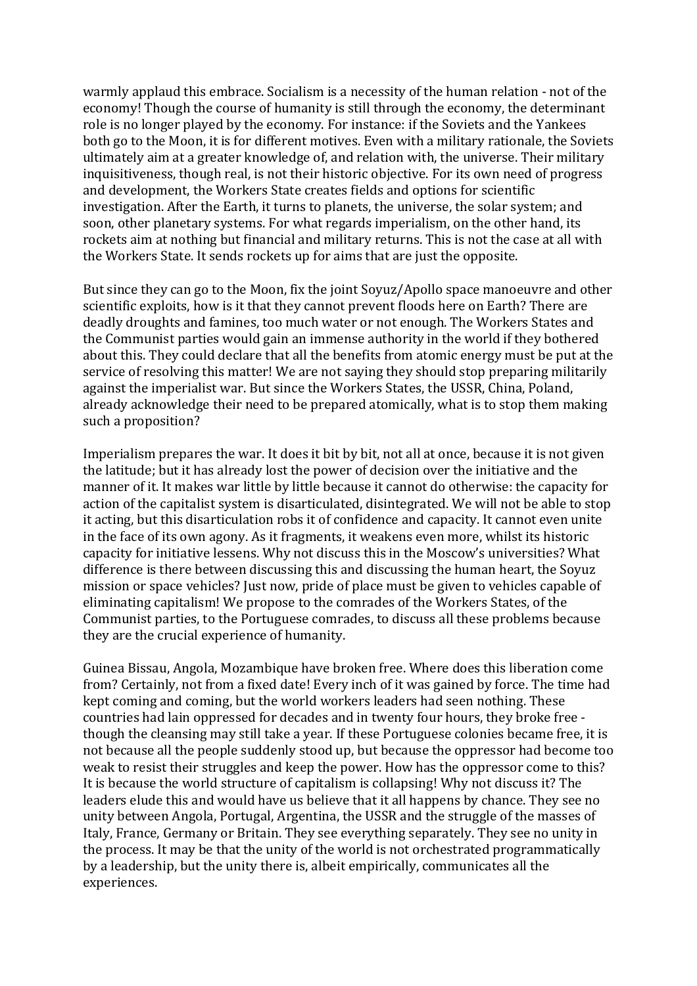warmly applaud this embrace. Socialism is a necessity of the human relation - not of the economy! Though the course of humanity is still through the economy, the determinant role is no longer played by the economy. For instance: if the Soviets and the Yankees both go to the Moon, it is for different motives. Even with a military rationale, the Soviets ultimately aim at a greater knowledge of, and relation with, the universe. Their military inquisitiveness, though real, is not their historic objective. For its own need of progress and development, the Workers State creates fields and options for scientific investigation. After the Earth, it turns to planets, the universe, the solar system; and soon, other planetary systems. For what regards imperialism, on the other hand, its rockets aim at nothing but financial and military returns. This is not the case at all with the Workers State. It sends rockets up for aims that are just the opposite.

But since they can go to the Moon, fix the joint Sovuz/Apollo space manoeuvre and other scientific exploits, how is it that they cannot prevent floods here on Earth? There are deadly droughts and famines, too much water or not enough. The Workers States and the Communist parties would gain an immense authority in the world if they bothered about this. They could declare that all the benefits from atomic energy must be put at the service of resolving this matter! We are not saying they should stop preparing militarily against the imperialist war. But since the Workers States, the USSR, China, Poland, already acknowledge their need to be prepared atomically, what is to stop them making such a proposition?

Imperialism prepares the war. It does it bit by bit, not all at once, because it is not given the latitude; but it has already lost the power of decision over the initiative and the manner of it. It makes war little by little because it cannot do otherwise: the capacity for action of the capitalist system is disarticulated, disintegrated. We will not be able to stop it acting, but this disarticulation robs it of confidence and capacity. It cannot even unite in the face of its own agony. As it fragments, it weakens even more, whilst its historic capacity for initiative lessens. Why not discuss this in the Moscow's universities? What difference is there between discussing this and discussing the human heart, the Soyuz mission or space vehicles? Just now, pride of place must be given to vehicles capable of eliminating capitalism! We propose to the comrades of the Workers States, of the Communist parties, to the Portuguese comrades, to discuss all these problems because they are the crucial experience of humanity.

Guinea Bissau, Angola, Mozambique have broken free. Where does this liberation come from? Certainly, not from a fixed date! Every inch of it was gained by force. The time had kept coming and coming, but the world workers leaders had seen nothing. These countries had lain oppressed for decades and in twenty four hours, they broke free though the cleansing may still take a year. If these Portuguese colonies became free, it is not because all the people suddenly stood up, but because the oppressor had become too weak to resist their struggles and keep the power. How has the oppressor come to this? It is because the world structure of capitalism is collapsing! Why not discuss it? The leaders elude this and would have us believe that it all happens by chance. They see no unity between Angola, Portugal, Argentina, the USSR and the struggle of the masses of Italy, France, Germany or Britain. They see everything separately. They see no unity in the process. It may be that the unity of the world is not orchestrated programmatically by a leadership, but the unity there is, albeit empirically, communicates all the experiences.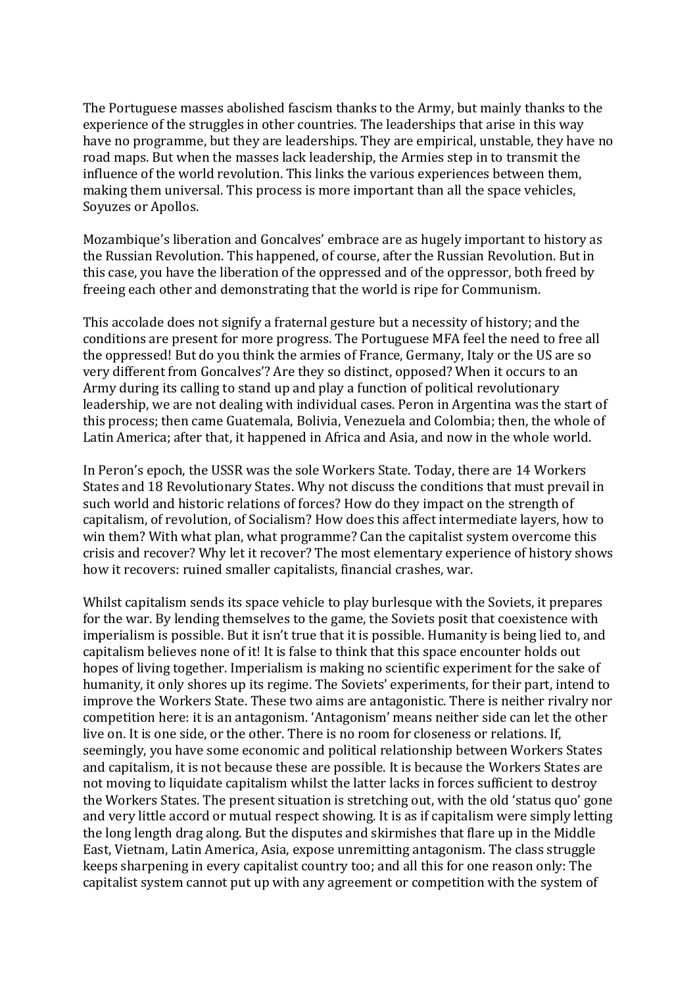The Portuguese masses abolished fascism thanks to the Army, but mainly thanks to the experience of the struggles in other countries. The leaderships that arise in this way have no programme, but they are leaderships. They are empirical, unstable, they have no road maps. But when the masses lack leadership, the Armies step in to transmit the influence of the world revolution. This links the various experiences between them, making them universal. This process is more important than all the space vehicles, Soyuzes or Apollos.

Mozambique's liberation and Goncalves' embrace are as hugely important to history as the Russian Revolution. This happened, of course, after the Russian Revolution. But in this case, you have the liberation of the oppressed and of the oppressor, both freed by freeing each other and demonstrating that the world is ripe for Communism.

This accolade does not signify a fraternal gesture but a necessity of history; and the conditions are present for more progress. The Portuguese MFA feel the need to free all the oppressed! But do you think the armies of France, Germany, Italy or the US are so very different from Goncalves'? Are they so distinct, opposed? When it occurs to an Army during its calling to stand up and play a function of political revolutionary leadership, we are not dealing with individual cases. Peron in Argentina was the start of this process; then came Guatemala, Bolivia, Venezuela and Colombia; then, the whole of Latin America; after that, it happened in Africa and Asia, and now in the whole world.

In Peron's epoch, the USSR was the sole Workers State. Today, there are 14 Workers States and 18 Revolutionary States. Why not discuss the conditions that must prevail in such world and historic relations of forces? How do they impact on the strength of capitalism, of revolution, of Socialism? How does this affect intermediate layers, how to win them? With what plan, what programme? Can the capitalist system overcome this crisis and recover? Why let it recover? The most elementary experience of history shows how it recovers: ruined smaller capitalists, financial crashes, war.

Whilst capitalism sends its space vehicle to play burlesque with the Soviets, it prepares for the war. By lending themselves to the game, the Soviets posit that coexistence with imperialism is possible. But it isn't true that it is possible. Humanity is being lied to, and capitalism believes none of it! It is false to think that this space encounter holds out hopes of living together. Imperialism is making no scientific experiment for the sake of humanity, it only shores up its regime. The Soviets' experiments, for their part, intend to improve the Workers State. These two aims are antagonistic. There is neither rivalry nor competition here: it is an antagonism. 'Antagonism' means neither side can let the other live on. It is one side, or the other. There is no room for closeness or relations. If, seemingly, you have some economic and political relationship between Workers States and capitalism, it is not because these are possible. It is because the Workers States are not moving to liquidate capitalism whilst the latter lacks in forces sufficient to destroy the Workers States. The present situation is stretching out, with the old 'status quo' gone and very little accord or mutual respect showing. It is as if capitalism were simply letting the long length drag along. But the disputes and skirmishes that flare up in the Middle East, Vietnam, Latin America, Asia, expose unremitting antagonism. The class struggle keeps sharpening in every capitalist country too; and all this for one reason only: The capitalist system cannot put up with any agreement or competition with the system of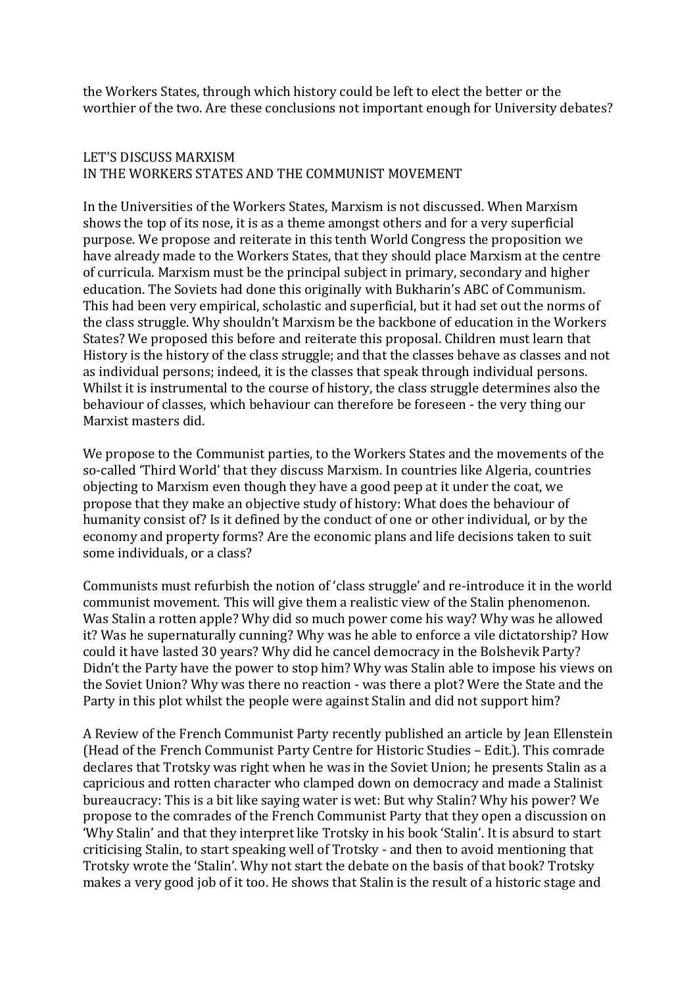the Workers States, through which history could be left to elect the better or the worthier of the two. Are these conclusions not important enough for University debates?

# LET'S DISCUSS MARXISM IN THE WORKERS STATES AND THE COMMUNIST MOVEMENT

In the Universities of the Workers States, Marxism is not discussed. When Marxism shows the top of its nose, it is as a theme amongst others and for a very superficial purpose. We propose and reiterate in this tenth World Congress the proposition we have already made to the Workers States, that they should place Marxism at the centre of curricula. Marxism must be the principal subject in primary, secondary and higher education. The Soviets had done this originally with Bukharin's ABC of Communism. This had been very empirical, scholastic and superficial, but it had set out the norms of the class struggle. Why shouldn't Marxism be the backbone of education in the Workers States? We proposed this before and reiterate this proposal. Children must learn that History is the history of the class struggle; and that the classes behave as classes and not as individual persons; indeed, it is the classes that speak through individual persons. Whilst it is instrumental to the course of history, the class struggle determines also the behaviour of classes, which behaviour can therefore be foreseen - the very thing our Marxist masters did.

We propose to the Communist parties, to the Workers States and the movements of the so-called 'Third World' that they discuss Marxism. In countries like Algeria, countries objecting to Marxism even though they have a good peep at it under the coat, we propose that they make an objective study of history: What does the behaviour of humanity consist of? Is it defined by the conduct of one or other individual, or by the economy and property forms? Are the economic plans and life decisions taken to suit some individuals, or a class?

Communists must refurbish the notion of 'class struggle' and re-introduce it in the world communist movement. This will give them a realistic view of the Stalin phenomenon. Was Stalin a rotten apple? Why did so much power come his way? Why was he allowed it? Was he supernaturally cunning? Why was he able to enforce a vile dictatorship? How could it have lasted 30 years? Why did he cancel democracy in the Bolshevik Party? Didn't the Party have the power to stop him? Why was Stalin able to impose his views on the Soviet Union? Why was there no reaction - was there a plot? Were the State and the Party in this plot whilst the people were against Stalin and did not support him?

A Review of the French Communist Party recently published an article by Jean Ellenstein (Head of the French Communist Party Centre for Historic Studies - Edit.). This comrade declares that Trotsky was right when he was in the Soviet Union; he presents Stalin as a capricious and rotten character who clamped down on democracy and made a Stalinist bureaucracy: This is a bit like saying water is wet: But why Stalin? Why his power? We propose to the comrades of the French Communist Party that they open a discussion on 'Why Stalin' and that they interpret like Trotsky in his book 'Stalin'. It is absurd to start criticising Stalin, to start speaking well of Trotsky - and then to avoid mentioning that Trotsky wrote the 'Stalin'. Why not start the debate on the basis of that book? Trotsky makes a very good job of it too. He shows that Stalin is the result of a historic stage and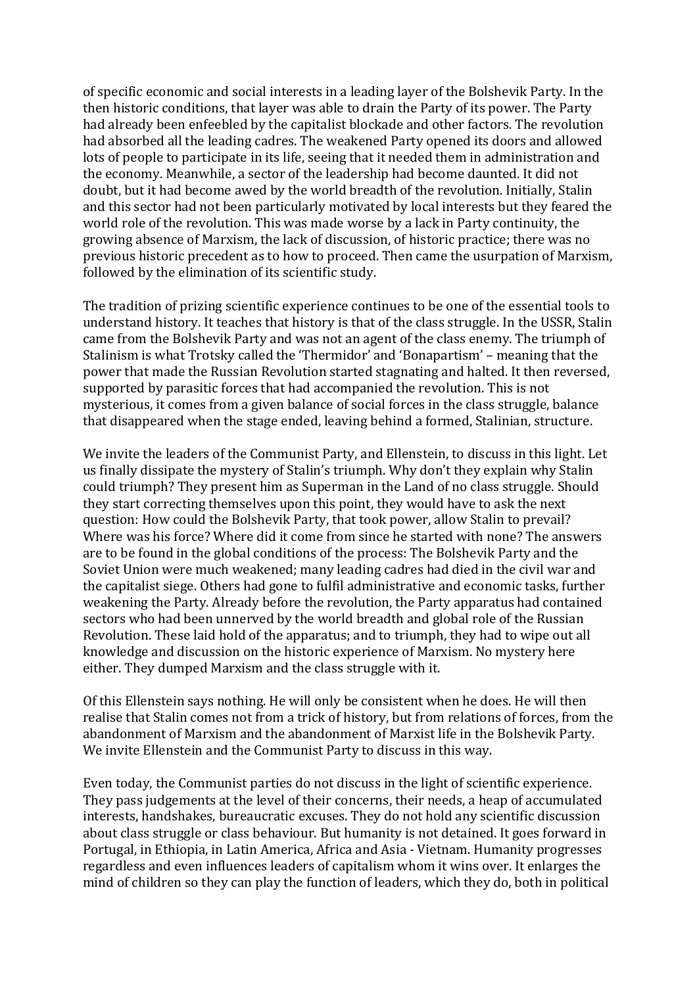of specific economic and social interests in a leading layer of the Bolshevik Party. In the then historic conditions, that layer was able to drain the Party of its power. The Party had already been enfeebled by the capitalist blockade and other factors. The revolution had absorbed all the leading cadres. The weakened Party opened its doors and allowed lots of people to participate in its life, seeing that it needed them in administration and the economy. Meanwhile, a sector of the leadership had become daunted. It did not doubt, but it had become awed by the world breadth of the revolution. Initially, Stalin and this sector had not been particularly motivated by local interests but they feared the world role of the revolution. This was made worse by a lack in Party continuity, the growing absence of Marxism, the lack of discussion, of historic practice; there was no previous historic precedent as to how to proceed. Then came the usurpation of Marxism, followed by the elimination of its scientific study.

The tradition of prizing scientific experience continues to be one of the essential tools to understand history. It teaches that history is that of the class struggle. In the USSR, Stalin came from the Bolshevik Party and was not an agent of the class enemy. The triumph of Stalinism is what Trotsky called the 'Thermidor' and 'Bonapartism' – meaning that the power that made the Russian Revolution started stagnating and halted. It then reversed, supported by parasitic forces that had accompanied the revolution. This is not mysterious, it comes from a given balance of social forces in the class struggle, balance that disappeared when the stage ended, leaving behind a formed, Stalinian, structure.

We invite the leaders of the Communist Party, and Ellenstein, to discuss in this light. Let us finally dissipate the mystery of Stalin's triumph. Why don't they explain why Stalin could triumph? They present him as Superman in the Land of no class struggle. Should they start correcting themselves upon this point, they would have to ask the next question: How could the Bolshevik Party, that took power, allow Stalin to prevail? Where was his force? Where did it come from since he started with none? The answers are to be found in the global conditions of the process: The Bolshevik Party and the Soviet Union were much weakened; many leading cadres had died in the civil war and the capitalist siege. Others had gone to fulfil administrative and economic tasks, further weakening the Party. Already before the revolution, the Party apparatus had contained sectors who had been unnerved by the world breadth and global role of the Russian Revolution. These laid hold of the apparatus; and to triumph, they had to wipe out all knowledge and discussion on the historic experience of Marxism. No mystery here either. They dumped Marxism and the class struggle with it.

Of this Ellenstein says nothing. He will only be consistent when he does. He will then realise that Stalin comes not from a trick of history, but from relations of forces, from the abandonment of Marxism and the abandonment of Marxist life in the Bolshevik Party. We invite Ellenstein and the Communist Party to discuss in this way.

Even today, the Communist parties do not discuss in the light of scientific experience. They pass judgements at the level of their concerns, their needs, a heap of accumulated interests, handshakes, bureaucratic excuses. They do not hold any scientific discussion about class struggle or class behaviour. But humanity is not detained. It goes forward in Portugal, in Ethiopia, in Latin America, Africa and Asia - Vietnam. Humanity progresses regardless and even influences leaders of capitalism whom it wins over. It enlarges the mind of children so they can play the function of leaders, which they do, both in political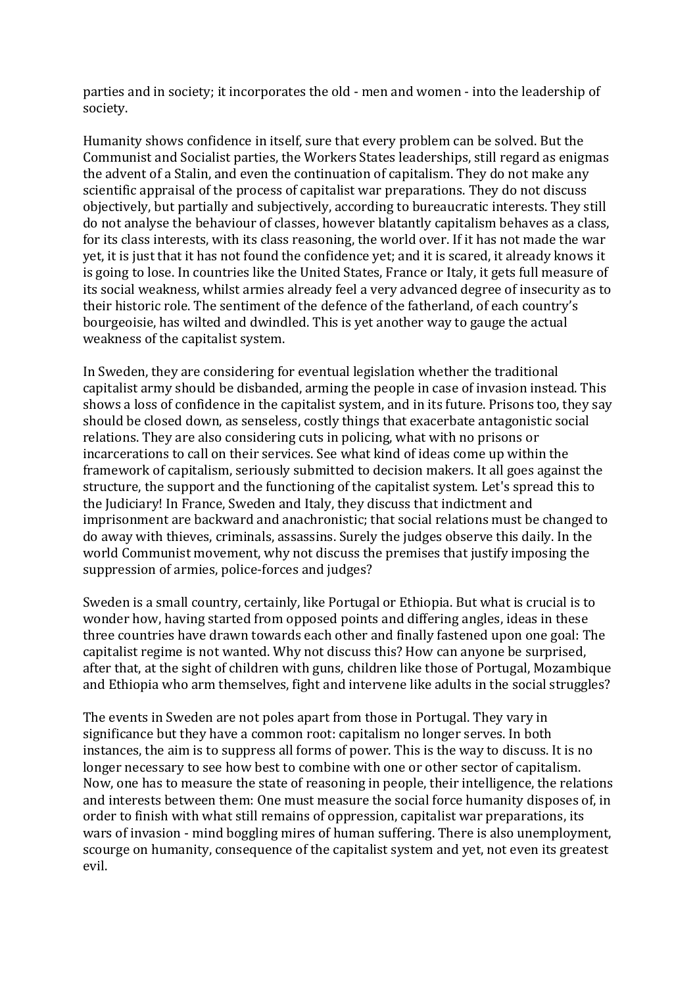parties and in society; it incorporates the old - men and women - into the leadership of society.

Humanity shows confidence in itself, sure that every problem can be solved. But the Communist and Socialist parties, the Workers States leaderships, still regard as enigmas the advent of a Stalin, and even the continuation of capitalism. They do not make any scientific appraisal of the process of capitalist war preparations. They do not discuss objectively, but partially and subjectively, according to bureaucratic interests. They still do not analyse the behaviour of classes, however blatantly capitalism behaves as a class, for its class interests, with its class reasoning, the world over. If it has not made the war yet, it is just that it has not found the confidence yet; and it is scared, it already knows it is going to lose. In countries like the United States, France or Italy, it gets full measure of its social weakness, whilst armies already feel a very advanced degree of insecurity as to their historic role. The sentiment of the defence of the fatherland, of each country's bourgeoisie, has wilted and dwindled. This is yet another way to gauge the actual weakness of the capitalist system.

In Sweden, they are considering for eventual legislation whether the traditional capitalist army should be disbanded, arming the people in case of invasion instead. This shows a loss of confidence in the capitalist system, and in its future. Prisons too, they say should be closed down, as senseless, costly things that exacerbate antagonistic social relations. They are also considering cuts in policing, what with no prisons or incarcerations to call on their services. See what kind of ideas come up within the framework of capitalism, seriously submitted to decision makers. It all goes against the structure, the support and the functioning of the capitalist system. Let's spread this to the Judiciary! In France, Sweden and Italy, they discuss that indictment and imprisonment are backward and anachronistic; that social relations must be changed to do away with thieves, criminals, assassins. Surely the judges observe this daily. In the world Communist movement, why not discuss the premises that justify imposing the suppression of armies, police-forces and judges?

Sweden is a small country, certainly, like Portugal or Ethiopia. But what is crucial is to wonder how, having started from opposed points and differing angles, ideas in these three countries have drawn towards each other and finally fastened upon one goal: The capitalist regime is not wanted. Why not discuss this? How can anyone be surprised, after that, at the sight of children with guns, children like those of Portugal, Mozambique and Ethiopia who arm themselves, fight and intervene like adults in the social struggles?

The events in Sweden are not poles apart from those in Portugal. They vary in significance but they have a common root: capitalism no longer serves. In both instances, the aim is to suppress all forms of power. This is the way to discuss. It is no longer necessary to see how best to combine with one or other sector of capitalism. Now, one has to measure the state of reasoning in people, their intelligence, the relations and interests between them: One must measure the social force humanity disposes of, in order to finish with what still remains of oppression, capitalist war preparations, its wars of invasion - mind boggling mires of human suffering. There is also unemployment, scourge on humanity, consequence of the capitalist system and yet, not even its greatest evil.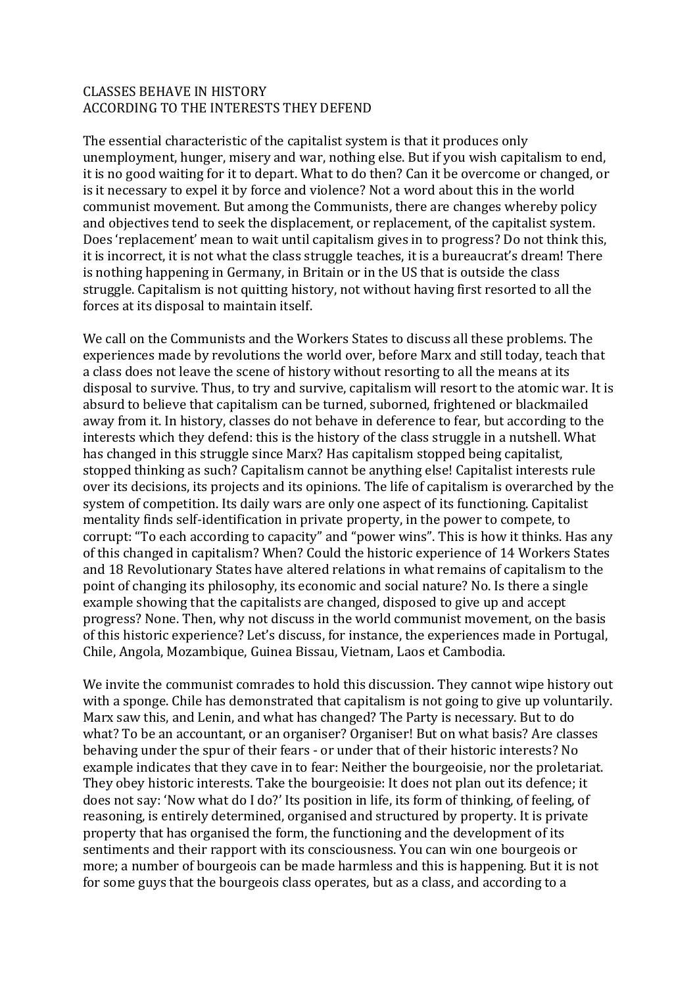#### **CLASSES BEHAVE IN HISTORY** ACCORDING TO THE INTERESTS THEY DEFEND

The essential characteristic of the capitalist system is that it produces only unemployment, hunger, misery and war, nothing else. But if you wish capitalism to end, it is no good waiting for it to depart. What to do then? Can it be overcome or changed, or is it necessary to expel it by force and violence? Not a word about this in the world communist movement. But among the Communists, there are changes whereby policy and objectives tend to seek the displacement, or replacement, of the capitalist system. Does 'replacement' mean to wait until capitalism gives in to progress? Do not think this, it is incorrect, it is not what the class struggle teaches, it is a bureaucrat's dream! There is nothing happening in Germany, in Britain or in the US that is outside the class struggle. Capitalism is not quitting history, not without having first resorted to all the forces at its disposal to maintain itself.

We call on the Communists and the Workers States to discuss all these problems. The experiences made by revolutions the world over, before Marx and still today, teach that a class does not leave the scene of history without resorting to all the means at its disposal to survive. Thus, to try and survive, capitalism will resort to the atomic war. It is absurd to believe that capitalism can be turned, suborned, frightened or blackmailed away from it. In history, classes do not behave in deference to fear, but according to the interests which they defend: this is the history of the class struggle in a nutshell. What has changed in this struggle since Marx? Has capitalism stopped being capitalist, stopped thinking as such? Capitalism cannot be anything else! Capitalist interests rule over its decisions, its projects and its opinions. The life of capitalism is overarched by the system of competition. Its daily wars are only one aspect of its functioning. Capitalist mentality finds self-identification in private property, in the power to compete, to corrupt: "To each according to capacity" and "power wins". This is how it thinks. Has any of this changed in capitalism? When? Could the historic experience of 14 Workers States and 18 Revolutionary States have altered relations in what remains of capitalism to the point of changing its philosophy, its economic and social nature? No. Is there a single example showing that the capitalists are changed, disposed to give up and accept progress? None. Then, why not discuss in the world communist movement, on the basis of this historic experience? Let's discuss, for instance, the experiences made in Portugal, Chile, Angola, Mozambique, Guinea Bissau, Vietnam, Laos et Cambodia.

We invite the communist comrades to hold this discussion. They cannot wipe history out with a sponge. Chile has demonstrated that capitalism is not going to give up voluntarily. Marx saw this, and Lenin, and what has changed? The Party is necessary. But to do what? To be an accountant, or an organiser? Organiser! But on what basis? Are classes behaving under the spur of their fears - or under that of their historic interests? No example indicates that they cave in to fear: Neither the bourgeoisie, nor the proletariat. They obey historic interests. Take the bourgeoisie: It does not plan out its defence; it does not say: 'Now what do I do?' Its position in life, its form of thinking, of feeling, of reasoning, is entirely determined, organised and structured by property. It is private property that has organised the form, the functioning and the development of its sentiments and their rapport with its consciousness. You can win one bourgeois or more; a number of bourgeois can be made harmless and this is happening. But it is not for some guys that the bourgeois class operates, but as a class, and according to a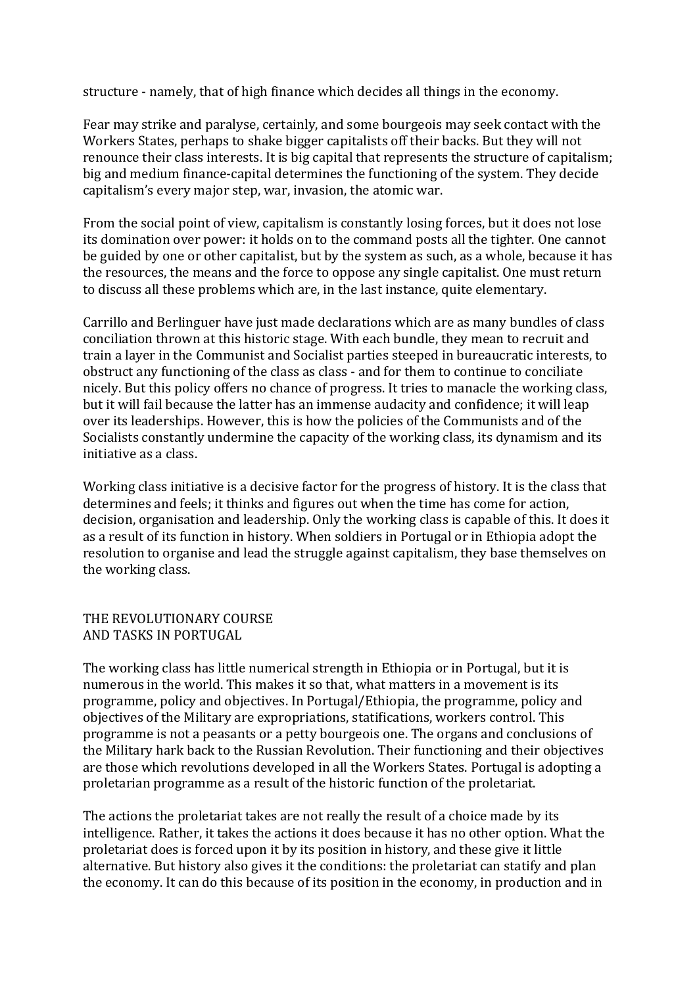structure - namely, that of high finance which decides all things in the economy.

Fear may strike and paralyse, certainly, and some bourgeois may seek contact with the Workers States, perhaps to shake bigger capitalists off their backs. But they will not renounce their class interests. It is big capital that represents the structure of capitalism; big and medium finance-capital determines the functioning of the system. They decide capitalism's every major step, war, invasion, the atomic war.

From the social point of view, capitalism is constantly losing forces, but it does not lose its domination over power: it holds on to the command posts all the tighter. One cannot be guided by one or other capitalist, but by the system as such, as a whole, because it has the resources, the means and the force to oppose any single capitalist. One must return to discuss all these problems which are, in the last instance, quite elementary.

Carrillo and Berlinguer have just made declarations which are as many bundles of class conciliation thrown at this historic stage. With each bundle, they mean to recruit and train a layer in the Communist and Socialist parties steeped in bureaucratic interests, to obstruct any functioning of the class as class - and for them to continue to conciliate nicely. But this policy offers no chance of progress. It tries to manacle the working class, but it will fail because the latter has an immense audacity and confidence; it will leap over its leaderships. However, this is how the policies of the Communists and of the Socialists constantly undermine the capacity of the working class, its dynamism and its initiative as a class.

Working class initiative is a decisive factor for the progress of history. It is the class that determines and feels; it thinks and figures out when the time has come for action, decision, organisation and leadership. Only the working class is capable of this. It does it as a result of its function in history. When soldiers in Portugal or in Ethiopia adopt the resolution to organise and lead the struggle against capitalism, they base themselves on the working class.

#### THE REVOLUTIONARY COURSE AND TASKS IN PORTUGAL

The working class has little numerical strength in Ethiopia or in Portugal, but it is numerous in the world. This makes it so that, what matters in a movement is its programme, policy and objectives. In Portugal/Ethiopia, the programme, policy and objectives of the Military are expropriations, statifications, workers control. This programme is not a peasants or a petty bourgeois one. The organs and conclusions of the Military hark back to the Russian Revolution. Their functioning and their objectives are those which revolutions developed in all the Workers States. Portugal is adopting a proletarian programme as a result of the historic function of the proletariat.

The actions the proletariat takes are not really the result of a choice made by its intelligence. Rather, it takes the actions it does because it has no other option. What the proletariat does is forced upon it by its position in history, and these give it little alternative. But history also gives it the conditions: the proletariat can statify and plan the economy. It can do this because of its position in the economy, in production and in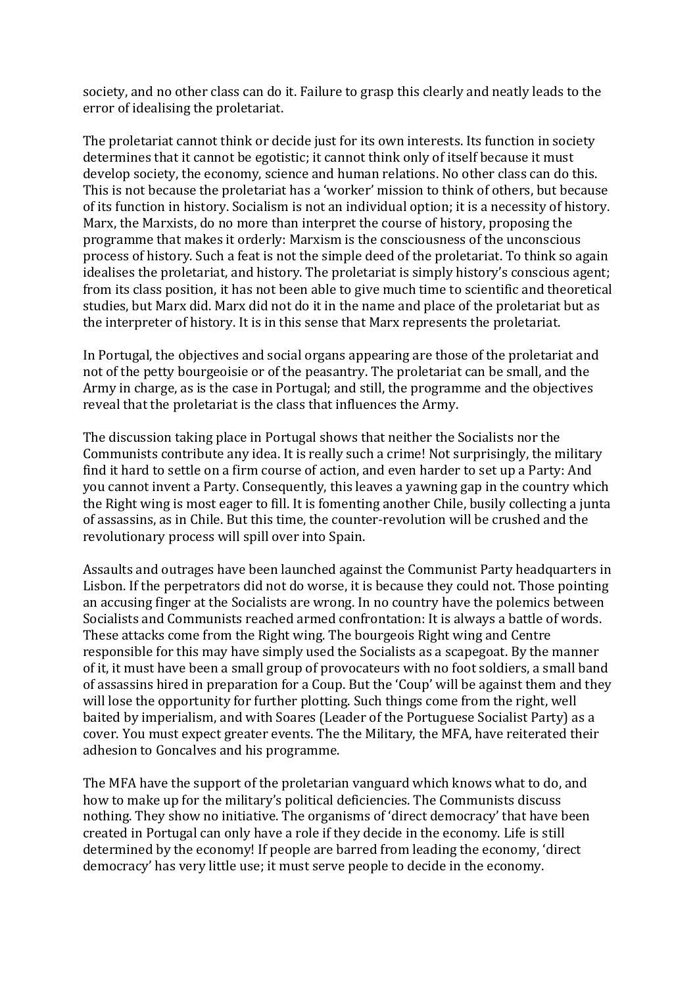society, and no other class can do it. Failure to grasp this clearly and neatly leads to the error of idealising the proletariat.

The proletariat cannot think or decide just for its own interests. Its function in society determines that it cannot be egotistic; it cannot think only of itself because it must develop society, the economy, science and human relations. No other class can do this. This is not because the proletariat has a 'worker' mission to think of others, but because of its function in history. Socialism is not an individual option; it is a necessity of history. Marx, the Marxists, do no more than interpret the course of history, proposing the programme that makes it orderly: Marxism is the consciousness of the unconscious process of history. Such a feat is not the simple deed of the proletariat. To think so again idealises the proletariat, and history. The proletariat is simply history's conscious agent; from its class position, it has not been able to give much time to scientific and theoretical studies, but Marx did. Marx did not do it in the name and place of the proletariat but as the interpreter of history. It is in this sense that Marx represents the proletariat.

In Portugal, the objectives and social organs appearing are those of the proletariat and not of the petty bourgeoisie or of the peasantry. The proletariat can be small, and the Army in charge, as is the case in Portugal; and still, the programme and the objectives reveal that the proletariat is the class that influences the Army.

The discussion taking place in Portugal shows that neither the Socialists nor the Communists contribute any idea. It is really such a crime! Not surprisingly, the military find it hard to settle on a firm course of action, and even harder to set up a Party: And you cannot invent a Party. Consequently, this leaves a yawning gap in the country which the Right wing is most eager to fill. It is fomenting another Chile, busily collecting a junta of assassins, as in Chile. But this time, the counter-revolution will be crushed and the revolutionary process will spill over into Spain.

Assaults and outrages have been launched against the Communist Party headquarters in Lisbon. If the perpetrators did not do worse, it is because they could not. Those pointing an accusing finger at the Socialists are wrong. In no country have the polemics between Socialists and Communists reached armed confrontation: It is always a battle of words. These attacks come from the Right wing. The bourgeois Right wing and Centre responsible for this may have simply used the Socialists as a scapegoat. By the manner of it, it must have been a small group of provocateurs with no foot soldiers, a small band of assassins hired in preparation for a Coup. But the 'Coup' will be against them and they will lose the opportunity for further plotting. Such things come from the right, well baited by imperialism, and with Soares (Leader of the Portuguese Socialist Party) as a cover. You must expect greater events. The the Military, the MFA, have reiterated their adhesion to Goncalves and his programme.

The MFA have the support of the proletarian vanguard which knows what to do, and how to make up for the military's political deficiencies. The Communists discuss nothing. They show no initiative. The organisms of 'direct democracy' that have been created in Portugal can only have a role if they decide in the economy. Life is still determined by the economy! If people are barred from leading the economy, 'direct democracy' has very little use; it must serve people to decide in the economy.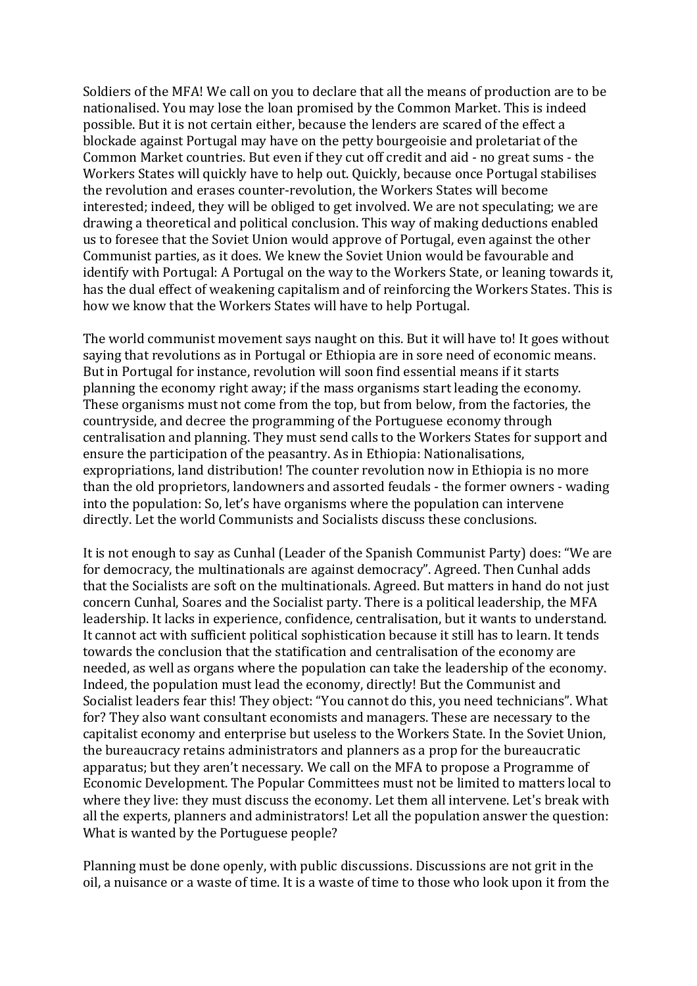Soldiers of the MFA! We call on you to declare that all the means of production are to be nationalised. You may lose the loan promised by the Common Market. This is indeed possible. But it is not certain either, because the lenders are scared of the effect a blockade against Portugal may have on the petty bourgeoisie and proletariat of the Common Market countries. But even if they cut off credit and aid - no great sums - the Workers States will quickly have to help out. Ouickly, because once Portugal stabilises the revolution and erases counter-revolution, the Workers States will become interested; indeed, they will be obliged to get involved. We are not speculating; we are drawing a theoretical and political conclusion. This way of making deductions enabled us to foresee that the Soviet Union would approve of Portugal, even against the other Communist parties, as it does. We knew the Soviet Union would be favourable and identify with Portugal: A Portugal on the way to the Workers State, or leaning towards it, has the dual effect of weakening capitalism and of reinforcing the Workers States. This is how we know that the Workers States will have to help Portugal.

The world communist movement says naught on this. But it will have to! It goes without saying that revolutions as in Portugal or Ethiopia are in sore need of economic means. But in Portugal for instance, revolution will soon find essential means if it starts planning the economy right away; if the mass organisms start leading the economy. These organisms must not come from the top, but from below, from the factories, the countryside, and decree the programming of the Portuguese economy through centralisation and planning. They must send calls to the Workers States for support and ensure the participation of the peasantry. As in Ethiopia: Nationalisations, expropriations, land distribution! The counter revolution now in Ethiopia is no more than the old proprietors, landowners and assorted feudals - the former owners - wading into the population: So, let's have organisms where the population can intervene directly. Let the world Communists and Socialists discuss these conclusions.

It is not enough to say as Cunhal (Leader of the Spanish Communist Party) does: "We are for democracy, the multinationals are against democracy". Agreed. Then Cunhal adds that the Socialists are soft on the multinationals. Agreed. But matters in hand do not just concern Cunhal, Soares and the Socialist party. There is a political leadership, the MFA leadership. It lacks in experience, confidence, centralisation, but it wants to understand. It cannot act with sufficient political sophistication because it still has to learn. It tends towards the conclusion that the statification and centralisation of the economy are needed, as well as organs where the population can take the leadership of the economy. Indeed, the population must lead the economy, directly! But the Communist and Socialist leaders fear this! They object: "You cannot do this, you need technicians". What for? They also want consultant economists and managers. These are necessary to the capitalist economy and enterprise but useless to the Workers State. In the Soviet Union, the bureaucracy retains administrators and planners as a prop for the bureaucratic apparatus; but they aren't necessary. We call on the MFA to propose a Programme of Economic Development. The Popular Committees must not be limited to matters local to where they live: they must discuss the economy. Let them all intervene. Let's break with all the experts, planners and administrators! Let all the population answer the question: What is wanted by the Portuguese people?

Planning must be done openly, with public discussions. Discussions are not grit in the oil, a nuisance or a waste of time. It is a waste of time to those who look upon it from the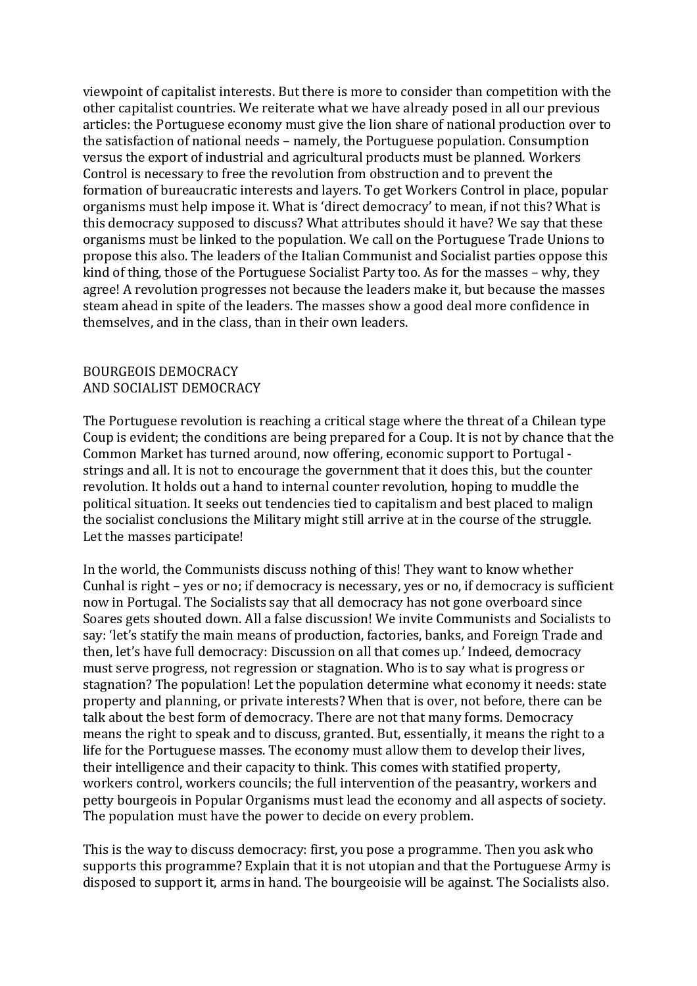viewpoint of capitalist interests. But there is more to consider than competition with the other capitalist countries. We reiterate what we have already posed in all our previous articles: the Portuguese economy must give the lion share of national production over to the satisfaction of national needs – namely, the Portuguese population. Consumption versus the export of industrial and agricultural products must be planned. Workers Control is necessary to free the revolution from obstruction and to prevent the formation of bureaucratic interests and layers. To get Workers Control in place, popular organisms must help impose it. What is 'direct democracy' to mean, if not this? What is this democracy supposed to discuss? What attributes should it have? We say that these organisms must be linked to the population. We call on the Portuguese Trade Unions to propose this also. The leaders of the Italian Communist and Socialist parties oppose this kind of thing, those of the Portuguese Socialist Party too. As for the masses – why, they agree! A revolution progresses not because the leaders make it, but because the masses steam ahead in spite of the leaders. The masses show a good deal more confidence in themselves, and in the class, than in their own leaders.

#### BOURGEOIS DEMOCRACY AND SOCIALIST DEMOCRACY

The Portuguese revolution is reaching a critical stage where the threat of a Chilean type Coup is evident; the conditions are being prepared for a Coup. It is not by chance that the Common Market has turned around, now offering, economic support to Portugal strings and all. It is not to encourage the government that it does this, but the counter revolution. It holds out a hand to internal counter revolution, hoping to muddle the political situation. It seeks out tendencies tied to capitalism and best placed to malign the socialist conclusions the Military might still arrive at in the course of the struggle. Let the masses participate!

In the world, the Communists discuss nothing of this! They want to know whether Cunhal is right – yes or no; if democracy is necessary, yes or no, if democracy is sufficient now in Portugal. The Socialists say that all democracy has not gone overboard since Soares gets shouted down. All a false discussion! We invite Communists and Socialists to say: 'let's statify the main means of production, factories, banks, and Foreign Trade and then, let's have full democracy: Discussion on all that comes up.' Indeed, democracy must serve progress, not regression or stagnation. Who is to say what is progress or stagnation? The population! Let the population determine what economy it needs: state property and planning, or private interests? When that is over, not before, there can be talk about the best form of democracy. There are not that many forms. Democracy means the right to speak and to discuss, granted. But, essentially, it means the right to a life for the Portuguese masses. The economy must allow them to develop their lives, their intelligence and their capacity to think. This comes with statified property, workers control, workers councils; the full intervention of the peasantry, workers and petty bourgeois in Popular Organisms must lead the economy and all aspects of society. The population must have the power to decide on every problem.

This is the way to discuss democracy: first, you pose a programme. Then you ask who supports this programme? Explain that it is not utopian and that the Portuguese Army is disposed to support it, arms in hand. The bourgeoisie will be against. The Socialists also.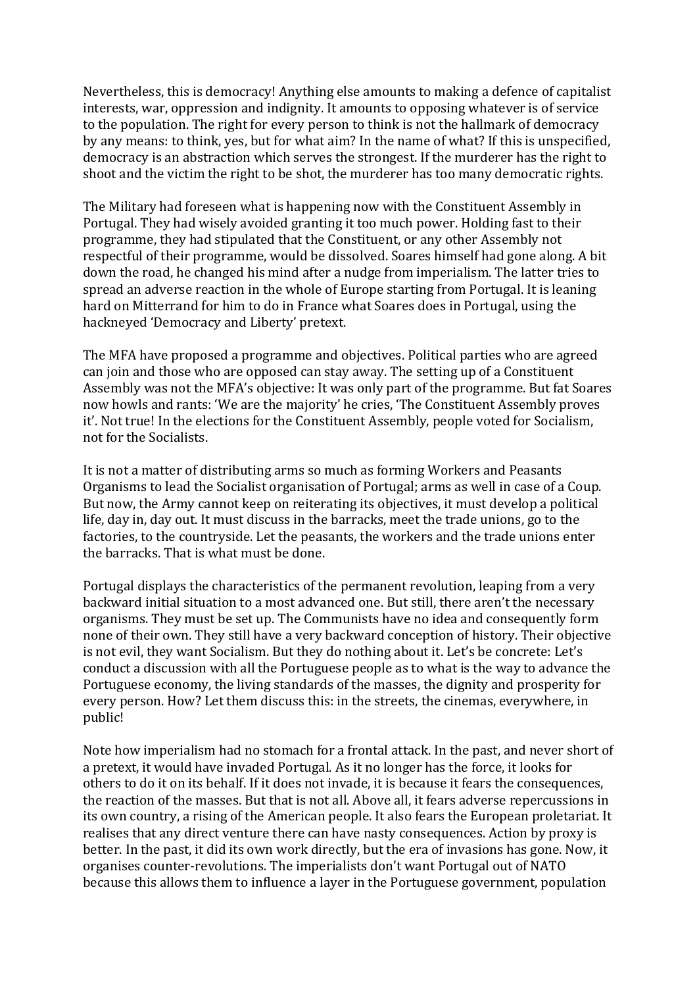Nevertheless, this is democracy! Anything else amounts to making a defence of capitalist interests, war, oppression and indignity. It amounts to opposing whatever is of service to the population. The right for every person to think is not the hallmark of democracy by any means: to think, yes, but for what aim? In the name of what? If this is unspecified, democracy is an abstraction which serves the strongest. If the murderer has the right to shoot and the victim the right to be shot, the murderer has too many democratic rights.

The Military had foreseen what is happening now with the Constituent Assembly in Portugal. They had wisely avoided granting it too much power. Holding fast to their programme, they had stipulated that the Constituent, or any other Assembly not respectful of their programme, would be dissolved. Soares himself had gone along. A bit down the road, he changed his mind after a nudge from imperialism. The latter tries to spread an adverse reaction in the whole of Europe starting from Portugal. It is leaning hard on Mitterrand for him to do in France what Soares does in Portugal, using the hackneyed 'Democracy and Liberty' pretext.

The MFA have proposed a programme and objectives. Political parties who are agreed can join and those who are opposed can stay away. The setting up of a Constituent Assembly was not the MFA's objective: It was only part of the programme. But fat Soares now howls and rants: 'We are the majority' he cries, 'The Constituent Assembly proves it'. Not true! In the elections for the Constituent Assembly, people voted for Socialism, not for the Socialists.

It is not a matter of distributing arms so much as forming Workers and Peasants Organisms to lead the Socialist organisation of Portugal; arms as well in case of a Coup. But now, the Army cannot keep on reiterating its objectives, it must develop a political life, day in, day out. It must discuss in the barracks, meet the trade unions, go to the factories, to the countryside. Let the peasants, the workers and the trade unions enter the barracks. That is what must be done.

Portugal displays the characteristics of the permanent revolution, leaping from a very backward initial situation to a most advanced one. But still, there aren't the necessary organisms. They must be set up. The Communists have no idea and consequently form none of their own. They still have a very backward conception of history. Their objective is not evil, they want Socialism. But they do nothing about it. Let's be concrete: Let's conduct a discussion with all the Portuguese people as to what is the way to advance the Portuguese economy, the living standards of the masses, the dignity and prosperity for every person. How? Let them discuss this: in the streets, the cinemas, everywhere, in public!

Note how imperialism had no stomach for a frontal attack. In the past, and never short of a pretext, it would have invaded Portugal. As it no longer has the force, it looks for others to do it on its behalf. If it does not invade, it is because it fears the consequences, the reaction of the masses. But that is not all. Above all, it fears adverse repercussions in its own country, a rising of the American people. It also fears the European proletariat. It realises that any direct venture there can have nasty consequences. Action by proxy is better. In the past, it did its own work directly, but the era of invasions has gone. Now, it organises counter-revolutions. The imperialists don't want Portugal out of NATO because this allows them to influence a layer in the Portuguese government, population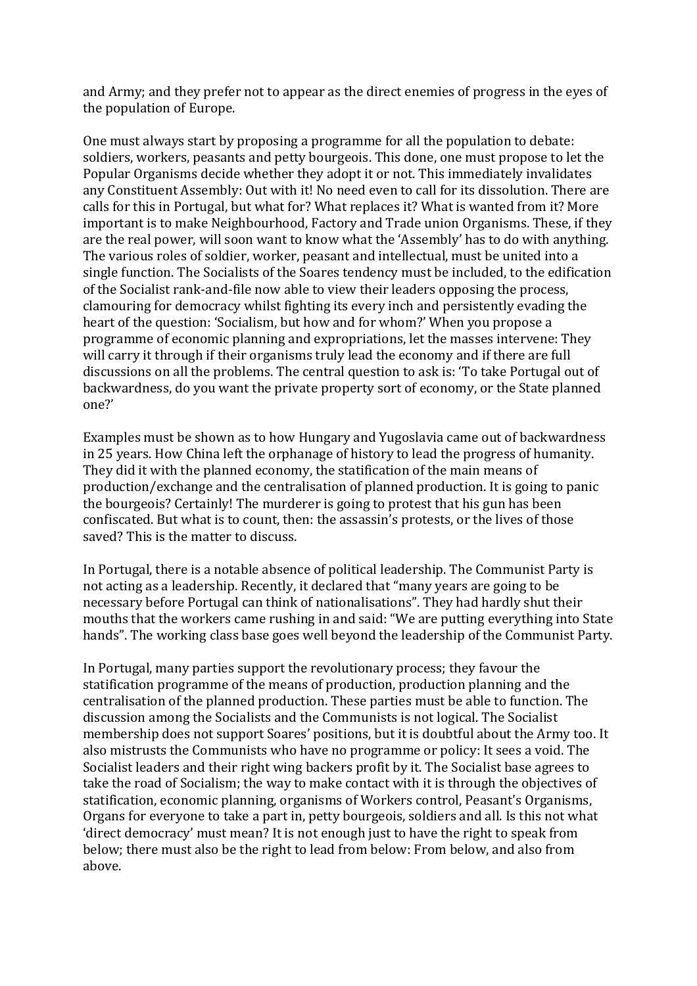and Army; and they prefer not to appear as the direct enemies of progress in the eyes of the population of Europe.

One must always start by proposing a programme for all the population to debate: soldiers, workers, peasants and petty bourgeois. This done, one must propose to let the Popular Organisms decide whether they adopt it or not. This immediately invalidates any Constituent Assembly: Out with it! No need even to call for its dissolution. There are calls for this in Portugal, but what for? What replaces it? What is wanted from it? More important is to make Neighbourhood, Factory and Trade union Organisms. These, if they are the real power, will soon want to know what the 'Assembly' has to do with anything. The various roles of soldier, worker, peasant and intellectual, must be united into a single function. The Socialists of the Soares tendency must be included, to the edification of the Socialist rank-and-file now able to view their leaders opposing the process, clamouring for democracy whilst fighting its every inch and persistently evading the heart of the question: 'Socialism, but how and for whom?' When you propose a programme of economic planning and expropriations, let the masses intervene: They will carry it through if their organisms truly lead the economy and if there are full discussions on all the problems. The central question to ask is: 'To take Portugal out of backwardness, do you want the private property sort of economy, or the State planned one?'

Examples must be shown as to how Hungary and Yugoslavia came out of backwardness in 25 years. How China left the orphanage of history to lead the progress of humanity. They did it with the planned economy, the statification of the main means of production/exchange and the centralisation of planned production. It is going to panic the bourgeois? Certainly! The murderer is going to protest that his gun has been confiscated. But what is to count, then: the assassin's protests, or the lives of those saved? This is the matter to discuss.

In Portugal, there is a notable absence of political leadership. The Communist Party is not acting as a leadership. Recently, it declared that "many years are going to be necessary before Portugal can think of nationalisations". They had hardly shut their mouths that the workers came rushing in and said: "We are putting everything into State hands". The working class base goes well beyond the leadership of the Communist Party.

In Portugal, many parties support the revolutionary process; they favour the statification programme of the means of production, production planning and the centralisation of the planned production. These parties must be able to function. The discussion among the Socialists and the Communists is not logical. The Socialist membership does not support Soares' positions, but it is doubtful about the Army too. It also mistrusts the Communists who have no programme or policy: It sees a void. The Socialist leaders and their right wing backers profit by it. The Socialist base agrees to take the road of Socialism; the way to make contact with it is through the objectives of statification, economic planning, organisms of Workers control, Peasant's Organisms, Organs for everyone to take a part in, petty bourgeois, soldiers and all. Is this not what 'direct democracy' must mean? It is not enough just to have the right to speak from below; there must also be the right to lead from below: From below, and also from above.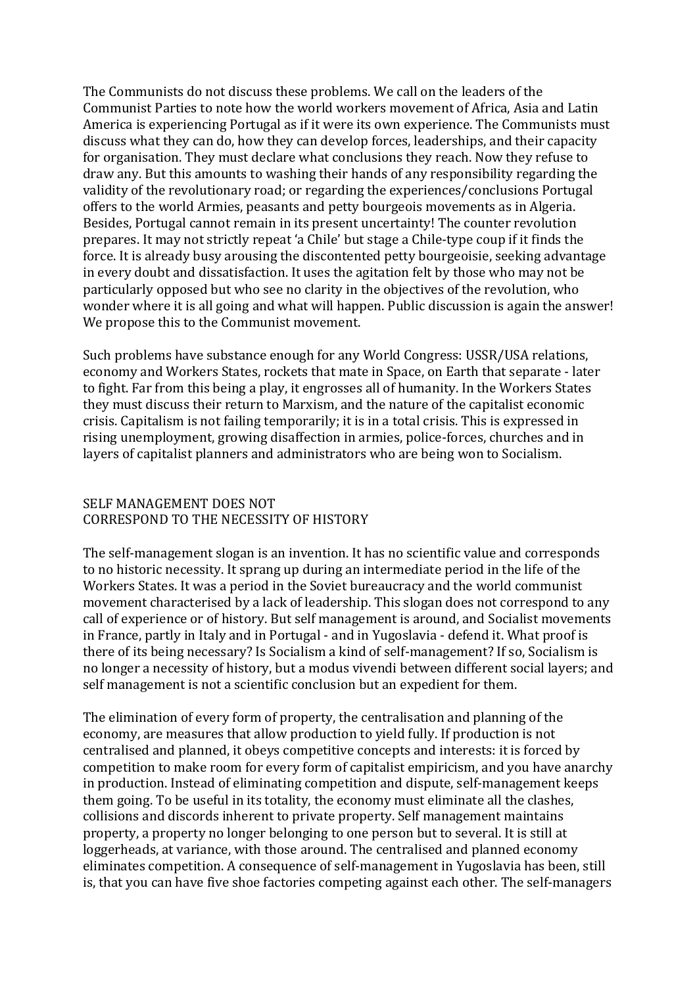The Communists do not discuss these problems. We call on the leaders of the Communist Parties to note how the world workers movement of Africa, Asia and Latin America is experiencing Portugal as if it were its own experience. The Communists must discuss what they can do, how they can develop forces, leaderships, and their capacity for organisation. They must declare what conclusions they reach. Now they refuse to draw any. But this amounts to washing their hands of any responsibility regarding the validity of the revolutionary road; or regarding the experiences/conclusions Portugal offers to the world Armies, peasants and petty bourgeois movements as in Algeria. Besides, Portugal cannot remain in its present uncertainty! The counter revolution prepares. It may not strictly repeat 'a Chile' but stage a Chile-type coup if it finds the force. It is already busy arousing the discontented petty bourgeoisie, seeking advantage in every doubt and dissatisfaction. It uses the agitation felt by those who may not be particularly opposed but who see no clarity in the objectives of the revolution, who wonder where it is all going and what will happen. Public discussion is again the answer! We propose this to the Communist movement.

Such problems have substance enough for any World Congress: USSR/USA relations, economy and Workers States, rockets that mate in Space, on Earth that separate - later to fight. Far from this being a play, it engrosses all of humanity. In the Workers States they must discuss their return to Marxism, and the nature of the capitalist economic crisis. Capitalism is not failing temporarily; it is in a total crisis. This is expressed in rising unemployment, growing disaffection in armies, police-forces, churches and in layers of capitalist planners and administrators who are being won to Socialism.

# SELF MANAGEMENT DOES NOT CORRESPOND TO THE NECESSITY OF HISTORY

The self-management slogan is an invention. It has no scientific value and corresponds to no historic necessity. It sprang up during an intermediate period in the life of the Workers States. It was a period in the Soviet bureaucracy and the world communist movement characterised by a lack of leadership. This slogan does not correspond to any call of experience or of history. But self management is around, and Socialist movements in France, partly in Italy and in Portugal - and in Yugoslavia - defend it. What proof is there of its being necessary? Is Socialism a kind of self-management? If so, Socialism is no longer a necessity of history, but a modus vivendi between different social layers; and self management is not a scientific conclusion but an expedient for them.

The elimination of every form of property, the centralisation and planning of the economy, are measures that allow production to yield fully. If production is not centralised and planned, it obeys competitive concepts and interests: it is forced by competition to make room for every form of capitalist empiricism, and you have anarchy in production. Instead of eliminating competition and dispute, self-management keeps them going. To be useful in its totality, the economy must eliminate all the clashes, collisions and discords inherent to private property. Self management maintains property, a property no longer belonging to one person but to several. It is still at loggerheads, at variance, with those around. The centralised and planned economy eliminates competition. A consequence of self-management in Yugoslavia has been, still is, that you can have five shoe factories competing against each other. The self-managers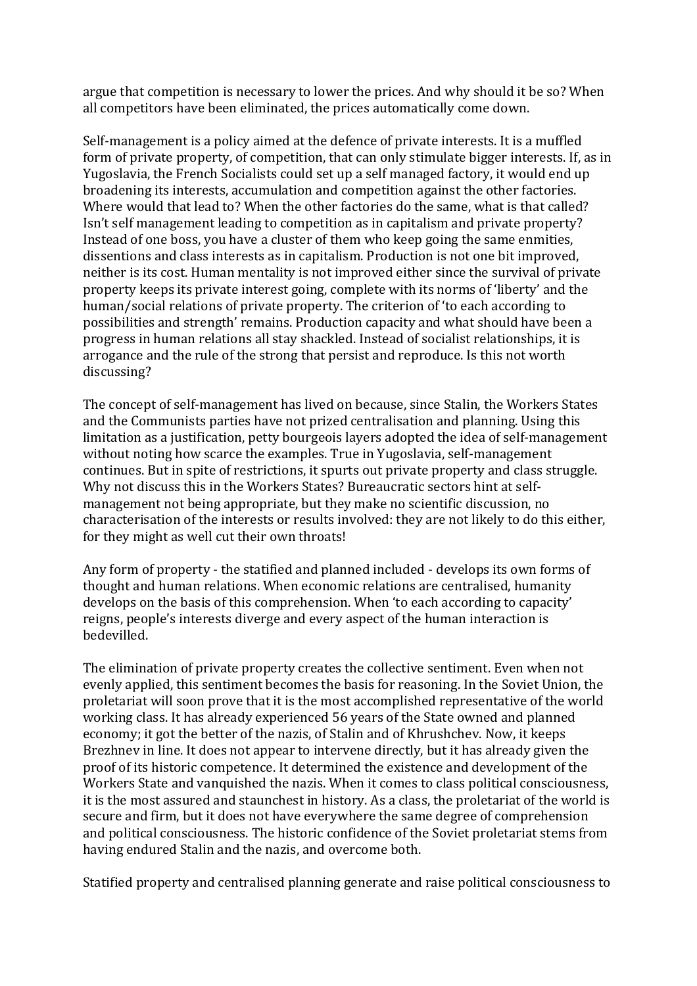argue that competition is necessary to lower the prices. And why should it be so? When all competitors have been eliminated, the prices automatically come down.

Self-management is a policy aimed at the defence of private interests. It is a muffled form of private property, of competition, that can only stimulate bigger interests. If, as in Yugoslavia, the French Socialists could set up a self managed factory, it would end up broadening its interests, accumulation and competition against the other factories. Where would that lead to? When the other factories do the same, what is that called? Isn't self management leading to competition as in capitalism and private property? Instead of one boss, you have a cluster of them who keep going the same enmities. dissentions and class interests as in capitalism. Production is not one bit improved, neither is its cost. Human mentality is not improved either since the survival of private property keeps its private interest going, complete with its norms of 'liberty' and the human/social relations of private property. The criterion of 'to each according to possibilities and strength' remains. Production capacity and what should have been a progress in human relations all stay shackled. Instead of socialist relationships, it is arrogance and the rule of the strong that persist and reproduce. Is this not worth discussing?

The concept of self-management has lived on because, since Stalin, the Workers States and the Communists parties have not prized centralisation and planning. Using this limitation as a justification, petty bourgeois layers adopted the idea of self-management without noting how scarce the examples. True in Yugoslavia, self-management continues. But in spite of restrictions, it spurts out private property and class struggle. Why not discuss this in the Workers States? Bureaucratic sectors hint at selfmanagement not being appropriate, but they make no scientific discussion, no characterisation of the interests or results involved: they are not likely to do this either, for they might as well cut their own throats!

Any form of property - the statified and planned included - develops its own forms of thought and human relations. When economic relations are centralised, humanity develops on the basis of this comprehension. When 'to each according to capacity' reigns, people's interests diverge and every aspect of the human interaction is bedevilled.

The elimination of private property creates the collective sentiment. Even when not evenly applied, this sentiment becomes the basis for reasoning. In the Soviet Union, the proletariat will soon prove that it is the most accomplished representative of the world working class. It has already experienced 56 years of the State owned and planned economy; it got the better of the nazis, of Stalin and of Khrushchev. Now, it keeps Brezhnev in line. It does not appear to intervene directly, but it has already given the proof of its historic competence. It determined the existence and development of the Workers State and vanquished the nazis. When it comes to class political consciousness, it is the most assured and staunchest in history. As a class, the proletariat of the world is secure and firm, but it does not have everywhere the same degree of comprehension and political consciousness. The historic confidence of the Soviet proletariat stems from having endured Stalin and the nazis, and overcome both.

Statified property and centralised planning generate and raise political consciousness to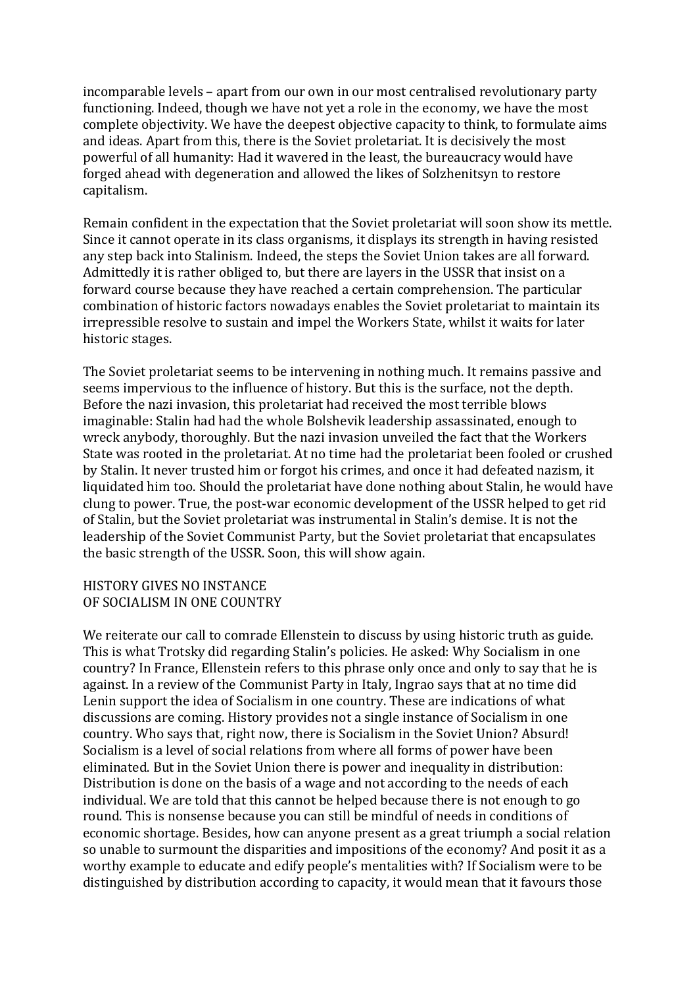incomparable levels – apart from our own in our most centralised revolutionary party functioning. Indeed, though we have not yet a role in the economy, we have the most complete objectivity. We have the deepest objective capacity to think, to formulate aims and ideas. Apart from this, there is the Soviet proletariat. It is decisively the most powerful of all humanity: Had it wavered in the least, the bureaucracy would have forged ahead with degeneration and allowed the likes of Solzhenitsyn to restore capitalism.

Remain confident in the expectation that the Soviet proletariat will soon show its mettle. Since it cannot operate in its class organisms, it displays its strength in having resisted any step back into Stalinism. Indeed, the steps the Soviet Union takes are all forward. Admittedly it is rather obliged to, but there are layers in the USSR that insist on a forward course because they have reached a certain comprehension. The particular combination of historic factors nowadays enables the Soviet proletariat to maintain its irrepressible resolve to sustain and impel the Workers State, whilst it waits for later historic stages.

The Soviet proletariat seems to be intervening in nothing much. It remains passive and seems impervious to the influence of history. But this is the surface, not the depth. Before the nazi invasion, this proletariat had received the most terrible blows imaginable: Stalin had had the whole Bolshevik leadership assassinated, enough to wreck anybody, thoroughly. But the nazi invasion unveiled the fact that the Workers State was rooted in the proletariat. At no time had the proletariat been fooled or crushed by Stalin. It never trusted him or forgot his crimes, and once it had defeated nazism, it liquidated him too. Should the proletariat have done nothing about Stalin, he would have clung to power. True, the post-war economic development of the USSR helped to get rid of Stalin, but the Soviet proletariat was instrumental in Stalin's demise. It is not the leadership of the Soviet Communist Party, but the Soviet proletariat that encapsulates the basic strength of the USSR. Soon, this will show again.

#### HISTORY GIVES NO INSTANCE OF SOCIALISM IN ONE COUNTRY

We reiterate our call to comrade Ellenstein to discuss by using historic truth as guide. This is what Trotsky did regarding Stalin's policies. He asked: Why Socialism in one country? In France, Ellenstein refers to this phrase only once and only to say that he is against. In a review of the Communist Party in Italy, Ingrao says that at no time did Lenin support the idea of Socialism in one country. These are indications of what discussions are coming. History provides not a single instance of Socialism in one country. Who says that, right now, there is Socialism in the Soviet Union? Absurd! Socialism is a level of social relations from where all forms of power have been eliminated. But in the Soviet Union there is power and inequality in distribution: Distribution is done on the basis of a wage and not according to the needs of each individual. We are told that this cannot be helped because there is not enough to go round. This is nonsense because you can still be mindful of needs in conditions of economic shortage. Besides, how can anyone present as a great triumph a social relation so unable to surmount the disparities and impositions of the economy? And posit it as a worthy example to educate and edify people's mentalities with? If Socialism were to be distinguished by distribution according to capacity, it would mean that it favours those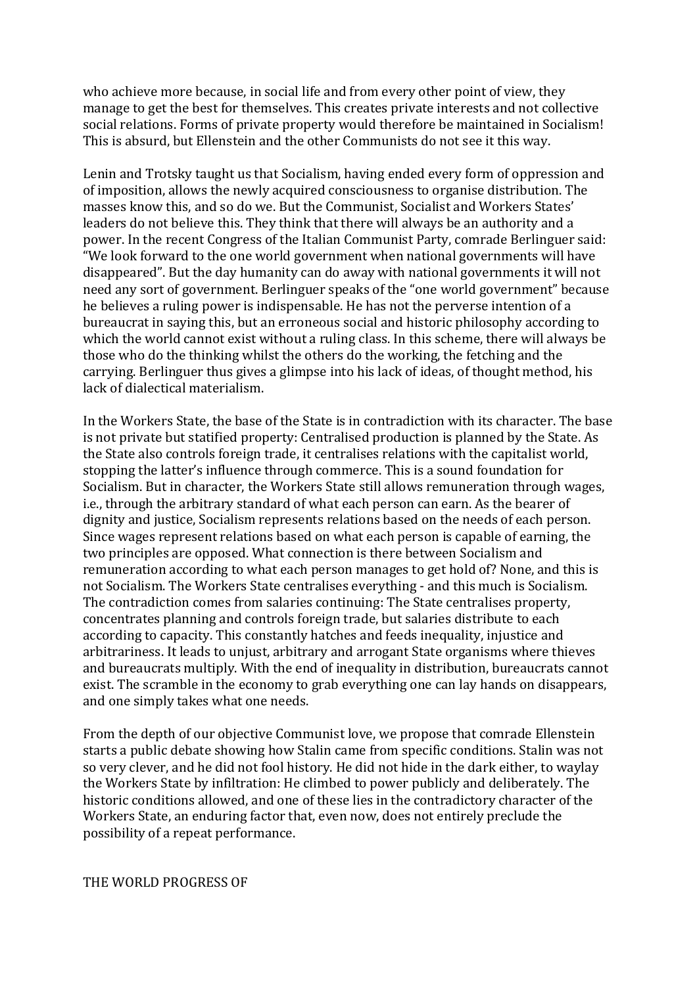who achieve more because, in social life and from every other point of view, they manage to get the best for themselves. This creates private interests and not collective social relations. Forms of private property would therefore be maintained in Socialism! This is absurd, but Ellenstein and the other Communists do not see it this way.

Lenin and Trotsky taught us that Socialism, having ended every form of oppression and of imposition, allows the newly acquired consciousness to organise distribution. The masses know this, and so do we. But the Communist, Socialist and Workers States' leaders do not believe this. They think that there will always be an authority and a power. In the recent Congress of the Italian Communist Party, comrade Berlinguer said: "We look forward to the one world government when national governments will have disappeared". But the day humanity can do away with national governments it will not need any sort of government. Berlinguer speaks of the "one world government" because he believes a ruling power is indispensable. He has not the perverse intention of a bureaucrat in saying this, but an erroneous social and historic philosophy according to which the world cannot exist without a ruling class. In this scheme, there will always be those who do the thinking whilst the others do the working, the fetching and the carrying. Berlinguer thus gives a glimpse into his lack of ideas, of thought method, his lack of dialectical materialism.

In the Workers State, the base of the State is in contradiction with its character. The base is not private but statified property: Centralised production is planned by the State. As the State also controls foreign trade, it centralises relations with the capitalist world, stopping the latter's influence through commerce. This is a sound foundation for Socialism. But in character, the Workers State still allows remuneration through wages, i.e., through the arbitrary standard of what each person can earn. As the bearer of dignity and justice, Socialism represents relations based on the needs of each person. Since wages represent relations based on what each person is capable of earning, the two principles are opposed. What connection is there between Socialism and remuneration according to what each person manages to get hold of? None, and this is not Socialism. The Workers State centralises everything - and this much is Socialism. The contradiction comes from salaries continuing: The State centralises property, concentrates planning and controls foreign trade, but salaries distribute to each according to capacity. This constantly hatches and feeds inequality, injustice and arbitrariness. It leads to unjust, arbitrary and arrogant State organisms where thieves and bureaucrats multiply. With the end of inequality in distribution, bureaucrats cannot exist. The scramble in the economy to grab everything one can lay hands on disappears, and one simply takes what one needs.

From the depth of our objective Communist love, we propose that comrade Ellenstein starts a public debate showing how Stalin came from specific conditions. Stalin was not so very clever, and he did not fool history. He did not hide in the dark either, to waylay the Workers State by infiltration: He climbed to power publicly and deliberately. The historic conditions allowed, and one of these lies in the contradictory character of the Workers State, an enduring factor that, even now, does not entirely preclude the possibility of a repeat performance.

THE WORLD PROGRESS OF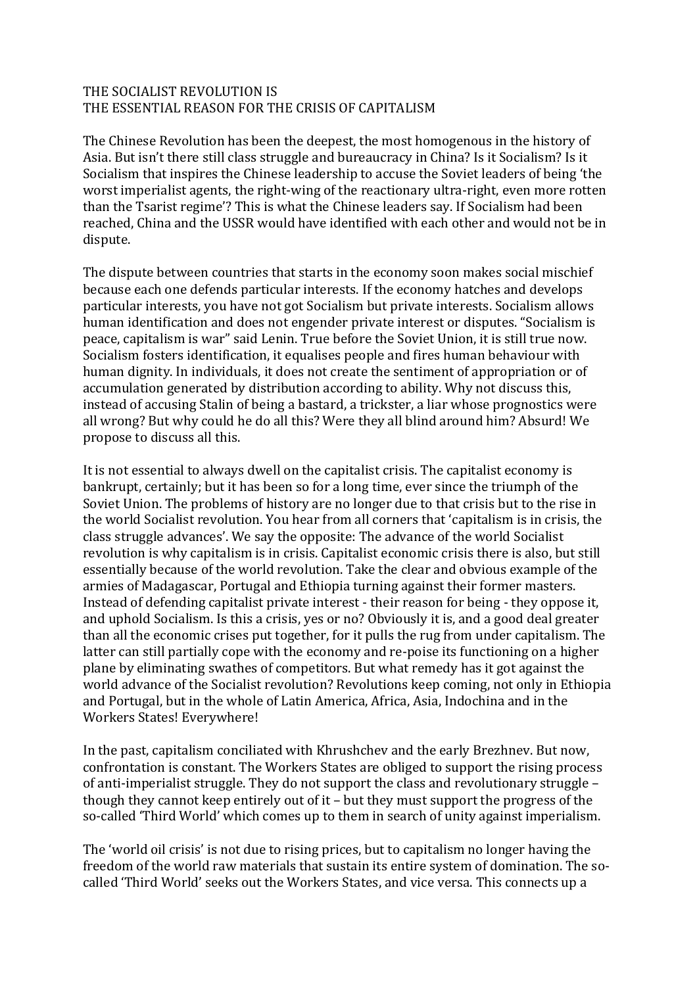# THE SOCIALIST REVOLUTION IS THE ESSENTIAL REASON FOR THE CRISIS OF CAPITALISM

The Chinese Revolution has been the deepest, the most homogenous in the history of Asia. But isn't there still class struggle and bureaucracy in China? Is it Socialism? Is it Socialism that inspires the Chinese leadership to accuse the Soviet leaders of being 'the worst imperialist agents, the right-wing of the reactionary ultra-right, even more rotten than the Tsarist regime'? This is what the Chinese leaders say. If Socialism had been reached, China and the USSR would have identified with each other and would not be in dispute.

The dispute between countries that starts in the economy soon makes social mischief because each one defends particular interests. If the economy hatches and develops particular interests, you have not got Socialism but private interests. Socialism allows human identification and does not engender private interest or disputes. "Socialism is peace, capitalism is war" said Lenin. True before the Soviet Union, it is still true now. Socialism fosters identification, it equalises people and fires human behaviour with human dignity. In individuals, it does not create the sentiment of appropriation or of accumulation generated by distribution according to ability. Why not discuss this, instead of accusing Stalin of being a bastard, a trickster, a liar whose prognostics were all wrong? But why could he do all this? Were they all blind around him? Absurd! We propose to discuss all this.

It is not essential to always dwell on the capitalist crisis. The capitalist economy is bankrupt, certainly; but it has been so for a long time, ever since the triumph of the Soviet Union. The problems of history are no longer due to that crisis but to the rise in the world Socialist revolution. You hear from all corners that 'capitalism is in crisis, the class struggle advances'. We say the opposite: The advance of the world Socialist revolution is why capitalism is in crisis. Capitalist economic crisis there is also, but still essentially because of the world revolution. Take the clear and obvious example of the armies of Madagascar, Portugal and Ethiopia turning against their former masters. Instead of defending capitalist private interest - their reason for being - they oppose it, and uphold Socialism. Is this a crisis, yes or no? Obviously it is, and a good deal greater than all the economic crises put together, for it pulls the rug from under capitalism. The latter can still partially cope with the economy and re-poise its functioning on a higher plane by eliminating swathes of competitors. But what remedy has it got against the world advance of the Socialist revolution? Revolutions keep coming, not only in Ethiopia and Portugal, but in the whole of Latin America, Africa, Asia, Indochina and in the Workers States! Everywhere!

In the past, capitalism conciliated with Khrushchev and the early Brezhnev. But now, confrontation is constant. The Workers States are obliged to support the rising process of anti-imperialist struggle. They do not support the class and revolutionary struggle – though they cannot keep entirely out of it  $-$  but they must support the progress of the so-called 'Third World' which comes up to them in search of unity against imperialism.

The 'world oil crisis' is not due to rising prices, but to capitalism no longer having the freedom of the world raw materials that sustain its entire system of domination. The socalled 'Third World' seeks out the Workers States, and vice versa. This connects up a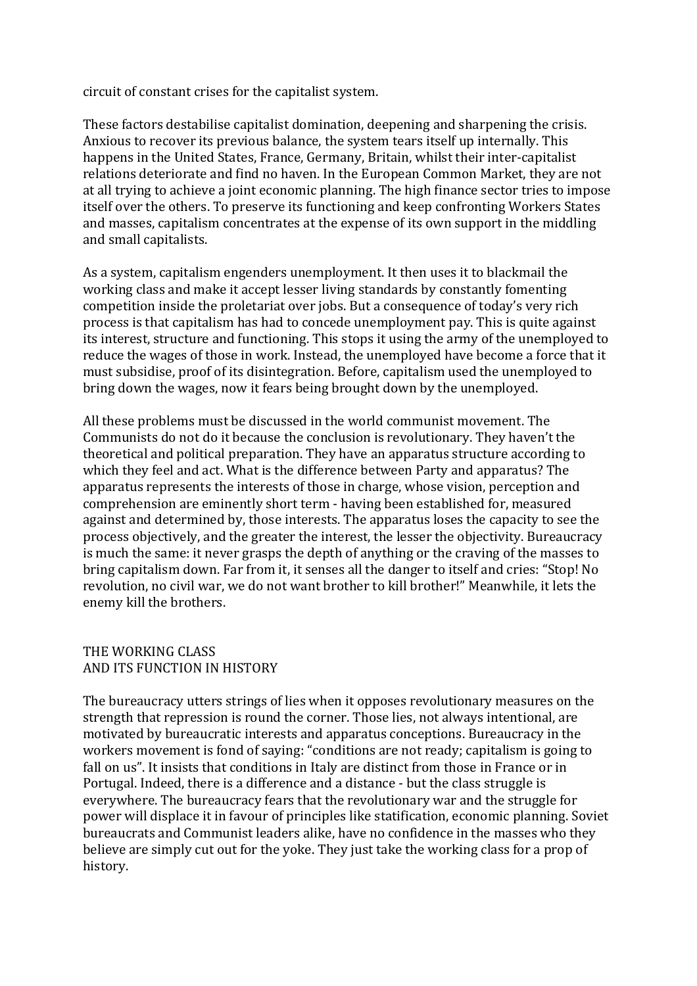circuit of constant crises for the capitalist system.

These factors destabilise capitalist domination, deepening and sharpening the crisis. Anxious to recover its previous balance, the system tears itself up internally. This happens in the United States, France, Germany, Britain, whilst their inter-capitalist relations deteriorate and find no haven. In the European Common Market, they are not at all trying to achieve a joint economic planning. The high finance sector tries to impose itself over the others. To preserve its functioning and keep confronting Workers States and masses, capitalism concentrates at the expense of its own support in the middling and small capitalists.

As a system, capitalism engenders unemployment. It then uses it to blackmail the working class and make it accept lesser living standards by constantly fomenting competition inside the proletariat over jobs. But a consequence of today's very rich process is that capitalism has had to concede unemployment pay. This is quite against its interest, structure and functioning. This stops it using the army of the unemployed to reduce the wages of those in work. Instead, the unemployed have become a force that it must subsidise, proof of its disintegration. Before, capitalism used the unemployed to bring down the wages, now it fears being brought down by the unemployed.

All these problems must be discussed in the world communist movement. The Communists do not do it because the conclusion is revolutionary. They haven't the theoretical and political preparation. They have an apparatus structure according to which they feel and act. What is the difference between Party and apparatus? The apparatus represents the interests of those in charge, whose vision, perception and comprehension are eminently short term - having been established for, measured against and determined by, those interests. The apparatus loses the capacity to see the process objectively, and the greater the interest, the lesser the objectivity. Bureaucracy is much the same: it never grasps the depth of anything or the craving of the masses to bring capitalism down. Far from it, it senses all the danger to itself and cries: "Stop! No revolution, no civil war, we do not want brother to kill brother!" Meanwhile, it lets the enemy kill the brothers.

# THE WORKING CLASS AND ITS FUNCTION IN HISTORY

The bureaucracy utters strings of lies when it opposes revolutionary measures on the strength that repression is round the corner. Those lies, not always intentional, are motivated by bureaucratic interests and apparatus conceptions. Bureaucracy in the workers movement is fond of saying: "conditions are not ready; capitalism is going to fall on us". It insists that conditions in Italy are distinct from those in France or in Portugal. Indeed, there is a difference and a distance - but the class struggle is everywhere. The bureaucracy fears that the revolutionary war and the struggle for power will displace it in favour of principles like statification, economic planning. Soviet bureaucrats and Communist leaders alike, have no confidence in the masses who they believe are simply cut out for the yoke. They just take the working class for a prop of history.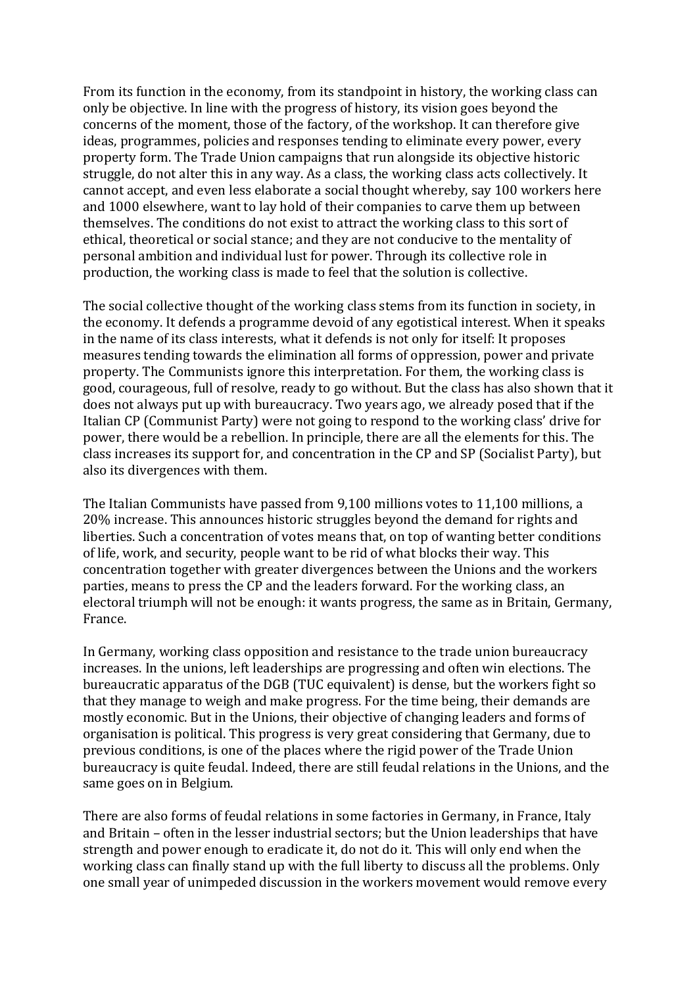From its function in the economy, from its standpoint in history, the working class can only be objective. In line with the progress of history, its vision goes beyond the concerns of the moment, those of the factory, of the workshop. It can therefore give ideas, programmes, policies and responses tending to eliminate every power, every property form. The Trade Union campaigns that run alongside its objective historic struggle, do not alter this in any way. As a class, the working class acts collectively. It cannot accept, and even less elaborate a social thought whereby, say 100 workers here and 1000 elsewhere, want to lay hold of their companies to carve them up between themselves. The conditions do not exist to attract the working class to this sort of ethical, theoretical or social stance; and they are not conducive to the mentality of personal ambition and individual lust for power. Through its collective role in production, the working class is made to feel that the solution is collective.

The social collective thought of the working class stems from its function in society, in the economy. It defends a programme devoid of any egotistical interest. When it speaks in the name of its class interests, what it defends is not only for itself: It proposes measures tending towards the elimination all forms of oppression, power and private property. The Communists ignore this interpretation. For them, the working class is good, courageous, full of resolve, ready to go without. But the class has also shown that it does not always put up with bureaucracy. Two years ago, we already posed that if the Italian CP (Communist Party) were not going to respond to the working class' drive for power, there would be a rebellion. In principle, there are all the elements for this. The class increases its support for, and concentration in the CP and SP (Socialist Party), but also its divergences with them.

The Italian Communists have passed from 9,100 millions votes to 11,100 millions, a 20% increase. This announces historic struggles beyond the demand for rights and liberties. Such a concentration of votes means that, on top of wanting better conditions of life, work, and security, people want to be rid of what blocks their way. This concentration together with greater divergences between the Unions and the workers parties, means to press the CP and the leaders forward. For the working class, an electoral triumph will not be enough: it wants progress, the same as in Britain, Germany, France.

In Germany, working class opposition and resistance to the trade union bureaucracy increases. In the unions, left leaderships are progressing and often win elections. The bureaucratic apparatus of the DGB (TUC equivalent) is dense, but the workers fight so that they manage to weigh and make progress. For the time being, their demands are mostly economic. But in the Unions, their objective of changing leaders and forms of organisation is political. This progress is very great considering that Germany, due to previous conditions, is one of the places where the rigid power of the Trade Union bureaucracy is quite feudal. Indeed, there are still feudal relations in the Unions, and the same goes on in Belgium.

There are also forms of feudal relations in some factories in Germany, in France, Italy and Britain – often in the lesser industrial sectors; but the Union leaderships that have strength and power enough to eradicate it, do not do it. This will only end when the working class can finally stand up with the full liberty to discuss all the problems. Only one small year of unimpeded discussion in the workers movement would remove every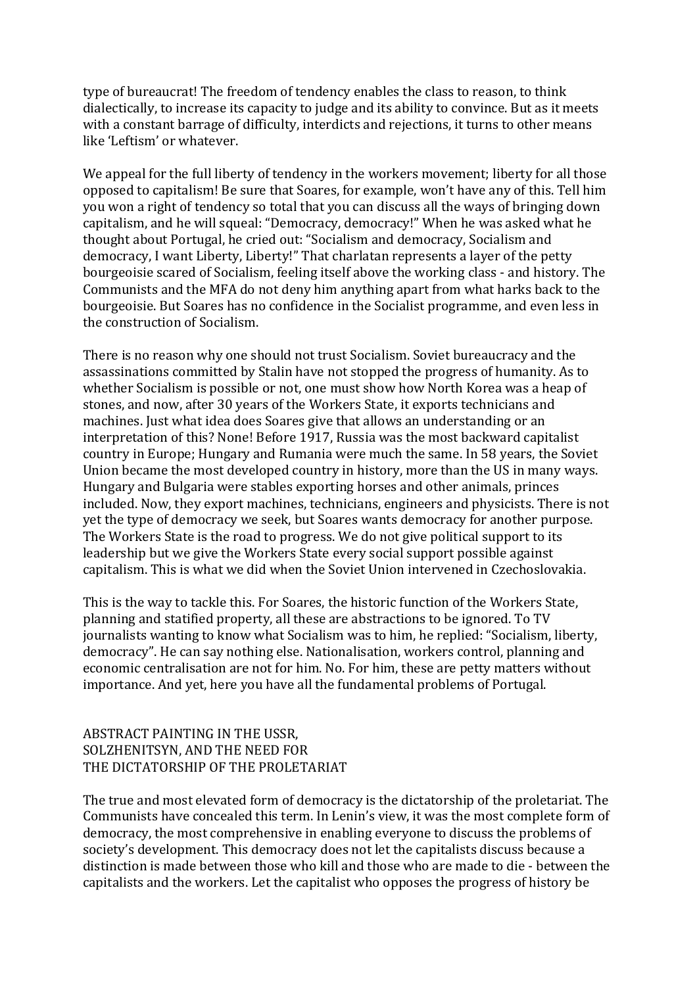type of bureaucrat! The freedom of tendency enables the class to reason, to think dialectically, to increase its capacity to judge and its ability to convince. But as it meets with a constant barrage of difficulty, interdicts and rejections, it turns to other means like 'Leftism' or whatever.

We appeal for the full liberty of tendency in the workers movement; liberty for all those opposed to capitalism! Be sure that Soares, for example, won't have any of this. Tell him you won a right of tendency so total that you can discuss all the ways of bringing down capitalism, and he will squeal: "Democracy, democracy!" When he was asked what he thought about Portugal, he cried out: "Socialism and democracy, Socialism and democracy, I want Liberty, Liberty!" That charlatan represents a layer of the petty bourgeoisie scared of Socialism, feeling itself above the working class - and history. The Communists and the MFA do not deny him anything apart from what harks back to the bourgeoisie. But Soares has no confidence in the Socialist programme, and even less in the construction of Socialism.

There is no reason why one should not trust Socialism. Soviet bureaucracy and the assassinations committed by Stalin have not stopped the progress of humanity. As to whether Socialism is possible or not, one must show how North Korea was a heap of stones, and now, after 30 years of the Workers State, it exports technicians and machines. Just what idea does Soares give that allows an understanding or an interpretation of this? None! Before 1917, Russia was the most backward capitalist country in Europe; Hungary and Rumania were much the same. In 58 years, the Soviet Union became the most developed country in history, more than the US in many ways. Hungary and Bulgaria were stables exporting horses and other animals, princes included. Now, they export machines, technicians, engineers and physicists. There is not yet the type of democracy we seek, but Soares wants democracy for another purpose. The Workers State is the road to progress. We do not give political support to its leadership but we give the Workers State every social support possible against capitalism. This is what we did when the Soviet Union intervened in Czechoslovakia.

This is the way to tackle this. For Soares, the historic function of the Workers State, planning and statified property, all these are abstractions to be ignored. To TV journalists wanting to know what Socialism was to him, he replied: "Socialism, liberty, democracy". He can say nothing else. Nationalisation, workers control, planning and economic centralisation are not for him. No. For him, these are petty matters without importance. And yet, here you have all the fundamental problems of Portugal.

# ABSTRACT PAINTING IN THE USSR, SOLZHENITSYN, AND THE NEED FOR THE DICTATORSHIP OF THE PROLETARIAT

The true and most elevated form of democracy is the dictatorship of the proletariat. The Communists have concealed this term. In Lenin's view, it was the most complete form of democracy, the most comprehensive in enabling everyone to discuss the problems of society's development. This democracy does not let the capitalists discuss because a distinction is made between those who kill and those who are made to die - between the capitalists and the workers. Let the capitalist who opposes the progress of history be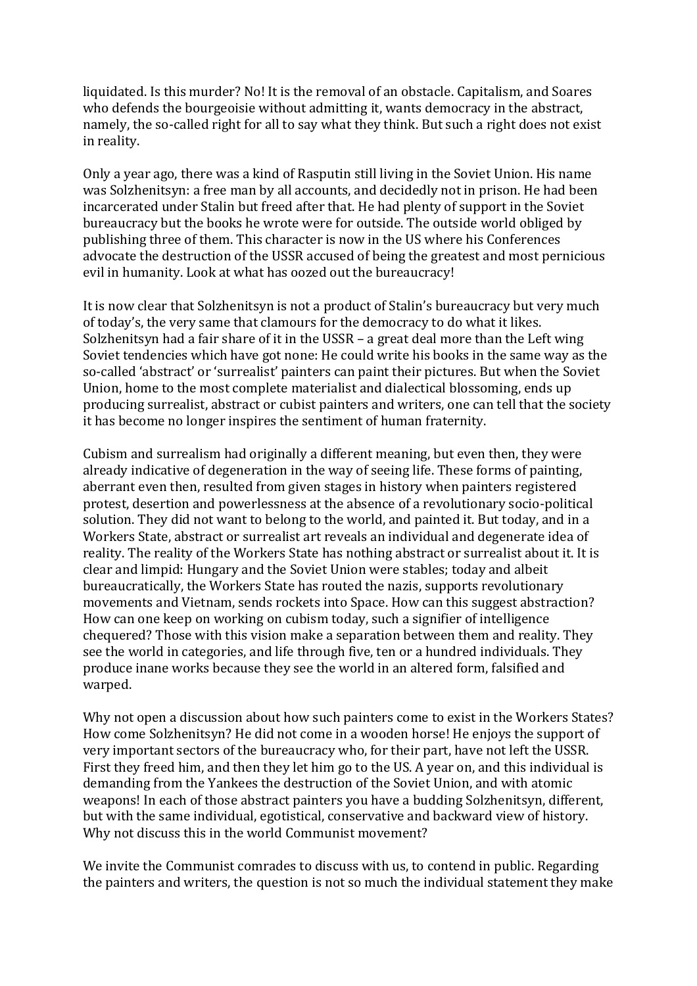liquidated. Is this murder? No! It is the removal of an obstacle. Capitalism, and Soares who defends the bourgeoisie without admitting it, wants democracy in the abstract, namely, the so-called right for all to say what they think. But such a right does not exist in reality.

Only a year ago, there was a kind of Rasputin still living in the Soviet Union. His name was Solzhenitsyn: a free man by all accounts, and decidedly not in prison. He had been incarcerated under Stalin but freed after that. He had plenty of support in the Soviet bureaucracy but the books he wrote were for outside. The outside world obliged by publishing three of them. This character is now in the US where his Conferences advocate the destruction of the USSR accused of being the greatest and most pernicious evil in humanity. Look at what has oozed out the bureaucracy!

It is now clear that Solzhenitsyn is not a product of Stalin's bureaucracy but very much of today's, the very same that clamours for the democracy to do what it likes. Solzhenitsyn had a fair share of it in the USSR – a great deal more than the Left wing Soviet tendencies which have got none: He could write his books in the same way as the so-called 'abstract' or 'surrealist' painters can paint their pictures. But when the Soviet Union, home to the most complete materialist and dialectical blossoming, ends up producing surrealist, abstract or cubist painters and writers, one can tell that the society it has become no longer inspires the sentiment of human fraternity.

Cubism and surrealism had originally a different meaning, but even then, they were already indicative of degeneration in the way of seeing life. These forms of painting, aberrant even then, resulted from given stages in history when painters registered protest, desertion and powerlessness at the absence of a revolutionary socio-political solution. They did not want to belong to the world, and painted it. But today, and in a Workers State, abstract or surrealist art reveals an individual and degenerate idea of reality. The reality of the Workers State has nothing abstract or surrealist about it. It is clear and limpid: Hungary and the Soviet Union were stables; today and albeit bureaucratically, the Workers State has routed the nazis, supports revolutionary movements and Vietnam, sends rockets into Space. How can this suggest abstraction? How can one keep on working on cubism today, such a signifier of intelligence chequered? Those with this vision make a separation between them and reality. They see the world in categories, and life through five, ten or a hundred individuals. They produce inane works because they see the world in an altered form, falsified and warped.

Why not open a discussion about how such painters come to exist in the Workers States? How come Solzhenitsyn? He did not come in a wooden horse! He enjoys the support of very important sectors of the bureaucracy who, for their part, have not left the USSR. First they freed him, and then they let him go to the US. A year on, and this individual is demanding from the Yankees the destruction of the Soviet Union, and with atomic weapons! In each of those abstract painters you have a budding Solzhenitsyn, different, but with the same individual, egotistical, conservative and backward view of history. Why not discuss this in the world Communist movement?

We invite the Communist comrades to discuss with us, to contend in public. Regarding the painters and writers, the question is not so much the individual statement they make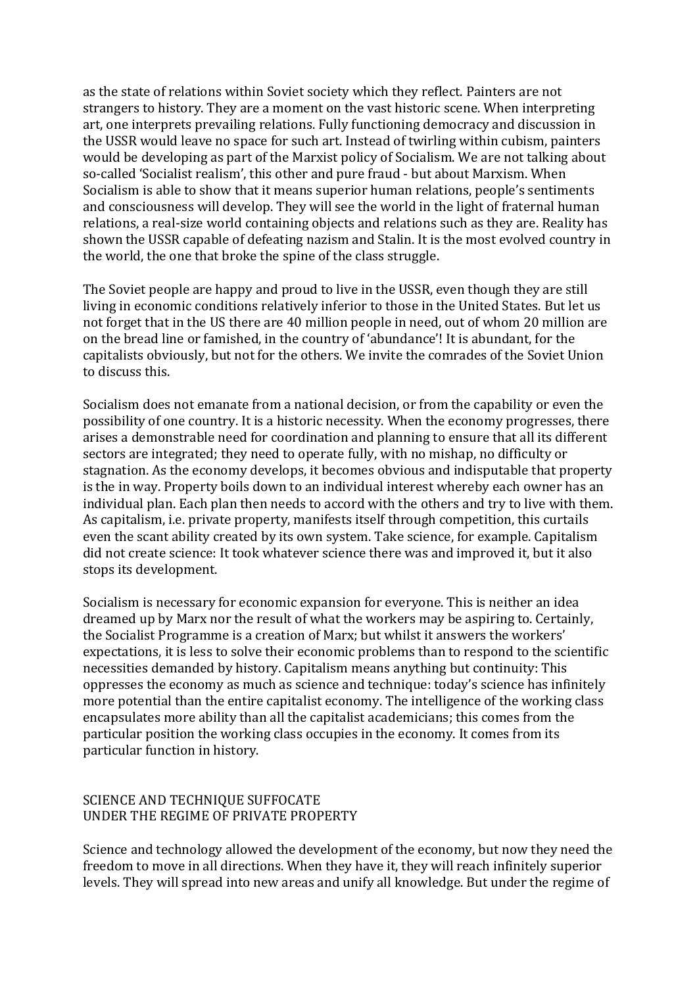as the state of relations within Soviet society which they reflect. Painters are not strangers to history. They are a moment on the vast historic scene. When interpreting art, one interprets prevailing relations. Fully functioning democracy and discussion in the USSR would leave no space for such art. Instead of twirling within cubism, painters would be developing as part of the Marxist policy of Socialism. We are not talking about so-called 'Socialist realism', this other and pure fraud - but about Marxism. When Socialism is able to show that it means superior human relations, people's sentiments and consciousness will develop. They will see the world in the light of fraternal human relations, a real-size world containing objects and relations such as they are. Reality has shown the USSR capable of defeating nazism and Stalin. It is the most evolved country in the world, the one that broke the spine of the class struggle.

The Soviet people are happy and proud to live in the USSR, even though they are still living in economic conditions relatively inferior to those in the United States. But let us not forget that in the US there are 40 million people in need, out of whom 20 million are on the bread line or famished, in the country of 'abundance'! It is abundant, for the capitalists obviously, but not for the others. We invite the comrades of the Soviet Union to discuss this.

Socialism does not emanate from a national decision, or from the capability or even the possibility of one country. It is a historic necessity. When the economy progresses, there arises a demonstrable need for coordination and planning to ensure that all its different sectors are integrated; they need to operate fully, with no mishap, no difficulty or stagnation. As the economy develops, it becomes obvious and indisputable that property is the in way. Property boils down to an individual interest whereby each owner has an individual plan. Each plan then needs to accord with the others and try to live with them. As capitalism, i.e. private property, manifests itself through competition, this curtails even the scant ability created by its own system. Take science, for example. Capitalism did not create science: It took whatever science there was and improved it, but it also stops its development.

Socialism is necessary for economic expansion for everyone. This is neither an idea dreamed up by Marx nor the result of what the workers may be aspiring to. Certainly, the Socialist Programme is a creation of Marx; but whilst it answers the workers' expectations, it is less to solve their economic problems than to respond to the scientific necessities demanded by history. Capitalism means anything but continuity: This oppresses the economy as much as science and technique: today's science has infinitely more potential than the entire capitalist economy. The intelligence of the working class encapsulates more ability than all the capitalist academicians; this comes from the particular position the working class occupies in the economy. It comes from its particular function in history.

#### SCIENCE AND TECHNIQUE SUFFOCATE UNDER THE REGIME OF PRIVATE PROPERTY

Science and technology allowed the development of the economy, but now they need the freedom to move in all directions. When they have it, they will reach infinitely superior levels. They will spread into new areas and unify all knowledge. But under the regime of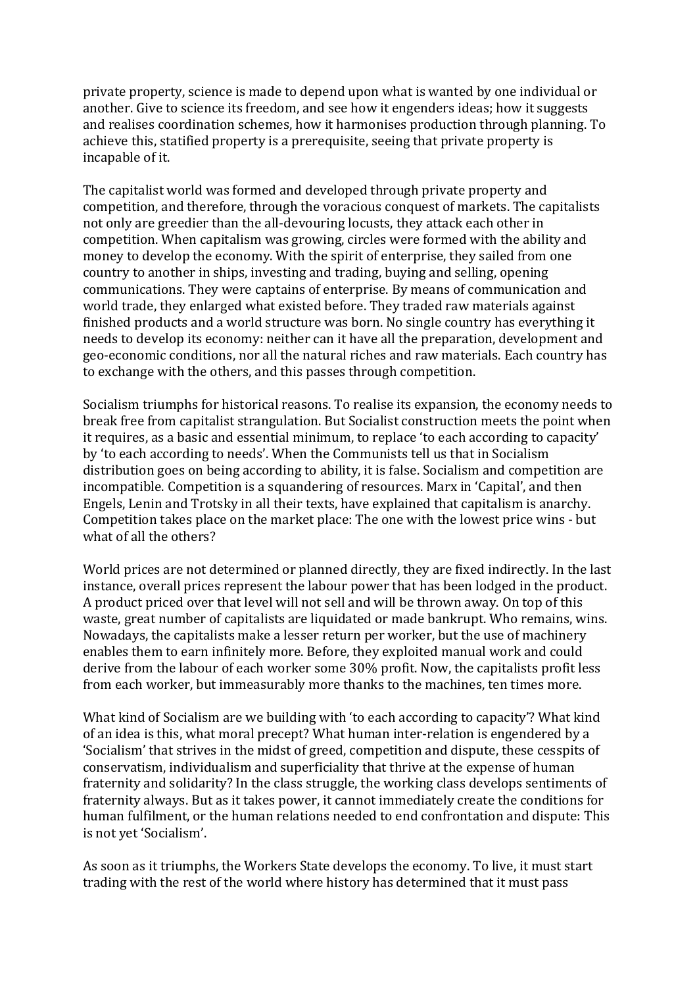private property, science is made to depend upon what is wanted by one individual or another. Give to science its freedom, and see how it engenders ideas; how it suggests and realises coordination schemes, how it harmonises production through planning. To achieve this, statified property is a prerequisite, seeing that private property is incapable of it.

The capitalist world was formed and developed through private property and competition, and therefore, through the voracious conquest of markets. The capitalists not only are greedier than the all-devouring locusts, they attack each other in competition. When capitalism was growing, circles were formed with the ability and money to develop the economy. With the spirit of enterprise, they sailed from one country to another in ships, investing and trading, buying and selling, opening communications. They were captains of enterprise. By means of communication and world trade, they enlarged what existed before. They traded raw materials against finished products and a world structure was born. No single country has everything it needs to develop its economy: neither can it have all the preparation, development and geo-economic conditions, nor all the natural riches and raw materials. Each country has to exchange with the others, and this passes through competition.

Socialism triumphs for historical reasons. To realise its expansion, the economy needs to break free from capitalist strangulation. But Socialist construction meets the point when it requires, as a basic and essential minimum, to replace 'to each according to capacity' by 'to each according to needs'. When the Communists tell us that in Socialism distribution goes on being according to ability, it is false. Socialism and competition are incompatible. Competition is a squandering of resources. Marx in 'Capital', and then Engels, Lenin and Trotsky in all their texts, have explained that capitalism is anarchy. Competition takes place on the market place: The one with the lowest price wins - but what of all the others?

World prices are not determined or planned directly, they are fixed indirectly. In the last instance, overall prices represent the labour power that has been lodged in the product. A product priced over that level will not sell and will be thrown away. On top of this waste, great number of capitalists are liquidated or made bankrupt. Who remains, wins. Nowadays, the capitalists make a lesser return per worker, but the use of machinery enables them to earn infinitely more. Before, they exploited manual work and could derive from the labour of each worker some 30% profit. Now, the capitalists profit less from each worker, but immeasurably more thanks to the machines, ten times more.

What kind of Socialism are we building with 'to each according to capacity'? What kind of an idea is this, what moral precept? What human inter-relation is engendered by a 'Socialism' that strives in the midst of greed, competition and dispute, these cesspits of conservatism, individualism and superficiality that thrive at the expense of human fraternity and solidarity? In the class struggle, the working class develops sentiments of fraternity always. But as it takes power, it cannot immediately create the conditions for human fulfilment, or the human relations needed to end confrontation and dispute: This is not yet 'Socialism'.

As soon as it triumphs, the Workers State develops the economy. To live, it must start trading with the rest of the world where history has determined that it must pass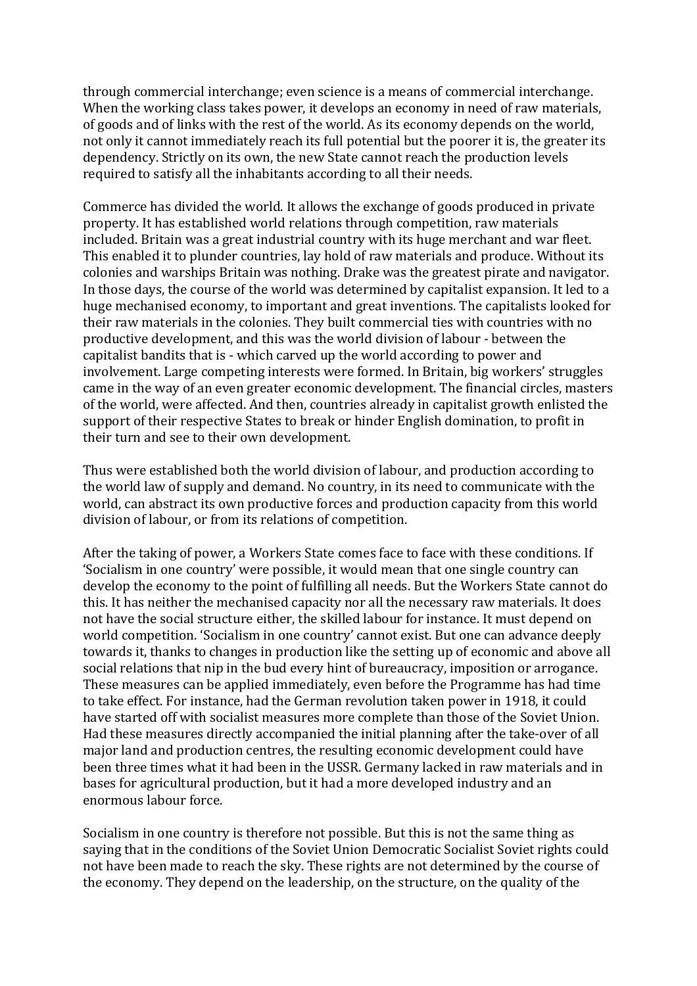through commercial interchange; even science is a means of commercial interchange. When the working class takes power, it develops an economy in need of raw materials, of goods and of links with the rest of the world. As its economy depends on the world, not only it cannot immediately reach its full potential but the poorer it is, the greater its dependency. Strictly on its own, the new State cannot reach the production levels required to satisfy all the inhabitants according to all their needs.

Commerce has divided the world. It allows the exchange of goods produced in private property. It has established world relations through competition, raw materials included. Britain was a great industrial country with its huge merchant and war fleet. This enabled it to plunder countries, lay hold of raw materials and produce. Without its colonies and warships Britain was nothing. Drake was the greatest pirate and navigator. In those days, the course of the world was determined by capitalist expansion. It led to a huge mechanised economy, to important and great inventions. The capitalists looked for their raw materials in the colonies. They built commercial ties with countries with no productive development, and this was the world division of labour - between the capitalist bandits that is - which carved up the world according to power and involvement. Large competing interests were formed. In Britain, big workers' struggles came in the way of an even greater economic development. The financial circles, masters of the world, were affected. And then, countries already in capitalist growth enlisted the support of their respective States to break or hinder English domination, to profit in their turn and see to their own development.

Thus were established both the world division of labour, and production according to the world law of supply and demand. No country, in its need to communicate with the world, can abstract its own productive forces and production capacity from this world division of labour, or from its relations of competition.

After the taking of power, a Workers State comes face to face with these conditions. If 'Socialism in one country' were possible, it would mean that one single country can develop the economy to the point of fulfilling all needs. But the Workers State cannot do this. It has neither the mechanised capacity nor all the necessary raw materials. It does not have the social structure either, the skilled labour for instance. It must depend on world competition. 'Socialism in one country' cannot exist. But one can advance deeply towards it, thanks to changes in production like the setting up of economic and above all social relations that nip in the bud every hint of bureaucracy, imposition or arrogance. These measures can be applied immediately, even before the Programme has had time to take effect. For instance, had the German revolution taken power in 1918, it could have started off with socialist measures more complete than those of the Soviet Union. Had these measures directly accompanied the initial planning after the take-over of all major land and production centres, the resulting economic development could have been three times what it had been in the USSR. Germany lacked in raw materials and in bases for agricultural production, but it had a more developed industry and an enormous labour force.

Socialism in one country is therefore not possible. But this is not the same thing as saying that in the conditions of the Soviet Union Democratic Socialist Soviet rights could not have been made to reach the sky. These rights are not determined by the course of the economy. They depend on the leadership, on the structure, on the quality of the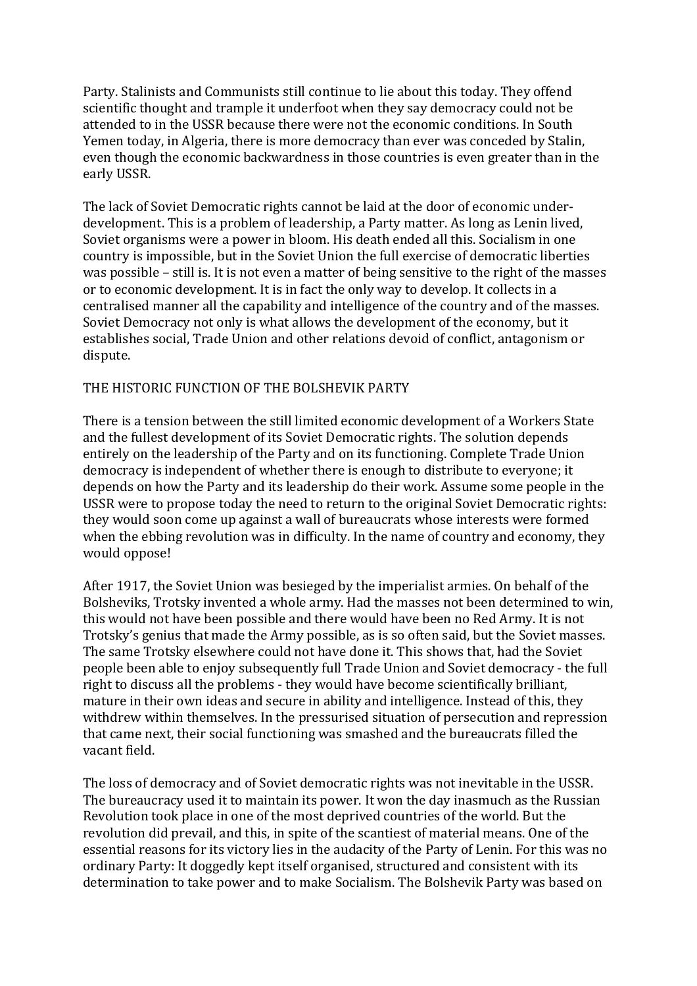Party. Stalinists and Communists still continue to lie about this today. They offend scientific thought and trample it underfoot when they say democracy could not be attended to in the USSR because there were not the economic conditions. In South Yemen today, in Algeria, there is more democracy than ever was conceded by Stalin, even though the economic backwardness in those countries is even greater than in the early USSR.

The lack of Soviet Democratic rights cannot be laid at the door of economic underdevelopment. This is a problem of leadership, a Party matter. As long as Lenin lived, Soviet organisms were a power in bloom. His death ended all this. Socialism in one country is impossible, but in the Soviet Union the full exercise of democratic liberties was possible  $-$  still is. It is not even a matter of being sensitive to the right of the masses or to economic development. It is in fact the only way to develop. It collects in a centralised manner all the capability and intelligence of the country and of the masses. Soviet Democracy not only is what allows the development of the economy, but it establishes social, Trade Union and other relations devoid of conflict, antagonism or dispute.

#### THE HISTORIC FUNCTION OF THE BOLSHEVIK PARTY

There is a tension between the still limited economic development of a Workers State and the fullest development of its Soviet Democratic rights. The solution depends entirely on the leadership of the Party and on its functioning. Complete Trade Union democracy is independent of whether there is enough to distribute to everyone; it depends on how the Party and its leadership do their work. Assume some people in the USSR were to propose today the need to return to the original Soviet Democratic rights: they would soon come up against a wall of bureaucrats whose interests were formed when the ebbing revolution was in difficulty. In the name of country and economy, they would oppose!

After 1917, the Soviet Union was besieged by the imperialist armies. On behalf of the Bolsheviks, Trotsky invented a whole army. Had the masses not been determined to win, this would not have been possible and there would have been no Red Army. It is not Trotsky's genius that made the Army possible, as is so often said, but the Soviet masses. The same Trotsky elsewhere could not have done it. This shows that, had the Soviet people been able to enjoy subsequently full Trade Union and Soviet democracy - the full right to discuss all the problems - they would have become scientifically brilliant, mature in their own ideas and secure in ability and intelligence. Instead of this, they withdrew within themselves. In the pressurised situation of persecution and repression that came next, their social functioning was smashed and the bureaucrats filled the vacant field.

The loss of democracy and of Soviet democratic rights was not inevitable in the USSR. The bureaucracy used it to maintain its power. It won the day inasmuch as the Russian Revolution took place in one of the most deprived countries of the world. But the revolution did prevail, and this, in spite of the scantiest of material means. One of the essential reasons for its victory lies in the audacity of the Party of Lenin. For this was no ordinary Party: It doggedly kept itself organised, structured and consistent with its determination to take power and to make Socialism. The Bolshevik Party was based on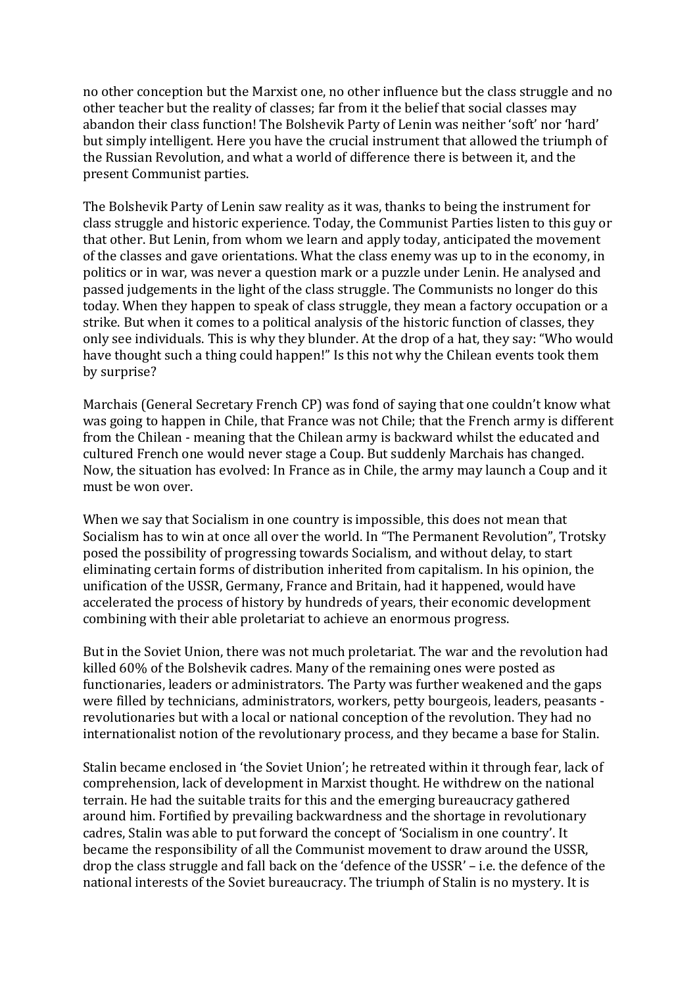no other conception but the Marxist one, no other influence but the class struggle and no other teacher but the reality of classes; far from it the belief that social classes may abandon their class function! The Bolshevik Party of Lenin was neither 'soft' nor 'hard' but simply intelligent. Here you have the crucial instrument that allowed the triumph of the Russian Revolution, and what a world of difference there is between it, and the present Communist parties.

The Bolshevik Party of Lenin saw reality as it was, thanks to being the instrument for class struggle and historic experience. Today, the Communist Parties listen to this guy or that other. But Lenin, from whom we learn and apply today, anticipated the movement of the classes and gave orientations. What the class enemy was up to in the economy, in politics or in war, was never a question mark or a puzzle under Lenin. He analysed and passed iudgements in the light of the class struggle. The Communists no longer do this today. When they happen to speak of class struggle, they mean a factory occupation or a strike. But when it comes to a political analysis of the historic function of classes, they only see individuals. This is why they blunder. At the drop of a hat, they say: "Who would have thought such a thing could happen!" Is this not why the Chilean events took them by surprise?

Marchais (General Secretary French CP) was fond of saying that one couldn't know what was going to happen in Chile, that France was not Chile; that the French army is different from the Chilean - meaning that the Chilean army is backward whilst the educated and cultured French one would never stage a Coup. But suddenly Marchais has changed. Now, the situation has evolved: In France as in Chile, the army may launch a Coup and it must be won over.

When we say that Socialism in one country is impossible, this does not mean that Socialism has to win at once all over the world. In "The Permanent Revolution", Trotsky posed the possibility of progressing towards Socialism, and without delay, to start eliminating certain forms of distribution inherited from capitalism. In his opinion, the unification of the USSR, Germany, France and Britain, had it happened, would have accelerated the process of history by hundreds of years, their economic development combining with their able proletariat to achieve an enormous progress.

But in the Soviet Union, there was not much proletariat. The war and the revolution had killed 60% of the Bolshevik cadres. Many of the remaining ones were posted as functionaries, leaders or administrators. The Party was further weakened and the gaps were filled by technicians, administrators, workers, petty bourgeois, leaders, peasants revolutionaries but with a local or national conception of the revolution. They had no internationalist notion of the revolutionary process, and they became a base for Stalin.

Stalin became enclosed in 'the Soviet Union'; he retreated within it through fear, lack of comprehension, lack of development in Marxist thought. He withdrew on the national terrain. He had the suitable traits for this and the emerging bureaucracy gathered around him. Fortified by prevailing backwardness and the shortage in revolutionary cadres, Stalin was able to put forward the concept of 'Socialism in one country'. It became the responsibility of all the Communist movement to draw around the USSR, drop the class struggle and fall back on the 'defence of the USSR' – i.e. the defence of the national interests of the Soviet bureaucracy. The triumph of Stalin is no mystery. It is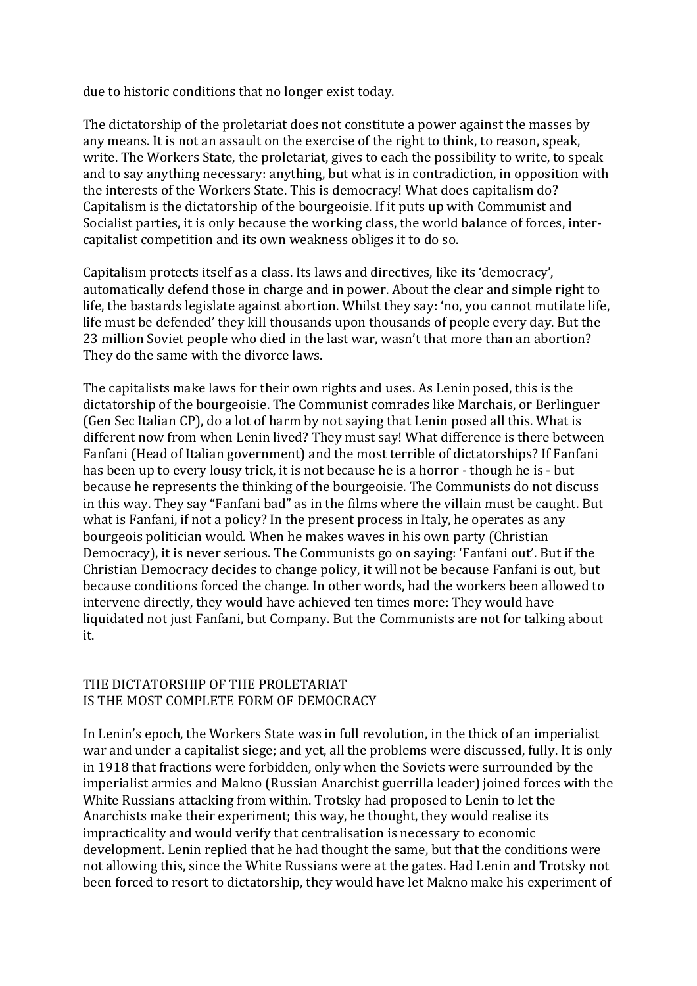due to historic conditions that no longer exist today.

The dictatorship of the proletariat does not constitute a power against the masses by any means. It is not an assault on the exercise of the right to think, to reason, speak, write. The Workers State, the proletariat, gives to each the possibility to write, to speak and to say anything necessary: anything, but what is in contradiction, in opposition with the interests of the Workers State. This is democracy! What does capitalism do? Capitalism is the dictatorship of the bourgeoisie. If it puts up with Communist and Socialist parties, it is only because the working class, the world balance of forces, intercapitalist competition and its own weakness obliges it to do so.

Capitalism protects itself as a class. Its laws and directives, like its 'democracy', automatically defend those in charge and in power. About the clear and simple right to life, the bastards legislate against abortion. Whilst they say: 'no, you cannot mutilate life, life must be defended' they kill thousands upon thousands of people every day. But the 23 million Soviet people who died in the last war, wasn't that more than an abortion? They do the same with the divorce laws.

The capitalists make laws for their own rights and uses. As Lenin posed, this is the dictatorship of the bourgeoisie. The Communist comrades like Marchais, or Berlinguer (Gen Sec Italian CP), do a lot of harm by not saying that Lenin posed all this. What is different now from when Lenin lived? They must say! What difference is there between Fanfani (Head of Italian government) and the most terrible of dictatorships? If Fanfani has been up to every lousy trick, it is not because he is a horror - though he is - but because he represents the thinking of the bourgeoisie. The Communists do not discuss in this way. They say "Fanfani bad" as in the films where the villain must be caught. But what is Fanfani, if not a policy? In the present process in Italy, he operates as any bourgeois politician would. When he makes waves in his own party (Christian Democracy), it is never serious. The Communists go on saying: 'Fanfani out'. But if the Christian Democracy decides to change policy, it will not be because Fanfani is out, but because conditions forced the change. In other words, had the workers been allowed to intervene directly, they would have achieved ten times more: They would have liquidated not just Fanfani, but Company. But the Communists are not for talking about it.

#### THE DICTATORSHIP OF THE PROLETARIAT IS THE MOST COMPLETE FORM OF DEMOCRACY

In Lenin's epoch, the Workers State was in full revolution, in the thick of an imperialist war and under a capitalist siege; and yet, all the problems were discussed, fully. It is only in 1918 that fractions were forbidden, only when the Soviets were surrounded by the imperialist armies and Makno (Russian Anarchist guerrilla leader) joined forces with the White Russians attacking from within. Trotsky had proposed to Lenin to let the Anarchists make their experiment; this way, he thought, they would realise its impracticality and would verify that centralisation is necessary to economic development. Lenin replied that he had thought the same, but that the conditions were not allowing this, since the White Russians were at the gates. Had Lenin and Trotsky not been forced to resort to dictatorship, they would have let Makno make his experiment of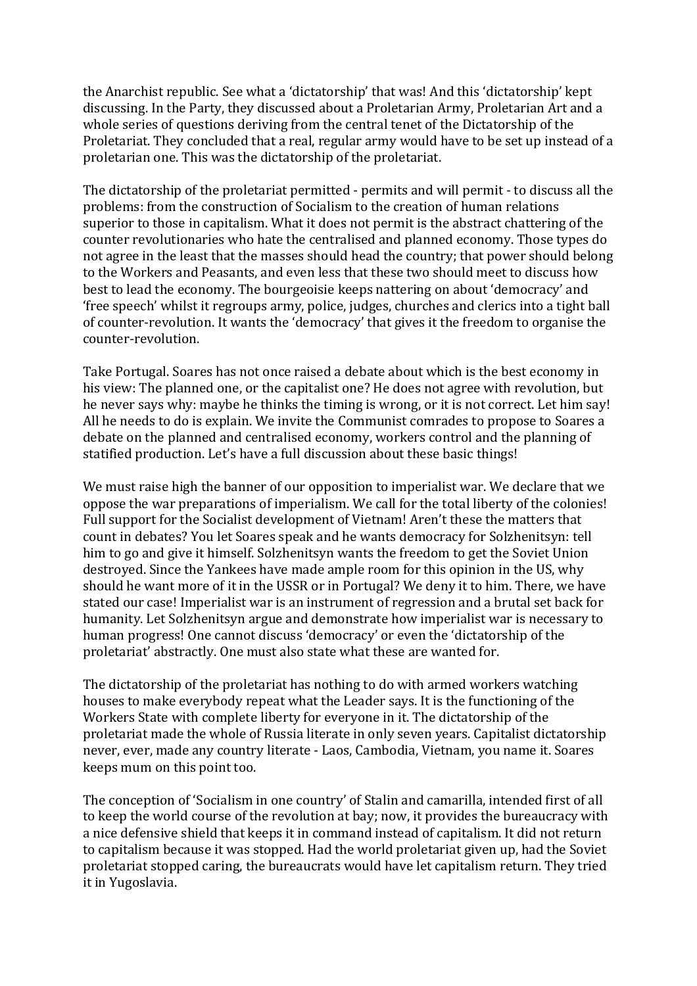the Anarchist republic. See what a 'dictatorship' that was! And this 'dictatorship' kept discussing. In the Party, they discussed about a Proletarian Army, Proletarian Art and a whole series of questions deriving from the central tenet of the Dictatorship of the Proletariat. They concluded that a real, regular army would have to be set up instead of a proletarian one. This was the dictatorship of the proletariat.

The dictatorship of the proletariat permitted - permits and will permit - to discuss all the problems: from the construction of Socialism to the creation of human relations superior to those in capitalism. What it does not permit is the abstract chattering of the counter revolutionaries who hate the centralised and planned economy. Those types do not agree in the least that the masses should head the country; that power should belong to the Workers and Peasants, and even less that these two should meet to discuss how best to lead the economy. The bourgeoisie keeps nattering on about 'democracy' and 'free speech' whilst it regroups army, police, judges, churches and clerics into a tight ball of counter-revolution. It wants the 'democracy' that gives it the freedom to organise the counter-revolution.

Take Portugal. Soares has not once raised a debate about which is the best economy in his view: The planned one, or the capitalist one? He does not agree with revolution, but he never says why: maybe he thinks the timing is wrong, or it is not correct. Let him say! All he needs to do is explain. We invite the Communist comrades to propose to Soares a debate on the planned and centralised economy, workers control and the planning of statified production. Let's have a full discussion about these basic things!

We must raise high the banner of our opposition to imperialist war. We declare that we oppose the war preparations of imperialism. We call for the total liberty of the colonies! Full support for the Socialist development of Vietnam! Aren't these the matters that count in debates? You let Soares speak and he wants democracy for Solzhenitsyn: tell him to go and give it himself. Solzhenitsyn wants the freedom to get the Soviet Union destroyed. Since the Yankees have made ample room for this opinion in the US, why should he want more of it in the USSR or in Portugal? We deny it to him. There, we have stated our case! Imperialist war is an instrument of regression and a brutal set back for humanity. Let Solzhenitsyn argue and demonstrate how imperialist war is necessary to human progress! One cannot discuss 'democracy' or even the 'dictatorship of the proletariat' abstractly. One must also state what these are wanted for.

The dictatorship of the proletariat has nothing to do with armed workers watching houses to make everybody repeat what the Leader says. It is the functioning of the Workers State with complete liberty for everyone in it. The dictatorship of the proletariat made the whole of Russia literate in only seven years. Capitalist dictatorship never, ever, made any country literate - Laos, Cambodia, Vietnam, you name it. Soares keeps mum on this point too.

The conception of 'Socialism in one country' of Stalin and camarilla, intended first of all to keep the world course of the revolution at bay; now, it provides the bureaucracy with a nice defensive shield that keeps it in command instead of capitalism. It did not return to capitalism because it was stopped. Had the world proletariat given up, had the Soviet proletariat stopped caring, the bureaucrats would have let capitalism return. They tried it in Yugoslavia.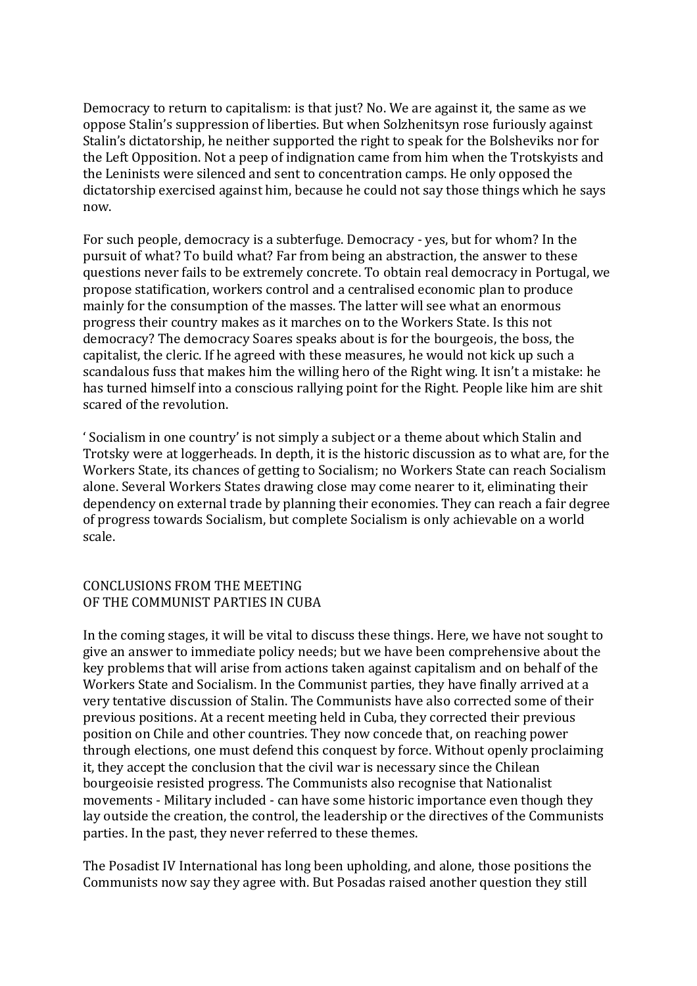Democracy to return to capitalism: is that just? No. We are against it, the same as we oppose Stalin's suppression of liberties. But when Solzhenitsyn rose furiously against Stalin's dictatorship, he neither supported the right to speak for the Bolsheviks nor for the Left Opposition. Not a peep of indignation came from him when the Trotskyists and the Leninists were silenced and sent to concentration camps. He only opposed the dictatorship exercised against him, because he could not say those things which he says now.

For such people, democracy is a subterfuge. Democracy - yes, but for whom? In the pursuit of what? To build what? Far from being an abstraction, the answer to these questions never fails to be extremely concrete. To obtain real democracy in Portugal, we propose statification, workers control and a centralised economic plan to produce mainly for the consumption of the masses. The latter will see what an enormous progress their country makes as it marches on to the Workers State. Is this not democracy? The democracy Soares speaks about is for the bourgeois, the boss, the capitalist, the cleric. If he agreed with these measures, he would not kick up such a scandalous fuss that makes him the willing hero of the Right wing. It isn't a mistake: he has turned himself into a conscious rallying point for the Right. People like him are shit scared of the revolution.

Socialism in one country' is not simply a subject or a theme about which Stalin and Trotsky were at loggerheads. In depth, it is the historic discussion as to what are, for the Workers State, its chances of getting to Socialism; no Workers State can reach Socialism alone. Several Workers States drawing close may come nearer to it, eliminating their dependency on external trade by planning their economies. They can reach a fair degree of progress towards Socialism, but complete Socialism is only achievable on a world scale.

#### CONCLUSIONS FROM THE MEETING OF THE COMMUNIST PARTIES IN CUBA

In the coming stages, it will be vital to discuss these things. Here, we have not sought to give an answer to immediate policy needs; but we have been comprehensive about the key problems that will arise from actions taken against capitalism and on behalf of the Workers State and Socialism. In the Communist parties, they have finally arrived at a very tentative discussion of Stalin. The Communists have also corrected some of their previous positions. At a recent meeting held in Cuba, they corrected their previous position on Chile and other countries. They now concede that, on reaching power through elections, one must defend this conquest by force. Without openly proclaiming it, they accept the conclusion that the civil war is necessary since the Chilean bourgeoisie resisted progress. The Communists also recognise that Nationalist movements - Military included - can have some historic importance even though they lay outside the creation, the control, the leadership or the directives of the Communists parties. In the past, they never referred to these themes.

The Posadist IV International has long been upholding, and alone, those positions the Communists now say they agree with. But Posadas raised another question they still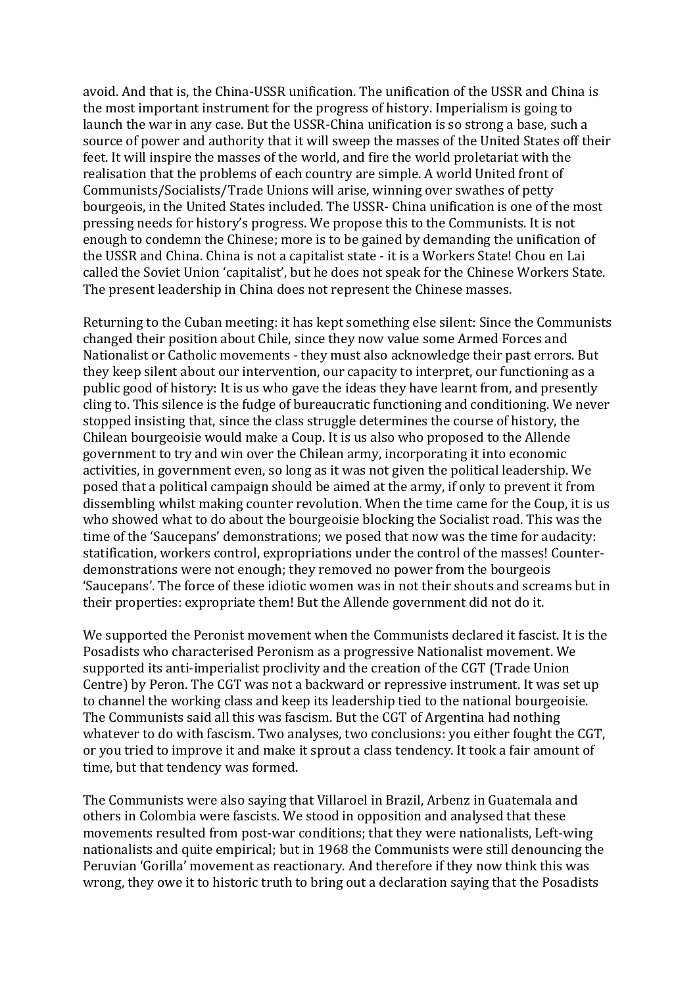avoid. And that is, the China-USSR unification. The unification of the USSR and China is the most important instrument for the progress of history. Imperialism is going to launch the war in any case. But the USSR-China unification is so strong a base, such a source of power and authority that it will sweep the masses of the United States off their feet. It will inspire the masses of the world, and fire the world proletariat with the realisation that the problems of each country are simple. A world United front of Communists/Socialists/Trade Unions will arise, winning over swathes of petty bourgeois, in the United States included. The USSR- China unification is one of the most pressing needs for history's progress. We propose this to the Communists. It is not enough to condemn the Chinese; more is to be gained by demanding the unification of the USSR and China. China is not a capitalist state - it is a Workers State! Chou en Lai called the Soviet Union 'capitalist', but he does not speak for the Chinese Workers State. The present leadership in China does not represent the Chinese masses.

Returning to the Cuban meeting: it has kept something else silent: Since the Communists changed their position about Chile, since they now value some Armed Forces and Nationalist or Catholic movements - they must also acknowledge their past errors. But they keep silent about our intervention, our capacity to interpret, our functioning as a public good of history: It is us who gave the ideas they have learnt from, and presently cling to. This silence is the fudge of bureaucratic functioning and conditioning. We never stopped insisting that, since the class struggle determines the course of history, the Chilean bourgeoisie would make a Coup. It is us also who proposed to the Allende government to try and win over the Chilean army, incorporating it into economic activities, in government even, so long as it was not given the political leadership. We posed that a political campaign should be aimed at the army, if only to prevent it from dissembling whilst making counter revolution. When the time came for the Coup, it is us who showed what to do about the bourgeoisie blocking the Socialist road. This was the time of the 'Saucepans' demonstrations; we posed that now was the time for audacity: statification, workers control, expropriations under the control of the masses! Counterdemonstrations were not enough; they removed no power from the bourgeois 'Saucepans'. The force of these idiotic women was in not their shouts and screams but in their properties: expropriate them! But the Allende government did not do it.

We supported the Peronist movement when the Communists declared it fascist. It is the Posadists who characterised Peronism as a progressive Nationalist movement. We supported its anti-imperialist proclivity and the creation of the CGT (Trade Union Centre) by Peron. The CGT was not a backward or repressive instrument. It was set up to channel the working class and keep its leadership tied to the national bourgeoisie. The Communists said all this was fascism. But the CGT of Argentina had nothing whatever to do with fascism. Two analyses, two conclusions: you either fought the CGT, or you tried to improve it and make it sprout a class tendency. It took a fair amount of time, but that tendency was formed.

The Communists were also saying that Villaroel in Brazil, Arbenz in Guatemala and others in Colombia were fascists. We stood in opposition and analysed that these movements resulted from post-war conditions; that they were nationalists, Left-wing nationalists and quite empirical; but in 1968 the Communists were still denouncing the Peruvian 'Gorilla' movement as reactionary. And therefore if they now think this was wrong, they owe it to historic truth to bring out a declaration saying that the Posadists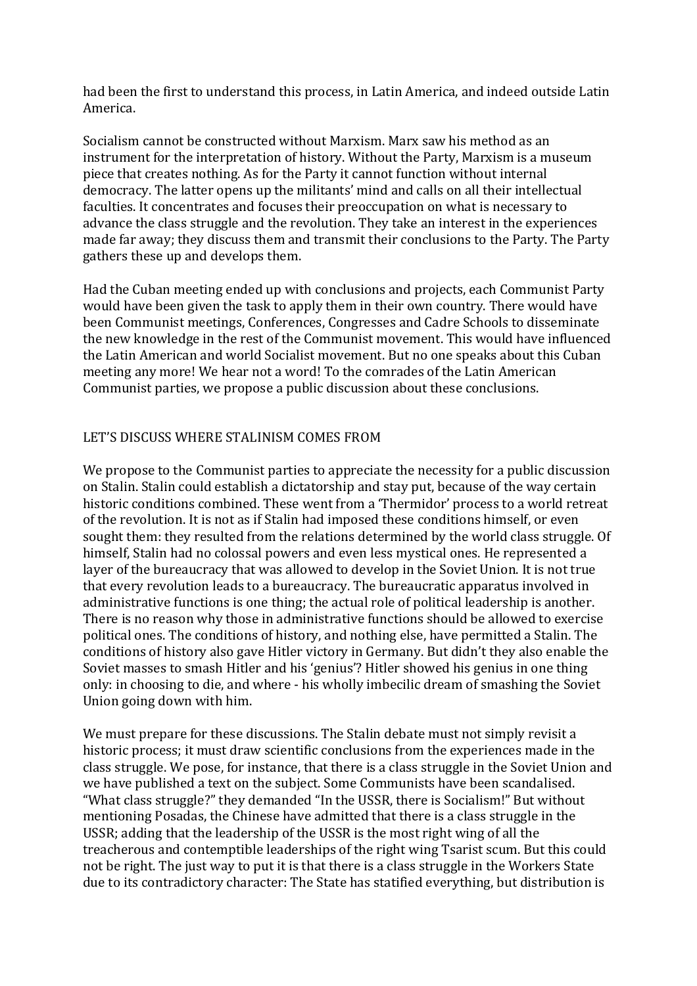had been the first to understand this process, in Latin America, and indeed outside Latin America.

Socialism cannot be constructed without Marxism. Marx saw his method as an instrument for the interpretation of history. Without the Party, Marxism is a museum piece that creates nothing. As for the Party it cannot function without internal democracy. The latter opens up the militants' mind and calls on all their intellectual faculties. It concentrates and focuses their preoccupation on what is necessary to advance the class struggle and the revolution. They take an interest in the experiences made far away; they discuss them and transmit their conclusions to the Party. The Party gathers these up and develops them.

Had the Cuban meeting ended up with conclusions and projects, each Communist Party would have been given the task to apply them in their own country. There would have been Communist meetings, Conferences, Congresses and Cadre Schools to disseminate the new knowledge in the rest of the Communist movement. This would have influenced the Latin American and world Socialist movement. But no one speaks about this Cuban meeting any more! We hear not a word! To the comrades of the Latin American Communist parties, we propose a public discussion about these conclusions.

## LET'S DISCUSS WHERE STALINISM COMES FROM

We propose to the Communist parties to appreciate the necessity for a public discussion on Stalin. Stalin could establish a dictatorship and stay put, because of the way certain historic conditions combined. These went from a 'Thermidor' process to a world retreat of the revolution. It is not as if Stalin had imposed these conditions himself, or even sought them: they resulted from the relations determined by the world class struggle. Of himself, Stalin had no colossal powers and even less mystical ones. He represented a layer of the bureaucracy that was allowed to develop in the Soviet Union. It is not true that every revolution leads to a bureaucracy. The bureaucratic apparatus involved in administrative functions is one thing; the actual role of political leadership is another. There is no reason why those in administrative functions should be allowed to exercise political ones. The conditions of history, and nothing else, have permitted a Stalin. The conditions of history also gave Hitler victory in Germany. But didn't they also enable the Soviet masses to smash Hitler and his 'genius'? Hitler showed his genius in one thing only: in choosing to die, and where - his wholly imbecilic dream of smashing the Soviet Union going down with him.

We must prepare for these discussions. The Stalin debate must not simply revisit a historic process; it must draw scientific conclusions from the experiences made in the class struggle. We pose, for instance, that there is a class struggle in the Soviet Union and we have published a text on the subject. Some Communists have been scandalised. "What class struggle?" they demanded "In the USSR, there is Socialism!" But without mentioning Posadas, the Chinese have admitted that there is a class struggle in the USSR; adding that the leadership of the USSR is the most right wing of all the treacherous and contemptible leaderships of the right wing Tsarist scum. But this could not be right. The just way to put it is that there is a class struggle in the Workers State due to its contradictory character: The State has statified everything, but distribution is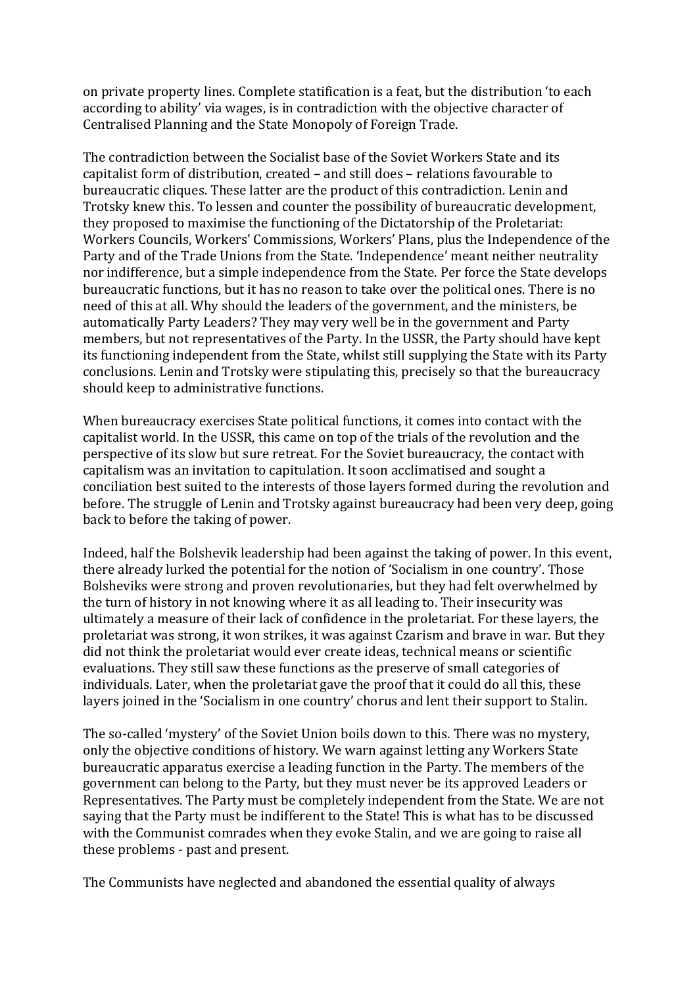on private property lines. Complete statification is a feat, but the distribution 'to each according to ability' via wages, is in contradiction with the objective character of Centralised Planning and the State Monopoly of Foreign Trade.

The contradiction between the Socialist base of the Soviet Workers State and its capitalist form of distribution, created – and still does – relations favourable to bureaucratic cliques. These latter are the product of this contradiction. Lenin and Trotsky knew this. To lessen and counter the possibility of bureaucratic development, they proposed to maximise the functioning of the Dictatorship of the Proletariat: Workers Councils, Workers' Commissions, Workers' Plans, plus the Independence of the Party and of the Trade Unions from the State. 'Independence' meant neither neutrality nor indifference, but a simple independence from the State. Per force the State develops bureaucratic functions, but it has no reason to take over the political ones. There is no need of this at all. Why should the leaders of the government, and the ministers, be automatically Party Leaders? They may very well be in the government and Party members, but not representatives of the Party. In the USSR, the Party should have kept its functioning independent from the State, whilst still supplying the State with its Party conclusions. Lenin and Trotsky were stipulating this, precisely so that the bureaucracy should keep to administrative functions.

When bureaucracy exercises State political functions, it comes into contact with the capitalist world. In the USSR, this came on top of the trials of the revolution and the perspective of its slow but sure retreat. For the Soviet bureaucracy, the contact with capitalism was an invitation to capitulation. It soon acclimatised and sought a conciliation best suited to the interests of those layers formed during the revolution and before. The struggle of Lenin and Trotsky against bureaucracy had been very deep, going back to before the taking of power.

Indeed, half the Bolshevik leadership had been against the taking of power. In this event, there already lurked the potential for the notion of 'Socialism in one country'. Those Bolsheviks were strong and proven revolutionaries, but they had felt overwhelmed by the turn of history in not knowing where it as all leading to. Their insecurity was ultimately a measure of their lack of confidence in the proletariat. For these layers, the proletariat was strong, it won strikes, it was against Czarism and brave in war. But they did not think the proletariat would ever create ideas, technical means or scientific evaluations. They still saw these functions as the preserve of small categories of individuals. Later, when the proletariat gave the proof that it could do all this, these layers joined in the 'Socialism in one country' chorus and lent their support to Stalin.

The so-called 'mystery' of the Soviet Union boils down to this. There was no mystery, only the objective conditions of history. We warn against letting any Workers State bureaucratic apparatus exercise a leading function in the Party. The members of the government can belong to the Party, but they must never be its approved Leaders or Representatives. The Party must be completely independent from the State. We are not saying that the Party must be indifferent to the State! This is what has to be discussed with the Communist comrades when they evoke Stalin, and we are going to raise all these problems - past and present.

The Communists have neglected and abandoned the essential quality of always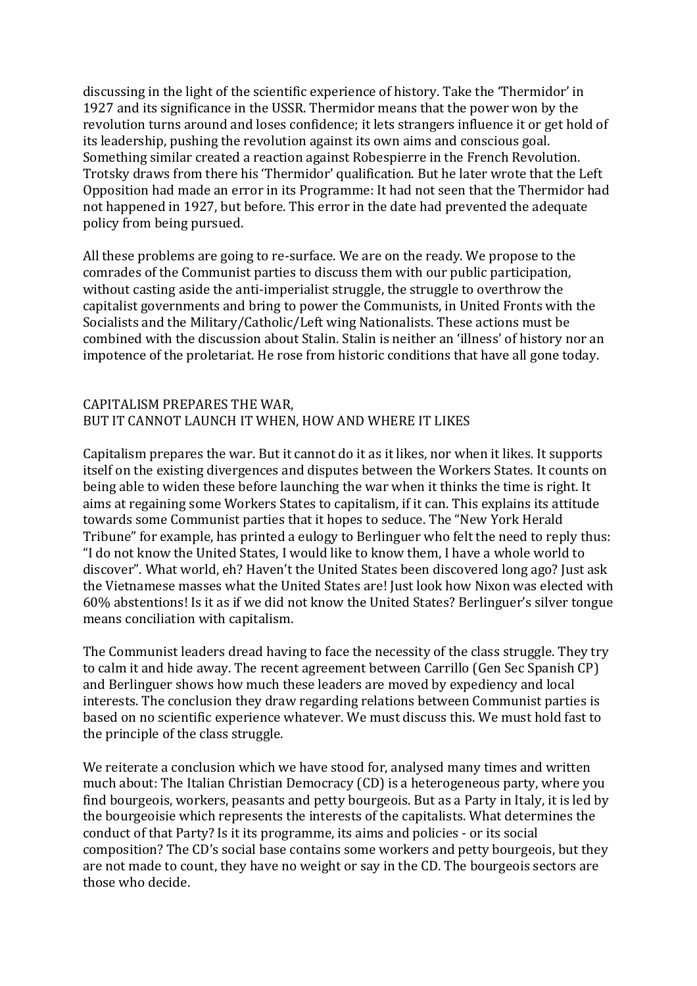discussing in the light of the scientific experience of history. Take the 'Thermidor' in 1927 and its significance in the USSR. Thermidor means that the power won by the revolution turns around and loses confidence; it lets strangers influence it or get hold of its leadership, pushing the revolution against its own aims and conscious goal. Something similar created a reaction against Robespierre in the French Revolution. Trotsky draws from there his 'Thermidor' qualification. But he later wrote that the Left Opposition had made an error in its Programme: It had not seen that the Thermidor had not happened in 1927, but before. This error in the date had prevented the adequate policy from being pursued.

All these problems are going to re-surface. We are on the ready. We propose to the comrades of the Communist parties to discuss them with our public participation, without casting aside the anti-imperialist struggle, the struggle to overthrow the capitalist governments and bring to power the Communists, in United Fronts with the Socialists and the Military/Catholic/Left wing Nationalists. These actions must be combined with the discussion about Stalin. Stalin is neither an 'illness' of history nor an impotence of the proletariat. He rose from historic conditions that have all gone today.

### CAPITALISM PREPARES THE WAR. BUT IT CANNOT LAUNCH IT WHEN, HOW AND WHERE IT LIKES

Capitalism prepares the war. But it cannot do it as it likes, nor when it likes. It supports itself on the existing divergences and disputes between the Workers States. It counts on being able to widen these before launching the war when it thinks the time is right. It aims at regaining some Workers States to capitalism, if it can. This explains its attitude towards some Communist parties that it hopes to seduce. The "New York Herald Tribune" for example, has printed a eulogy to Berlinguer who felt the need to reply thus: "I do not know the United States, I would like to know them, I have a whole world to discover". What world, eh? Haven't the United States been discovered long ago? Just ask the Vietnamese masses what the United States are! Just look how Nixon was elected with 60% abstentions! Is it as if we did not know the United States? Berlinguer's silver tongue means conciliation with capitalism.

The Communist leaders dread having to face the necessity of the class struggle. They try to calm it and hide away. The recent agreement between Carrillo (Gen Sec Spanish CP) and Berlinguer shows how much these leaders are moved by expediency and local interests. The conclusion they draw regarding relations between Communist parties is based on no scientific experience whatever. We must discuss this. We must hold fast to the principle of the class struggle.

We reiterate a conclusion which we have stood for, analysed many times and written much about: The Italian Christian Democracy (CD) is a heterogeneous party, where you find bourgeois, workers, peasants and petty bourgeois. But as a Party in Italy, it is led by the bourgeoisie which represents the interests of the capitalists. What determines the conduct of that Party? Is it its programme, its aims and policies - or its social composition? The CD's social base contains some workers and petty bourgeois, but they are not made to count, they have no weight or say in the CD. The bourgeois sectors are those who decide.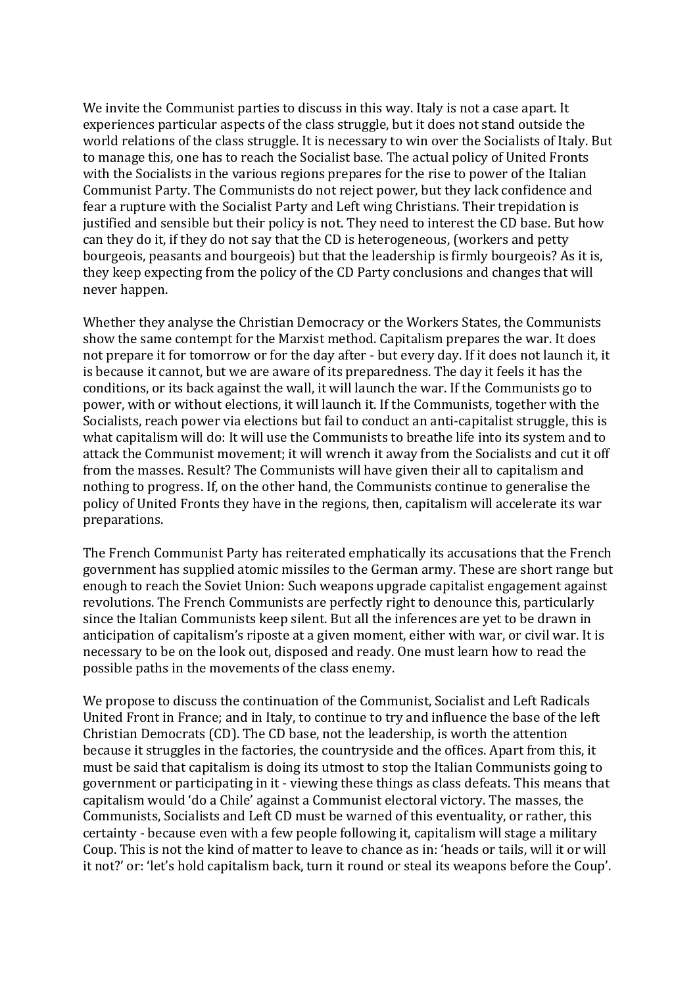We invite the Communist parties to discuss in this way. Italy is not a case apart. It experiences particular aspects of the class struggle, but it does not stand outside the world relations of the class struggle. It is necessary to win over the Socialists of Italy. But to manage this, one has to reach the Socialist base. The actual policy of United Fronts with the Socialists in the various regions prepares for the rise to power of the Italian Communist Party. The Communists do not reject power, but they lack confidence and fear a rupture with the Socialist Party and Left wing Christians. Their trepidation is justified and sensible but their policy is not. They need to interest the CD base. But how can they do it, if they do not say that the CD is heterogeneous, (workers and petty bourgeois, peasants and bourgeois) but that the leadership is firmly bourgeois? As it is, they keep expecting from the policy of the CD Party conclusions and changes that will never happen.

Whether they analyse the Christian Democracy or the Workers States, the Communists show the same contempt for the Marxist method. Capitalism prepares the war. It does not prepare it for tomorrow or for the day after - but every day. If it does not launch it, it is because it cannot, but we are aware of its preparedness. The day it feels it has the conditions, or its back against the wall, it will launch the war. If the Communists go to power, with or without elections, it will launch it. If the Communists, together with the Socialists, reach power via elections but fail to conduct an anti-capitalist struggle, this is what capitalism will do: It will use the Communists to breathe life into its system and to attack the Communist movement; it will wrench it away from the Socialists and cut it off from the masses. Result? The Communists will have given their all to capitalism and nothing to progress. If, on the other hand, the Communists continue to generalise the policy of United Fronts they have in the regions, then, capitalism will accelerate its war preparations.

The French Communist Party has reiterated emphatically its accusations that the French government has supplied atomic missiles to the German army. These are short range but enough to reach the Soviet Union: Such weapons upgrade capitalist engagement against revolutions. The French Communists are perfectly right to denounce this, particularly since the Italian Communists keep silent. But all the inferences are yet to be drawn in anticipation of capitalism's riposte at a given moment, either with war, or civil war. It is necessary to be on the look out, disposed and ready. One must learn how to read the possible paths in the movements of the class enemy.

We propose to discuss the continuation of the Communist, Socialist and Left Radicals United Front in France; and in Italy, to continue to try and influence the base of the left Christian Democrats (CD). The CD base, not the leadership, is worth the attention because it struggles in the factories, the countryside and the offices. Apart from this, it must be said that capitalism is doing its utmost to stop the Italian Communists going to government or participating in it - viewing these things as class defeats. This means that capitalism would 'do a Chile' against a Communist electoral victory. The masses, the Communists, Socialists and Left CD must be warned of this eventuality, or rather, this certainty - because even with a few people following it, capitalism will stage a military Coup. This is not the kind of matter to leave to chance as in: 'heads or tails, will it or will it not?' or: 'let's hold capitalism back, turn it round or steal its weapons before the Coup'.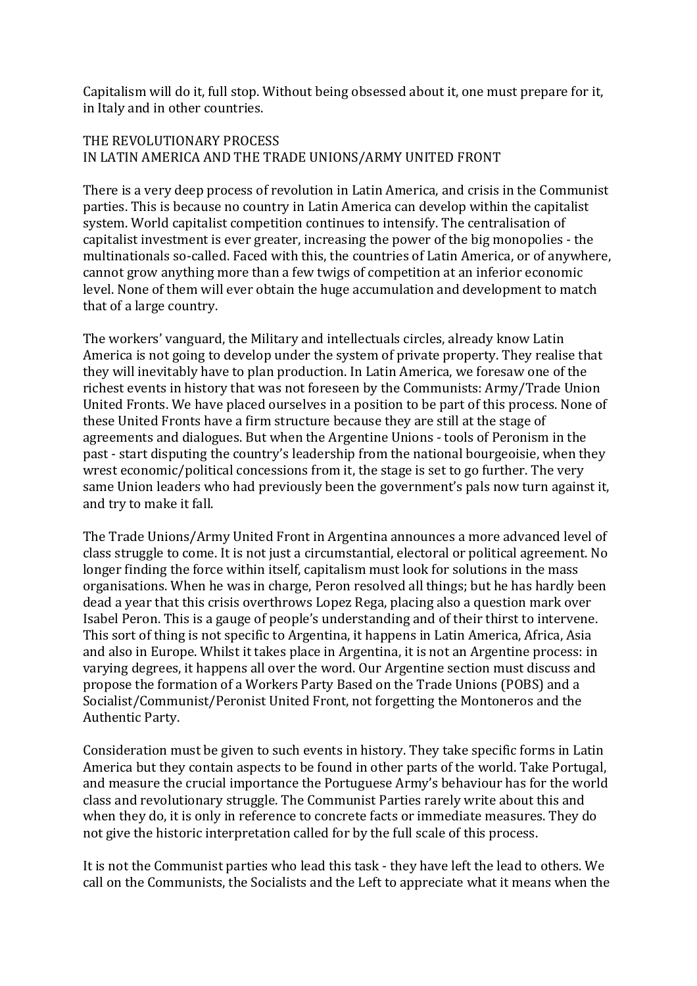Capitalism will do it, full stop. Without being obsessed about it, one must prepare for it, in Italy and in other countries.

## THE REVOLUTIONARY PROCESS IN LATIN AMERICA AND THE TRADE UNIONS/ARMY UNITED FRONT

There is a very deep process of revolution in Latin America, and crisis in the Communist parties. This is because no country in Latin America can develop within the capitalist system. World capitalist competition continues to intensify. The centralisation of capitalist investment is ever greater, increasing the power of the big monopolies - the multinationals so-called. Faced with this, the countries of Latin America, or of anywhere, cannot grow anything more than a few twigs of competition at an inferior economic level. None of them will ever obtain the huge accumulation and development to match that of a large country.

The workers' vanguard, the Military and intellectuals circles, already know Latin America is not going to develop under the system of private property. They realise that they will inevitably have to plan production. In Latin America, we foresaw one of the richest events in history that was not foreseen by the Communists: Army/Trade Union United Fronts. We have placed ourselves in a position to be part of this process. None of these United Fronts have a firm structure because they are still at the stage of agreements and dialogues. But when the Argentine Unions - tools of Peronism in the past - start disputing the country's leadership from the national bourgeoisie, when they wrest economic/political concessions from it, the stage is set to go further. The very same Union leaders who had previously been the government's pals now turn against it, and try to make it fall.

The Trade Unions/Army United Front in Argentina announces a more advanced level of class struggle to come. It is not just a circumstantial, electoral or political agreement. No longer finding the force within itself, capitalism must look for solutions in the mass organisations. When he was in charge, Peron resolved all things; but he has hardly been dead a year that this crisis overthrows Lopez Rega, placing also a question mark over Isabel Peron. This is a gauge of people's understanding and of their thirst to intervene. This sort of thing is not specific to Argentina, it happens in Latin America, Africa, Asia and also in Europe. Whilst it takes place in Argentina, it is not an Argentine process: in varying degrees, it happens all over the word. Our Argentine section must discuss and propose the formation of a Workers Party Based on the Trade Unions (POBS) and a Socialist/Communist/Peronist United Front, not forgetting the Montoneros and the Authentic Party.

Consideration must be given to such events in history. They take specific forms in Latin America but they contain aspects to be found in other parts of the world. Take Portugal, and measure the crucial importance the Portuguese Army's behaviour has for the world class and revolutionary struggle. The Communist Parties rarely write about this and when they do, it is only in reference to concrete facts or immediate measures. They do not give the historic interpretation called for by the full scale of this process.

It is not the Communist parties who lead this task - they have left the lead to others. We call on the Communists, the Socialists and the Left to appreciate what it means when the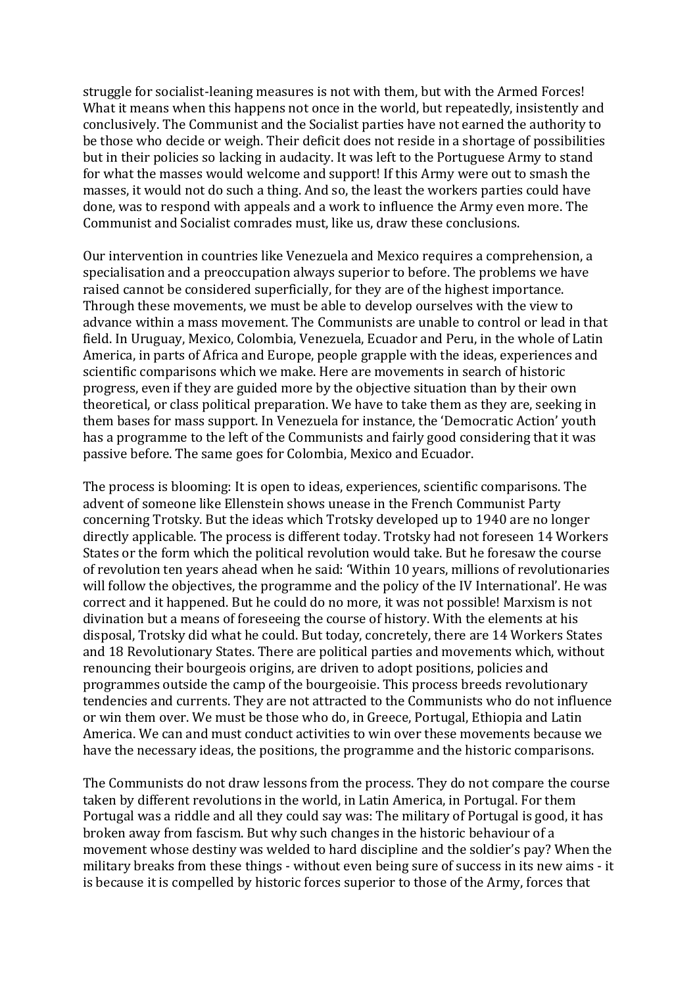struggle for socialist-leaning measures is not with them, but with the Armed Forces! What it means when this happens not once in the world, but repeatedly, insistently and conclusively. The Communist and the Socialist parties have not earned the authority to be those who decide or weigh. Their deficit does not reside in a shortage of possibilities but in their policies so lacking in audacity. It was left to the Portuguese Army to stand for what the masses would welcome and support! If this Army were out to smash the masses, it would not do such a thing. And so, the least the workers parties could have done, was to respond with appeals and a work to influence the Army even more. The Communist and Socialist comrades must, like us, draw these conclusions.

Our intervention in countries like Venezuela and Mexico requires a comprehension, a specialisation and a preoccupation always superior to before. The problems we have raised cannot be considered superficially, for they are of the highest importance. Through these movements, we must be able to develop ourselves with the view to advance within a mass movement. The Communists are unable to control or lead in that field. In Uruguay, Mexico, Colombia, Venezuela, Ecuador and Peru, in the whole of Latin America, in parts of Africa and Europe, people grapple with the ideas, experiences and scientific comparisons which we make. Here are movements in search of historic progress, even if they are guided more by the objective situation than by their own theoretical, or class political preparation. We have to take them as they are, seeking in them bases for mass support. In Venezuela for instance, the 'Democratic Action' youth has a programme to the left of the Communists and fairly good considering that it was passive before. The same goes for Colombia, Mexico and Ecuador.

The process is blooming: It is open to ideas, experiences, scientific comparisons. The advent of someone like Ellenstein shows unease in the French Communist Party concerning Trotsky. But the ideas which Trotsky developed up to 1940 are no longer directly applicable. The process is different today. Trotsky had not foreseen 14 Workers States or the form which the political revolution would take. But he foresaw the course of revolution ten years ahead when he said: 'Within 10 years, millions of revolutionaries will follow the objectives, the programme and the policy of the IV International'. He was correct and it happened. But he could do no more, it was not possible! Marxism is not divination but a means of foreseeing the course of history. With the elements at his disposal, Trotsky did what he could. But today, concretely, there are 14 Workers States and 18 Revolutionary States. There are political parties and movements which, without renouncing their bourgeois origins, are driven to adopt positions, policies and programmes outside the camp of the bourgeoisie. This process breeds revolutionary tendencies and currents. They are not attracted to the Communists who do not influence or win them over. We must be those who do, in Greece, Portugal, Ethiopia and Latin America. We can and must conduct activities to win over these movements because we have the necessary ideas, the positions, the programme and the historic comparisons.

The Communists do not draw lessons from the process. They do not compare the course taken by different revolutions in the world, in Latin America, in Portugal. For them Portugal was a riddle and all they could say was: The military of Portugal is good, it has broken away from fascism. But why such changes in the historic behaviour of a movement whose destiny was welded to hard discipline and the soldier's pay? When the military breaks from these things - without even being sure of success in its new aims - it is because it is compelled by historic forces superior to those of the Army, forces that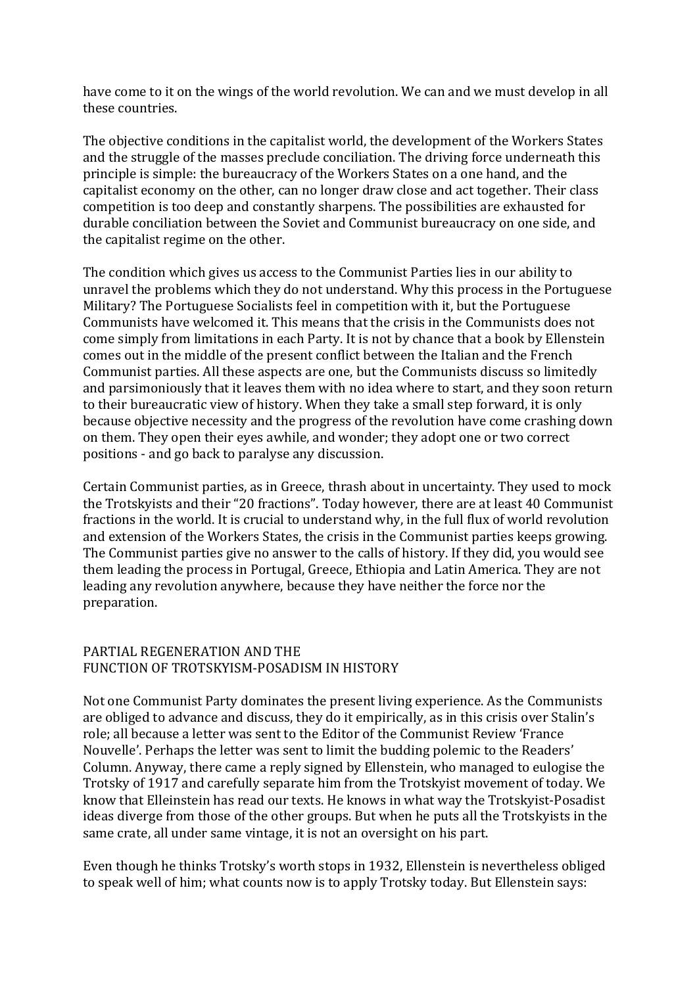have come to it on the wings of the world revolution. We can and we must develop in all these countries.

The objective conditions in the capitalist world, the development of the Workers States and the struggle of the masses preclude conciliation. The driving force underneath this principle is simple: the bureaucracy of the Workers States on a one hand, and the capitalist economy on the other, can no longer draw close and act together. Their class competition is too deep and constantly sharpens. The possibilities are exhausted for durable conciliation between the Soviet and Communist bureaucracy on one side, and the capitalist regime on the other.

The condition which gives us access to the Communist Parties lies in our ability to unravel the problems which they do not understand. Why this process in the Portuguese Military? The Portuguese Socialists feel in competition with it, but the Portuguese Communists have welcomed it. This means that the crisis in the Communists does not come simply from limitations in each Party. It is not by chance that a book by Ellenstein comes out in the middle of the present conflict between the Italian and the French Communist parties. All these aspects are one, but the Communists discuss so limitedly and parsimoniously that it leaves them with no idea where to start, and they soon return to their bureaucratic view of history. When they take a small step forward, it is only because objective necessity and the progress of the revolution have come crashing down on them. They open their eyes awhile, and wonder; they adopt one or two correct positions - and go back to paralyse any discussion.

Certain Communist parties, as in Greece, thrash about in uncertainty. They used to mock the Trotskyists and their "20 fractions". Today however, there are at least 40 Communist fractions in the world. It is crucial to understand why, in the full flux of world revolution and extension of the Workers States, the crisis in the Communist parties keeps growing. The Communist parties give no answer to the calls of history. If they did, you would see them leading the process in Portugal, Greece, Ethiopia and Latin America. They are not leading any revolution anywhere, because they have neither the force nor the preparation.

#### PARTIAL REGENERATION AND THE FUNCTION OF TROTSKYISM-POSADISM IN HISTORY

Not one Communist Party dominates the present living experience. As the Communists are obliged to advance and discuss, they do it empirically, as in this crisis over Stalin's role; all because a letter was sent to the Editor of the Communist Review 'France Nouvelle'. Perhaps the letter was sent to limit the budding polemic to the Readers' Column. Anyway, there came a reply signed by Ellenstein, who managed to eulogise the Trotsky of 1917 and carefully separate him from the Trotskyist movement of today. We know that Elleinstein has read our texts. He knows in what way the Trotskyist-Posadist ideas diverge from those of the other groups. But when he puts all the Trotskyists in the same crate, all under same vintage, it is not an oversight on his part.

Even though he thinks Trotsky's worth stops in 1932. Ellenstein is nevertheless obliged to speak well of him; what counts now is to apply Trotsky today. But Ellenstein says: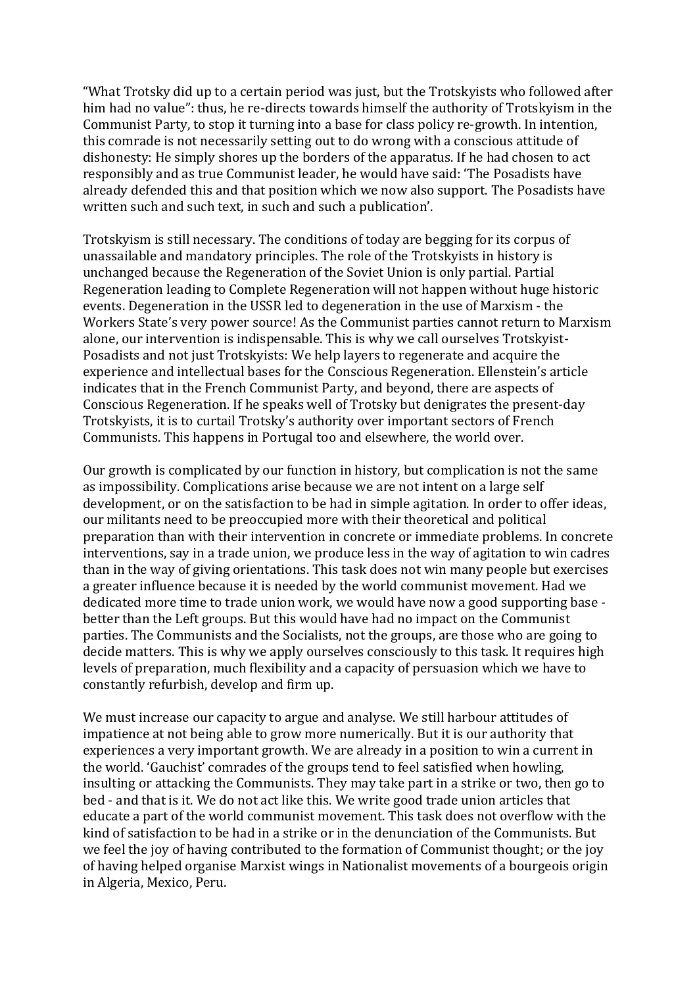"What Trotsky did up to a certain period was just, but the Trotskyists who followed after him had no value": thus, he re-directs towards himself the authority of Trotskyism in the Communist Party, to stop it turning into a base for class policy re-growth. In intention, this comrade is not necessarily setting out to do wrong with a conscious attitude of dishonesty: He simply shores up the borders of the apparatus. If he had chosen to act responsibly and as true Communist leader, he would have said: 'The Posadists have already defended this and that position which we now also support. The Posadists have written such and such text, in such and such a publication'.

Trotskyism is still necessary. The conditions of today are begging for its corpus of unassailable and mandatory principles. The role of the Trotskyists in history is unchanged because the Regeneration of the Soviet Union is only partial. Partial Regeneration leading to Complete Regeneration will not happen without huge historic events. Degeneration in the USSR led to degeneration in the use of Marxism - the Workers State's very power source! As the Communist parties cannot return to Marxism alone, our intervention is indispensable. This is why we call ourselves Trotskyist-Posadists and not just Trotskyists: We help layers to regenerate and acquire the experience and intellectual bases for the Conscious Regeneration. Ellenstein's article indicates that in the French Communist Party, and beyond, there are aspects of Conscious Regeneration. If he speaks well of Trotsky but denigrates the present-day Trotskyists, it is to curtail Trotsky's authority over important sectors of French Communists. This happens in Portugal too and elsewhere, the world over.

Our growth is complicated by our function in history, but complication is not the same as impossibility. Complications arise because we are not intent on a large self development, or on the satisfaction to be had in simple agitation. In order to offer ideas, our militants need to be preoccupied more with their theoretical and political preparation than with their intervention in concrete or immediate problems. In concrete interventions, say in a trade union, we produce less in the way of agitation to win cadres than in the way of giving orientations. This task does not win many people but exercises a greater influence because it is needed by the world communist movement. Had we dedicated more time to trade union work, we would have now a good supporting base better than the Left groups. But this would have had no impact on the Communist parties. The Communists and the Socialists, not the groups, are those who are going to decide matters. This is why we apply ourselves consciously to this task. It requires high levels of preparation, much flexibility and a capacity of persuasion which we have to constantly refurbish, develop and firm up.

We must increase our capacity to argue and analyse. We still harbour attitudes of impatience at not being able to grow more numerically. But it is our authority that experiences a very important growth. We are already in a position to win a current in the world. 'Gauchist' comrades of the groups tend to feel satisfied when howling, insulting or attacking the Communists. They may take part in a strike or two, then go to bed - and that is it. We do not act like this. We write good trade union articles that educate a part of the world communist movement. This task does not overflow with the kind of satisfaction to be had in a strike or in the denunciation of the Communists. But we feel the joy of having contributed to the formation of Communist thought; or the joy of having helped organise Marxist wings in Nationalist movements of a bourgeois origin in Algeria, Mexico, Peru.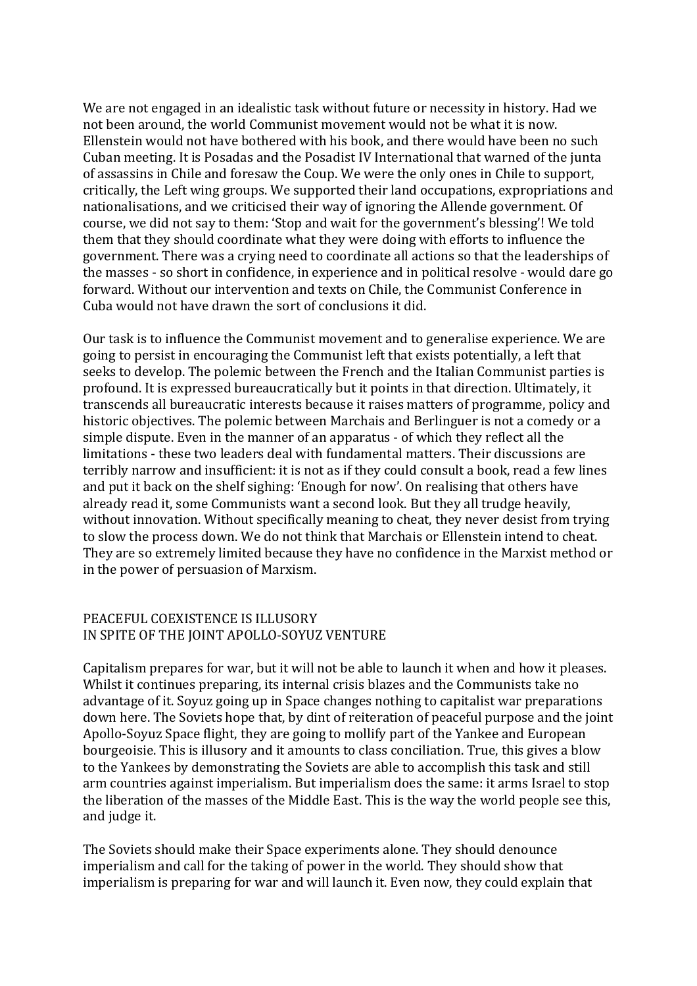We are not engaged in an idealistic task without future or necessity in history. Had we not been around, the world Communist movement would not be what it is now. Ellenstein would not have bothered with his book, and there would have been no such Cuban meeting. It is Posadas and the Posadist IV International that warned of the junta of assassins in Chile and foresaw the Coup. We were the only ones in Chile to support, critically, the Left wing groups. We supported their land occupations, expropriations and nationalisations, and we criticised their way of ignoring the Allende government. Of course, we did not say to them: 'Stop and wait for the government's blessing'! We told them that they should coordinate what they were doing with efforts to influence the government. There was a crying need to coordinate all actions so that the leaderships of the masses - so short in confidence, in experience and in political resolve - would dare go forward. Without our intervention and texts on Chile, the Communist Conference in Cuba would not have drawn the sort of conclusions it did.

Our task is to influence the Communist movement and to generalise experience. We are going to persist in encouraging the Communist left that exists potentially, a left that seeks to develop. The polemic between the French and the Italian Communist parties is profound. It is expressed bureaucratically but it points in that direction. Ultimately, it transcends all bureaucratic interests because it raises matters of programme, policy and historic objectives. The polemic between Marchais and Berlinguer is not a comedy or a simple dispute. Even in the manner of an apparatus - of which they reflect all the limitations - these two leaders deal with fundamental matters. Their discussions are terribly narrow and insufficient: it is not as if they could consult a book, read a few lines and put it back on the shelf sighing: 'Enough for now'. On realising that others have already read it, some Communists want a second look. But they all trudge heavily, without innovation. Without specifically meaning to cheat, they never desist from trying to slow the process down. We do not think that Marchais or Ellenstein intend to cheat. They are so extremely limited because they have no confidence in the Marxist method or in the power of persuasion of Marxism.

#### PEACEFUL COEXISTENCE IS ILLUSORY IN SPITE OF THE JOINT APOLLO-SOYUZ VENTURE

Capitalism prepares for war, but it will not be able to launch it when and how it pleases. Whilst it continues preparing, its internal crisis blazes and the Communists take no advantage of it. Soyuz going up in Space changes nothing to capitalist war preparations down here. The Soviets hope that, by dint of reiteration of peaceful purpose and the joint Apollo-Soyuz Space flight, they are going to mollify part of the Yankee and European bourgeoisie. This is illusory and it amounts to class conciliation. True, this gives a blow to the Yankees by demonstrating the Soviets are able to accomplish this task and still arm countries against imperialism. But imperialism does the same: it arms Israel to stop the liberation of the masses of the Middle East. This is the way the world people see this, and judge it.

The Soviets should make their Space experiments alone. They should denounce imperialism and call for the taking of power in the world. They should show that imperialism is preparing for war and will launch it. Even now, they could explain that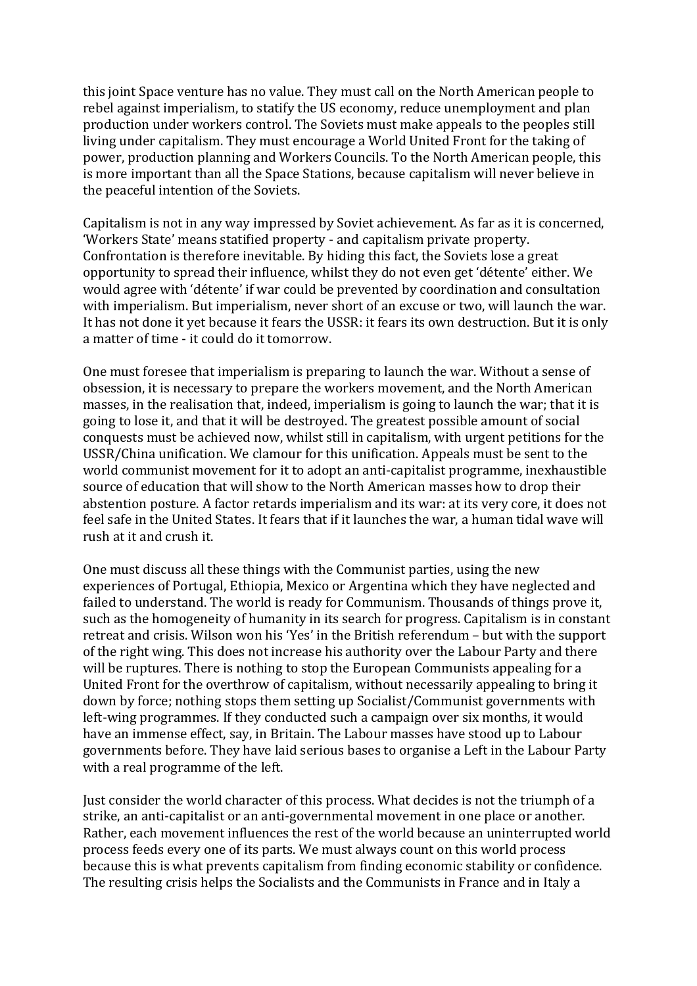this joint Space venture has no value. They must call on the North American people to rebel against imperialism, to statify the US economy, reduce unemployment and plan production under workers control. The Soviets must make appeals to the peoples still living under capitalism. They must encourage a World United Front for the taking of power, production planning and Workers Councils. To the North American people, this is more important than all the Space Stations, because capitalism will never believe in the peaceful intention of the Soviets.

Capitalism is not in any way impressed by Soviet achievement. As far as it is concerned, 'Workers State' means statified property - and capitalism private property. Confrontation is therefore inevitable. By hiding this fact, the Soviets lose a great opportunity to spread their influence, whilst they do not even get 'détente' either. We would agree with 'détente' if war could be prevented by coordination and consultation with imperialism. But imperialism, never short of an excuse or two, will launch the war. It has not done it vet because it fears the USSR: it fears its own destruction. But it is only a matter of time - it could do it tomorrow.

One must foresee that imperialism is preparing to launch the war. Without a sense of obsession, it is necessary to prepare the workers movement, and the North American masses, in the realisation that, indeed, imperialism is going to launch the war; that it is going to lose it, and that it will be destroyed. The greatest possible amount of social conquests must be achieved now, whilst still in capitalism, with urgent petitions for the USSR/China unification. We clamour for this unification. Appeals must be sent to the world communist movement for it to adopt an anti-capitalist programme, inexhaustible source of education that will show to the North American masses how to drop their abstention posture. A factor retards imperialism and its war: at its very core, it does not feel safe in the United States. It fears that if it launches the war, a human tidal wave will rush at it and crush it.

One must discuss all these things with the Communist parties, using the new experiences of Portugal, Ethiopia, Mexico or Argentina which they have neglected and failed to understand. The world is ready for Communism. Thousands of things prove it, such as the homogeneity of humanity in its search for progress. Capitalism is in constant retreat and crisis. Wilson won his 'Yes' in the British referendum – but with the support of the right wing. This does not increase his authority over the Labour Party and there will be ruptures. There is nothing to stop the European Communists appealing for a United Front for the overthrow of capitalism, without necessarily appealing to bring it down by force; nothing stops them setting up Socialist/Communist governments with left-wing programmes. If they conducted such a campaign over six months, it would have an immense effect, say, in Britain. The Labour masses have stood up to Labour governments before. They have laid serious bases to organise a Left in the Labour Party with a real programme of the left.

Just consider the world character of this process. What decides is not the triumph of a strike, an anti-capitalist or an anti-governmental movement in one place or another. Rather, each movement influences the rest of the world because an uninterrupted world process feeds every one of its parts. We must always count on this world process because this is what prevents capitalism from finding economic stability or confidence. The resulting crisis helps the Socialists and the Communists in France and in Italy a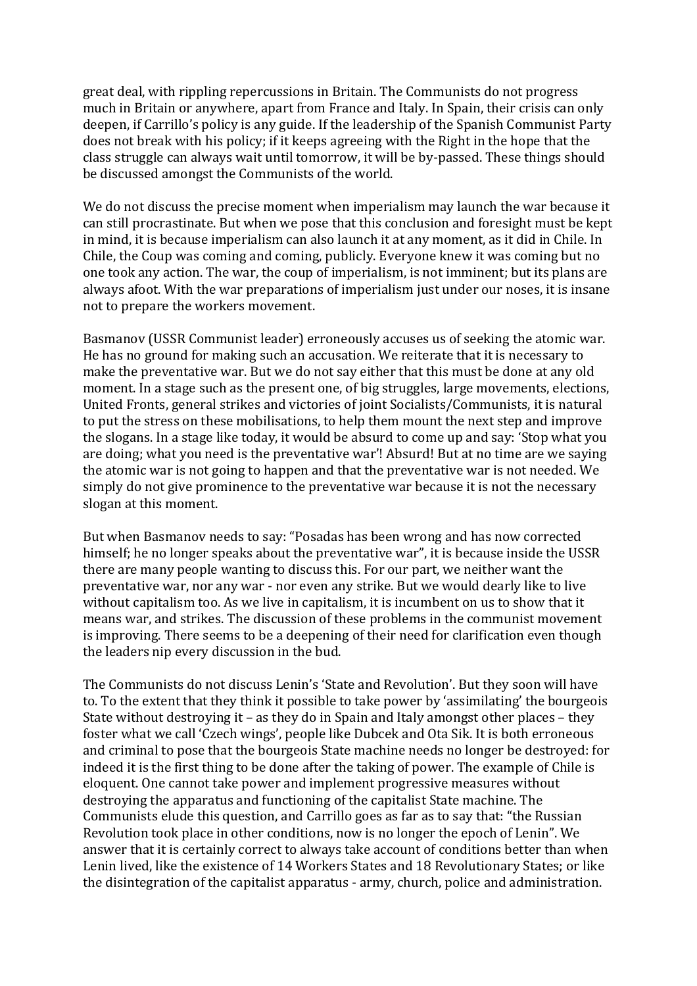great deal, with rippling repercussions in Britain. The Communists do not progress much in Britain or anywhere, apart from France and Italy. In Spain, their crisis can only deepen, if Carrillo's policy is any guide. If the leadership of the Spanish Communist Party does not break with his policy; if it keeps agreeing with the Right in the hope that the class struggle can always wait until tomorrow, it will be by-passed. These things should be discussed amongst the Communists of the world.

We do not discuss the precise moment when imperialism may launch the war because it can still procrastinate. But when we pose that this conclusion and foresight must be kept in mind, it is because imperialism can also launch it at any moment, as it did in Chile. In Chile, the Coup was coming and coming, publicly. Everyone knew it was coming but no one took any action. The war, the coup of imperialism, is not imminent; but its plans are always afoot. With the war preparations of imperialism just under our noses, it is insane not to prepare the workers movement.

Basmanov (USSR Communist leader) erroneously accuses us of seeking the atomic war. He has no ground for making such an accusation. We reiterate that it is necessary to make the preventative war. But we do not say either that this must be done at any old moment. In a stage such as the present one, of big struggles, large movements, elections, United Fronts, general strikes and victories of joint Socialists/Communists, it is natural to put the stress on these mobilisations, to help them mount the next step and improve the slogans. In a stage like today, it would be absurd to come up and say: 'Stop what you are doing; what you need is the preventative war'! Absurd! But at no time are we saying the atomic war is not going to happen and that the preventative war is not needed. We simply do not give prominence to the preventative war because it is not the necessary slogan at this moment.

But when Basmanov needs to say: "Posadas has been wrong and has now corrected himself; he no longer speaks about the preventative war", it is because inside the USSR there are many people wanting to discuss this. For our part, we neither want the preventative war, nor any war - nor even any strike. But we would dearly like to live without capitalism too. As we live in capitalism, it is incumbent on us to show that it means war, and strikes. The discussion of these problems in the communist movement is improving. There seems to be a deepening of their need for clarification even though the leaders nip every discussion in the bud.

The Communists do not discuss Lenin's 'State and Revolution'. But they soon will have to. To the extent that they think it possible to take power by 'assimilating' the bourgeois State without destroying it – as they do in Spain and Italy amongst other places – they foster what we call 'Czech wings', people like Dubcek and Ota Sik. It is both erroneous and criminal to pose that the bourgeois State machine needs no longer be destroyed: for indeed it is the first thing to be done after the taking of power. The example of Chile is eloquent. One cannot take power and implement progressive measures without destroying the apparatus and functioning of the capitalist State machine. The Communists elude this question, and Carrillo goes as far as to say that: "the Russian Revolution took place in other conditions, now is no longer the epoch of Lenin". We answer that it is certainly correct to always take account of conditions better than when Lenin lived, like the existence of 14 Workers States and 18 Revolutionary States; or like the disintegration of the capitalist apparatus - army, church, police and administration.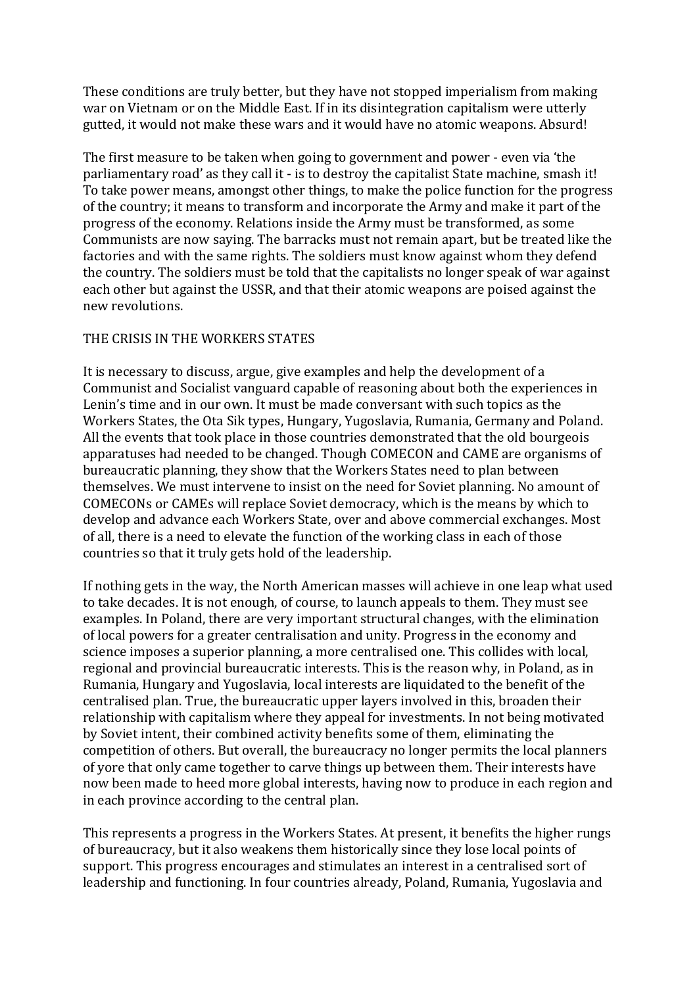These conditions are truly better, but they have not stopped imperialism from making war on Vietnam or on the Middle East. If in its disintegration capitalism were utterly gutted, it would not make these wars and it would have no atomic weapons. Absurd!

The first measure to be taken when going to government and power - even via 'the parliamentary road' as they call it - is to destroy the capitalist State machine, smash it! To take power means, amongst other things, to make the police function for the progress of the country; it means to transform and incorporate the Army and make it part of the progress of the economy. Relations inside the Army must be transformed, as some Communists are now saving. The barracks must not remain apart, but be treated like the factories and with the same rights. The soldiers must know against whom they defend the country. The soldiers must be told that the capitalists no longer speak of war against each other but against the USSR, and that their atomic weapons are poised against the new revolutions.

#### THE CRISIS IN THE WORKERS STATES

It is necessary to discuss, argue, give examples and help the development of a Communist and Socialist vanguard capable of reasoning about both the experiences in Lenin's time and in our own. It must be made conversant with such topics as the Workers States, the Ota Sik types, Hungary, Yugoslavia, Rumania, Germany and Poland. All the events that took place in those countries demonstrated that the old bourgeois apparatuses had needed to be changed. Though COMECON and CAME are organisms of bureaucratic planning, they show that the Workers States need to plan between themselves. We must intervene to insist on the need for Soviet planning. No amount of COMECONs or CAMEs will replace Soviet democracy, which is the means by which to develop and advance each Workers State, over and above commercial exchanges. Most of all, there is a need to elevate the function of the working class in each of those countries so that it truly gets hold of the leadership.

If nothing gets in the way, the North American masses will achieve in one leap what used to take decades. It is not enough, of course, to launch appeals to them. They must see examples. In Poland, there are very important structural changes, with the elimination of local powers for a greater centralisation and unity. Progress in the economy and science imposes a superior planning, a more centralised one. This collides with local, regional and provincial bureaucratic interests. This is the reason why, in Poland, as in Rumania, Hungary and Yugoslavia, local interests are liquidated to the benefit of the centralised plan. True, the bureaucratic upper layers involved in this, broaden their relationship with capitalism where they appeal for investments. In not being motivated by Soviet intent, their combined activity benefits some of them, eliminating the competition of others. But overall, the bureaucracy no longer permits the local planners of yore that only came together to carve things up between them. Their interests have now been made to heed more global interests, having now to produce in each region and in each province according to the central plan.

This represents a progress in the Workers States. At present, it benefits the higher rungs of bureaucracy, but it also weakens them historically since they lose local points of support. This progress encourages and stimulates an interest in a centralised sort of leadership and functioning. In four countries already, Poland, Rumania, Yugoslavia and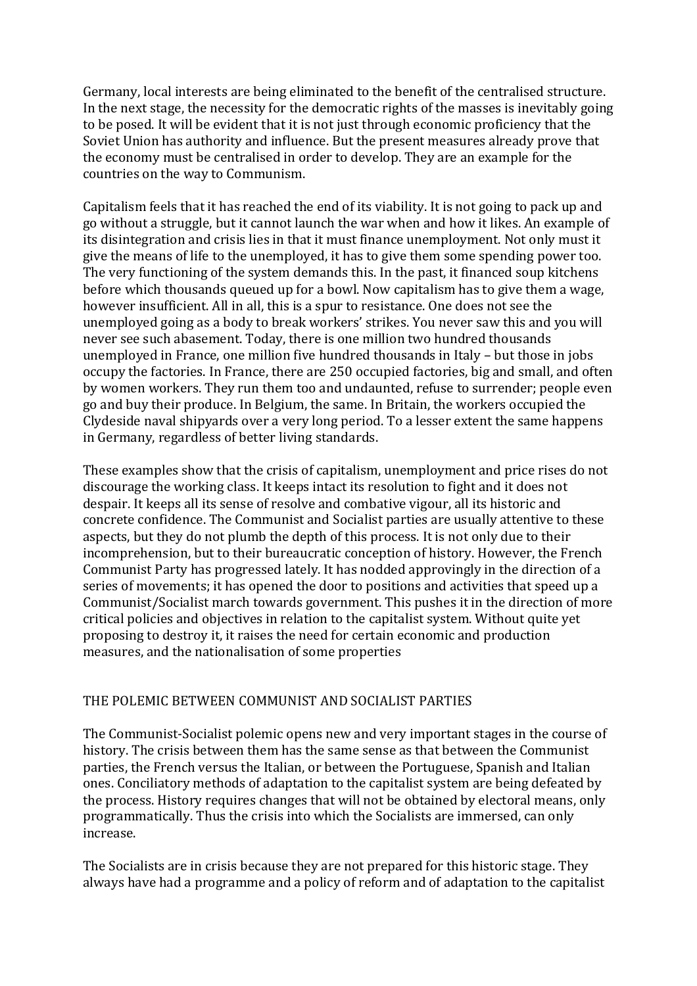Germany, local interests are being eliminated to the benefit of the centralised structure. In the next stage, the necessity for the democratic rights of the masses is inevitably going to be posed. It will be evident that it is not just through economic proficiency that the Soviet Union has authority and influence. But the present measures already prove that the economy must be centralised in order to develop. They are an example for the countries on the way to Communism.

Capitalism feels that it has reached the end of its viability. It is not going to pack up and go without a struggle, but it cannot launch the war when and how it likes. An example of its disintegration and crisis lies in that it must finance unemployment. Not only must it give the means of life to the unemployed, it has to give them some spending power too. The very functioning of the system demands this. In the past, it financed soup kitchens before which thousands queued up for a bowl. Now capitalism has to give them a wage, however insufficient. All in all, this is a spur to resistance. One does not see the unemployed going as a body to break workers' strikes. You never saw this and you will never see such abasement. Today, there is one million two hundred thousands unemployed in France, one million five hundred thousands in Italy  $-$  but those in jobs occupy the factories. In France, there are 250 occupied factories, big and small, and often by women workers. They run them too and undaunted, refuse to surrender; people even go and buy their produce. In Belgium, the same. In Britain, the workers occupied the Clydeside naval shipyards over a very long period. To a lesser extent the same happens in Germany, regardless of better living standards.

These examples show that the crisis of capitalism, unemployment and price rises do not discourage the working class. It keeps intact its resolution to fight and it does not despair. It keeps all its sense of resolve and combative vigour, all its historic and concrete confidence. The Communist and Socialist parties are usually attentive to these aspects, but they do not plumb the depth of this process. It is not only due to their incomprehension, but to their bureaucratic conception of history. However, the French Communist Party has progressed lately. It has nodded approvingly in the direction of a series of movements; it has opened the door to positions and activities that speed up a Communist/Socialist march towards government. This pushes it in the direction of more critical policies and objectives in relation to the capitalist system. Without quite yet proposing to destroy it, it raises the need for certain economic and production measures, and the nationalisation of some properties

# THE POLEMIC BETWEEN COMMUNIST AND SOCIALIST PARTIES

The Communist-Socialist polemic opens new and very important stages in the course of history. The crisis between them has the same sense as that between the Communist parties, the French versus the Italian, or between the Portuguese, Spanish and Italian ones. Conciliatory methods of adaptation to the capitalist system are being defeated by the process. History requires changes that will not be obtained by electoral means, only programmatically. Thus the crisis into which the Socialists are immersed, can only increase.

The Socialists are in crisis because they are not prepared for this historic stage. They always have had a programme and a policy of reform and of adaptation to the capitalist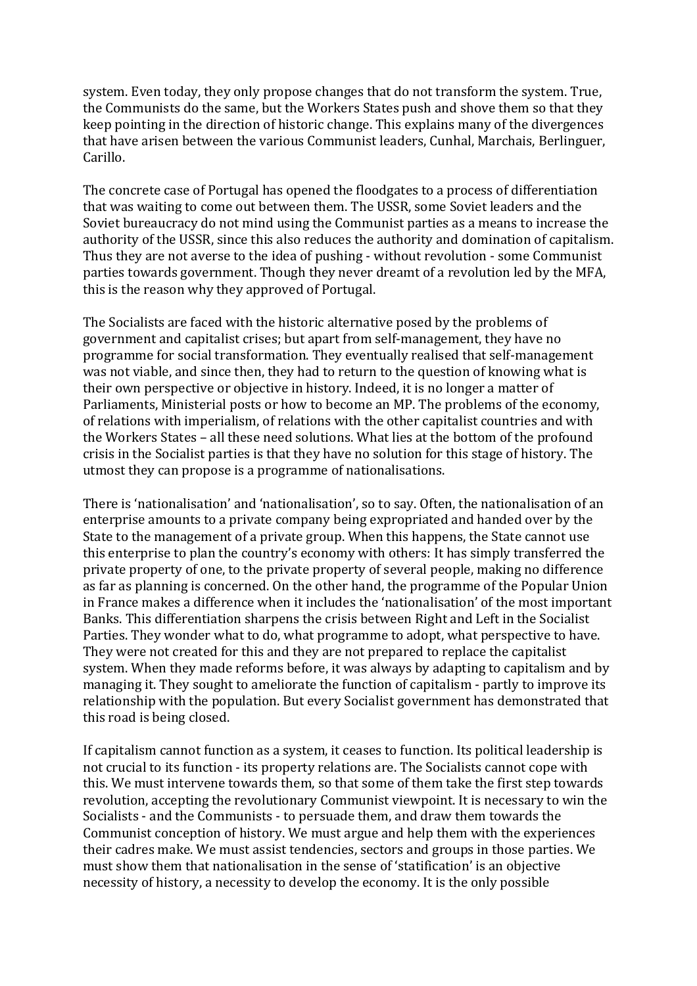system. Even today, they only propose changes that do not transform the system. True, the Communists do the same, but the Workers States push and shove them so that they keep pointing in the direction of historic change. This explains many of the divergences that have arisen between the various Communist leaders, Cunhal, Marchais, Berlinguer, Carillo.

The concrete case of Portugal has opened the floodgates to a process of differentiation that was waiting to come out between them. The USSR, some Soviet leaders and the Soviet bureaucracy do not mind using the Communist parties as a means to increase the authority of the USSR, since this also reduces the authority and domination of capitalism. Thus they are not averse to the idea of pushing - without revolution - some Communist parties towards government. Though they never dreamt of a revolution led by the MFA, this is the reason why they approved of Portugal.

The Socialists are faced with the historic alternative posed by the problems of government and capitalist crises; but apart from self-management, they have no programme for social transformation. They eventually realised that self-management was not viable, and since then, they had to return to the question of knowing what is their own perspective or objective in history. Indeed, it is no longer a matter of Parliaments, Ministerial posts or how to become an MP. The problems of the economy, of relations with imperialism, of relations with the other capitalist countries and with the Workers States – all these need solutions. What lies at the bottom of the profound crisis in the Socialist parties is that they have no solution for this stage of history. The utmost they can propose is a programme of nationalisations.

There is 'nationalisation' and 'nationalisation', so to say. Often, the nationalisation of an enterprise amounts to a private company being expropriated and handed over by the State to the management of a private group. When this happens, the State cannot use this enterprise to plan the country's economy with others: It has simply transferred the private property of one, to the private property of several people, making no difference as far as planning is concerned. On the other hand, the programme of the Popular Union in France makes a difference when it includes the 'nationalisation' of the most important Banks. This differentiation sharpens the crisis between Right and Left in the Socialist Parties. They wonder what to do, what programme to adopt, what perspective to have. They were not created for this and they are not prepared to replace the capitalist system. When they made reforms before, it was always by adapting to capitalism and by managing it. They sought to ameliorate the function of capitalism - partly to improve its relationship with the population. But every Socialist government has demonstrated that this road is being closed.

If capitalism cannot function as a system, it ceases to function. Its political leadership is not crucial to its function - its property relations are. The Socialists cannot cope with this. We must intervene towards them, so that some of them take the first step towards revolution, accepting the revolutionary Communist viewpoint. It is necessary to win the Socialists - and the Communists - to persuade them, and draw them towards the Communist conception of history. We must argue and help them with the experiences their cadres make. We must assist tendencies, sectors and groups in those parties. We must show them that nationalisation in the sense of 'statification' is an objective necessity of history, a necessity to develop the economy. It is the only possible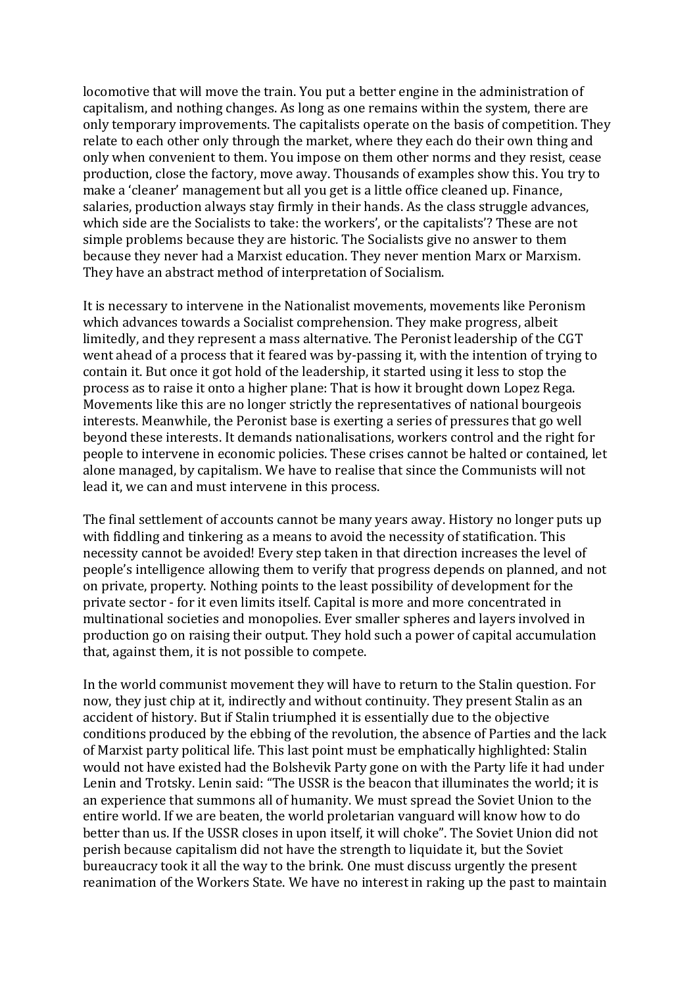locomotive that will move the train. You put a better engine in the administration of capitalism, and nothing changes. As long as one remains within the system, there are only temporary improvements. The capitalists operate on the basis of competition. They relate to each other only through the market, where they each do their own thing and only when convenient to them. You impose on them other norms and they resist, cease production, close the factory, move away. Thousands of examples show this. You try to make a 'cleaner' management but all you get is a little office cleaned up. Finance, salaries, production always stay firmly in their hands. As the class struggle advances, which side are the Socialists to take: the workers', or the capitalists'? These are not simple problems because they are historic. The Socialists give no answer to them because they never had a Marxist education. They never mention Marx or Marxism. They have an abstract method of interpretation of Socialism.

It is necessary to intervene in the Nationalist movements, movements like Peronism which advances towards a Socialist comprehension. They make progress, albeit limitedly, and they represent a mass alternative. The Peronist leadership of the CGT went ahead of a process that it feared was by-passing it, with the intention of trying to contain it. But once it got hold of the leadership, it started using it less to stop the process as to raise it onto a higher plane: That is how it brought down Lopez Rega. Movements like this are no longer strictly the representatives of national bourgeois interests. Meanwhile, the Peronist base is exerting a series of pressures that go well beyond these interests. It demands nationalisations, workers control and the right for people to intervene in economic policies. These crises cannot be halted or contained, let alone managed, by capitalism. We have to realise that since the Communists will not lead it, we can and must intervene in this process.

The final settlement of accounts cannot be many vears away. History no longer puts up with fiddling and tinkering as a means to avoid the necessity of statification. This necessity cannot be avoided! Every step taken in that direction increases the level of people's intelligence allowing them to verify that progress depends on planned, and not on private, property. Nothing points to the least possibility of development for the private sector - for it even limits itself. Capital is more and more concentrated in multinational societies and monopolies. Ever smaller spheres and layers involved in production go on raising their output. They hold such a power of capital accumulation that, against them, it is not possible to compete.

In the world communist movement they will have to return to the Stalin question. For now, they just chip at it, indirectly and without continuity. They present Stalin as an accident of history. But if Stalin triumphed it is essentially due to the objective conditions produced by the ebbing of the revolution, the absence of Parties and the lack of Marxist party political life. This last point must be emphatically highlighted: Stalin would not have existed had the Bolshevik Party gone on with the Party life it had under Lenin and Trotsky. Lenin said: "The USSR is the beacon that illuminates the world; it is an experience that summons all of humanity. We must spread the Soviet Union to the entire world. If we are beaten, the world proletarian vanguard will know how to do better than us. If the USSR closes in upon itself, it will choke". The Soviet Union did not perish because capitalism did not have the strength to liquidate it, but the Soviet bureaucracy took it all the way to the brink. One must discuss urgently the present reanimation of the Workers State. We have no interest in raking up the past to maintain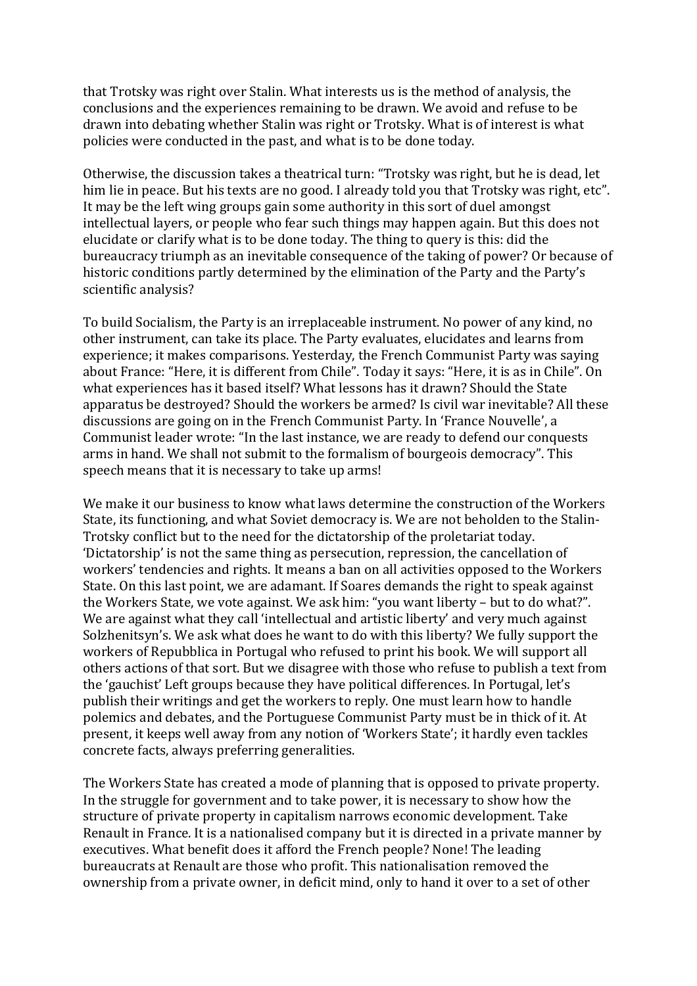that Trotsky was right over Stalin. What interests us is the method of analysis, the conclusions and the experiences remaining to be drawn. We avoid and refuse to be drawn into debating whether Stalin was right or Trotsky. What is of interest is what policies were conducted in the past, and what is to be done today.

Otherwise, the discussion takes a theatrical turn: "Trotsky was right, but he is dead, let him lie in peace. But his texts are no good. I already told you that Trotsky was right, etc". It may be the left wing groups gain some authority in this sort of duel amongst intellectual layers, or people who fear such things may happen again. But this does not elucidate or clarify what is to be done today. The thing to query is this: did the bureaucracy triumph as an inevitable consequence of the taking of power? Or because of historic conditions partly determined by the elimination of the Party and the Party's scientific analysis?

To build Socialism, the Party is an irreplaceable instrument. No power of any kind, no other instrument, can take its place. The Party evaluates, elucidates and learns from experience; it makes comparisons. Yesterday, the French Communist Party was saying about France: "Here, it is different from Chile". Today it says: "Here, it is as in Chile". On what experiences has it based itself? What lessons has it drawn? Should the State apparatus be destroyed? Should the workers be armed? Is civil war inevitable? All these discussions are going on in the French Communist Party. In 'France Nouvelle', a Communist leader wrote: "In the last instance, we are ready to defend our conquests arms in hand. We shall not submit to the formalism of bourgeois democracy". This speech means that it is necessary to take up arms!

We make it our business to know what laws determine the construction of the Workers State, its functioning, and what Soviet democracy is. We are not beholden to the Stalin-Trotsky conflict but to the need for the dictatorship of the proletariat today. 'Dictatorship' is not the same thing as persecution, repression, the cancellation of workers' tendencies and rights. It means a ban on all activities opposed to the Workers State. On this last point, we are adamant. If Soares demands the right to speak against the Workers State, we vote against. We ask him: "you want liberty – but to do what?". We are against what they call 'intellectual and artistic liberty' and very much against Solzhenitsyn's. We ask what does he want to do with this liberty? We fully support the workers of Repubblica in Portugal who refused to print his book. We will support all others actions of that sort. But we disagree with those who refuse to publish a text from the 'gauchist' Left groups because they have political differences. In Portugal, let's publish their writings and get the workers to reply. One must learn how to handle polemics and debates, and the Portuguese Communist Party must be in thick of it. At present, it keeps well away from any notion of 'Workers State'; it hardly even tackles concrete facts, always preferring generalities.

The Workers State has created a mode of planning that is opposed to private property. In the struggle for government and to take power, it is necessary to show how the structure of private property in capitalism narrows economic development. Take Renault in France. It is a nationalised company but it is directed in a private manner by executives. What benefit does it afford the French people? None! The leading bureaucrats at Renault are those who profit. This nationalisation removed the ownership from a private owner, in deficit mind, only to hand it over to a set of other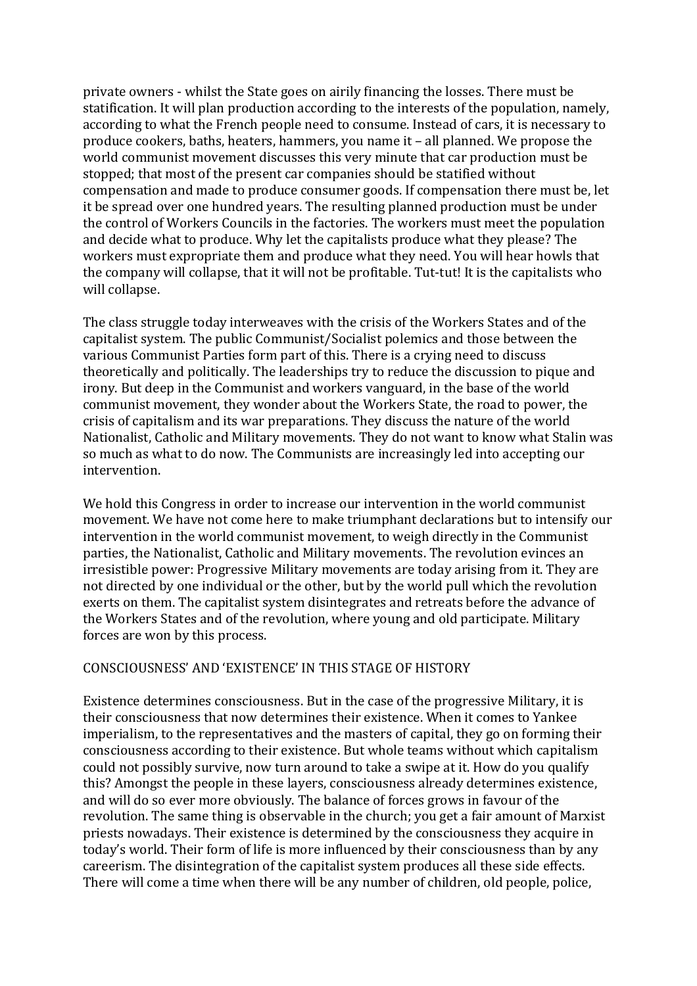private owners - whilst the State goes on airily financing the losses. There must be statification. It will plan production according to the interests of the population, namely, according to what the French people need to consume. Instead of cars, it is necessary to produce cookers, baths, heaters, hammers, you name it  $-$  all planned. We propose the world communist movement discusses this very minute that car production must be stopped; that most of the present car companies should be statified without compensation and made to produce consumer goods. If compensation there must be, let it be spread over one hundred years. The resulting planned production must be under the control of Workers Councils in the factories. The workers must meet the population and decide what to produce. Why let the capitalists produce what they please? The workers must expropriate them and produce what they need. You will hear howls that the company will collapse, that it will not be profitable. Tut-tut! It is the capitalists who will collapse.

The class struggle today interweaves with the crisis of the Workers States and of the capitalist system. The public Communist/Socialist polemics and those between the various Communist Parties form part of this. There is a crying need to discuss theoretically and politically. The leaderships try to reduce the discussion to pique and irony. But deep in the Communist and workers vanguard, in the base of the world communist movement, they wonder about the Workers State, the road to power, the crisis of capitalism and its war preparations. They discuss the nature of the world Nationalist, Catholic and Military movements. They do not want to know what Stalin was so much as what to do now. The Communists are increasingly led into accepting our intervention.

We hold this Congress in order to increase our intervention in the world communist movement. We have not come here to make triumphant declarations but to intensify our intervention in the world communist movement, to weigh directly in the Communist parties, the Nationalist, Catholic and Military movements. The revolution evinces an irresistible power: Progressive Military movements are today arising from it. They are not directed by one individual or the other, but by the world pull which the revolution exerts on them. The capitalist system disintegrates and retreats before the advance of the Workers States and of the revolution, where young and old participate. Military forces are won by this process.

#### CONSCIOUSNESS' AND 'EXISTENCE' IN THIS STAGE OF HISTORY

Existence determines consciousness. But in the case of the progressive Military, it is their consciousness that now determines their existence. When it comes to Yankee imperialism, to the representatives and the masters of capital, they go on forming their consciousness according to their existence. But whole teams without which capitalism could not possibly survive, now turn around to take a swipe at it. How do you qualify this? Amongst the people in these layers, consciousness already determines existence, and will do so ever more obviously. The balance of forces grows in favour of the revolution. The same thing is observable in the church; you get a fair amount of Marxist priests nowadays. Their existence is determined by the consciousness they acquire in today's world. Their form of life is more influenced by their consciousness than by any careerism. The disintegration of the capitalist system produces all these side effects. There will come a time when there will be any number of children, old people, police,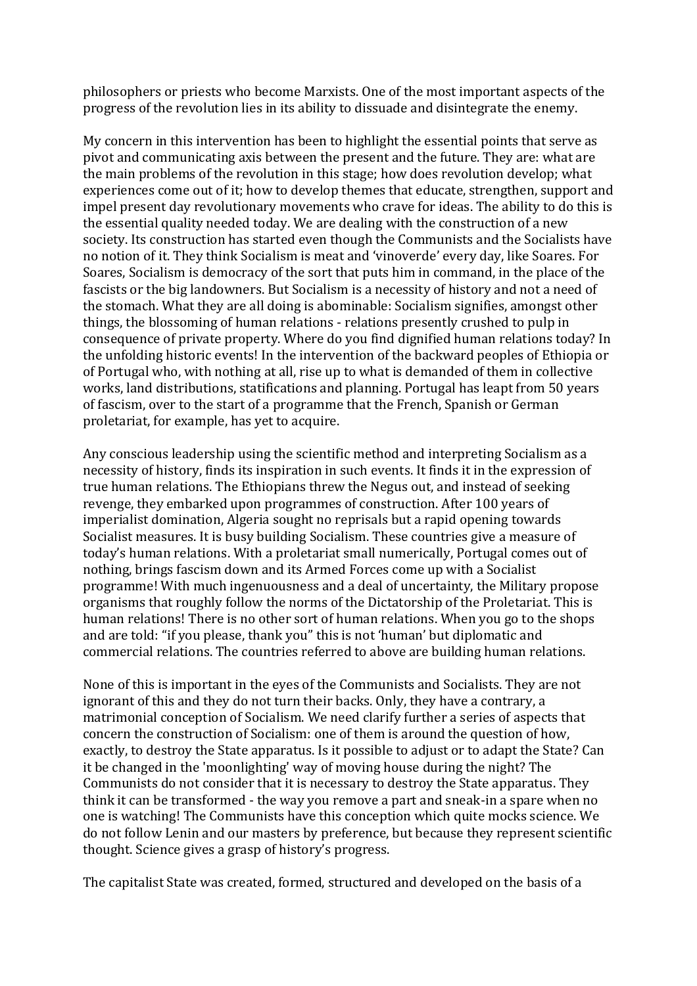philosophers or priests who become Marxists. One of the most important aspects of the progress of the revolution lies in its ability to dissuade and disintegrate the enemy.

My concern in this intervention has been to highlight the essential points that serve as pivot and communicating axis between the present and the future. They are: what are the main problems of the revolution in this stage; how does revolution develop; what experiences come out of it; how to develop themes that educate, strengthen, support and impel present day revolutionary movements who crave for ideas. The ability to do this is the essential quality needed today. We are dealing with the construction of a new society. Its construction has started even though the Communists and the Socialists have no notion of it. They think Socialism is meat and 'vinoverde' every day, like Soares. For Soares, Socialism is democracy of the sort that puts him in command, in the place of the fascists or the big landowners. But Socialism is a necessity of history and not a need of the stomach. What they are all doing is abominable: Socialism signifies, amongst other things, the blossoming of human relations - relations presently crushed to pulp in consequence of private property. Where do you find dignified human relations today? In the unfolding historic events! In the intervention of the backward peoples of Ethiopia or of Portugal who, with nothing at all, rise up to what is demanded of them in collective works, land distributions, statifications and planning. Portugal has leapt from 50 years of fascism, over to the start of a programme that the French, Spanish or German proletariat, for example, has yet to acquire.

Any conscious leadership using the scientific method and interpreting Socialism as a necessity of history, finds its inspiration in such events. It finds it in the expression of true human relations. The Ethiopians threw the Negus out, and instead of seeking revenge, they embarked upon programmes of construction. After 100 years of imperialist domination, Algeria sought no reprisals but a rapid opening towards Socialist measures. It is busy building Socialism. These countries give a measure of today's human relations. With a proletariat small numerically, Portugal comes out of nothing, brings fascism down and its Armed Forces come up with a Socialist programme! With much ingenuousness and a deal of uncertainty, the Military propose organisms that roughly follow the norms of the Dictatorship of the Proletariat. This is human relations! There is no other sort of human relations. When you go to the shops and are told: "if you please, thank you" this is not 'human' but diplomatic and commercial relations. The countries referred to above are building human relations.

None of this is important in the eyes of the Communists and Socialists. They are not ignorant of this and they do not turn their backs. Only, they have a contrary, a matrimonial conception of Socialism. We need clarify further a series of aspects that concern the construction of Socialism: one of them is around the question of how, exactly, to destroy the State apparatus. Is it possible to adjust or to adapt the State? Can it be changed in the 'moonlighting' way of moving house during the night? The Communists do not consider that it is necessary to destroy the State apparatus. They think it can be transformed - the way you remove a part and sneak-in a spare when no one is watching! The Communists have this conception which quite mocks science. We do not follow Lenin and our masters by preference, but because they represent scientific thought. Science gives a grasp of history's progress.

The capitalist State was created, formed, structured and developed on the basis of a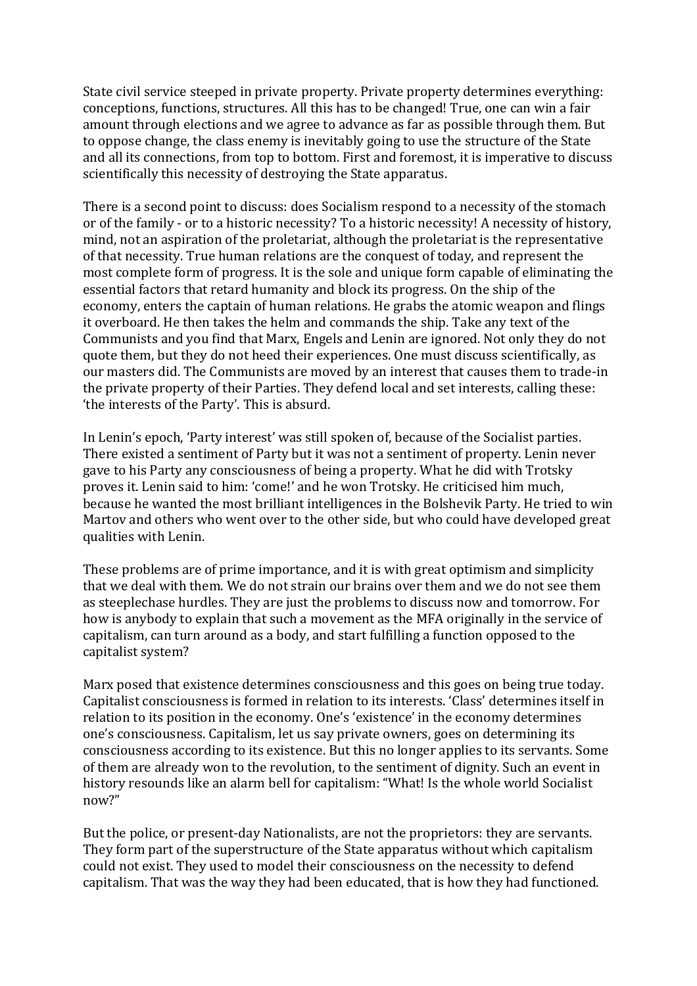State civil service steeped in private property. Private property determines everything: conceptions, functions, structures. All this has to be changed! True, one can win a fair amount through elections and we agree to advance as far as possible through them. But to oppose change, the class enemy is inevitably going to use the structure of the State and all its connections, from top to bottom. First and foremost, it is imperative to discuss scientifically this necessity of destroying the State apparatus.

There is a second point to discuss: does Socialism respond to a necessity of the stomach or of the family - or to a historic necessity? To a historic necessity! A necessity of history, mind, not an aspiration of the proletariat, although the proletariat is the representative of that necessity. True human relations are the conquest of today, and represent the most complete form of progress. It is the sole and unique form capable of eliminating the essential factors that retard humanity and block its progress. On the ship of the economy, enters the captain of human relations. He grabs the atomic weapon and flings it overboard. He then takes the helm and commands the ship. Take any text of the Communists and you find that Marx, Engels and Lenin are ignored. Not only they do not quote them, but they do not heed their experiences. One must discuss scientifically, as our masters did. The Communists are moved by an interest that causes them to trade-in the private property of their Parties. They defend local and set interests, calling these: 'the interests of the Party'. This is absurd.

In Lenin's epoch, 'Party interest' was still spoken of, because of the Socialist parties. There existed a sentiment of Party but it was not a sentiment of property. Lenin never gave to his Party any consciousness of being a property. What he did with Trotsky proves it. Lenin said to him: 'come!' and he won Trotsky. He criticised him much, because he wanted the most brilliant intelligences in the Bolshevik Party. He tried to win Martov and others who went over to the other side, but who could have developed great qualities with Lenin.

These problems are of prime importance, and it is with great optimism and simplicity that we deal with them. We do not strain our brains over them and we do not see them as steeplechase hurdles. They are just the problems to discuss now and tomorrow. For how is anybody to explain that such a movement as the MFA originally in the service of capitalism, can turn around as a body, and start fulfilling a function opposed to the capitalist system?

Marx posed that existence determines consciousness and this goes on being true today. Capitalist consciousness is formed in relation to its interests. 'Class' determines itself in relation to its position in the economy. One's 'existence' in the economy determines one's consciousness. Capitalism, let us say private owners, goes on determining its consciousness according to its existence. But this no longer applies to its servants. Some of them are already won to the revolution, to the sentiment of dignity. Such an event in history resounds like an alarm bell for capitalism: "What! Is the whole world Socialist now?"

But the police, or present-day Nationalists, are not the proprietors: they are servants. They form part of the superstructure of the State apparatus without which capitalism could not exist. They used to model their consciousness on the necessity to defend capitalism. That was the way they had been educated, that is how they had functioned.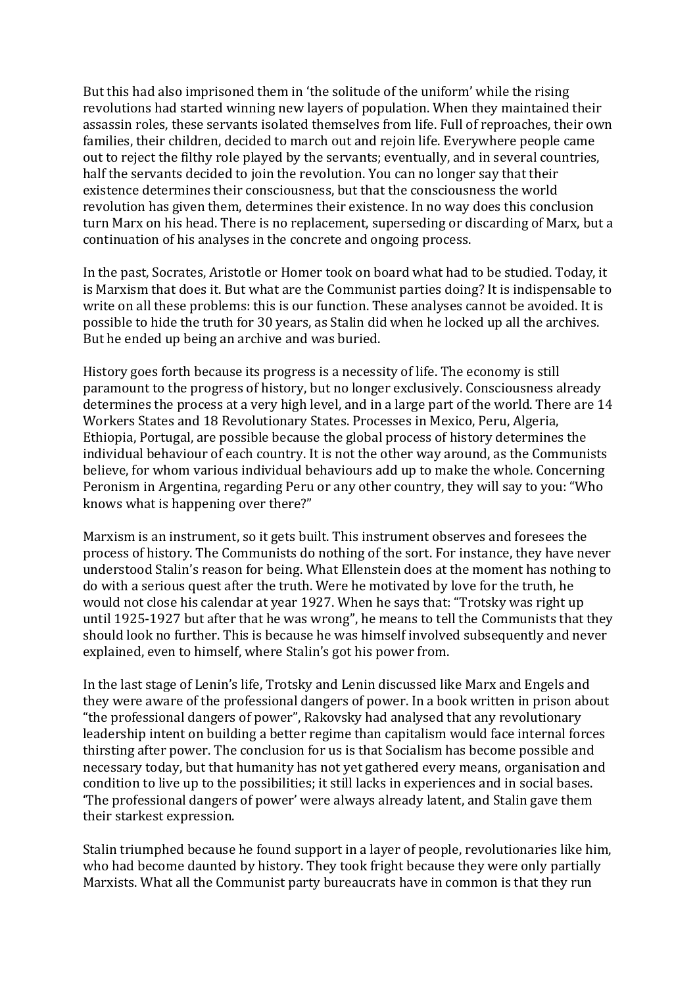But this had also imprisoned them in 'the solitude of the uniform' while the rising revolutions had started winning new layers of population. When they maintained their assassin roles, these servants isolated themselves from life. Full of reproaches, their own families, their children, decided to march out and rejoin life. Everywhere people came out to reject the filthy role played by the servants; eventually, and in several countries, half the servants decided to join the revolution. You can no longer say that their existence determines their consciousness, but that the consciousness the world revolution has given them, determines their existence. In no way does this conclusion turn Marx on his head. There is no replacement, superseding or discarding of Marx, but a continuation of his analyses in the concrete and ongoing process.

In the past, Socrates, Aristotle or Homer took on board what had to be studied. Today, it is Marxism that does it. But what are the Communist parties doing? It is indispensable to write on all these problems: this is our function. These analyses cannot be avoided. It is possible to hide the truth for 30 years, as Stalin did when he locked up all the archives. But he ended up being an archive and was buried.

History goes forth because its progress is a necessity of life. The economy is still paramount to the progress of history, but no longer exclusively. Consciousness already determines the process at a very high level, and in a large part of the world. There are 14 Workers States and 18 Revolutionary States. Processes in Mexico, Peru, Algeria, Ethiopia, Portugal, are possible because the global process of history determines the individual behaviour of each country. It is not the other way around, as the Communists believe, for whom various individual behaviours add up to make the whole. Concerning Peronism in Argentina, regarding Peru or any other country, they will say to you: "Who knows what is happening over there?"

Marxism is an instrument, so it gets built. This instrument observes and foresees the process of history. The Communists do nothing of the sort. For instance, they have never understood Stalin's reason for being. What Ellenstein does at the moment has nothing to do with a serious quest after the truth. Were he motivated by love for the truth, he would not close his calendar at year 1927. When he says that: "Trotsky was right up until 1925-1927 but after that he was wrong", he means to tell the Communists that they should look no further. This is because he was himself involved subsequently and never explained, even to himself, where Stalin's got his power from.

In the last stage of Lenin's life, Trotsky and Lenin discussed like Marx and Engels and they were aware of the professional dangers of power. In a book written in prison about "the professional dangers of power", Rakovsky had analysed that any revolutionary leadership intent on building a better regime than capitalism would face internal forces thirsting after power. The conclusion for us is that Socialism has become possible and necessary today, but that humanity has not yet gathered every means, organisation and condition to live up to the possibilities; it still lacks in experiences and in social bases. The professional dangers of power' were always already latent, and Stalin gave them their starkest expression.

Stalin triumphed because he found support in a layer of people, revolutionaries like him, who had become daunted by history. They took fright because they were only partially Marxists. What all the Communist party bureaucrats have in common is that they run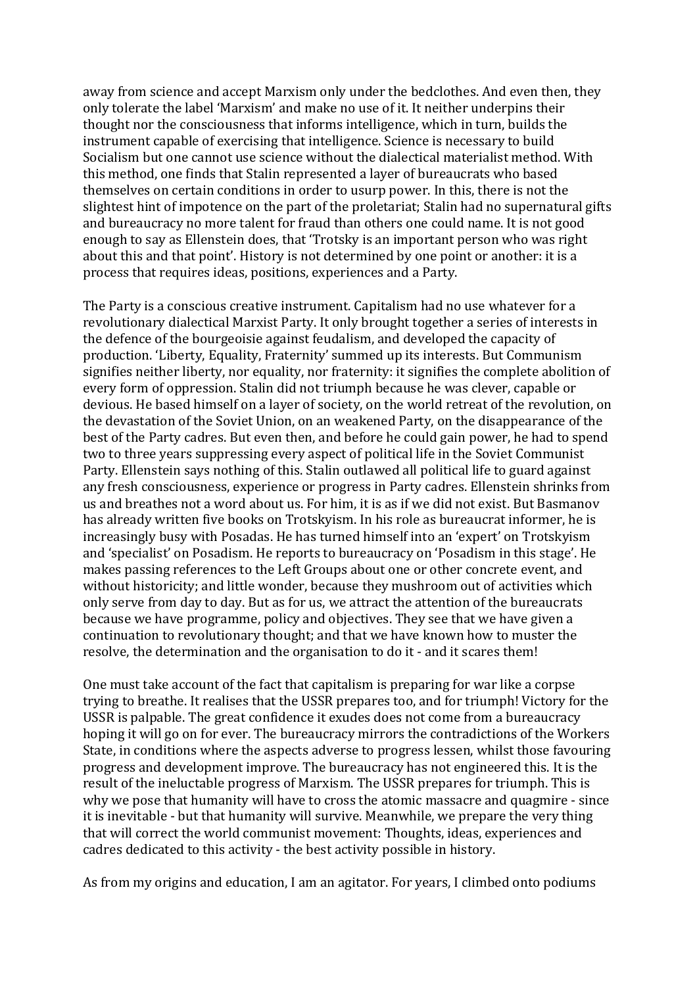away from science and accept Marxism only under the bedclothes. And even then, they only tolerate the label 'Marxism' and make no use of it. It neither underpins their thought nor the consciousness that informs intelligence, which in turn, builds the instrument capable of exercising that intelligence. Science is necessary to build Socialism but one cannot use science without the dialectical materialist method. With this method, one finds that Stalin represented a laver of bureaucrats who based themselves on certain conditions in order to usurp power. In this, there is not the slightest hint of impotence on the part of the proletariat; Stalin had no supernatural gifts and bureaucracy no more talent for fraud than others one could name. It is not good enough to say as Ellenstein does, that 'Trotsky is an important person who was right about this and that point'. History is not determined by one point or another: it is a process that requires ideas, positions, experiences and a Party.

The Party is a conscious creative instrument. Capitalism had no use whatever for a revolutionary dialectical Marxist Party. It only brought together a series of interests in the defence of the bourgeoisie against feudalism, and developed the capacity of production. 'Liberty, Equality, Fraternity' summed up its interests. But Communism signifies neither liberty, nor equality, nor fraternity: it signifies the complete abolition of every form of oppression. Stalin did not triumph because he was clever, capable or devious. He based himself on a layer of society, on the world retreat of the revolution, on the devastation of the Soviet Union, on an weakened Party, on the disappearance of the best of the Party cadres. But even then, and before he could gain power, he had to spend two to three years suppressing every aspect of political life in the Soviet Communist Party. Ellenstein says nothing of this. Stalin outlawed all political life to guard against any fresh consciousness, experience or progress in Party cadres. Ellenstein shrinks from us and breathes not a word about us. For him, it is as if we did not exist. But Basmanov has already written five books on Trotskyism. In his role as bureaucrat informer, he is increasingly busy with Posadas. He has turned himself into an 'expert' on Trotskyism and 'specialist' on Posadism. He reports to bureaucracy on 'Posadism in this stage'. He makes passing references to the Left Groups about one or other concrete event, and without historicity; and little wonder, because they mushroom out of activities which only serve from day to day. But as for us, we attract the attention of the bureaucrats because we have programme, policy and objectives. They see that we have given a continuation to revolutionary thought; and that we have known how to muster the resolve, the determination and the organisation to do it - and it scares them!

One must take account of the fact that capitalism is preparing for war like a corpse trying to breathe. It realises that the USSR prepares too, and for triumph! Victory for the USSR is palpable. The great confidence it exudes does not come from a bureaucracy hoping it will go on for ever. The bureaucracy mirrors the contradictions of the Workers State, in conditions where the aspects adverse to progress lessen, whilst those favouring progress and development improve. The bureaucracy has not engineered this. It is the result of the ineluctable progress of Marxism. The USSR prepares for triumph. This is why we pose that humanity will have to cross the atomic massacre and quagmire - since it is inevitable - but that humanity will survive. Meanwhile, we prepare the very thing that will correct the world communist movement: Thoughts, ideas, experiences and cadres dedicated to this activity - the best activity possible in history.

As from my origins and education, I am an agitator. For years, I climbed onto podiums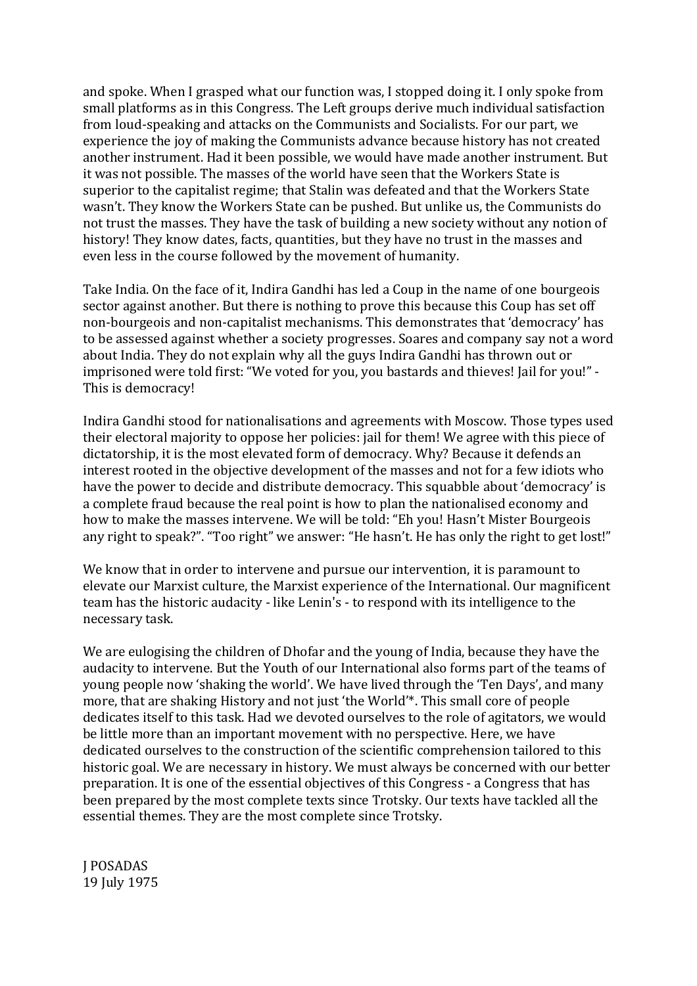and spoke. When I grasped what our function was, I stopped doing it. I only spoke from small platforms as in this Congress. The Left groups derive much individual satisfaction from loud-speaking and attacks on the Communists and Socialists. For our part, we experience the joy of making the Communists advance because history has not created another instrument. Had it been possible, we would have made another instrument. But it was not possible. The masses of the world have seen that the Workers State is superior to the capitalist regime; that Stalin was defeated and that the Workers State wasn't. They know the Workers State can be pushed. But unlike us, the Communists do not trust the masses. They have the task of building a new society without any notion of history! They know dates, facts, quantities, but they have no trust in the masses and even less in the course followed by the movement of humanity.

Take India. On the face of it, Indira Gandhi has led a Coup in the name of one bourgeois sector against another. But there is nothing to prove this because this Coup has set off non-bourgeois and non-capitalist mechanisms. This demonstrates that 'democracy' has to be assessed against whether a society progresses. Soares and company say not a word about India. They do not explain why all the guys Indira Gandhi has thrown out or imprisoned were told first: "We voted for you, you bastards and thieves! Jail for you!" -This is democracy!

Indira Gandhi stood for nationalisations and agreements with Moscow. Those types used their electoral majority to oppose her policies: jail for them! We agree with this piece of dictatorship, it is the most elevated form of democracy. Why? Because it defends an interest rooted in the objective development of the masses and not for a few idiots who have the power to decide and distribute democracy. This squabble about 'democracy' is a complete fraud because the real point is how to plan the nationalised economy and how to make the masses intervene. We will be told: "Eh you! Hasn't Mister Bourgeois any right to speak?". "Too right" we answer: "He hasn't. He has only the right to get lost!"

We know that in order to intervene and pursue our intervention, it is paramount to elevate our Marxist culture, the Marxist experience of the International. Our magnificent team has the historic audacity - like Lenin's - to respond with its intelligence to the necessary task.

We are eulogising the children of Dhofar and the young of India, because they have the audacity to intervene. But the Youth of our International also forms part of the teams of young people now 'shaking the world'. We have lived through the 'Ten Days', and many more, that are shaking History and not just 'the World'\*. This small core of people dedicates itself to this task. Had we devoted ourselves to the role of agitators, we would be little more than an important movement with no perspective. Here, we have dedicated ourselves to the construction of the scientific comprehension tailored to this historic goal. We are necessary in history. We must always be concerned with our better preparation. It is one of the essential objectives of this Congress - a Congress that has been prepared by the most complete texts since Trotsky. Our texts have tackled all the essential themes. They are the most complete since Trotsky.

J POSADAS 19 July 1975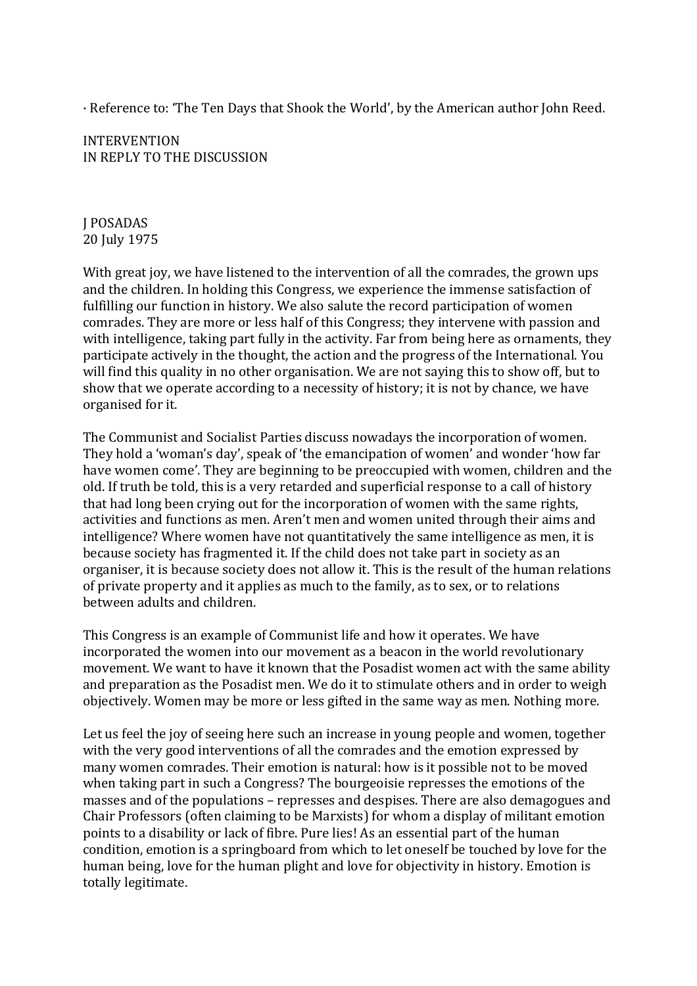· Reference to: 'The Ten Days that Shook the World', by the American author John Reed.

INTERVENTION IN REPLY TO THE DISCUSSION

J POSADAS 20 July 1975

With great joy, we have listened to the intervention of all the comrades, the grown ups and the children. In holding this Congress, we experience the immense satisfaction of fulfilling our function in history. We also salute the record participation of women comrades. They are more or less half of this Congress; they intervene with passion and with intelligence, taking part fully in the activity. Far from being here as ornaments, they participate actively in the thought, the action and the progress of the International. You will find this quality in no other organisation. We are not saying this to show off, but to show that we operate according to a necessity of history; it is not by chance, we have organised for it.

The Communist and Socialist Parties discuss nowadays the incorporation of women. They hold a 'woman's day', speak of 'the emancipation of women' and wonder 'how far have women come'. They are beginning to be preoccupied with women, children and the old. If truth be told, this is a very retarded and superficial response to a call of history that had long been crying out for the incorporation of women with the same rights, activities and functions as men. Aren't men and women united through their aims and intelligence? Where women have not quantitatively the same intelligence as men, it is because society has fragmented it. If the child does not take part in society as an organiser, it is because society does not allow it. This is the result of the human relations of private property and it applies as much to the family, as to sex, or to relations between adults and children.

This Congress is an example of Communist life and how it operates. We have incorporated the women into our movement as a beacon in the world revolutionary movement. We want to have it known that the Posadist women act with the same ability and preparation as the Posadist men. We do it to stimulate others and in order to weigh objectively. Women may be more or less gifted in the same way as men. Nothing more.

Let us feel the joy of seeing here such an increase in young people and women, together with the very good interventions of all the comrades and the emotion expressed by many women comrades. Their emotion is natural: how is it possible not to be moved when taking part in such a Congress? The bourgeoisie represses the emotions of the masses and of the populations – represses and despises. There are also demagogues and Chair Professors (often claiming to be Marxists) for whom a display of militant emotion points to a disability or lack of fibre. Pure lies! As an essential part of the human condition, emotion is a springboard from which to let oneself be touched by love for the human being, love for the human plight and love for objectivity in history. Emotion is totally legitimate.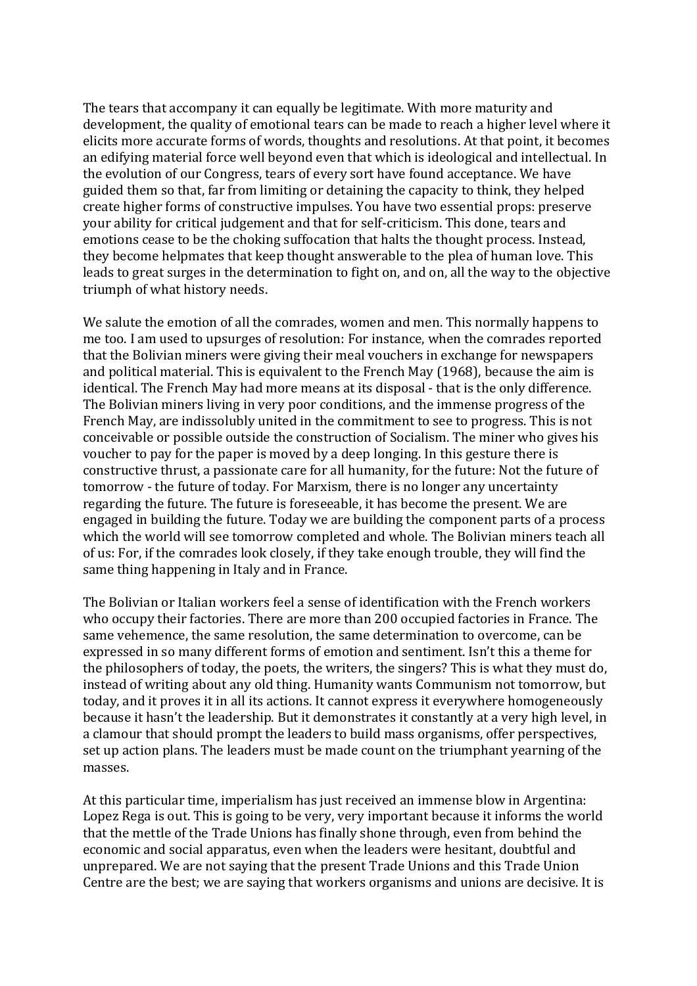The tears that accompany it can equally be legitimate. With more maturity and development, the quality of emotional tears can be made to reach a higher level where it elicits more accurate forms of words, thoughts and resolutions. At that point, it becomes an edifying material force well beyond even that which is ideological and intellectual. In the evolution of our Congress, tears of every sort have found acceptance. We have guided them so that, far from limiting or detaining the capacity to think, they helped create higher forms of constructive impulses. You have two essential props: preserve your ability for critical judgement and that for self-criticism. This done, tears and emotions cease to be the choking suffocation that halts the thought process. Instead, they become helpmates that keep thought answerable to the plea of human love. This leads to great surges in the determination to fight on, and on, all the way to the objective triumph of what history needs.

We salute the emotion of all the comrades, women and men. This normally happens to me too. I am used to upsurges of resolution: For instance, when the comrades reported that the Bolivian miners were giving their meal vouchers in exchange for newspapers and political material. This is equivalent to the French May (1968), because the aim is identical. The French May had more means at its disposal - that is the only difference. The Bolivian miners living in very poor conditions, and the immense progress of the French May, are indissolubly united in the commitment to see to progress. This is not conceivable or possible outside the construction of Socialism. The miner who gives his voucher to pay for the paper is moved by a deep longing. In this gesture there is constructive thrust, a passionate care for all humanity, for the future: Not the future of tomorrow - the future of today. For Marxism, there is no longer any uncertainty regarding the future. The future is foreseeable, it has become the present. We are engaged in building the future. Today we are building the component parts of a process which the world will see tomorrow completed and whole. The Bolivian miners teach all of us: For, if the comrades look closely, if they take enough trouble, they will find the same thing happening in Italy and in France.

The Bolivian or Italian workers feel a sense of identification with the French workers who occupy their factories. There are more than 200 occupied factories in France. The same vehemence, the same resolution, the same determination to overcome, can be expressed in so many different forms of emotion and sentiment. Isn't this a theme for the philosophers of today, the poets, the writers, the singers? This is what they must do, instead of writing about any old thing. Humanity wants Communism not tomorrow, but today, and it proves it in all its actions. It cannot express it everywhere homogeneously because it hasn't the leadership. But it demonstrates it constantly at a very high level, in a clamour that should prompt the leaders to build mass organisms, offer perspectives, set up action plans. The leaders must be made count on the triumphant vearning of the masses.

At this particular time, imperialism has just received an immense blow in Argentina: Lopez Rega is out. This is going to be very, very important because it informs the world that the mettle of the Trade Unions has finally shone through, even from behind the economic and social apparatus, even when the leaders were hesitant, doubtful and unprepared. We are not saying that the present Trade Unions and this Trade Union Centre are the best; we are saying that workers organisms and unions are decisive. It is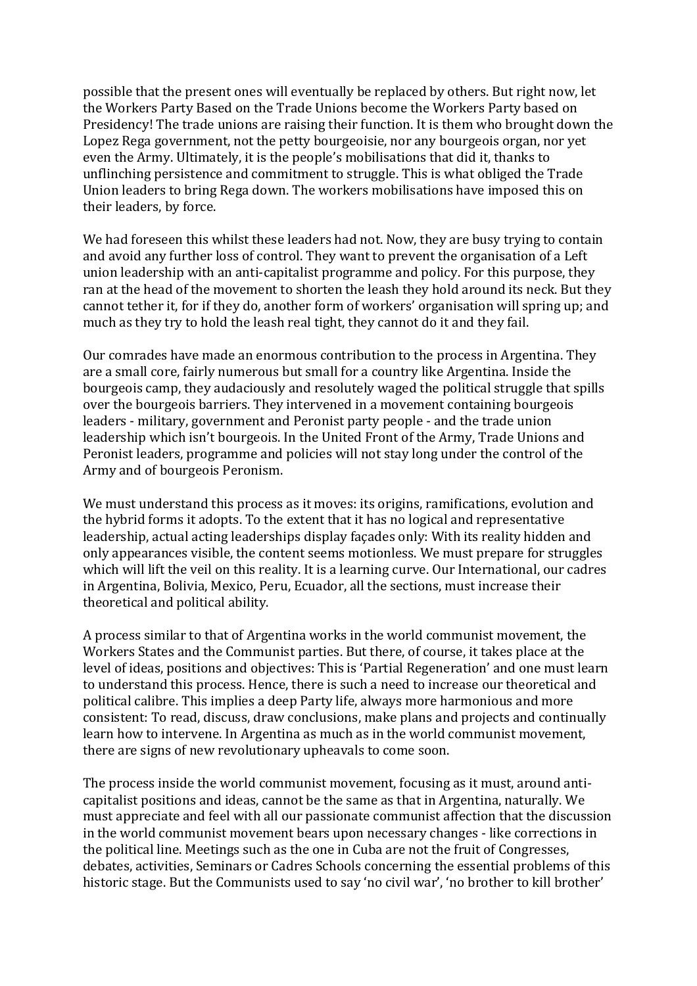possible that the present ones will eventually be replaced by others. But right now, let the Workers Party Based on the Trade Unions become the Workers Party based on Presidency! The trade unions are raising their function. It is them who brought down the Lopez Rega government, not the petty bourgeoisie, nor any bourgeois organ, nor yet even the Army. Ultimately, it is the people's mobilisations that did it, thanks to unflinching persistence and commitment to struggle. This is what obliged the Trade Union leaders to bring Rega down. The workers mobilisations have imposed this on their leaders, by force.

We had foreseen this whilst these leaders had not. Now, they are busy trying to contain and avoid any further loss of control. They want to prevent the organisation of a Left union leadership with an anti-capitalist programme and policy. For this purpose, they ran at the head of the movement to shorten the leash they hold around its neck. But they cannot tether it, for if they do, another form of workers' organisation will spring up; and much as they try to hold the leash real tight, they cannot do it and they fail.

Our comrades have made an enormous contribution to the process in Argentina. They are a small core, fairly numerous but small for a country like Argentina. Inside the bourgeois camp, they audaciously and resolutely waged the political struggle that spills over the bourgeois barriers. They intervened in a movement containing bourgeois leaders - military, government and Peronist party people - and the trade union leadership which isn't bourgeois. In the United Front of the Army, Trade Unions and Peronist leaders, programme and policies will not stay long under the control of the Army and of bourgeois Peronism.

We must understand this process as it moves: its origins, ramifications, evolution and the hybrid forms it adopts. To the extent that it has no logical and representative leadership, actual acting leaderships display façades only: With its reality hidden and only appearances visible, the content seems motionless. We must prepare for struggles which will lift the veil on this reality. It is a learning curve. Our International, our cadres in Argentina, Bolivia, Mexico, Peru, Ecuador, all the sections, must increase their theoretical and political ability.

A process similar to that of Argentina works in the world communist movement, the Workers States and the Communist parties. But there, of course, it takes place at the level of ideas, positions and objectives: This is 'Partial Regeneration' and one must learn to understand this process. Hence, there is such a need to increase our theoretical and political calibre. This implies a deep Party life, always more harmonious and more consistent: To read, discuss, draw conclusions, make plans and projects and continually learn how to intervene. In Argentina as much as in the world communist movement, there are signs of new revolutionary upheavals to come soon.

The process inside the world communist movement, focusing as it must, around anticapitalist positions and ideas, cannot be the same as that in Argentina, naturally. We must appreciate and feel with all our passionate communist affection that the discussion in the world communist movement bears upon necessary changes - like corrections in the political line. Meetings such as the one in Cuba are not the fruit of Congresses, debates, activities, Seminars or Cadres Schools concerning the essential problems of this historic stage. But the Communists used to say 'no civil war', 'no brother to kill brother'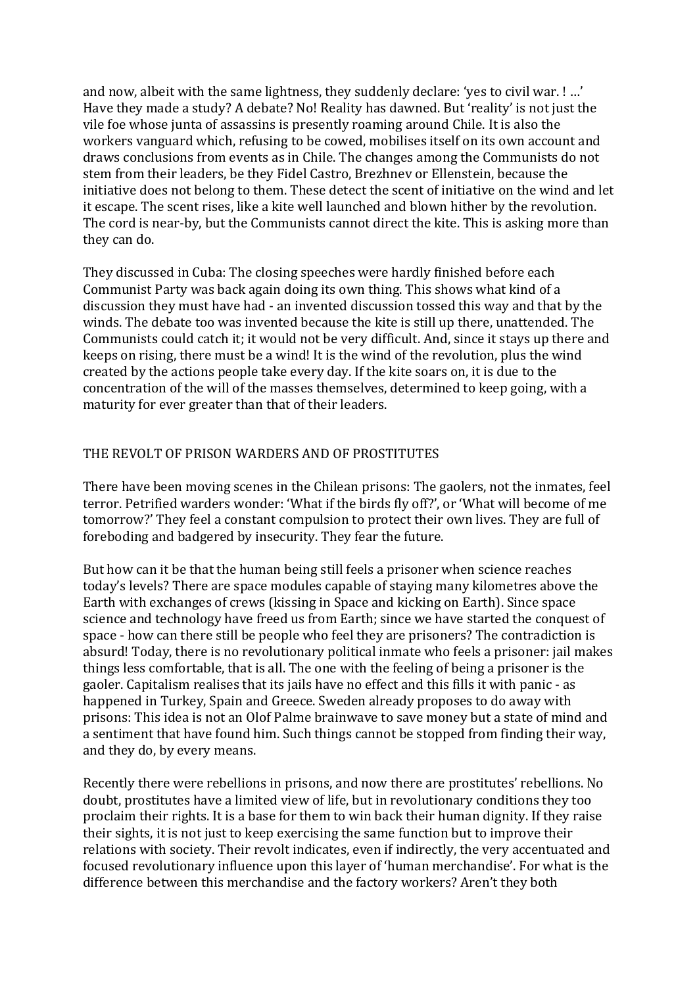and now, albeit with the same lightness, they suddenly declare: 'yes to civil war. ! ...' Have they made a study? A debate? No! Reality has dawned. But 'reality' is not just the vile foe whose junta of assassins is presently roaming around Chile. It is also the workers vanguard which, refusing to be cowed, mobilises itself on its own account and draws conclusions from events as in Chile. The changes among the Communists do not stem from their leaders, be they Fidel Castro, Brezhney or Ellenstein, because the initiative does not belong to them. These detect the scent of initiative on the wind and let it escape. The scent rises, like a kite well launched and blown hither by the revolution. The cord is near-by, but the Communists cannot direct the kite. This is asking more than they can do.

They discussed in Cuba: The closing speeches were hardly finished before each Communist Party was back again doing its own thing. This shows what kind of a discussion they must have had - an invented discussion tossed this way and that by the winds. The debate too was invented because the kite is still up there, unattended. The Communists could catch it; it would not be very difficult. And, since it stays up there and keeps on rising, there must be a wind! It is the wind of the revolution, plus the wind created by the actions people take every day. If the kite soars on, it is due to the concentration of the will of the masses themselves, determined to keep going, with a maturity for ever greater than that of their leaders.

#### THE REVOLT OF PRISON WARDERS AND OF PROSTITUTES

There have been moving scenes in the Chilean prisons: The gaolers, not the inmates, feel terror. Petrified warders wonder: 'What if the birds fly off?', or 'What will become of me tomorrow?' They feel a constant compulsion to protect their own lives. They are full of foreboding and badgered by insecurity. They fear the future.

But how can it be that the human being still feels a prisoner when science reaches today's levels? There are space modules capable of staying many kilometres above the Earth with exchanges of crews (kissing in Space and kicking on Earth). Since space science and technology have freed us from Earth; since we have started the conquest of space - how can there still be people who feel they are prisoners? The contradiction is absurd! Today, there is no revolutionary political inmate who feels a prisoner: jail makes things less comfortable, that is all. The one with the feeling of being a prisoner is the gaoler. Capitalism realises that its jails have no effect and this fills it with panic - as happened in Turkey, Spain and Greece. Sweden already proposes to do away with prisons: This idea is not an Olof Palme brainwave to save money but a state of mind and a sentiment that have found him. Such things cannot be stopped from finding their way, and they do, by every means.

Recently there were rebellions in prisons, and now there are prostitutes' rebellions. No doubt, prostitutes have a limited view of life, but in revolutionary conditions they too proclaim their rights. It is a base for them to win back their human dignity. If they raise their sights, it is not just to keep exercising the same function but to improve their relations with society. Their revolt indicates, even if indirectly, the very accentuated and focused revolutionary influence upon this layer of 'human merchandise'. For what is the difference between this merchandise and the factory workers? Aren't they both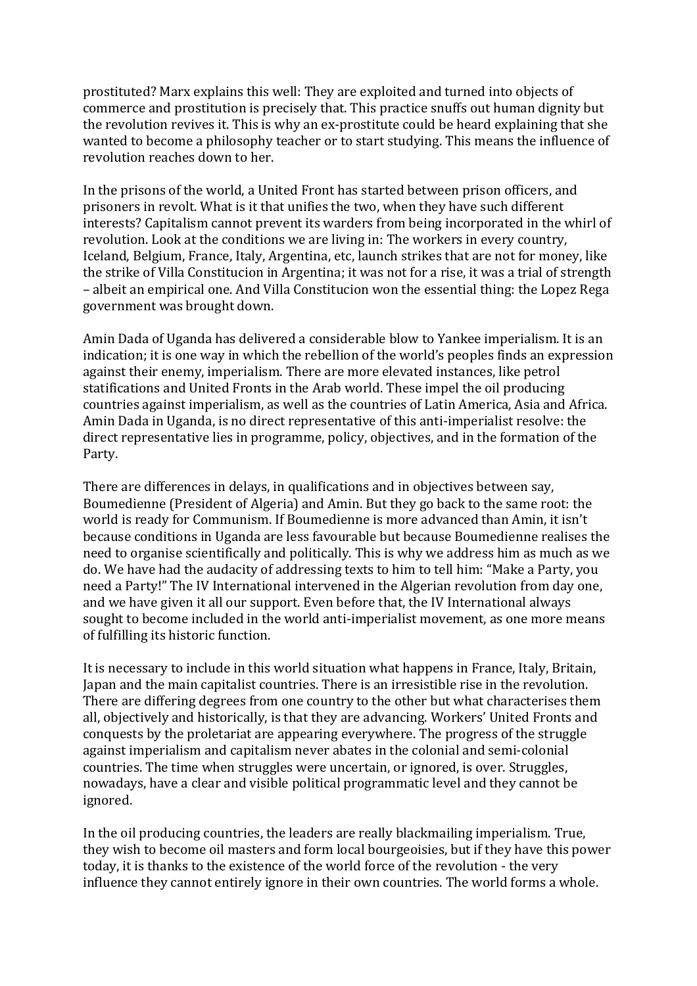prostituted? Marx explains this well: They are exploited and turned into objects of commerce and prostitution is precisely that. This practice snuffs out human dignity but the revolution revives it. This is why an ex-prostitute could be heard explaining that she wanted to become a philosophy teacher or to start studying. This means the influence of revolution reaches down to her.

In the prisons of the world, a United Front has started between prison officers, and prisoners in revolt. What is it that unifies the two, when they have such different interests? Capitalism cannot prevent its warders from being incorporated in the whirl of revolution. Look at the conditions we are living in: The workers in every country, Iceland, Belgium, France, Italy, Argentina, etc, launch strikes that are not for money, like the strike of Villa Constitucion in Argentina; it was not for a rise, it was a trial of strength – albeit an empirical one. And Villa Constitucion won the essential thing: the Lopez Rega government was brought down.

Amin Dada of Uganda has delivered a considerable blow to Yankee imperialism. It is an indication; it is one way in which the rebellion of the world's peoples finds an expression against their enemy, imperialism. There are more elevated instances, like petrol statifications and United Fronts in the Arab world. These impel the oil producing countries against imperialism, as well as the countries of Latin America, Asia and Africa. Amin Dada in Uganda, is no direct representative of this anti-imperialist resolve: the direct representative lies in programme, policy, objectives, and in the formation of the Party.

There are differences in delays, in qualifications and in objectives between say, Boumedienne (President of Algeria) and Amin. But they go back to the same root: the world is ready for Communism. If Boumedienne is more advanced than Amin, it isn't because conditions in Uganda are less favourable but because Boumedienne realises the need to organise scientifically and politically. This is why we address him as much as we do. We have had the audacity of addressing texts to him to tell him: "Make a Party, you need a Party!" The IV International intervened in the Algerian revolution from day one, and we have given it all our support. Even before that, the IV International always sought to become included in the world anti-imperialist movement, as one more means of fulfilling its historic function.

It is necessary to include in this world situation what happens in France, Italy, Britain, Japan and the main capitalist countries. There is an irresistible rise in the revolution. There are differing degrees from one country to the other but what characterises them all, objectively and historically, is that they are advancing. Workers' United Fronts and conquests by the proletariat are appearing everywhere. The progress of the struggle against imperialism and capitalism never abates in the colonial and semi-colonial countries. The time when struggles were uncertain, or ignored, is over. Struggles, nowadays, have a clear and visible political programmatic level and they cannot be ignored.

In the oil producing countries, the leaders are really blackmailing imperialism. True, they wish to become oil masters and form local bourgeoisies, but if they have this power today, it is thanks to the existence of the world force of the revolution - the very influence they cannot entirely ignore in their own countries. The world forms a whole.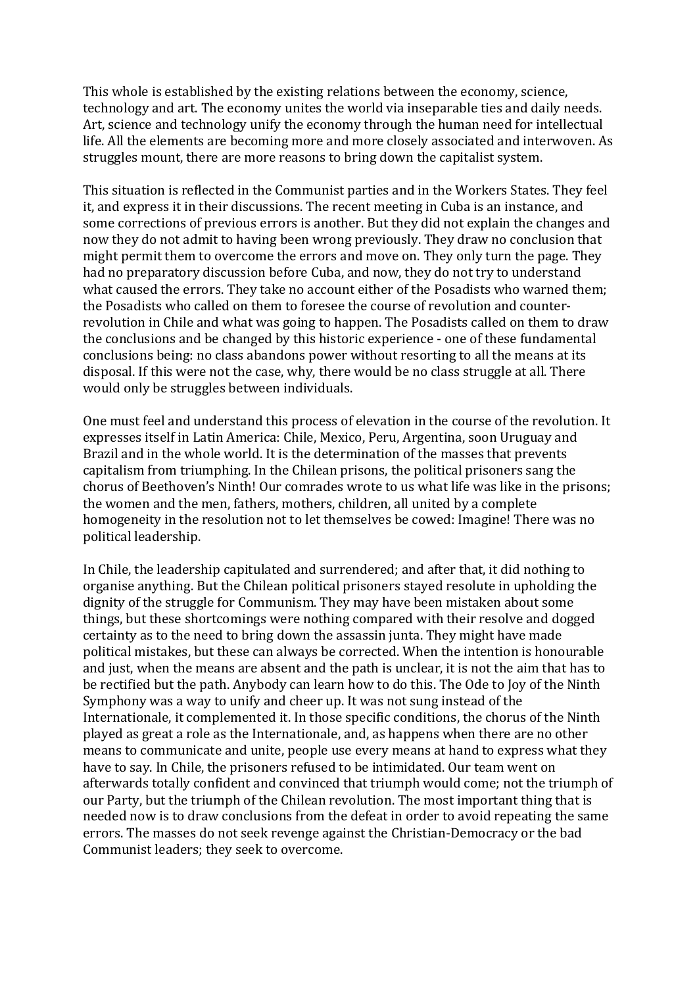This whole is established by the existing relations between the economy, science, technology and art. The economy unites the world via inseparable ties and daily needs. Art, science and technology unify the economy through the human need for intellectual life. All the elements are becoming more and more closely associated and interwoven. As struggles mount, there are more reasons to bring down the capitalist system.

This situation is reflected in the Communist parties and in the Workers States. They feel it, and express it in their discussions. The recent meeting in Cuba is an instance, and some corrections of previous errors is another. But they did not explain the changes and now they do not admit to having been wrong previously. They draw no conclusion that might permit them to overcome the errors and move on. They only turn the page. They had no preparatory discussion before Cuba, and now, they do not try to understand what caused the errors. They take no account either of the Posadists who warned them; the Posadists who called on them to foresee the course of revolution and counterrevolution in Chile and what was going to happen. The Posadists called on them to draw the conclusions and be changed by this historic experience - one of these fundamental conclusions being: no class abandons power without resorting to all the means at its disposal. If this were not the case, why, there would be no class struggle at all. There would only be struggles between individuals.

One must feel and understand this process of elevation in the course of the revolution. It expresses itself in Latin America: Chile, Mexico, Peru, Argentina, soon Uruguay and Brazil and in the whole world. It is the determination of the masses that prevents capitalism from triumphing. In the Chilean prisons, the political prisoners sang the chorus of Beethoven's Ninth! Our comrades wrote to us what life was like in the prisons; the women and the men, fathers, mothers, children, all united by a complete homogeneity in the resolution not to let themselves be cowed: Imagine! There was no political leadership.

In Chile, the leadership capitulated and surrendered; and after that, it did nothing to organise anything. But the Chilean political prisoners stayed resolute in upholding the dignity of the struggle for Communism. They may have been mistaken about some things, but these shortcomings were nothing compared with their resolve and dogged certainty as to the need to bring down the assassin junta. They might have made political mistakes, but these can always be corrected. When the intention is honourable and just, when the means are absent and the path is unclear, it is not the aim that has to be rectified but the path. Anybody can learn how to do this. The Ode to Joy of the Ninth Symphony was a way to unify and cheer up. It was not sung instead of the Internationale, it complemented it. In those specific conditions, the chorus of the Ninth played as great a role as the Internationale, and, as happens when there are no other means to communicate and unite, people use every means at hand to express what they have to say. In Chile, the prisoners refused to be intimidated. Our team went on afterwards totally confident and convinced that triumph would come; not the triumph of our Party, but the triumph of the Chilean revolution. The most important thing that is needed now is to draw conclusions from the defeat in order to avoid repeating the same errors. The masses do not seek revenge against the Christian-Democracy or the bad Communist leaders; they seek to overcome.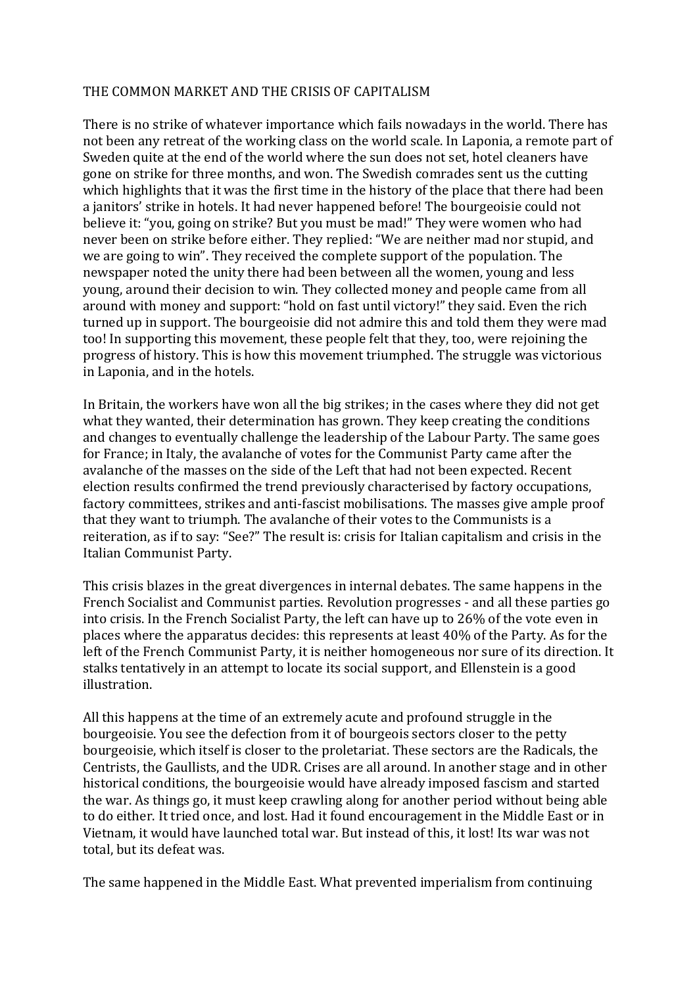#### THE COMMON MARKET AND THE CRISIS OF CAPITALISM

There is no strike of whatever importance which fails nowadays in the world. There has not been any retreat of the working class on the world scale. In Laponia, a remote part of Sweden quite at the end of the world where the sun does not set, hotel cleaners have gone on strike for three months, and won. The Swedish comrades sent us the cutting which highlights that it was the first time in the history of the place that there had been a janitors' strike in hotels. It had never happened before! The bourgeoisie could not believe it: "you, going on strike? But you must be mad!" They were women who had never been on strike before either. They replied: "We are neither mad nor stupid, and we are going to win". They received the complete support of the population. The newspaper noted the unity there had been between all the women, young and less young, around their decision to win. They collected money and people came from all around with money and support: "hold on fast until victory!" they said. Even the rich turned up in support. The bourgeoisie did not admire this and told them they were mad too! In supporting this movement, these people felt that they, too, were rejoining the progress of history. This is how this movement triumphed. The struggle was victorious in Laponia, and in the hotels.

In Britain, the workers have won all the big strikes; in the cases where they did not get what they wanted, their determination has grown. They keep creating the conditions and changes to eventually challenge the leadership of the Labour Party. The same goes for France; in Italy, the avalanche of votes for the Communist Party came after the avalanche of the masses on the side of the Left that had not been expected. Recent election results confirmed the trend previously characterised by factory occupations, factory committees, strikes and anti-fascist mobilisations. The masses give ample proof that they want to triumph. The avalanche of their votes to the Communists is a reiteration, as if to say: "See?" The result is: crisis for Italian capitalism and crisis in the Italian Communist Party.

This crisis blazes in the great divergences in internal debates. The same happens in the French Socialist and Communist parties. Revolution progresses - and all these parties go into crisis. In the French Socialist Party, the left can have up to 26% of the vote even in places where the apparatus decides: this represents at least  $40\%$  of the Party. As for the left of the French Communist Party, it is neither homogeneous nor sure of its direction. It stalks tentatively in an attempt to locate its social support, and Ellenstein is a good illustration.

All this happens at the time of an extremely acute and profound struggle in the bourgeoisie. You see the defection from it of bourgeois sectors closer to the petty bourgeoisie, which itself is closer to the proletariat. These sectors are the Radicals, the Centrists, the Gaullists, and the UDR. Crises are all around. In another stage and in other historical conditions, the bourgeoisie would have already imposed fascism and started the war. As things go, it must keep crawling along for another period without being able to do either. It tried once, and lost. Had it found encouragement in the Middle East or in Vietnam, it would have launched total war. But instead of this, it lost! Its war was not total, but its defeat was.

The same happened in the Middle East. What prevented imperialism from continuing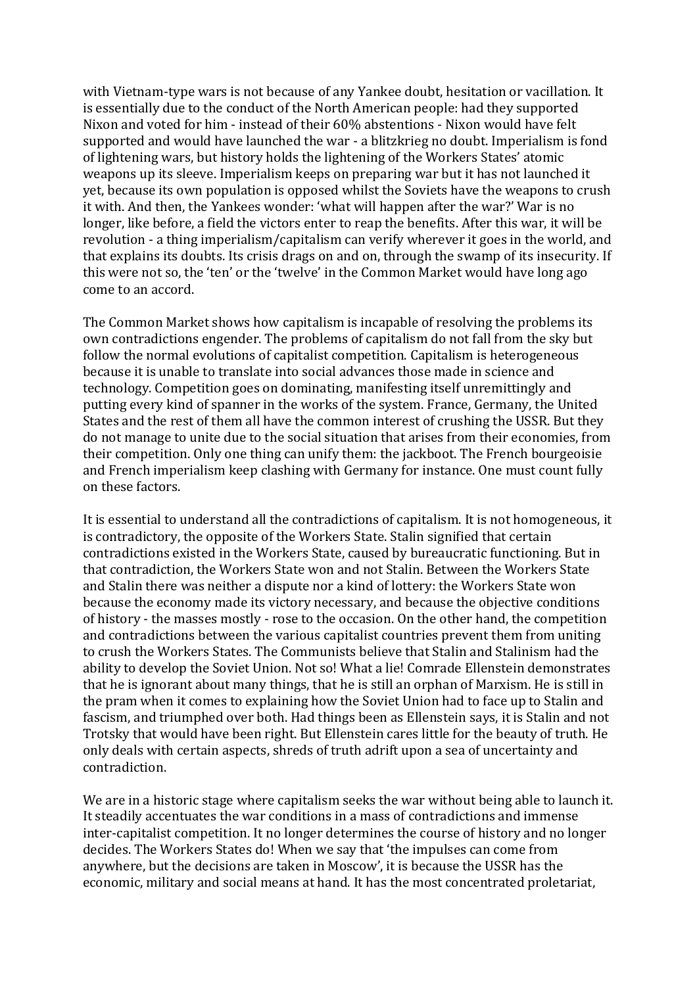with Vietnam-type wars is not because of any Yankee doubt, hesitation or vacillation. It is essentially due to the conduct of the North American people: had they supported Nixon and voted for him - instead of their 60% abstentions - Nixon would have felt supported and would have launched the war - a blitzkrieg no doubt. Imperialism is fond of lightening wars, but history holds the lightening of the Workers States' atomic weapons up its sleeve. Imperialism keeps on preparing war but it has not launched it yet, because its own population is opposed whilst the Soviets have the weapons to crush it with. And then, the Yankees wonder: 'what will happen after the war?' War is no longer, like before, a field the victors enter to reap the benefits. After this war, it will be revolution - a thing imperialism/capitalism can verify wherever it goes in the world, and that explains its doubts. Its crisis drags on and on, through the swamp of its insecurity. If this were not so, the 'ten' or the 'twelve' in the Common Market would have long ago come to an accord.

The Common Market shows how capitalism is incapable of resolving the problems its own contradictions engender. The problems of capitalism do not fall from the sky but follow the normal evolutions of capitalist competition. Capitalism is heterogeneous because it is unable to translate into social advances those made in science and technology. Competition goes on dominating, manifesting itself unremittingly and putting every kind of spanner in the works of the system. France, Germany, the United States and the rest of them all have the common interest of crushing the USSR. But they do not manage to unite due to the social situation that arises from their economies, from their competition. Only one thing can unify them: the jackboot. The French bourgeoisie and French imperialism keep clashing with Germany for instance. One must count fully on these factors.

It is essential to understand all the contradictions of capitalism. It is not homogeneous, it is contradictory, the opposite of the Workers State. Stalin signified that certain contradictions existed in the Workers State, caused by bureaucratic functioning. But in that contradiction, the Workers State won and not Stalin. Between the Workers State and Stalin there was neither a dispute nor a kind of lottery: the Workers State won because the economy made its victory necessary, and because the objective conditions of history - the masses mostly - rose to the occasion. On the other hand, the competition and contradictions between the various capitalist countries prevent them from uniting to crush the Workers States. The Communists believe that Stalin and Stalinism had the ability to develop the Soviet Union. Not so! What a lie! Comrade Ellenstein demonstrates that he is ignorant about many things, that he is still an orphan of Marxism. He is still in the pram when it comes to explaining how the Soviet Union had to face up to Stalin and fascism, and triumphed over both. Had things been as Ellenstein says, it is Stalin and not Trotsky that would have been right. But Ellenstein cares little for the beauty of truth. He only deals with certain aspects, shreds of truth adrift upon a sea of uncertainty and contradiction.

We are in a historic stage where capitalism seeks the war without being able to launch it. It steadily accentuates the war conditions in a mass of contradictions and immense inter-capitalist competition. It no longer determines the course of history and no longer decides. The Workers States do! When we say that 'the impulses can come from anywhere, but the decisions are taken in Moscow', it is because the USSR has the economic, military and social means at hand. It has the most concentrated proletariat,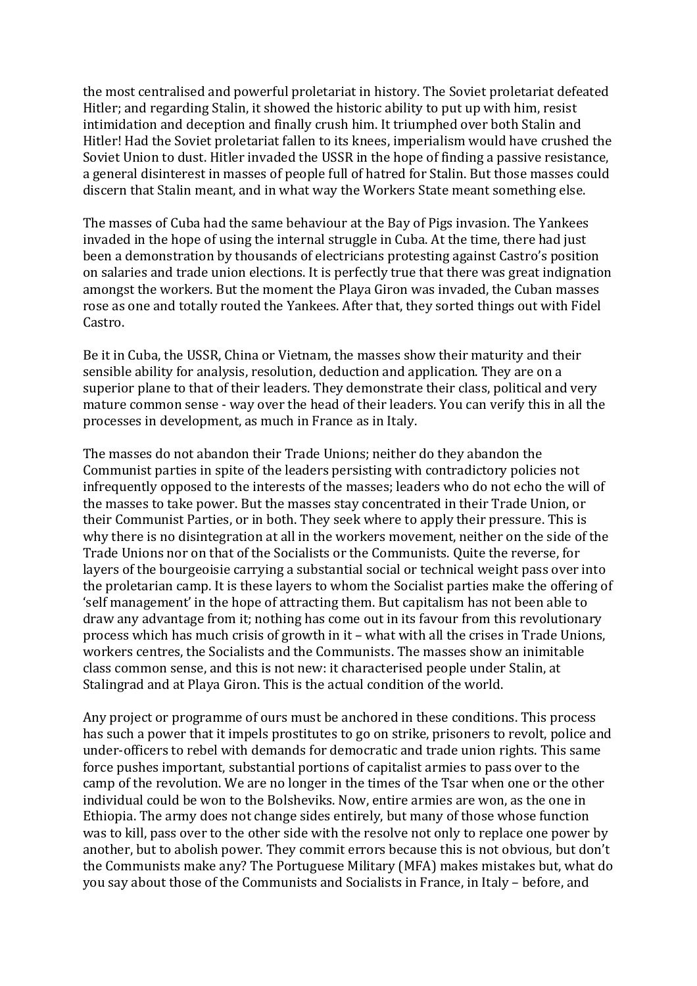the most centralised and powerful proletariat in history. The Soviet proletariat defeated Hitler; and regarding Stalin, it showed the historic ability to put up with him, resist intimidation and deception and finally crush him. It triumphed over both Stalin and Hitler! Had the Soviet proletariat fallen to its knees, imperialism would have crushed the Soviet Union to dust. Hitler invaded the USSR in the hope of finding a passive resistance, a general disinterest in masses of people full of hatred for Stalin. But those masses could discern that Stalin meant, and in what way the Workers State meant something else.

The masses of Cuba had the same behaviour at the Bay of Pigs invasion. The Yankees invaded in the hope of using the internal struggle in Cuba. At the time, there had just been a demonstration by thousands of electricians protesting against Castro's position on salaries and trade union elections. It is perfectly true that there was great indignation amongst the workers. But the moment the Playa Giron was invaded, the Cuban masses rose as one and totally routed the Yankees. After that, they sorted things out with Fidel Castro.

Be it in Cuba, the USSR, China or Vietnam, the masses show their maturity and their sensible ability for analysis, resolution, deduction and application. They are on a superior plane to that of their leaders. They demonstrate their class, political and very mature common sense - way over the head of their leaders. You can verify this in all the processes in development, as much in France as in Italy.

The masses do not abandon their Trade Unions; neither do they abandon the Communist parties in spite of the leaders persisting with contradictory policies not infrequently opposed to the interests of the masses; leaders who do not echo the will of the masses to take power. But the masses stay concentrated in their Trade Union, or their Communist Parties, or in both. They seek where to apply their pressure. This is why there is no disintegration at all in the workers movement, neither on the side of the Trade Unions nor on that of the Socialists or the Communists. Ouite the reverse, for layers of the bourgeoisie carrying a substantial social or technical weight pass over into the proletarian camp. It is these layers to whom the Socialist parties make the offering of 'self management' in the hope of attracting them. But capitalism has not been able to draw any advantage from it; nothing has come out in its favour from this revolutionary process which has much crisis of growth in  $it$  – what with all the crises in Trade Unions, workers centres, the Socialists and the Communists. The masses show an inimitable class common sense, and this is not new: it characterised people under Stalin, at Stalingrad and at Playa Giron. This is the actual condition of the world.

Any project or programme of ours must be anchored in these conditions. This process has such a power that it impels prostitutes to go on strike, prisoners to revolt, police and under-officers to rebel with demands for democratic and trade union rights. This same force pushes important, substantial portions of capitalist armies to pass over to the camp of the revolution. We are no longer in the times of the Tsar when one or the other individual could be won to the Bolsheviks. Now, entire armies are won, as the one in Ethiopia. The army does not change sides entirely, but many of those whose function was to kill, pass over to the other side with the resolve not only to replace one power by another, but to abolish power. They commit errors because this is not obvious, but don't the Communists make any? The Portuguese Military (MFA) makes mistakes but, what do you say about those of the Communists and Socialists in France, in Italy - before, and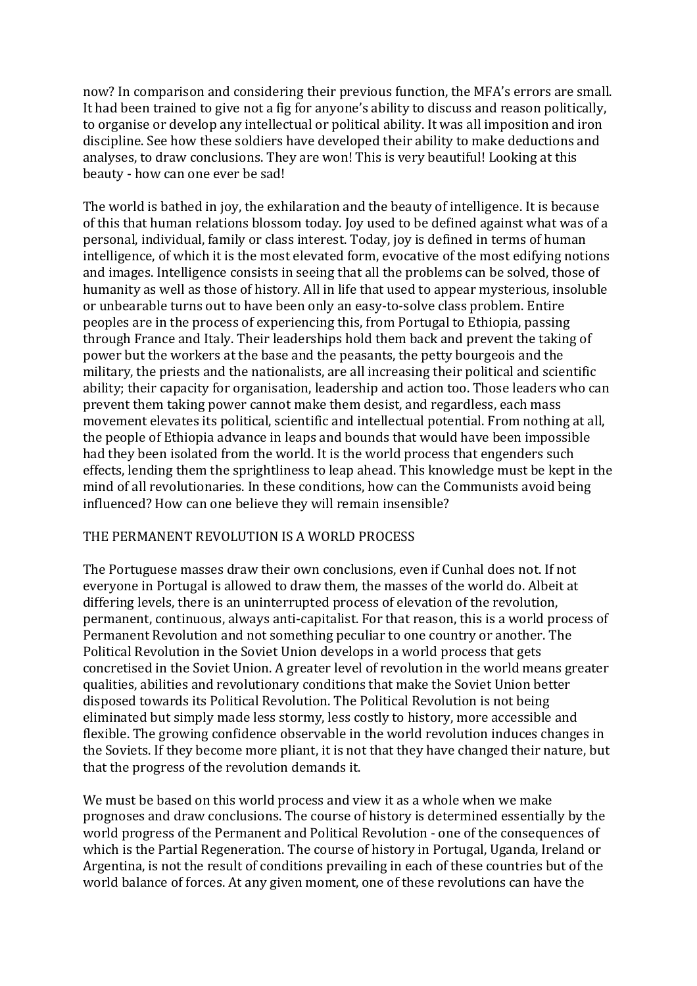now? In comparison and considering their previous function, the MFA's errors are small. It had been trained to give not a fig for anyone's ability to discuss and reason politically, to organise or develop any intellectual or political ability. It was all imposition and iron discipline. See how these soldiers have developed their ability to make deductions and analyses, to draw conclusions. They are won! This is very beautiful! Looking at this beauty - how can one ever be sad!

The world is bathed in joy, the exhilaration and the beauty of intelligence. It is because of this that human relations blossom today. Joy used to be defined against what was of a personal, individual, family or class interest. Today, joy is defined in terms of human intelligence, of which it is the most elevated form, evocative of the most edifying notions and images. Intelligence consists in seeing that all the problems can be solved, those of humanity as well as those of history. All in life that used to appear mysterious, insoluble or unbearable turns out to have been only an easy-to-solve class problem. Entire peoples are in the process of experiencing this, from Portugal to Ethiopia, passing through France and Italy. Their leaderships hold them back and prevent the taking of power but the workers at the base and the peasants, the petty bourgeois and the military, the priests and the nationalists, are all increasing their political and scientific ability; their capacity for organisation, leadership and action too. Those leaders who can prevent them taking power cannot make them desist, and regardless, each mass movement elevates its political, scientific and intellectual potential. From nothing at all, the people of Ethiopia advance in leaps and bounds that would have been impossible had they been isolated from the world. It is the world process that engenders such effects, lending them the sprightliness to leap ahead. This knowledge must be kept in the mind of all revolutionaries. In these conditions, how can the Communists avoid being influenced? How can one believe they will remain insensible?

## THE PERMANENT REVOLUTION IS A WORLD PROCESS

The Portuguese masses draw their own conclusions, even if Cunhal does not. If not everyone in Portugal is allowed to draw them, the masses of the world do. Albeit at differing levels, there is an uninterrupted process of elevation of the revolution, permanent, continuous, always anti-capitalist. For that reason, this is a world process of Permanent Revolution and not something peculiar to one country or another. The Political Revolution in the Soviet Union develops in a world process that gets concretised in the Soviet Union. A greater level of revolution in the world means greater qualities, abilities and revolutionary conditions that make the Soviet Union better disposed towards its Political Revolution. The Political Revolution is not being eliminated but simply made less stormy, less costly to history, more accessible and flexible. The growing confidence observable in the world revolution induces changes in the Soviets. If they become more pliant, it is not that they have changed their nature, but that the progress of the revolution demands it.

We must be based on this world process and view it as a whole when we make prognoses and draw conclusions. The course of history is determined essentially by the world progress of the Permanent and Political Revolution - one of the consequences of which is the Partial Regeneration. The course of history in Portugal, Uganda, Ireland or Argentina, is not the result of conditions prevailing in each of these countries but of the world balance of forces. At any given moment, one of these revolutions can have the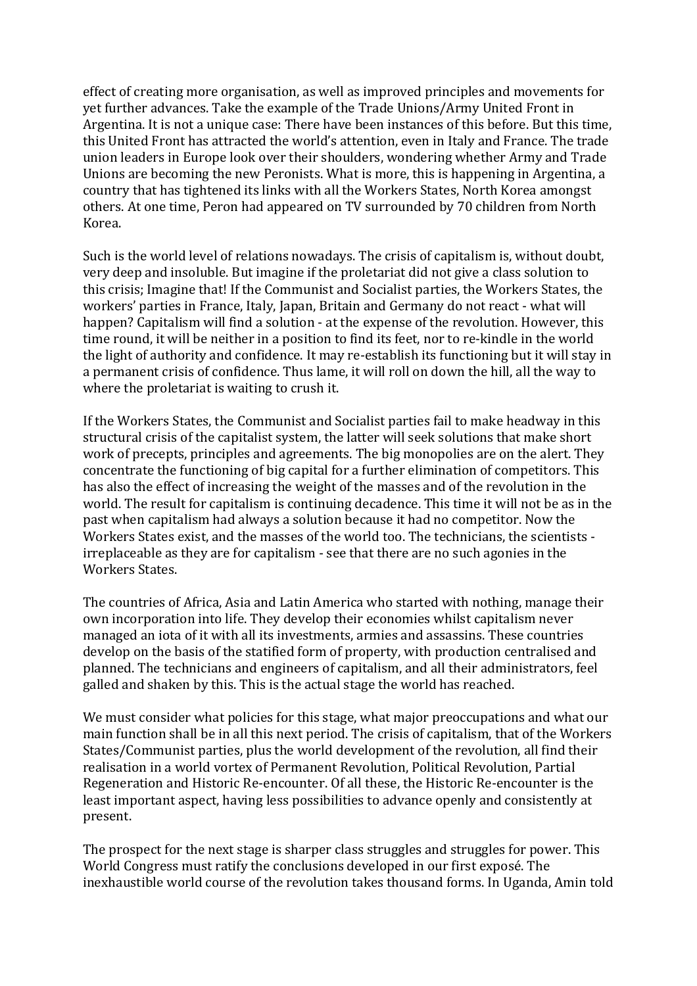effect of creating more organisation, as well as improved principles and movements for vet further advances. Take the example of the Trade Unions/Army United Front in Argentina. It is not a unique case: There have been instances of this before. But this time, this United Front has attracted the world's attention, even in Italy and France. The trade union leaders in Europe look over their shoulders, wondering whether Army and Trade Unions are becoming the new Peronists. What is more, this is happening in Argentina, a country that has tightened its links with all the Workers States, North Korea amongst others. At one time, Peron had appeared on TV surrounded by 70 children from North Korea.

Such is the world level of relations nowadays. The crisis of capitalism is, without doubt, very deep and insoluble. But imagine if the proletariat did not give a class solution to this crisis; Imagine that! If the Communist and Socialist parties, the Workers States, the workers' parties in France, Italy, Japan, Britain and Germany do not react - what will happen? Capitalism will find a solution - at the expense of the revolution. However, this time round, it will be neither in a position to find its feet, nor to re-kindle in the world the light of authority and confidence. It may re-establish its functioning but it will stay in a permanent crisis of confidence. Thus lame, it will roll on down the hill, all the way to where the proletariat is waiting to crush it.

If the Workers States, the Communist and Socialist parties fail to make headway in this structural crisis of the capitalist system, the latter will seek solutions that make short work of precepts, principles and agreements. The big monopolies are on the alert. They concentrate the functioning of big capital for a further elimination of competitors. This has also the effect of increasing the weight of the masses and of the revolution in the world. The result for capitalism is continuing decadence. This time it will not be as in the past when capitalism had always a solution because it had no competitor. Now the Workers States exist, and the masses of the world too. The technicians, the scientists irreplaceable as they are for capitalism - see that there are no such agonies in the Workers States.

The countries of Africa, Asia and Latin America who started with nothing, manage their own incorporation into life. They develop their economies whilst capitalism never managed an iota of it with all its investments, armies and assassins. These countries develop on the basis of the statified form of property, with production centralised and planned. The technicians and engineers of capitalism, and all their administrators, feel galled and shaken by this. This is the actual stage the world has reached.

We must consider what policies for this stage, what major preoccupations and what our main function shall be in all this next period. The crisis of capitalism, that of the Workers States/Communist parties, plus the world development of the revolution, all find their realisation in a world vortex of Permanent Revolution, Political Revolution, Partial Regeneration and Historic Re-encounter. Of all these, the Historic Re-encounter is the least important aspect, having less possibilities to advance openly and consistently at present.

The prospect for the next stage is sharper class struggles and struggles for power. This World Congress must ratify the conclusions developed in our first exposé. The inexhaustible world course of the revolution takes thousand forms. In Uganda, Amin told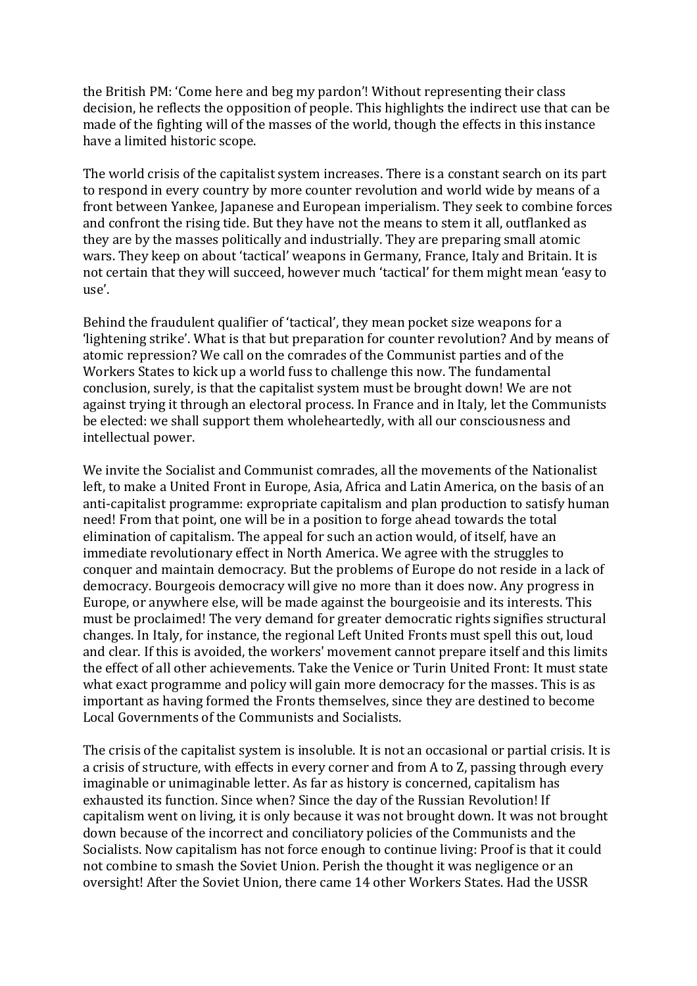the British PM: 'Come here and beg my pardon'! Without representing their class decision, he reflects the opposition of people. This highlights the indirect use that can be made of the fighting will of the masses of the world, though the effects in this instance have a limited historic scope.

The world crisis of the capitalist system increases. There is a constant search on its part to respond in every country by more counter revolution and world wide by means of a front between Yankee, Japanese and European imperialism. They seek to combine forces and confront the rising tide. But they have not the means to stem it all, outflanked as they are by the masses politically and industrially. They are preparing small atomic wars. They keep on about 'tactical' weapons in Germany, France, Italy and Britain. It is not certain that they will succeed, however much 'tactical' for them might mean 'easy to use'.

Behind the fraudulent qualifier of 'tactical', they mean pocket size weapons for a 'lightening strike'. What is that but preparation for counter revolution? And by means of atomic repression? We call on the comrades of the Communist parties and of the Workers States to kick up a world fuss to challenge this now. The fundamental conclusion, surely, is that the capitalist system must be brought down! We are not against trying it through an electoral process. In France and in Italy, let the Communists be elected: we shall support them wholeheartedly, with all our consciousness and intellectual power.

We invite the Socialist and Communist comrades, all the movements of the Nationalist left, to make a United Front in Europe, Asia, Africa and Latin America, on the basis of an anti-capitalist programme: expropriate capitalism and plan production to satisfy human need! From that point, one will be in a position to forge ahead towards the total elimination of capitalism. The appeal for such an action would, of itself, have an immediate revolutionary effect in North America. We agree with the struggles to conquer and maintain democracy. But the problems of Europe do not reside in a lack of democracy. Bourgeois democracy will give no more than it does now. Any progress in Europe, or anywhere else, will be made against the bourgeoisie and its interests. This must be proclaimed! The very demand for greater democratic rights signifies structural changes. In Italy, for instance, the regional Left United Fronts must spell this out, loud and clear. If this is avoided, the workers' movement cannot prepare itself and this limits the effect of all other achievements. Take the Venice or Turin United Front: It must state what exact programme and policy will gain more democracy for the masses. This is as important as having formed the Fronts themselves, since they are destined to become Local Governments of the Communists and Socialists.

The crisis of the capitalist system is insoluble. It is not an occasional or partial crisis. It is a crisis of structure, with effects in every corner and from A to Z, passing through every imaginable or unimaginable letter. As far as history is concerned, capitalism has exhausted its function. Since when? Since the day of the Russian Revolution! If capitalism went on living, it is only because it was not brought down. It was not brought down because of the incorrect and conciliatory policies of the Communists and the Socialists. Now capitalism has not force enough to continue living: Proof is that it could not combine to smash the Soviet Union. Perish the thought it was negligence or an oversight! After the Soviet Union, there came 14 other Workers States. Had the USSR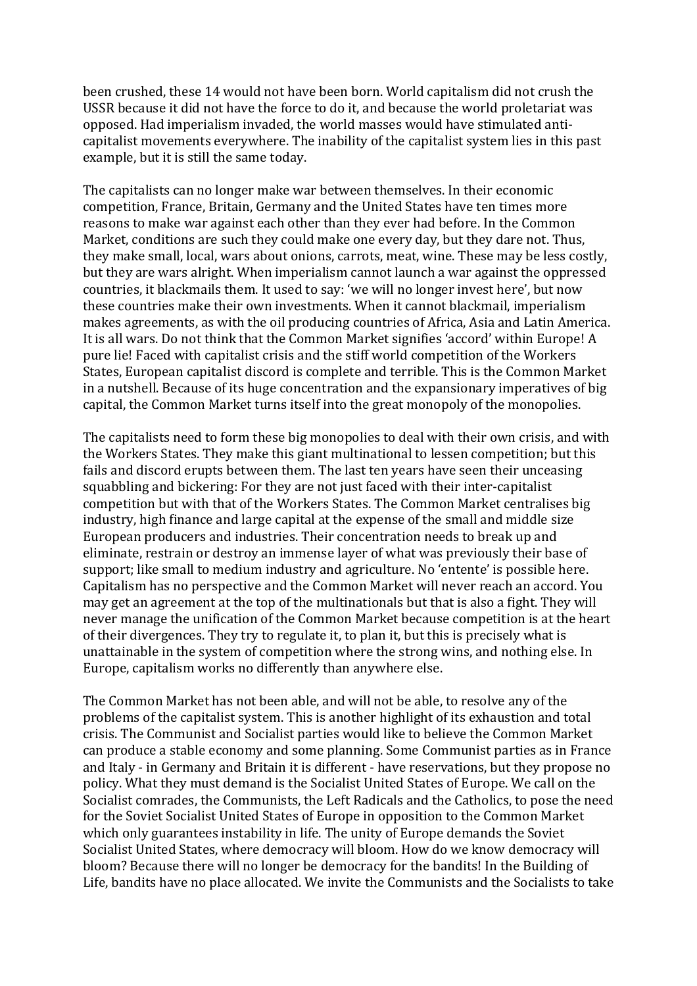been crushed, these 14 would not have been born. World capitalism did not crush the USSR because it did not have the force to do it, and because the world proletariat was opposed. Had imperialism invaded, the world masses would have stimulated anticapitalist movements everywhere. The inability of the capitalist system lies in this past example, but it is still the same today.

The capitalists can no longer make war between themselves. In their economic competition, France, Britain, Germany and the United States have ten times more reasons to make war against each other than they ever had before. In the Common Market, conditions are such they could make one every day, but they dare not. Thus, they make small, local, wars about onions, carrots, meat, wine. These may be less costly, but they are wars alright. When imperialism cannot launch a war against the oppressed countries, it blackmails them. It used to say: 'we will no longer invest here', but now these countries make their own investments. When it cannot blackmail, imperialism makes agreements, as with the oil producing countries of Africa, Asia and Latin America. It is all wars. Do not think that the Common Market signifies 'accord' within Europe! A pure lie! Faced with capitalist crisis and the stiff world competition of the Workers States, European capitalist discord is complete and terrible. This is the Common Market in a nutshell. Because of its huge concentration and the expansionary imperatives of big capital, the Common Market turns itself into the great monopoly of the monopolies.

The capitalists need to form these big monopolies to deal with their own crisis, and with the Workers States. They make this giant multinational to lessen competition; but this fails and discord erupts between them. The last ten years have seen their unceasing squabbling and bickering: For they are not just faced with their inter-capitalist competition but with that of the Workers States. The Common Market centralises big industry, high finance and large capital at the expense of the small and middle size European producers and industries. Their concentration needs to break up and eliminate, restrain or destroy an immense layer of what was previously their base of support; like small to medium industry and agriculture. No 'entente' is possible here. Capitalism has no perspective and the Common Market will never reach an accord. You may get an agreement at the top of the multinationals but that is also a fight. They will never manage the unification of the Common Market because competition is at the heart of their divergences. They try to regulate it, to plan it, but this is precisely what is unattainable in the system of competition where the strong wins, and nothing else. In Europe, capitalism works no differently than anywhere else.

The Common Market has not been able, and will not be able, to resolve any of the problems of the capitalist system. This is another highlight of its exhaustion and total crisis. The Communist and Socialist parties would like to believe the Common Market can produce a stable economy and some planning. Some Communist parties as in France and Italy - in Germany and Britain it is different - have reservations, but they propose no policy. What they must demand is the Socialist United States of Europe. We call on the Socialist comrades, the Communists, the Left Radicals and the Catholics, to pose the need for the Soviet Socialist United States of Europe in opposition to the Common Market which only guarantees instability in life. The unity of Europe demands the Soviet Socialist United States, where democracy will bloom. How do we know democracy will bloom? Because there will no longer be democracy for the bandits! In the Building of Life, bandits have no place allocated. We invite the Communists and the Socialists to take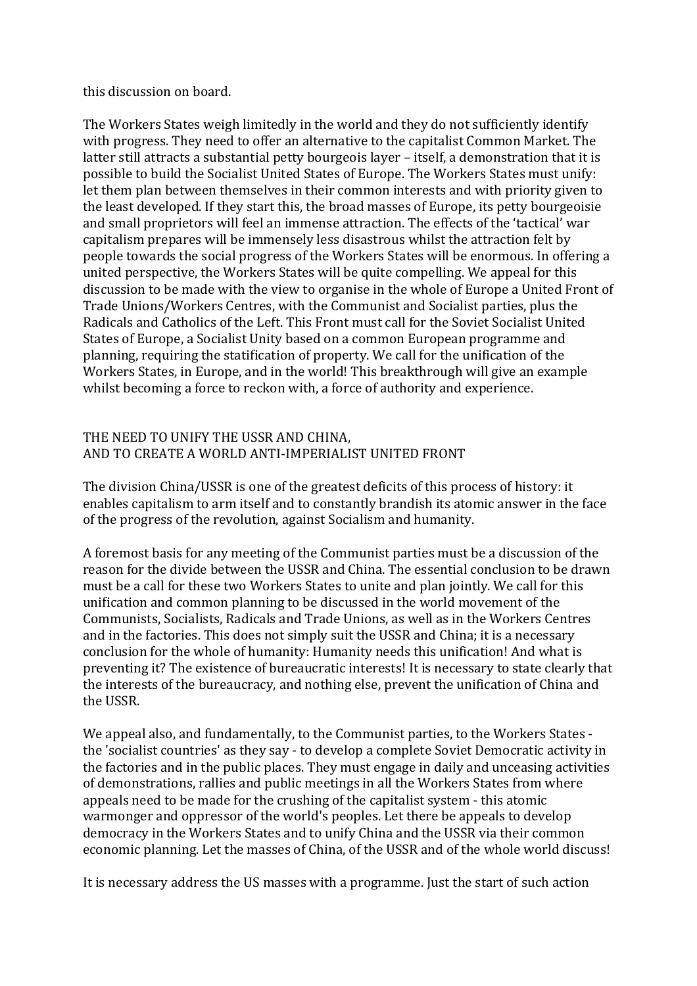this discussion on board.

The Workers States weigh limitedly in the world and they do not sufficiently identify with progress. They need to offer an alternative to the capitalist Common Market. The latter still attracts a substantial petty bourgeois layer – itself, a demonstration that it is possible to build the Socialist United States of Europe. The Workers States must unify: let them plan between themselves in their common interests and with priority given to the least developed. If they start this, the broad masses of Europe, its petty bourgeoisie and small proprietors will feel an immense attraction. The effects of the 'tactical' war capitalism prepares will be immensely less disastrous whilst the attraction felt by people towards the social progress of the Workers States will be enormous. In offering a united perspective, the Workers States will be quite compelling. We appeal for this discussion to be made with the view to organise in the whole of Europe a United Front of Trade Unions/Workers Centres, with the Communist and Socialist parties, plus the Radicals and Catholics of the Left. This Front must call for the Soviet Socialist United States of Europe, a Socialist Unity based on a common European programme and planning, requiring the statification of property. We call for the unification of the Workers States, in Europe, and in the world! This breakthrough will give an example whilst becoming a force to reckon with, a force of authority and experience.

## THE NEED TO UNIFY THE USSR AND CHINA. AND TO CREATE A WORLD ANTI-IMPERIALIST UNITED FRONT

The division China/USSR is one of the greatest deficits of this process of history: it enables capitalism to arm itself and to constantly brandish its atomic answer in the face of the progress of the revolution, against Socialism and humanity.

A foremost basis for any meeting of the Communist parties must be a discussion of the reason for the divide between the USSR and China. The essential conclusion to be drawn must be a call for these two Workers States to unite and plan jointly. We call for this unification and common planning to be discussed in the world movement of the Communists, Socialists, Radicals and Trade Unions, as well as in the Workers Centres and in the factories. This does not simply suit the USSR and China; it is a necessary conclusion for the whole of humanity: Humanity needs this unification! And what is preventing it? The existence of bureaucratic interests! It is necessary to state clearly that the interests of the bureaucracy, and nothing else, prevent the unification of China and the USSR.

We appeal also, and fundamentally, to the Communist parties, to the Workers States the 'socialist countries' as they say - to develop a complete Soviet Democratic activity in the factories and in the public places. They must engage in daily and unceasing activities of demonstrations, rallies and public meetings in all the Workers States from where appeals need to be made for the crushing of the capitalist system - this atomic warmonger and oppressor of the world's peoples. Let there be appeals to develop democracy in the Workers States and to unify China and the USSR via their common economic planning. Let the masses of China, of the USSR and of the whole world discuss!

It is necessary address the US masses with a programme. Just the start of such action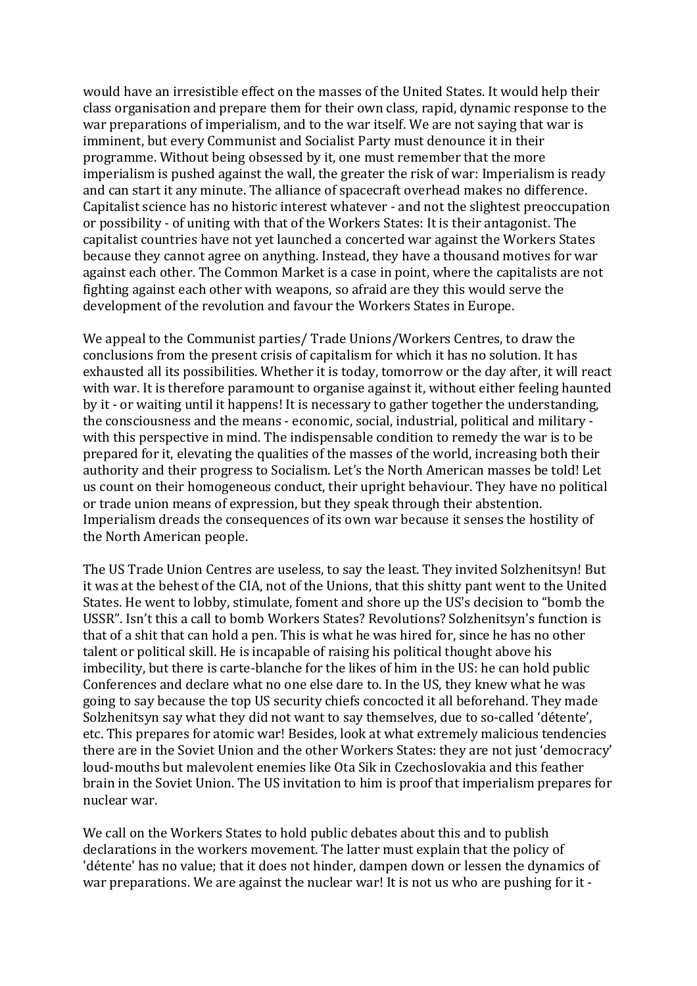would have an irresistible effect on the masses of the United States. It would help their class organisation and prepare them for their own class, rapid, dynamic response to the war preparations of imperialism, and to the war itself. We are not saying that war is imminent, but every Communist and Socialist Party must denounce it in their programme. Without being obsessed by it, one must remember that the more imperialism is pushed against the wall, the greater the risk of war: Imperialism is ready and can start it any minute. The alliance of spacecraft overhead makes no difference. Capitalist science has no historic interest whatever - and not the slightest preoccupation or possibility - of uniting with that of the Workers States: It is their antagonist. The capitalist countries have not vet launched a concerted war against the Workers States because they cannot agree on anything. Instead, they have a thousand motives for war against each other. The Common Market is a case in point, where the capitalists are not fighting against each other with weapons, so afraid are they this would serve the development of the revolution and favour the Workers States in Europe.

We appeal to the Communist parties/ Trade Unions/Workers Centres, to draw the conclusions from the present crisis of capitalism for which it has no solution. It has exhausted all its possibilities. Whether it is today, tomorrow or the day after, it will react with war. It is therefore paramount to organise against it, without either feeling haunted by it - or waiting until it happens! It is necessary to gather together the understanding, the consciousness and the means - economic, social, industrial, political and military with this perspective in mind. The indispensable condition to remedy the war is to be prepared for it, elevating the qualities of the masses of the world, increasing both their authority and their progress to Socialism. Let's the North American masses be told! Let us count on their homogeneous conduct, their upright behaviour. They have no political or trade union means of expression, but they speak through their abstention. Imperialism dreads the consequences of its own war because it senses the hostility of the North American people.

The US Trade Union Centres are useless, to say the least. They invited Solzhenitsyn! But it was at the behest of the CIA, not of the Unions, that this shitty pant went to the United States. He went to lobby, stimulate, foment and shore up the US's decision to "bomb the USSR". Isn't this a call to bomb Workers States? Revolutions? Solzhenitsyn's function is that of a shit that can hold a pen. This is what he was hired for, since he has no other talent or political skill. He is incapable of raising his political thought above his imbecility, but there is carte-blanche for the likes of him in the US: he can hold public Conferences and declare what no one else dare to. In the US, they knew what he was going to say because the top US security chiefs concocted it all beforehand. They made Solzhenitsyn say what they did not want to say themselves, due to so-called 'détente', etc. This prepares for atomic war! Besides, look at what extremely malicious tendencies there are in the Soviet Union and the other Workers States: they are not just 'democracy' loud-mouths but malevolent enemies like Ota Sik in Czechoslovakia and this feather brain in the Soviet Union. The US invitation to him is proof that imperialism prepares for nuclear war.

We call on the Workers States to hold public debates about this and to publish declarations in the workers movement. The latter must explain that the policy of 'détente' has no value; that it does not hinder, dampen down or lessen the dynamics of war preparations. We are against the nuclear war! It is not us who are pushing for it -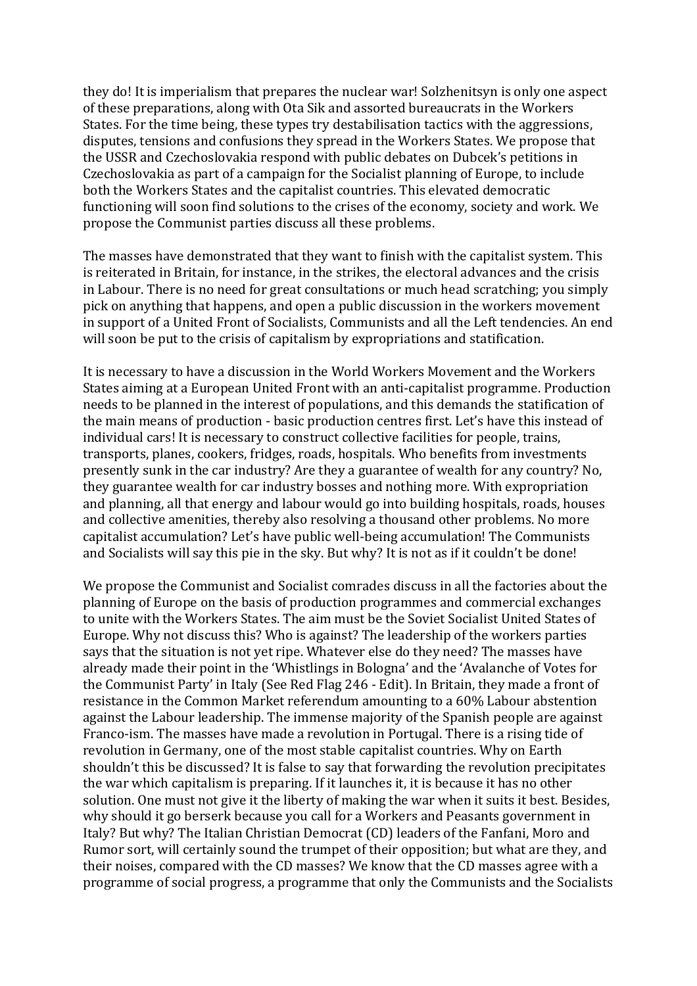they do! It is imperialism that prepares the nuclear war! Solzhenitsyn is only one aspect of these preparations, along with Ota Sik and assorted bureaucrats in the Workers States. For the time being, these types try destabilisation tactics with the aggressions, disputes, tensions and confusions they spread in the Workers States. We propose that the USSR and Czechoslovakia respond with public debates on Dubcek's petitions in Czechoslovakia as part of a campaign for the Socialist planning of Europe, to include both the Workers States and the capitalist countries. This elevated democratic functioning will soon find solutions to the crises of the economy, society and work. We propose the Communist parties discuss all these problems.

The masses have demonstrated that they want to finish with the capitalist system. This is reiterated in Britain, for instance, in the strikes, the electoral advances and the crisis in Labour. There is no need for great consultations or much head scratching; you simply pick on anything that happens, and open a public discussion in the workers movement in support of a United Front of Socialists, Communists and all the Left tendencies. An end will soon be put to the crisis of capitalism by expropriations and statification.

It is necessary to have a discussion in the World Workers Movement and the Workers States aiming at a European United Front with an anti-capitalist programme. Production needs to be planned in the interest of populations, and this demands the statification of the main means of production - basic production centres first. Let's have this instead of individual cars! It is necessary to construct collective facilities for people, trains, transports, planes, cookers, fridges, roads, hospitals. Who benefits from investments presently sunk in the car industry? Are they a guarantee of wealth for any country? No, they guarantee wealth for car industry bosses and nothing more. With expropriation and planning, all that energy and labour would go into building hospitals, roads, houses and collective amenities, thereby also resolving a thousand other problems. No more capitalist accumulation? Let's have public well-being accumulation! The Communists and Socialists will say this pie in the sky. But why? It is not as if it couldn't be done!

We propose the Communist and Socialist comrades discuss in all the factories about the planning of Europe on the basis of production programmes and commercial exchanges to unite with the Workers States. The aim must be the Soviet Socialist United States of Europe. Why not discuss this? Who is against? The leadership of the workers parties says that the situation is not yet ripe. Whatever else do they need? The masses have already made their point in the 'Whistlings in Bologna' and the 'Avalanche of Votes for the Communist Party' in Italy (See Red Flag 246 - Edit). In Britain, they made a front of resistance in the Common Market referendum amounting to a 60% Labour abstention against the Labour leadership. The immense majority of the Spanish people are against Franco-ism. The masses have made a revolution in Portugal. There is a rising tide of revolution in Germany, one of the most stable capitalist countries. Why on Earth shouldn't this be discussed? It is false to say that forwarding the revolution precipitates the war which capitalism is preparing. If it launches it, it is because it has no other solution. One must not give it the liberty of making the war when it suits it best. Besides, why should it go berserk because you call for a Workers and Peasants government in Italy? But why? The Italian Christian Democrat (CD) leaders of the Fanfani, Moro and Rumor sort, will certainly sound the trumpet of their opposition; but what are they, and their noises, compared with the CD masses? We know that the CD masses agree with a programme of social progress, a programme that only the Communists and the Socialists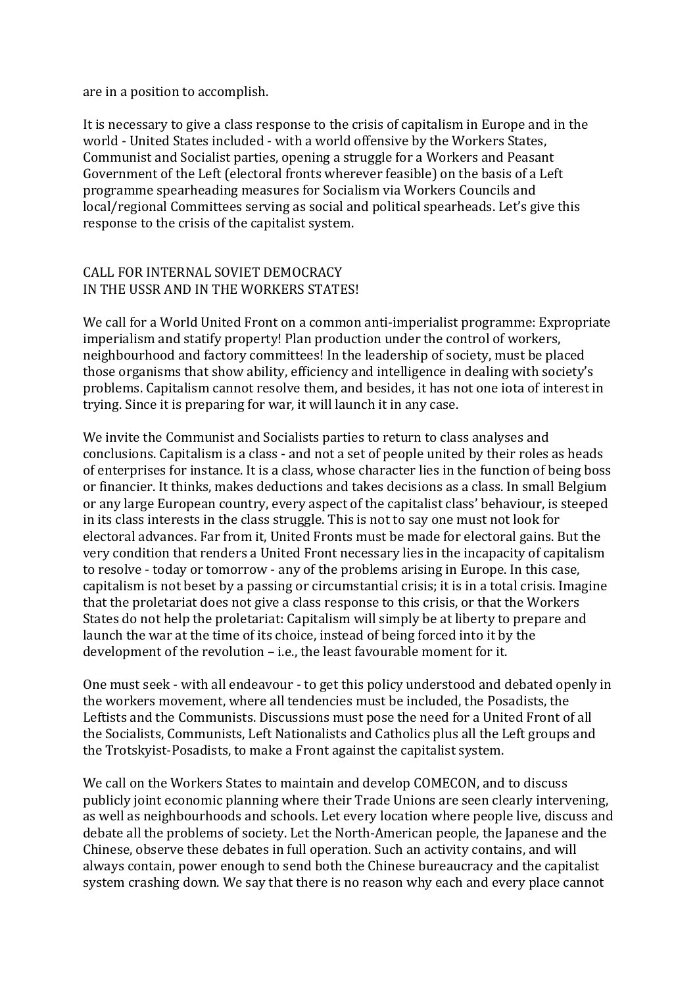are in a position to accomplish.

It is necessary to give a class response to the crisis of capitalism in Europe and in the world - United States included - with a world offensive by the Workers States, Communist and Socialist parties, opening a struggle for a Workers and Peasant Government of the Left (electoral fronts wherever feasible) on the basis of a Left programme spearheading measures for Socialism via Workers Councils and local/regional Committees serving as social and political spearheads. Let's give this response to the crisis of the capitalist system.

## CALL FOR INTERNAL SOVIET DEMOCRACY IN THE USSR AND IN THE WORKERS STATES!

We call for a World United Front on a common anti-imperialist programme: Expropriate imperialism and statify property! Plan production under the control of workers, neighbourhood and factory committees! In the leadership of society, must be placed those organisms that show ability, efficiency and intelligence in dealing with society's problems. Capitalism cannot resolve them, and besides, it has not one iota of interest in trying. Since it is preparing for war, it will launch it in any case.

We invite the Communist and Socialists parties to return to class analyses and conclusions. Capitalism is a class - and not a set of people united by their roles as heads of enterprises for instance. It is a class, whose character lies in the function of being boss or financier. It thinks, makes deductions and takes decisions as a class. In small Belgium or any large European country, every aspect of the capitalist class' behaviour, is steeped in its class interests in the class struggle. This is not to say one must not look for electoral advances. Far from it, United Fronts must be made for electoral gains. But the very condition that renders a United Front necessary lies in the incapacity of capitalism to resolve - today or tomorrow - any of the problems arising in Europe. In this case, capitalism is not beset by a passing or circumstantial crisis; it is in a total crisis. Imagine that the proletariat does not give a class response to this crisis, or that the Workers States do not help the proletariat: Capitalism will simply be at liberty to prepare and launch the war at the time of its choice, instead of being forced into it by the development of the revolution  $-$  i.e., the least favourable moment for it.

One must seek - with all endeavour - to get this policy understood and debated openly in the workers movement, where all tendencies must be included, the Posadists, the Leftists and the Communists. Discussions must pose the need for a United Front of all the Socialists, Communists, Left Nationalists and Catholics plus all the Left groups and the Trotskyist-Posadists, to make a Front against the capitalist system.

We call on the Workers States to maintain and develop COMECON, and to discuss publicly joint economic planning where their Trade Unions are seen clearly intervening, as well as neighbourhoods and schools. Let every location where people live, discuss and debate all the problems of society. Let the North-American people, the Japanese and the Chinese, observe these debates in full operation. Such an activity contains, and will always contain, power enough to send both the Chinese bureaucracy and the capitalist system crashing down. We say that there is no reason why each and every place cannot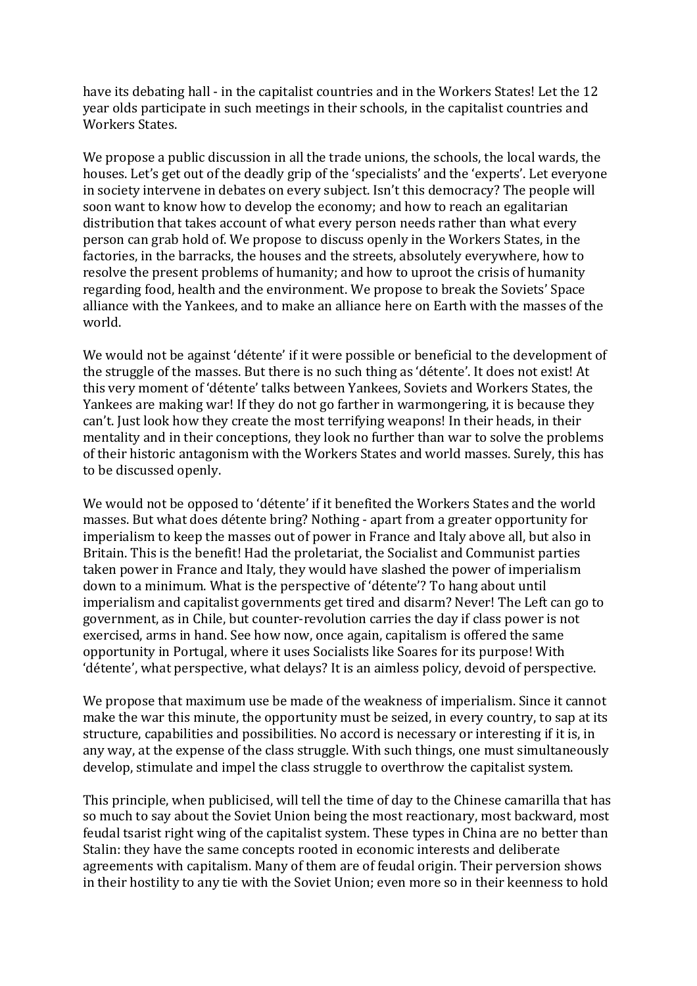have its debating hall - in the capitalist countries and in the Workers States! Let the 12 year olds participate in such meetings in their schools, in the capitalist countries and Workers States.

We propose a public discussion in all the trade unions, the schools, the local wards, the houses. Let's get out of the deadly grip of the 'specialists' and the 'experts'. Let everyone in society intervene in debates on every subject. Isn't this democracy? The people will soon want to know how to develop the economy; and how to reach an egalitarian distribution that takes account of what every person needs rather than what every person can grab hold of. We propose to discuss openly in the Workers States, in the factories, in the barracks, the houses and the streets, absolutely everywhere, how to resolve the present problems of humanity; and how to uproot the crisis of humanity regarding food, health and the environment. We propose to break the Soviets' Space alliance with the Yankees, and to make an alliance here on Earth with the masses of the world.

We would not be against 'détente' if it were possible or beneficial to the development of the struggle of the masses. But there is no such thing as 'détente'. It does not exist! At this very moment of 'détente' talks between Yankees, Soviets and Workers States, the Yankees are making war! If they do not go farther in warmongering, it is because they can't. Just look how they create the most terrifying weapons! In their heads, in their mentality and in their conceptions, they look no further than war to solve the problems of their historic antagonism with the Workers States and world masses. Surely, this has to be discussed openly.

We would not be opposed to 'détente' if it benefited the Workers States and the world masses. But what does détente bring? Nothing - apart from a greater opportunity for imperialism to keep the masses out of power in France and Italy above all, but also in Britain. This is the benefit! Had the proletariat, the Socialist and Communist parties taken power in France and Italy, they would have slashed the power of imperialism down to a minimum. What is the perspective of 'détente'? To hang about until imperialism and capitalist governments get tired and disarm? Never! The Left can go to government, as in Chile, but counter-revolution carries the day if class power is not exercised, arms in hand. See how now, once again, capitalism is offered the same opportunity in Portugal, where it uses Socialists like Soares for its purpose! With 'détente', what perspective, what delays? It is an aimless policy, devoid of perspective.

We propose that maximum use be made of the weakness of imperialism. Since it cannot make the war this minute, the opportunity must be seized, in every country, to sap at its structure, capabilities and possibilities. No accord is necessary or interesting if it is, in any way, at the expense of the class struggle. With such things, one must simultaneously develop, stimulate and impel the class struggle to overthrow the capitalist system.

This principle, when publicised, will tell the time of day to the Chinese camarilla that has so much to say about the Soviet Union being the most reactionary, most backward, most feudal tsarist right wing of the capitalist system. These types in China are no better than Stalin: they have the same concepts rooted in economic interests and deliberate agreements with capitalism. Many of them are of feudal origin. Their perversion shows in their hostility to any tie with the Soviet Union; even more so in their keenness to hold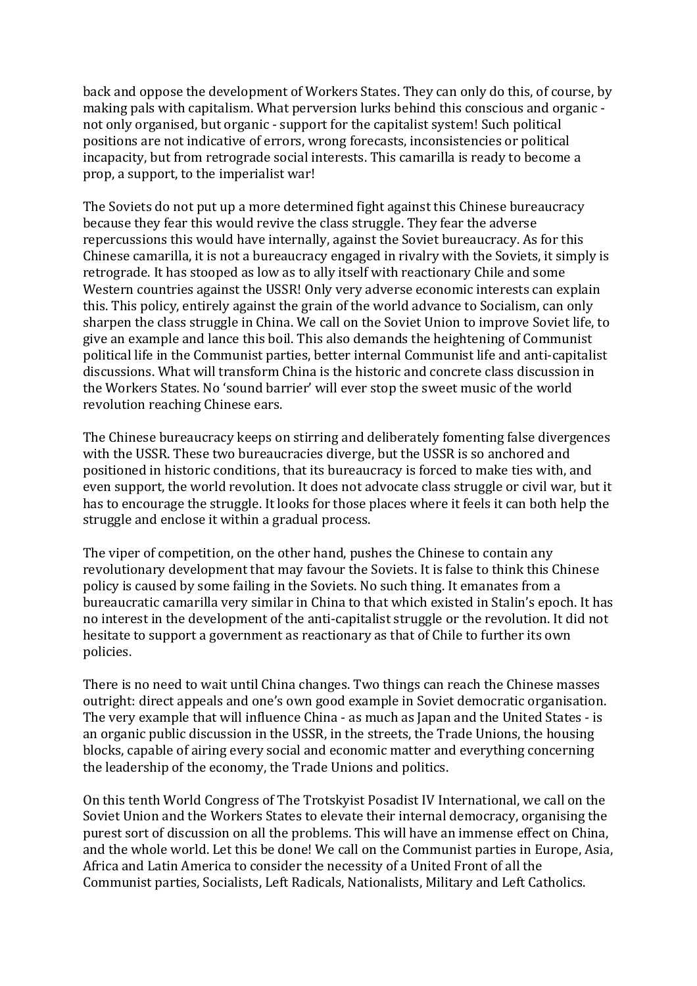back and oppose the development of Workers States. They can only do this, of course, by making pals with capitalism. What perversion lurks behind this conscious and organic not only organised, but organic - support for the capitalist system! Such political positions are not indicative of errors, wrong forecasts, inconsistencies or political incapacity, but from retrograde social interests. This camarilla is ready to become a prop, a support, to the imperialist war!

The Soviets do not put up a more determined fight against this Chinese bureaucracy because they fear this would revive the class struggle. They fear the adverse repercussions this would have internally, against the Soviet bureaucracy. As for this Chinese camarilla, it is not a bureaucracy engaged in rivalry with the Soviets, it simply is retrograde. It has stooped as low as to ally itself with reactionary Chile and some Western countries against the USSR! Only very adverse economic interests can explain this. This policy, entirely against the grain of the world advance to Socialism, can only sharpen the class struggle in China. We call on the Soviet Union to improve Soviet life, to give an example and lance this boil. This also demands the heightening of Communist political life in the Communist parties, better internal Communist life and anti-capitalist discussions. What will transform China is the historic and concrete class discussion in the Workers States. No 'sound barrier' will ever stop the sweet music of the world revolution reaching Chinese ears.

The Chinese bureaucracy keeps on stirring and deliberately fomenting false divergences with the USSR. These two bureaucracies diverge, but the USSR is so anchored and positioned in historic conditions, that its bureaucracy is forced to make ties with, and even support, the world revolution. It does not advocate class struggle or civil war, but it has to encourage the struggle. It looks for those places where it feels it can both help the struggle and enclose it within a gradual process.

The viper of competition, on the other hand, pushes the Chinese to contain any revolutionary development that may favour the Soviets. It is false to think this Chinese policy is caused by some failing in the Soviets. No such thing. It emanates from a bureaucratic camarilla very similar in China to that which existed in Stalin's epoch. It has no interest in the development of the anti-capitalist struggle or the revolution. It did not hesitate to support a government as reactionary as that of Chile to further its own policies.

There is no need to wait until China changes. Two things can reach the Chinese masses outright: direct appeals and one's own good example in Soviet democratic organisation. The very example that will influence China - as much as Japan and the United States - is an organic public discussion in the USSR, in the streets, the Trade Unions, the housing blocks, capable of airing every social and economic matter and everything concerning the leadership of the economy, the Trade Unions and politics.

On this tenth World Congress of The Trotskyist Posadist IV International, we call on the Soviet Union and the Workers States to elevate their internal democracy, organising the purest sort of discussion on all the problems. This will have an immense effect on China, and the whole world. Let this be done! We call on the Communist parties in Europe, Asia, Africa and Latin America to consider the necessity of a United Front of all the Communist parties, Socialists, Left Radicals, Nationalists, Military and Left Catholics.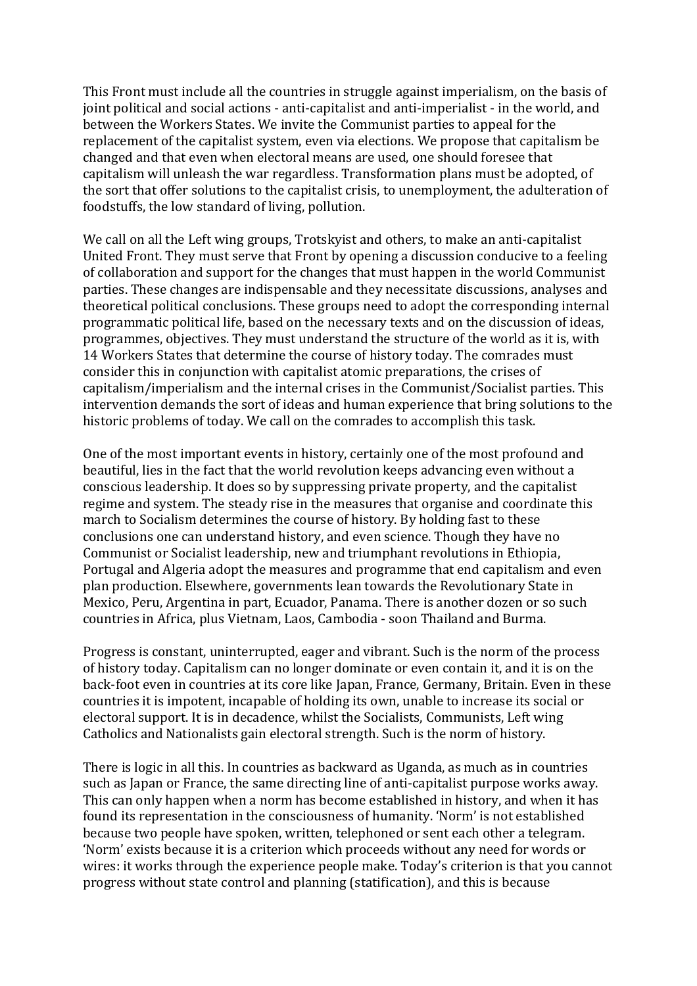This Front must include all the countries in struggle against imperialism, on the basis of joint political and social actions - anti-capitalist and anti-imperialist - in the world, and between the Workers States. We invite the Communist parties to appeal for the replacement of the capitalist system, even via elections. We propose that capitalism be changed and that even when electoral means are used, one should foresee that capitalism will unleash the war regardless. Transformation plans must be adopted, of the sort that offer solutions to the capitalist crisis, to unemployment, the adulteration of foodstuffs, the low standard of living, pollution.

We call on all the Left wing groups, Trotsky ist and others, to make an anti-capitalist United Front. They must serve that Front by opening a discussion conducive to a feeling of collaboration and support for the changes that must happen in the world Communist parties. These changes are indispensable and they necessitate discussions, analyses and theoretical political conclusions. These groups need to adopt the corresponding internal programmatic political life, based on the necessary texts and on the discussion of ideas, programmes, objectives. They must understand the structure of the world as it is, with 14 Workers States that determine the course of history today. The comrades must consider this in conjunction with capitalist atomic preparations, the crises of capitalism/imperialism and the internal crises in the Communist/Socialist parties. This intervention demands the sort of ideas and human experience that bring solutions to the historic problems of today. We call on the comrades to accomplish this task.

One of the most important events in history, certainly one of the most profound and beautiful, lies in the fact that the world revolution keeps advancing even without a conscious leadership. It does so by suppressing private property, and the capitalist regime and system. The steady rise in the measures that organise and coordinate this march to Socialism determines the course of history. By holding fast to these conclusions one can understand history, and even science. Though they have no Communist or Socialist leadership, new and triumphant revolutions in Ethiopia, Portugal and Algeria adopt the measures and programme that end capitalism and even plan production. Elsewhere, governments lean towards the Revolutionary State in Mexico, Peru, Argentina in part, Ecuador, Panama. There is another dozen or so such countries in Africa, plus Vietnam, Laos, Cambodia - soon Thailand and Burma.

Progress is constant, uninterrupted, eager and vibrant. Such is the norm of the process of history today. Capitalism can no longer dominate or even contain it, and it is on the back-foot even in countries at its core like Japan, France, Germany, Britain. Even in these countries it is impotent, incapable of holding its own, unable to increase its social or electoral support. It is in decadence, whilst the Socialists, Communists, Left wing Catholics and Nationalists gain electoral strength. Such is the norm of history.

There is logic in all this. In countries as backward as Uganda, as much as in countries such as Japan or France, the same directing line of anti-capitalist purpose works away. This can only happen when a norm has become established in history, and when it has found its representation in the consciousness of humanity. 'Norm' is not established because two people have spoken, written, telephoned or sent each other a telegram. 'Norm' exists because it is a criterion which proceeds without any need for words or wires: it works through the experience people make. Today's criterion is that you cannot progress without state control and planning (statification), and this is because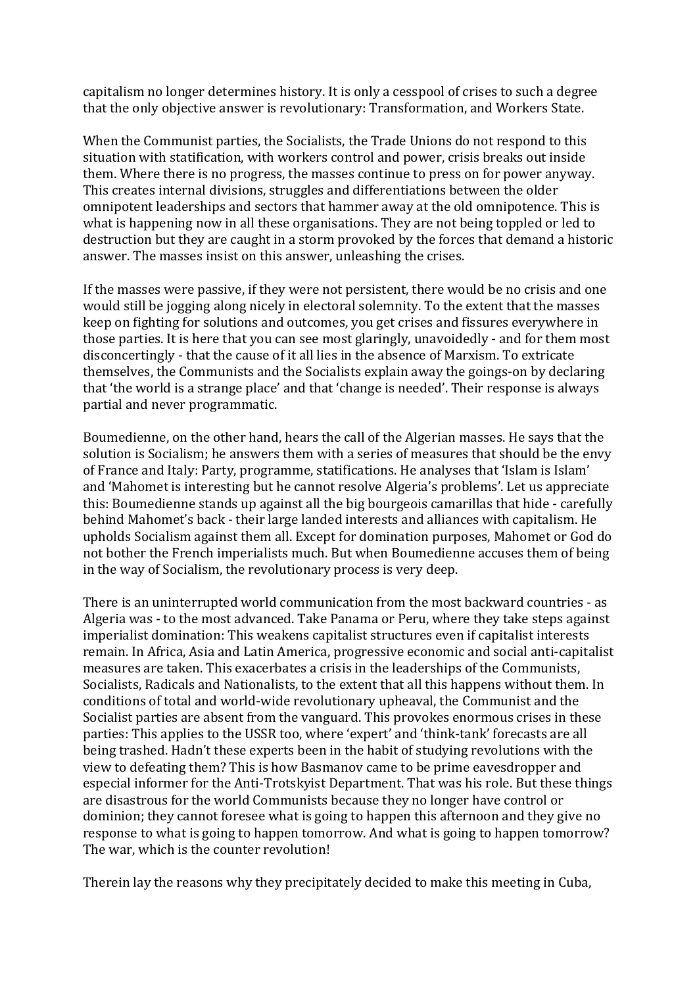capitalism no longer determines history. It is only a cesspool of crises to such a degree that the only objective answer is revolutionary: Transformation, and Workers State.

When the Communist parties, the Socialists, the Trade Unions do not respond to this situation with statification, with workers control and power, crisis breaks out inside them. Where there is no progress, the masses continue to press on for power anyway. This creates internal divisions, struggles and differentiations between the older omnipotent leaderships and sectors that hammer away at the old omnipotence. This is what is happening now in all these organisations. They are not being toppled or led to destruction but they are caught in a storm provoked by the forces that demand a historic answer. The masses insist on this answer, unleashing the crises.

If the masses were passive, if they were not persistent, there would be no crisis and one would still be jogging along nicely in electoral solemnity. To the extent that the masses keep on fighting for solutions and outcomes, you get crises and fissures everywhere in those parties. It is here that you can see most glaringly, unavoidedly - and for them most disconcertingly - that the cause of it all lies in the absence of Marxism. To extricate themselves, the Communists and the Socialists explain away the goings-on by declaring that 'the world is a strange place' and that 'change is needed'. Their response is always partial and never programmatic.

Boumedienne, on the other hand, hears the call of the Algerian masses. He says that the solution is Socialism; he answers them with a series of measures that should be the envy of France and Italy: Party, programme, statifications. He analyses that 'Islam is Islam' and 'Mahomet is interesting but he cannot resolve Algeria's problems'. Let us appreciate this: Boumedienne stands up against all the big bourgeois camarillas that hide - carefully behind Mahomet's back - their large landed interests and alliances with capitalism. He upholds Socialism against them all. Except for domination purposes, Mahomet or God do not bother the French imperialists much. But when Boumedienne accuses them of being in the way of Socialism, the revolutionary process is very deep.

There is an uninterrupted world communication from the most backward countries - as Algeria was - to the most advanced. Take Panama or Peru, where they take steps against imperialist domination: This weakens capitalist structures even if capitalist interests remain. In Africa, Asia and Latin America, progressive economic and social anti-capitalist measures are taken. This exacerbates a crisis in the leaderships of the Communists, Socialists, Radicals and Nationalists, to the extent that all this happens without them. In conditions of total and world-wide revolutionary upheaval, the Communist and the Socialist parties are absent from the vanguard. This provokes enormous crises in these parties: This applies to the USSR too, where 'expert' and 'think-tank' forecasts are all being trashed. Hadn't these experts been in the habit of studying revolutions with the view to defeating them? This is how Basmanov came to be prime eavesdropper and especial informer for the Anti-Trotskyist Department. That was his role. But these things are disastrous for the world Communists because they no longer have control or dominion; they cannot foresee what is going to happen this afternoon and they give no response to what is going to happen tomorrow. And what is going to happen tomorrow? The war, which is the counter revolution!

Therein lay the reasons why they precipitately decided to make this meeting in Cuba,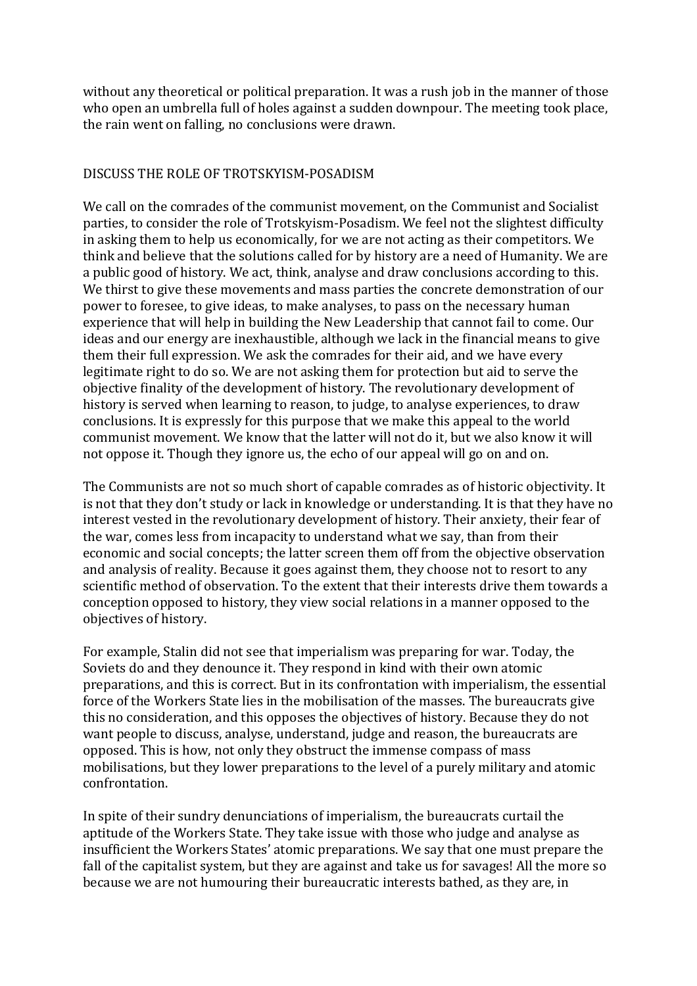without any theoretical or political preparation. It was a rush job in the manner of those who open an umbrella full of holes against a sudden downpour. The meeting took place, the rain went on falling, no conclusions were drawn.

## DISCUSS THE ROLE OF TROTSKYISM-POSADISM

We call on the comrades of the communist movement, on the Communist and Socialist parties, to consider the role of Trotskyism-Posadism. We feel not the slightest difficulty in asking them to help us economically, for we are not acting as their competitors. We think and believe that the solutions called for by history are a need of Humanity. We are a public good of history. We act, think, analyse and draw conclusions according to this. We thirst to give these movements and mass parties the concrete demonstration of our power to foresee, to give ideas, to make analyses, to pass on the necessary human experience that will help in building the New Leadership that cannot fail to come. Our ideas and our energy are inexhaustible, although we lack in the financial means to give them their full expression. We ask the comrades for their aid, and we have every legitimate right to do so. We are not asking them for protection but aid to serve the objective finality of the development of history. The revolutionary development of history is served when learning to reason, to judge, to analyse experiences, to draw conclusions. It is expressly for this purpose that we make this appeal to the world communist movement. We know that the latter will not do it, but we also know it will not oppose it. Though they ignore us, the echo of our appeal will go on and on.

The Communists are not so much short of capable comrades as of historic objectivity. It is not that they don't study or lack in knowledge or understanding. It is that they have no interest vested in the revolutionary development of history. Their anxiety, their fear of the war, comes less from incapacity to understand what we say, than from their economic and social concepts; the latter screen them off from the objective observation and analysis of reality. Because it goes against them, they choose not to resort to any scientific method of observation. To the extent that their interests drive them towards a conception opposed to history, they view social relations in a manner opposed to the objectives of history.

For example, Stalin did not see that imperialism was preparing for war. Today, the Soviets do and they denounce it. They respond in kind with their own atomic preparations, and this is correct. But in its confrontation with imperialism, the essential force of the Workers State lies in the mobilisation of the masses. The bureaucrats give this no consideration, and this opposes the objectives of history. Because they do not want people to discuss, analyse, understand, judge and reason, the bureaucrats are opposed. This is how, not only they obstruct the immense compass of mass mobilisations, but they lower preparations to the level of a purely military and atomic confrontation.

In spite of their sundry denunciations of imperialism, the bureaucrats curtail the aptitude of the Workers State. They take issue with those who judge and analyse as insufficient the Workers States' atomic preparations. We say that one must prepare the fall of the capitalist system, but they are against and take us for savages! All the more so because we are not humouring their bureaucratic interests bathed, as they are, in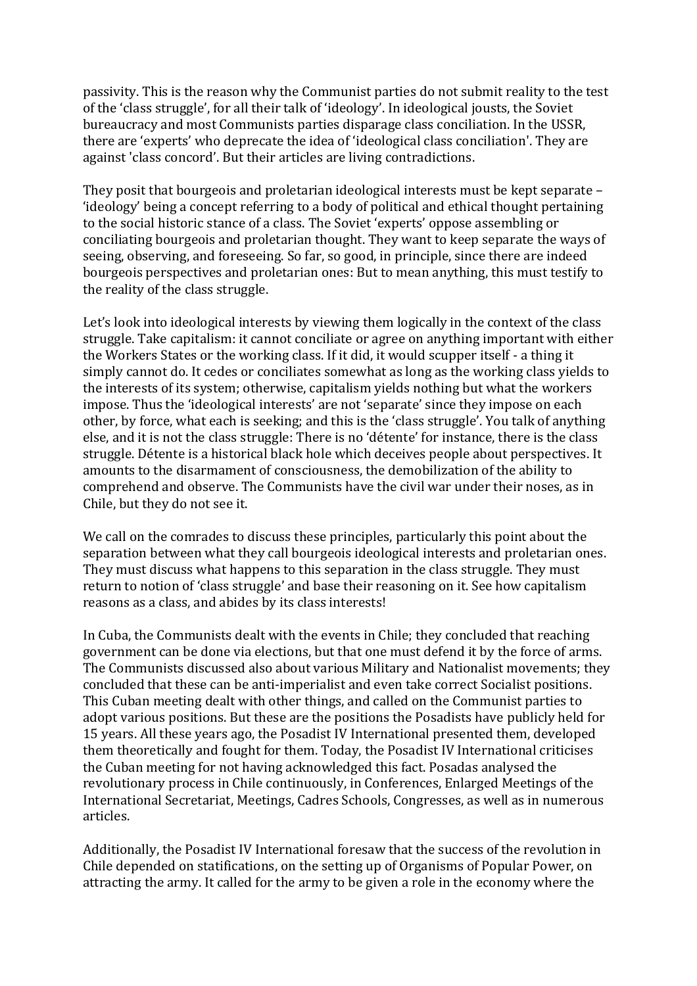passivity. This is the reason why the Communist parties do not submit reality to the test of the 'class struggle', for all their talk of 'ideology'. In ideological jousts, the Soviet bureaucracy and most Communists parties disparage class conciliation. In the USSR, there are 'experts' who deprecate the idea of 'ideological class conciliation'. They are against 'class concord'. But their articles are living contradictions.

They posit that bourgeois and proletarian ideological interests must be kept separate  $-$ 'ideology' being a concept referring to a body of political and ethical thought pertaining to the social historic stance of a class. The Soviet 'experts' oppose assembling or conciliating bourgeois and proletarian thought. They want to keep separate the ways of seeing, observing, and foreseeing. So far, so good, in principle, since there are indeed bourgeois perspectives and proletarian ones: But to mean anything, this must testify to the reality of the class struggle.

Let's look into ideological interests by viewing them logically in the context of the class struggle. Take capitalism: it cannot conciliate or agree on anything important with either the Workers States or the working class. If it did, it would scupper itself - a thing it simply cannot do. It cedes or conciliates somewhat as long as the working class yields to the interests of its system; otherwise, capitalism yields nothing but what the workers impose. Thus the 'ideological interests' are not 'separate' since they impose on each other, by force, what each is seeking; and this is the 'class struggle'. You talk of anything else, and it is not the class struggle: There is no 'détente' for instance, there is the class struggle. Détente is a historical black hole which deceives people about perspectives. It amounts to the disarmament of consciousness, the demobilization of the ability to comprehend and observe. The Communists have the civil war under their noses, as in Chile, but they do not see it.

We call on the comrades to discuss these principles, particularly this point about the separation between what they call bourgeois ideological interests and proletarian ones. They must discuss what happens to this separation in the class struggle. They must return to notion of 'class struggle' and base their reasoning on it. See how capitalism reasons as a class, and abides by its class interests!

In Cuba, the Communists dealt with the events in Chile; they concluded that reaching government can be done via elections, but that one must defend it by the force of arms. The Communists discussed also about various Military and Nationalist movements; they concluded that these can be anti-imperialist and even take correct Socialist positions. This Cuban meeting dealt with other things, and called on the Communist parties to adopt various positions. But these are the positions the Posadists have publicly held for 15 years. All these years ago, the Posadist IV International presented them, developed them theoretically and fought for them. Today, the Posadist IV International criticises the Cuban meeting for not having acknowledged this fact. Posadas analysed the revolutionary process in Chile continuously, in Conferences, Enlarged Meetings of the International Secretariat, Meetings, Cadres Schools, Congresses, as well as in numerous articles.

Additionally, the Posadist IV International foresaw that the success of the revolution in Chile depended on statifications, on the setting up of Organisms of Popular Power, on attracting the army. It called for the army to be given a role in the economy where the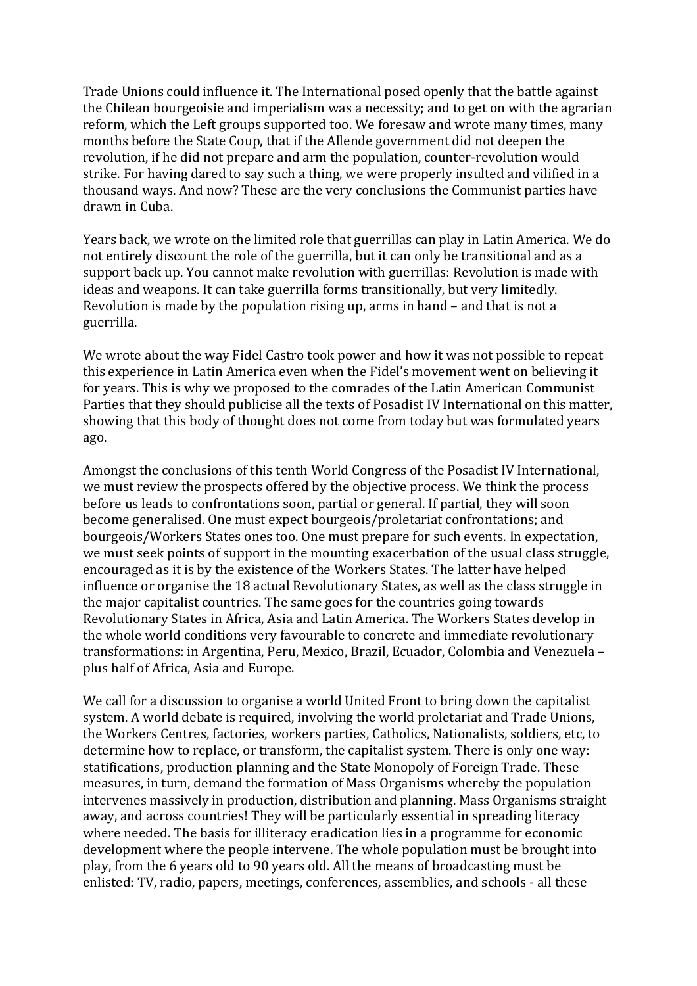Trade Unions could influence it. The International posed openly that the battle against the Chilean bourgeoisie and imperialism was a necessity; and to get on with the agrarian reform, which the Left groups supported too. We foresaw and wrote many times, many months before the State Coup, that if the Allende government did not deepen the revolution, if he did not prepare and arm the population, counter-revolution would strike. For having dared to say such a thing, we were properly insulted and vilified in a thousand ways. And now? These are the very conclusions the Communist parties have drawn in Cuba.

Years back, we wrote on the limited role that guerrillas can play in Latin America. We do not entirely discount the role of the guerrilla, but it can only be transitional and as a support back up. You cannot make revolution with guerrillas: Revolution is made with ideas and weapons. It can take guerrilla forms transitionally, but very limitedly, Revolution is made by the population rising up, arms in hand  $-$  and that is not a guerrilla.

We wrote about the way Fidel Castro took power and how it was not possible to repeat this experience in Latin America even when the Fidel's movement went on believing it for years. This is why we proposed to the comrades of the Latin American Communist Parties that they should publicise all the texts of Posadist IV International on this matter, showing that this body of thought does not come from today but was formulated years ago.

Amongst the conclusions of this tenth World Congress of the Posadist IV International, we must review the prospects offered by the objective process. We think the process before us leads to confrontations soon, partial or general. If partial, they will soon become generalised. One must expect bourgeois/proletariat confrontations; and bourgeois/Workers States ones too. One must prepare for such events. In expectation, we must seek points of support in the mounting exacerbation of the usual class struggle, encouraged as it is by the existence of the Workers States. The latter have helped influence or organise the 18 actual Revolutionary States, as well as the class struggle in the major capitalist countries. The same goes for the countries going towards Revolutionary States in Africa, Asia and Latin America. The Workers States develop in the whole world conditions very favourable to concrete and immediate revolutionary transformations: in Argentina, Peru, Mexico, Brazil, Ecuador, Colombia and Venezuela plus half of Africa, Asia and Europe.

We call for a discussion to organise a world United Front to bring down the capitalist system. A world debate is required, involving the world proletariat and Trade Unions, the Workers Centres, factories, workers parties, Catholics, Nationalists, soldiers, etc, to determine how to replace, or transform, the capitalist system. There is only one way: statifications, production planning and the State Monopoly of Foreign Trade. These measures, in turn, demand the formation of Mass Organisms whereby the population intervenes massively in production, distribution and planning. Mass Organisms straight away, and across countries! They will be particularly essential in spreading literacy where needed. The basis for illiteracy eradication lies in a programme for economic development where the people intervene. The whole population must be brought into play, from the 6 years old to 90 years old. All the means of broadcasting must be enlisted: TV, radio, papers, meetings, conferences, assemblies, and schools - all these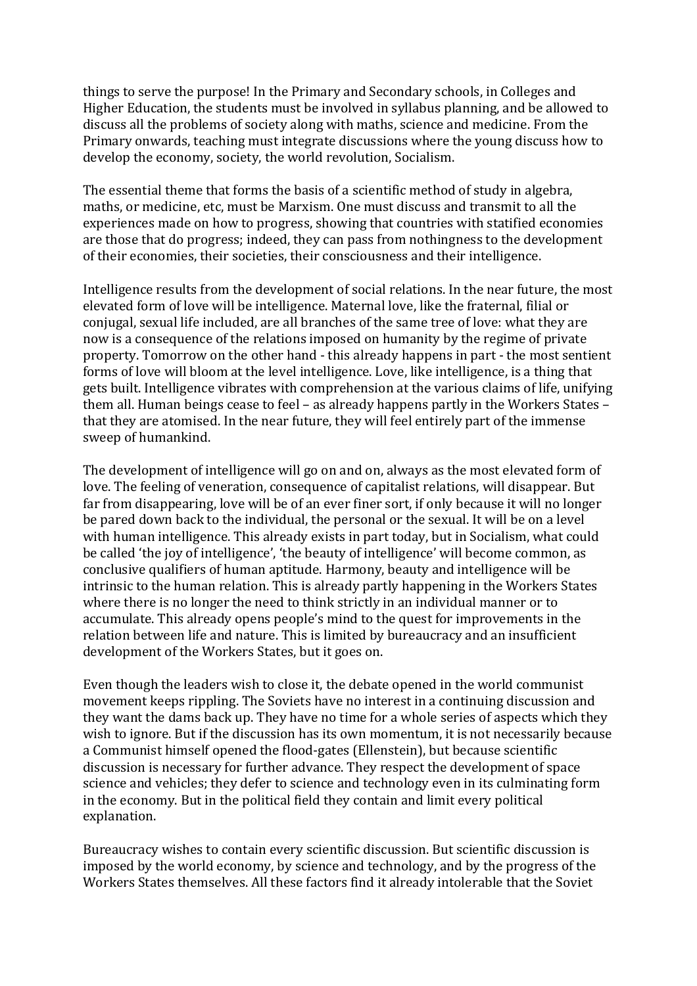things to serve the purpose! In the Primary and Secondary schools, in Colleges and Higher Education, the students must be involved in syllabus planning, and be allowed to discuss all the problems of society along with maths, science and medicine. From the Primary onwards, teaching must integrate discussions where the young discuss how to develop the economy, society, the world revolution, Socialism.

The essential theme that forms the basis of a scientific method of study in algebra, maths, or medicine, etc, must be Marxism. One must discuss and transmit to all the experiences made on how to progress, showing that countries with statified economies are those that do progress; indeed, they can pass from nothingness to the development of their economies, their societies, their consciousness and their intelligence.

Intelligence results from the development of social relations. In the near future, the most elevated form of love will be intelligence. Maternal love, like the fraternal, filial or conjugal, sexual life included, are all branches of the same tree of love: what they are now is a consequence of the relations imposed on humanity by the regime of private property. Tomorrow on the other hand - this already happens in part - the most sentient forms of love will bloom at the level intelligence. Love, like intelligence, is a thing that gets built. Intelligence vibrates with comprehension at the various claims of life, unifying them all. Human beings cease to feel – as already happens partly in the Workers States – that they are atomised. In the near future, they will feel entirely part of the immense sweep of humankind.

The development of intelligence will go on and on, always as the most elevated form of love. The feeling of veneration, consequence of capitalist relations, will disappear. But far from disappearing, love will be of an ever finer sort, if only because it will no longer be pared down back to the individual, the personal or the sexual. It will be on a level with human intelligence. This already exists in part today, but in Socialism, what could be called 'the joy of intelligence', 'the beauty of intelligence' will become common, as conclusive qualifiers of human aptitude. Harmony, beauty and intelligence will be intrinsic to the human relation. This is already partly happening in the Workers States where there is no longer the need to think strictly in an individual manner or to accumulate. This already opens people's mind to the quest for improvements in the relation between life and nature. This is limited by bureaucracy and an insufficient development of the Workers States, but it goes on.

Even though the leaders wish to close it, the debate opened in the world communist movement keeps rippling. The Soviets have no interest in a continuing discussion and they want the dams back up. They have no time for a whole series of aspects which they wish to ignore. But if the discussion has its own momentum, it is not necessarily because a Communist himself opened the flood-gates (Ellenstein), but because scientific discussion is necessary for further advance. They respect the development of space science and vehicles; they defer to science and technology even in its culminating form in the economy. But in the political field they contain and limit every political explanation.

Bureaucracy wishes to contain every scientific discussion. But scientific discussion is imposed by the world economy, by science and technology, and by the progress of the Workers States themselves. All these factors find it already intolerable that the Soviet